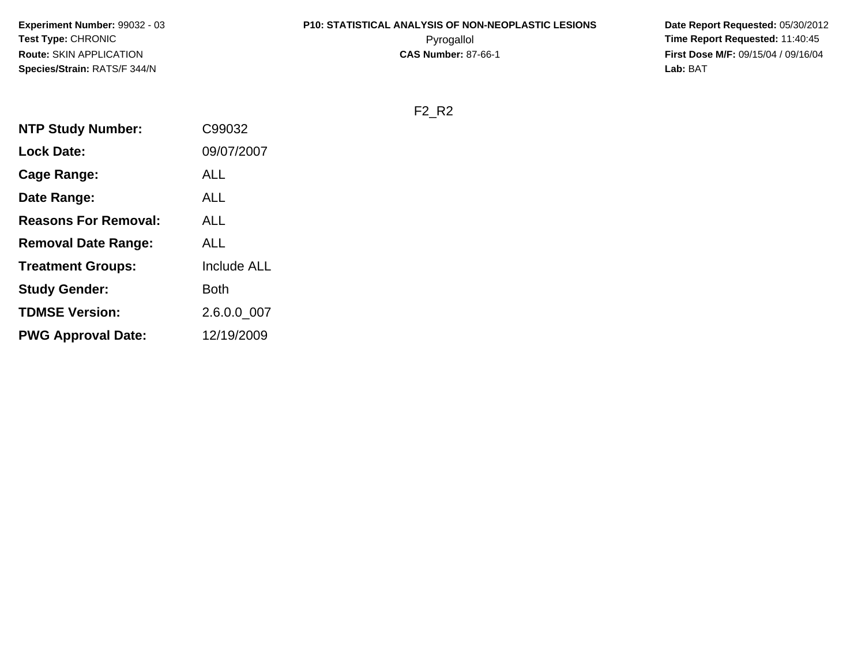**Experiment Number:** 99032 - 03**Test Type:** CHRONIC**Route:** SKIN APPLICATION**Species/Strain:** RATS/F 344/N

# **P10: STATISTICAL ANALYSIS OF NON-NEOPLASTIC LESIONS**

 **Date Report Requested:** 05/30/2012 Pyrogallol **Time Report Requested:** 11:40:45 **First Dose M/F:** 09/15/04 / 09/16/04<br>Lab: BAT **Lab:** BAT

F2\_R2

| <b>NTP Study Number:</b>    | C99032             |
|-----------------------------|--------------------|
| <b>Lock Date:</b>           | 09/07/2007         |
| Cage Range:                 | <b>ALL</b>         |
| Date Range:                 | ALL                |
| <b>Reasons For Removal:</b> | ALL                |
| <b>Removal Date Range:</b>  | <b>ALL</b>         |
| <b>Treatment Groups:</b>    | <b>Include ALL</b> |
| <b>Study Gender:</b>        | Both               |
| <b>TDMSE Version:</b>       | 2.6.0.0 007        |
| <b>PWG Approval Date:</b>   | 12/19/2009         |
|                             |                    |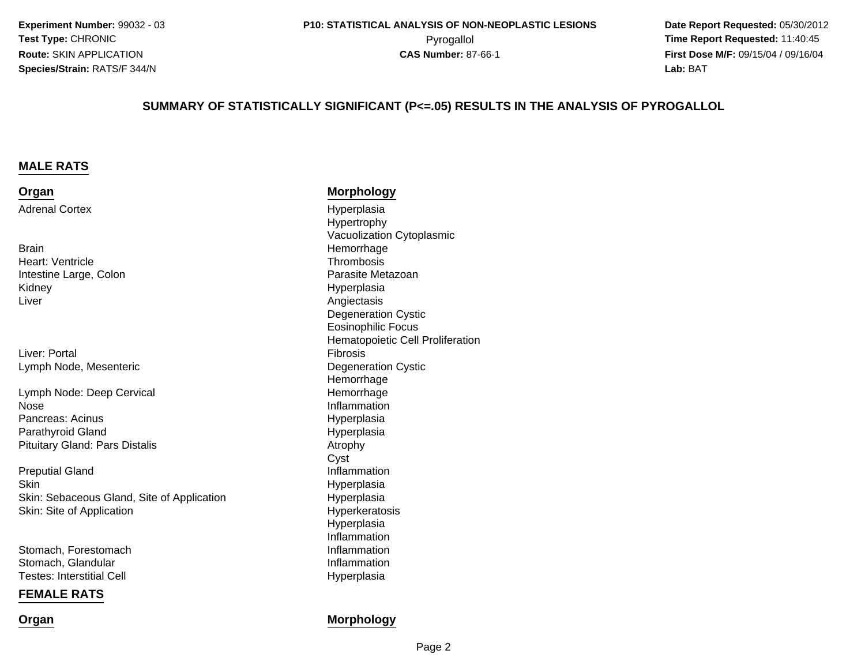**Experiment Number:** 99032 - 03**Test Type:** CHRONIC**Route:** SKIN APPLICATION**Species/Strain:** RATS/F 344/N

 **Date Report Requested:** 05/30/2012 **First Dose M/F:** 09/15/04 / 09/16/04 Lab: BAT **Lab:** BAT

#### **SUMMARY OF STATISTICALLY SIGNIFICANT (P<=.05) RESULTS IN THE ANALYSIS OF PYROGALLOL**

#### **MALE RATS**

**Organ**Adrenal Cortex

**Brain** Heart: VentricleIntestine Large, ColonKidneyr Angiectasis and the contract of the contract of the contract of the contract of the contract of the contract of the contract of the contract of the contract of the contract of the contract of the contract of the contract Liver

Liver: PortalLymph Node, Mesenteric

Lymph Node: Deep Cervicale Inflammation NosePancreas: Acinusd Hyperplasia Parathyroid GlandPituitary Gland: Pars Distalis

 Inflammation Preputial Gland**Skin** Skin: Sebaceous Gland, Site of ApplicationSkin: Site of Application

Stomach, ForestomachStomach, GlandularTestes: Interstitial Cell

#### **FEMALE RATS**

**Organ**

#### **Morphology**

 Hyperplasia Hypertrophy Vacuolization Cytoplasmic Hemorrhage **Thrombosis**  Parasite Metazoan Hyperplasia Degeneration CysticEosinophilic Focus Hematopoietic Cell Proliferation Fibrosis Degeneration Cystic HemorrhageI and the state of the Hemorrhage Hyperplasia Atrophy Cyst Hyperplasia Hyperplasia Hyperkeratosis Hyperplasia Inflammationh **Inflammation**  Inflammationl and the contract of the Hyperplasia

#### **Morphology**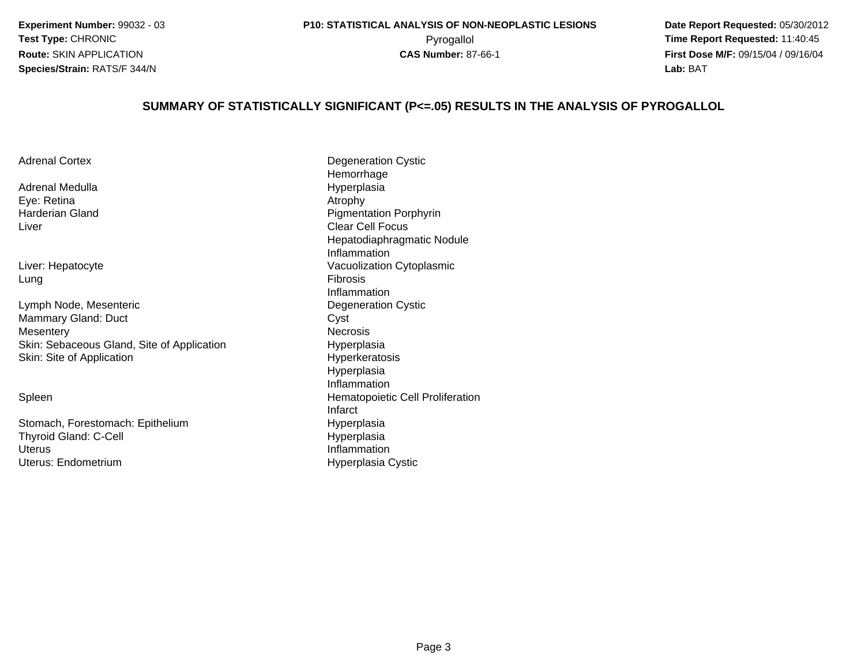**Experiment Number:** 99032 - 03**Test Type:** CHRONIC**Route:** SKIN APPLICATION**Species/Strain:** RATS/F 344/N

 **Date Report Requested:** 05/30/2012 Pyrogallol **Time Report Requested:** 11:40:45 **First Dose M/F:** 09/15/04 / 09/16/04 Lab: BAT **Lab:** BAT

#### **SUMMARY OF STATISTICALLY SIGNIFICANT (P<=.05) RESULTS IN THE ANALYSIS OF PYROGALLOL**

| <b>Adrenal Cortex</b>                      | Degeneration Cystic              |
|--------------------------------------------|----------------------------------|
|                                            | Hemorrhage                       |
| Adrenal Medulla                            | Hyperplasia                      |
| Eye: Retina                                | Atrophy                          |
| Harderian Gland                            | <b>Pigmentation Porphyrin</b>    |
| Liver                                      | <b>Clear Cell Focus</b>          |
|                                            | Hepatodiaphragmatic Nodule       |
|                                            | Inflammation                     |
| Liver: Hepatocyte                          | Vacuolization Cytoplasmic        |
| Lung                                       | <b>Fibrosis</b>                  |
|                                            | Inflammation                     |
| Lymph Node, Mesenteric                     | Degeneration Cystic              |
| Mammary Gland: Duct                        | Cyst                             |
| Mesentery                                  | <b>Necrosis</b>                  |
| Skin: Sebaceous Gland, Site of Application | Hyperplasia                      |
| Skin: Site of Application                  | <b>Hyperkeratosis</b>            |
|                                            | Hyperplasia                      |
|                                            | Inflammation                     |
|                                            |                                  |
| Spleen                                     | Hematopoietic Cell Proliferation |

Stomach, Forestomach: EpitheliumThyroid Gland: C-Cells and the contract of the contract of the contract of the contract of the contract of the contract of the contract of the contract of the contract of the contract of the contract of the contract of the contract of the cont **Uterus** Uterus: Endometrium

Nodule Infarctm<br>
Hyperplasia<br>
Hyperplasia **Hyperplasia** Hyperplasia Cystic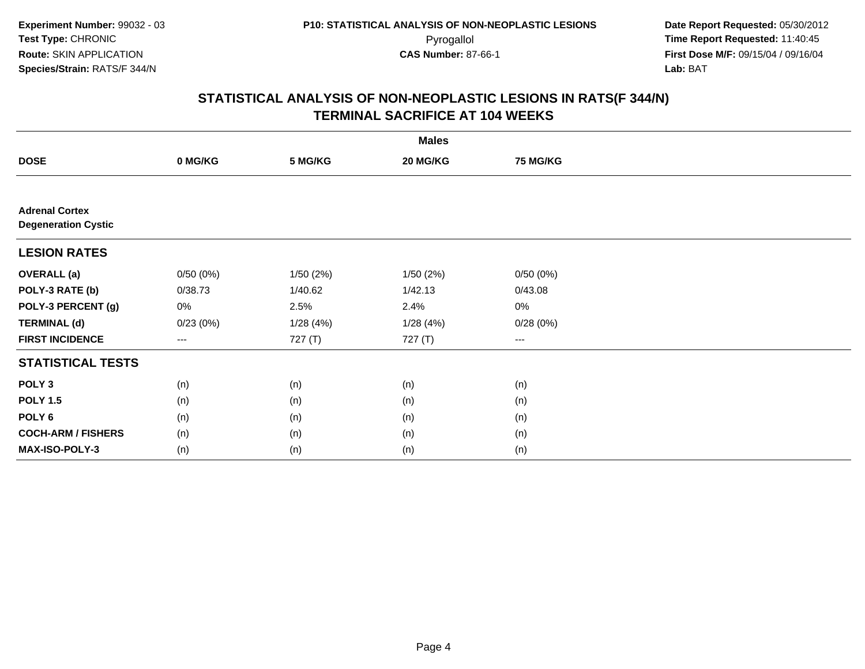|                                                     |                   |          | <b>Males</b> |                        |  |
|-----------------------------------------------------|-------------------|----------|--------------|------------------------|--|
| <b>DOSE</b>                                         | 0 MG/KG           | 5 MG/KG  | 20 MG/KG     | <b>75 MG/KG</b>        |  |
|                                                     |                   |          |              |                        |  |
| <b>Adrenal Cortex</b><br><b>Degeneration Cystic</b> |                   |          |              |                        |  |
| <b>LESION RATES</b>                                 |                   |          |              |                        |  |
| <b>OVERALL</b> (a)                                  | 0/50(0%)          | 1/50(2%) | 1/50(2%)     | 0/50(0%)               |  |
| POLY-3 RATE (b)                                     | 0/38.73           | 1/40.62  | 1/42.13      | 0/43.08                |  |
| POLY-3 PERCENT (g)                                  | $0\%$             | 2.5%     | 2.4%         | $0\%$                  |  |
| <b>TERMINAL (d)</b>                                 | 0/23(0%)          | 1/28(4%) | 1/28(4%)     | 0/28(0%)               |  |
| <b>FIRST INCIDENCE</b>                              | $\qquad \qquad -$ | 727 (T)  | 727 (T)      | $\qquad \qquad \cdots$ |  |
| <b>STATISTICAL TESTS</b>                            |                   |          |              |                        |  |
| POLY <sub>3</sub>                                   | (n)               | (n)      | (n)          | (n)                    |  |
| <b>POLY 1.5</b>                                     | (n)               | (n)      | (n)          | (n)                    |  |
| POLY <sub>6</sub>                                   | (n)               | (n)      | (n)          | (n)                    |  |
| <b>COCH-ARM / FISHERS</b>                           | (n)               | (n)      | (n)          | (n)                    |  |
| MAX-ISO-POLY-3                                      | (n)               | (n)      | (n)          | (n)                    |  |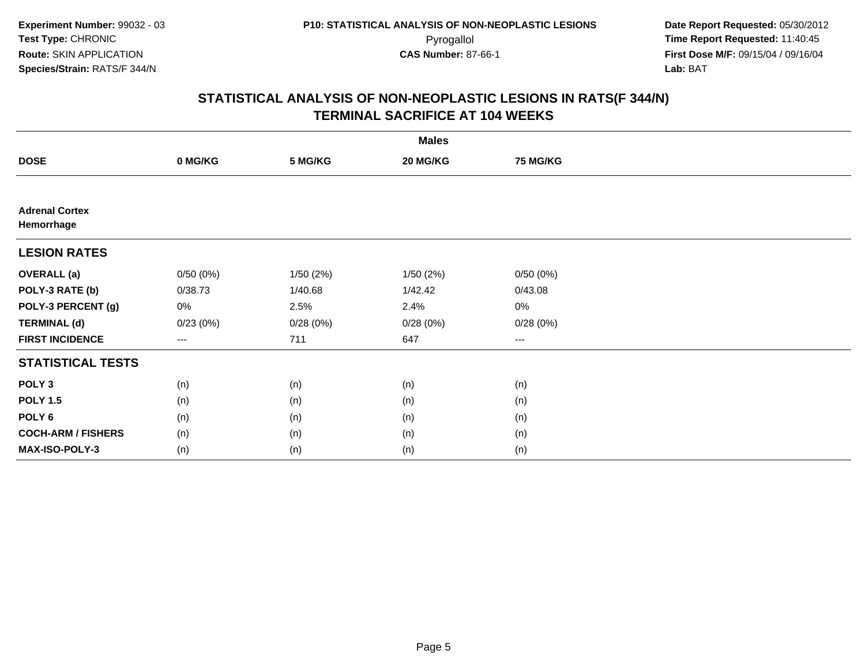|                                     |                   |          | <b>Males</b> |                 |  |
|-------------------------------------|-------------------|----------|--------------|-----------------|--|
| <b>DOSE</b>                         | 0 MG/KG           | 5 MG/KG  | 20 MG/KG     | <b>75 MG/KG</b> |  |
|                                     |                   |          |              |                 |  |
| <b>Adrenal Cortex</b><br>Hemorrhage |                   |          |              |                 |  |
| <b>LESION RATES</b>                 |                   |          |              |                 |  |
| <b>OVERALL</b> (a)                  | 0/50(0%)          | 1/50(2%) | 1/50 (2%)    | 0/50(0%)        |  |
| POLY-3 RATE (b)                     | 0/38.73           | 1/40.68  | 1/42.42      | 0/43.08         |  |
| POLY-3 PERCENT (g)                  | 0%                | 2.5%     | 2.4%         | $0\%$           |  |
| <b>TERMINAL (d)</b>                 | 0/23(0%)          | 0/28(0%) | 0/28(0%)     | 0/28(0%)        |  |
| <b>FIRST INCIDENCE</b>              | $\qquad \qquad -$ | 711      | 647          | $\cdots$        |  |
| <b>STATISTICAL TESTS</b>            |                   |          |              |                 |  |
| POLY <sub>3</sub>                   | (n)               | (n)      | (n)          | (n)             |  |
| <b>POLY 1.5</b>                     | (n)               | (n)      | (n)          | (n)             |  |
| POLY <sub>6</sub>                   | (n)               | (n)      | (n)          | (n)             |  |
| <b>COCH-ARM / FISHERS</b>           | (n)               | (n)      | (n)          | (n)             |  |
| <b>MAX-ISO-POLY-3</b>               | (n)               | (n)      | (n)          | (n)             |  |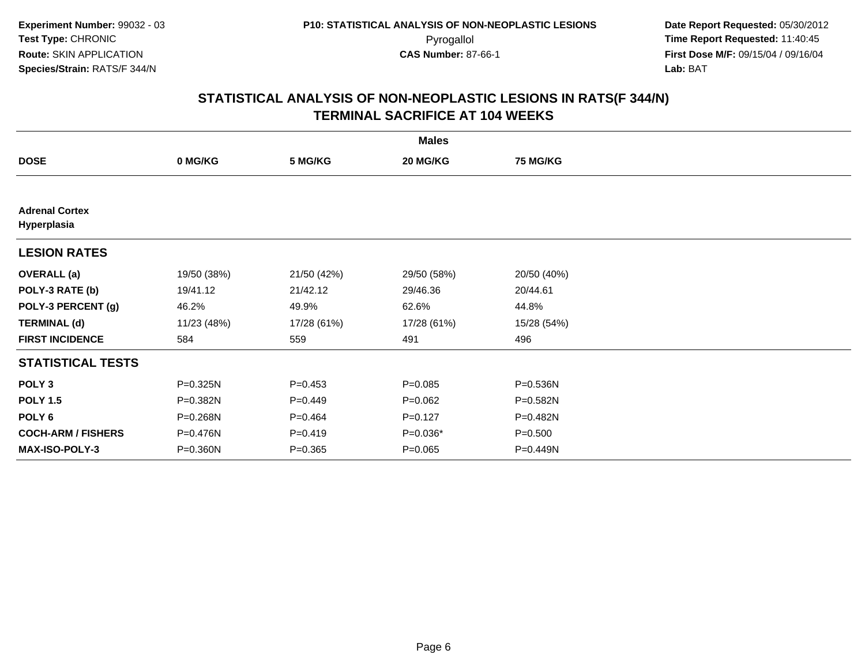|                                      |              |             | <b>Males</b> |                 |  |
|--------------------------------------|--------------|-------------|--------------|-----------------|--|
| <b>DOSE</b>                          | 0 MG/KG      | 5 MG/KG     | 20 MG/KG     | <b>75 MG/KG</b> |  |
|                                      |              |             |              |                 |  |
| <b>Adrenal Cortex</b><br>Hyperplasia |              |             |              |                 |  |
| <b>LESION RATES</b>                  |              |             |              |                 |  |
| <b>OVERALL</b> (a)                   | 19/50 (38%)  | 21/50 (42%) | 29/50 (58%)  | 20/50 (40%)     |  |
| POLY-3 RATE (b)                      | 19/41.12     | 21/42.12    | 29/46.36     | 20/44.61        |  |
| POLY-3 PERCENT (g)                   | 46.2%        | 49.9%       | 62.6%        | 44.8%           |  |
| <b>TERMINAL (d)</b>                  | 11/23 (48%)  | 17/28 (61%) | 17/28 (61%)  | 15/28 (54%)     |  |
| <b>FIRST INCIDENCE</b>               | 584          | 559         | 491          | 496             |  |
| <b>STATISTICAL TESTS</b>             |              |             |              |                 |  |
| POLY <sub>3</sub>                    | P=0.325N     | $P=0.453$   | $P = 0.085$  | P=0.536N        |  |
| <b>POLY 1.5</b>                      | P=0.382N     | $P=0.449$   | $P=0.062$    | P=0.582N        |  |
| POLY 6                               | P=0.268N     | $P=0.464$   | $P=0.127$    | P=0.482N        |  |
| <b>COCH-ARM / FISHERS</b>            | P=0.476N     | $P = 0.419$ | $P=0.036*$   | $P = 0.500$     |  |
| <b>MAX-ISO-POLY-3</b>                | $P = 0.360N$ | $P = 0.365$ | $P = 0.065$  | P=0.449N        |  |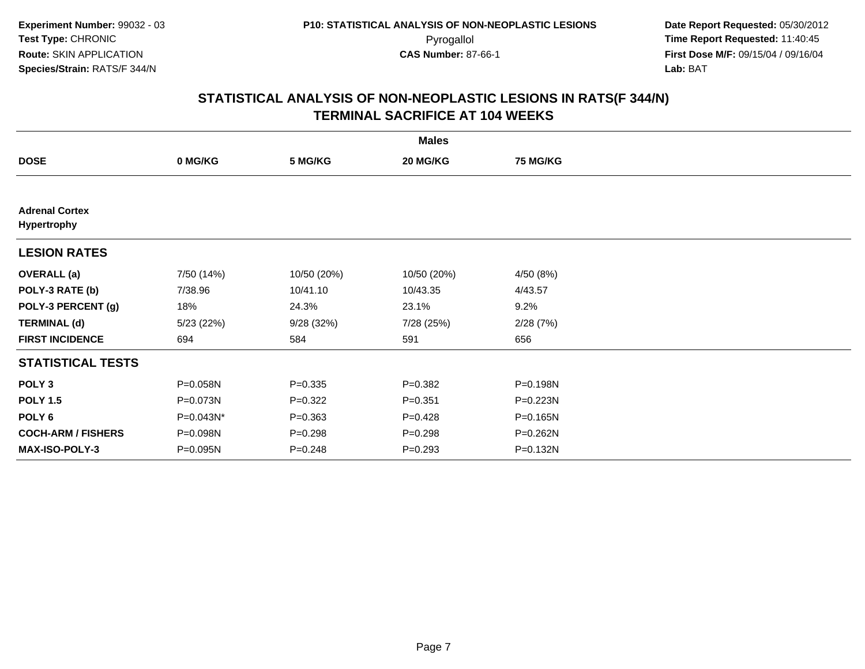|                                             |            |             | <b>Males</b> |                 |  |
|---------------------------------------------|------------|-------------|--------------|-----------------|--|
| <b>DOSE</b>                                 | 0 MG/KG    | 5 MG/KG     | 20 MG/KG     | <b>75 MG/KG</b> |  |
|                                             |            |             |              |                 |  |
| <b>Adrenal Cortex</b><br><b>Hypertrophy</b> |            |             |              |                 |  |
| <b>LESION RATES</b>                         |            |             |              |                 |  |
| <b>OVERALL</b> (a)                          | 7/50 (14%) | 10/50 (20%) | 10/50 (20%)  | 4/50 (8%)       |  |
| POLY-3 RATE (b)                             | 7/38.96    | 10/41.10    | 10/43.35     | 4/43.57         |  |
| POLY-3 PERCENT (g)                          | 18%        | 24.3%       | 23.1%        | 9.2%            |  |
| <b>TERMINAL (d)</b>                         | 5/23(22%)  | 9/28(32%)   | 7/28 (25%)   | 2/28(7%)        |  |
| <b>FIRST INCIDENCE</b>                      | 694        | 584         | 591          | 656             |  |
| <b>STATISTICAL TESTS</b>                    |            |             |              |                 |  |
| POLY <sub>3</sub>                           | P=0.058N   | $P = 0.335$ | $P = 0.382$  | P=0.198N        |  |
| <b>POLY 1.5</b>                             | P=0.073N   | $P=0.322$   | $P = 0.351$  | P=0.223N        |  |
| POLY 6                                      | P=0.043N*  | $P = 0.363$ | $P=0.428$    | P=0.165N        |  |
| <b>COCH-ARM / FISHERS</b>                   | P=0.098N   | $P = 0.298$ | $P = 0.298$  | P=0.262N        |  |
| <b>MAX-ISO-POLY-3</b>                       | P=0.095N   | $P = 0.248$ | $P = 0.293$  | P=0.132N        |  |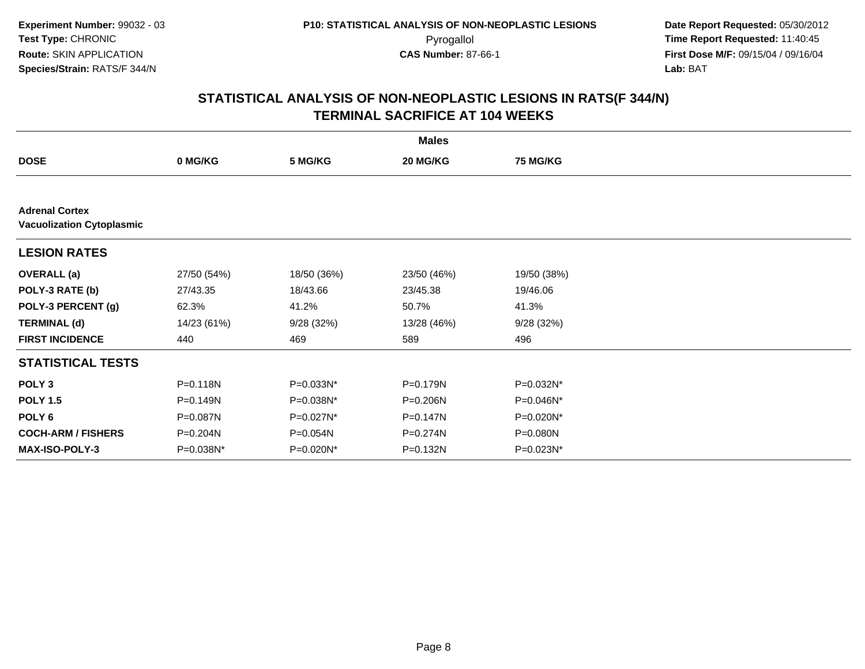|                                                           |              |             | <b>Males</b> |                 |  |  |  |
|-----------------------------------------------------------|--------------|-------------|--------------|-----------------|--|--|--|
| <b>DOSE</b>                                               | 0 MG/KG      | 5 MG/KG     | 20 MG/KG     | <b>75 MG/KG</b> |  |  |  |
|                                                           |              |             |              |                 |  |  |  |
| <b>Adrenal Cortex</b><br><b>Vacuolization Cytoplasmic</b> |              |             |              |                 |  |  |  |
| <b>LESION RATES</b>                                       |              |             |              |                 |  |  |  |
| <b>OVERALL</b> (a)                                        | 27/50 (54%)  | 18/50 (36%) | 23/50 (46%)  | 19/50 (38%)     |  |  |  |
| POLY-3 RATE (b)                                           | 27/43.35     | 18/43.66    | 23/45.38     | 19/46.06        |  |  |  |
| POLY-3 PERCENT (g)                                        | 62.3%        | 41.2%       | 50.7%        | 41.3%           |  |  |  |
| <b>TERMINAL (d)</b>                                       | 14/23 (61%)  | 9/28 (32%)  | 13/28 (46%)  | 9/28(32%)       |  |  |  |
| <b>FIRST INCIDENCE</b>                                    | 440          | 469         | 589          | 496             |  |  |  |
| <b>STATISTICAL TESTS</b>                                  |              |             |              |                 |  |  |  |
| POLY <sub>3</sub>                                         | P=0.118N     | P=0.033N*   | P=0.179N     | P=0.032N*       |  |  |  |
| <b>POLY 1.5</b>                                           | $P = 0.149N$ | P=0.038N*   | P=0.206N     | P=0.046N*       |  |  |  |
| POLY <sub>6</sub>                                         | P=0.087N     | P=0.027N*   | P=0.147N     | P=0.020N*       |  |  |  |
| <b>COCH-ARM / FISHERS</b>                                 | P=0.204N     | P=0.054N    | P=0.274N     | $P = 0.080N$    |  |  |  |
| <b>MAX-ISO-POLY-3</b>                                     | P=0.038N*    | P=0.020N*   | P=0.132N     | P=0.023N*       |  |  |  |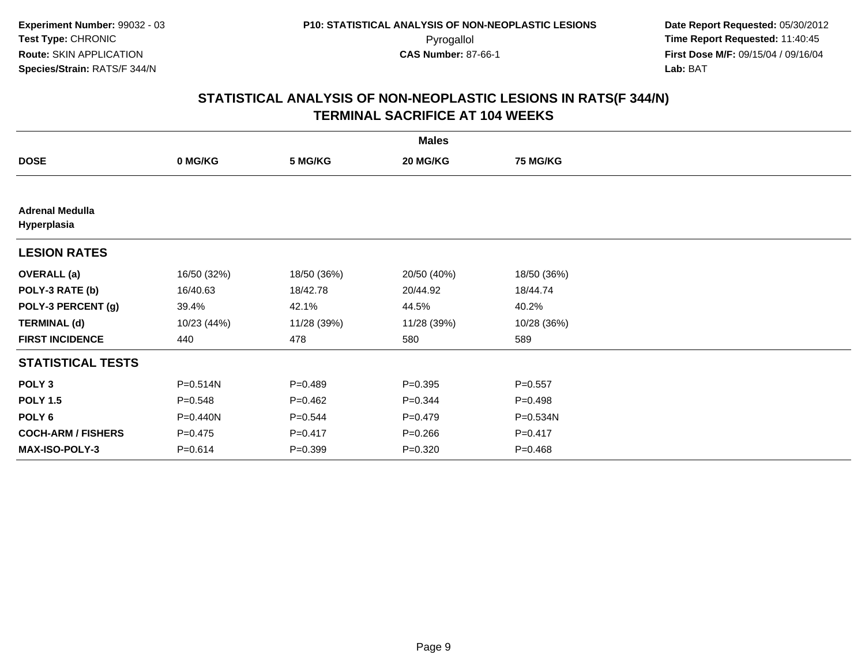| <b>Males</b>                          |             |             |             |                 |  |
|---------------------------------------|-------------|-------------|-------------|-----------------|--|
| <b>DOSE</b>                           | 0 MG/KG     | 5 MG/KG     | 20 MG/KG    | <b>75 MG/KG</b> |  |
|                                       |             |             |             |                 |  |
| <b>Adrenal Medulla</b><br>Hyperplasia |             |             |             |                 |  |
| <b>LESION RATES</b>                   |             |             |             |                 |  |
| <b>OVERALL</b> (a)                    | 16/50 (32%) | 18/50 (36%) | 20/50 (40%) | 18/50 (36%)     |  |
| POLY-3 RATE (b)                       | 16/40.63    | 18/42.78    | 20/44.92    | 18/44.74        |  |
| POLY-3 PERCENT (g)                    | 39.4%       | 42.1%       | 44.5%       | 40.2%           |  |
| <b>TERMINAL (d)</b>                   | 10/23 (44%) | 11/28 (39%) | 11/28 (39%) | 10/28 (36%)     |  |
| <b>FIRST INCIDENCE</b>                | 440         | 478         | 580         | 589             |  |
| <b>STATISTICAL TESTS</b>              |             |             |             |                 |  |
| POLY <sub>3</sub>                     | P=0.514N    | $P = 0.489$ | $P = 0.395$ | $P = 0.557$     |  |
| <b>POLY 1.5</b>                       | $P = 0.548$ | $P=0.462$   | $P=0.344$   | $P = 0.498$     |  |
| POLY 6                                | P=0.440N    | $P=0.544$   | $P=0.479$   | P=0.534N        |  |
| <b>COCH-ARM / FISHERS</b>             | $P=0.475$   | $P = 0.417$ | $P = 0.266$ | $P = 0.417$     |  |
| <b>MAX-ISO-POLY-3</b>                 | $P = 0.614$ | $P = 0.399$ | $P = 0.320$ | $P = 0.468$     |  |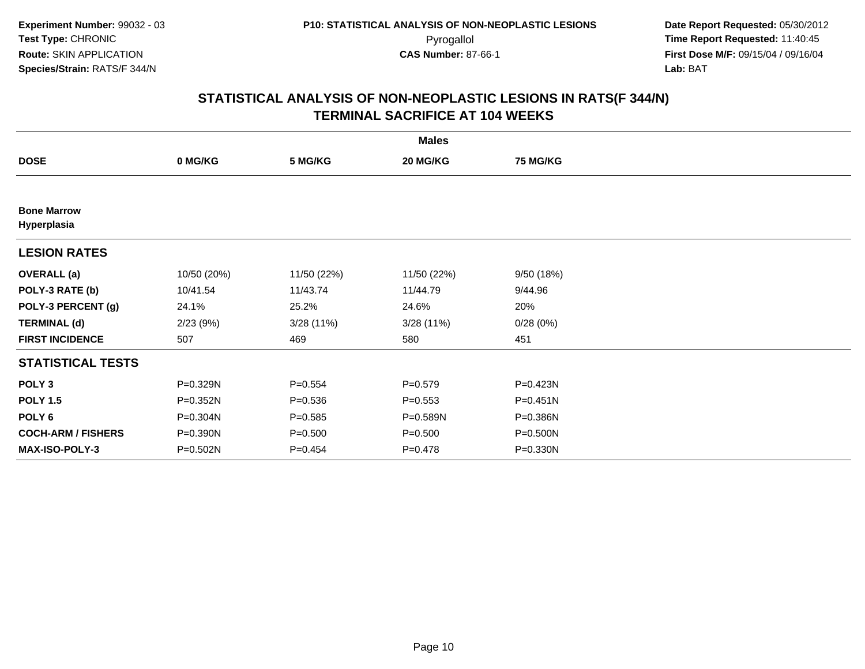|                                   |             |             | <b>Males</b> |                 |  |
|-----------------------------------|-------------|-------------|--------------|-----------------|--|
| <b>DOSE</b>                       | 0 MG/KG     | 5 MG/KG     | 20 MG/KG     | <b>75 MG/KG</b> |  |
|                                   |             |             |              |                 |  |
| <b>Bone Marrow</b><br>Hyperplasia |             |             |              |                 |  |
| <b>LESION RATES</b>               |             |             |              |                 |  |
| <b>OVERALL</b> (a)                | 10/50 (20%) | 11/50 (22%) | 11/50 (22%)  | 9/50 (18%)      |  |
| POLY-3 RATE (b)                   | 10/41.54    | 11/43.74    | 11/44.79     | 9/44.96         |  |
| POLY-3 PERCENT (g)                | 24.1%       | 25.2%       | 24.6%        | 20%             |  |
| <b>TERMINAL (d)</b>               | 2/23(9%)    | 3/28(11%)   | 3/28 (11%)   | 0/28(0%)        |  |
| <b>FIRST INCIDENCE</b>            | 507         | 469         | 580          | 451             |  |
| <b>STATISTICAL TESTS</b>          |             |             |              |                 |  |
| POLY <sub>3</sub>                 | P=0.329N    | $P = 0.554$ | $P = 0.579$  | P=0.423N        |  |
| <b>POLY 1.5</b>                   | P=0.352N    | $P = 0.536$ | $P = 0.553$  | $P = 0.451N$    |  |
| POLY 6                            | P=0.304N    | $P = 0.585$ | P=0.589N     | P=0.386N        |  |
| <b>COCH-ARM / FISHERS</b>         | P=0.390N    | $P = 0.500$ | $P = 0.500$  | P=0.500N        |  |
| <b>MAX-ISO-POLY-3</b>             | P=0.502N    | $P=0.454$   | $P = 0.478$  | P=0.330N        |  |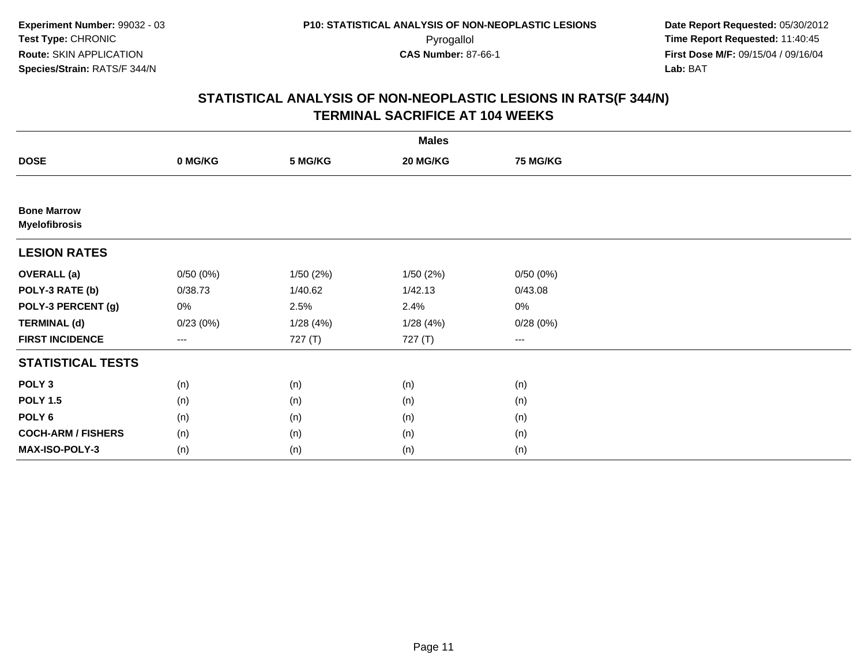|                                            |          |          | <b>Males</b> |                                          |  |
|--------------------------------------------|----------|----------|--------------|------------------------------------------|--|
| <b>DOSE</b>                                | 0 MG/KG  | 5 MG/KG  | 20 MG/KG     | <b>75 MG/KG</b>                          |  |
|                                            |          |          |              |                                          |  |
| <b>Bone Marrow</b><br><b>Myelofibrosis</b> |          |          |              |                                          |  |
| <b>LESION RATES</b>                        |          |          |              |                                          |  |
| <b>OVERALL</b> (a)                         | 0/50(0%) | 1/50(2%) | 1/50(2%)     | 0/50(0%)                                 |  |
| POLY-3 RATE (b)                            | 0/38.73  | 1/40.62  | 1/42.13      | 0/43.08                                  |  |
| POLY-3 PERCENT (g)                         | 0%       | 2.5%     | 2.4%         | 0%                                       |  |
| <b>TERMINAL (d)</b>                        | 0/23(0%) | 1/28(4%) | 1/28(4%)     | 0/28(0%)                                 |  |
| <b>FIRST INCIDENCE</b>                     | $\cdots$ | 727 (T)  | 727 (T)      | $\hspace{0.05cm} \ldots \hspace{0.05cm}$ |  |
| <b>STATISTICAL TESTS</b>                   |          |          |              |                                          |  |
| POLY <sub>3</sub>                          | (n)      | (n)      | (n)          | (n)                                      |  |
| <b>POLY 1.5</b>                            | (n)      | (n)      | (n)          | (n)                                      |  |
| POLY <sub>6</sub>                          | (n)      | (n)      | (n)          | (n)                                      |  |
| <b>COCH-ARM / FISHERS</b>                  | (n)      | (n)      | (n)          | (n)                                      |  |
| MAX-ISO-POLY-3                             | (n)      | (n)      | (n)          | (n)                                      |  |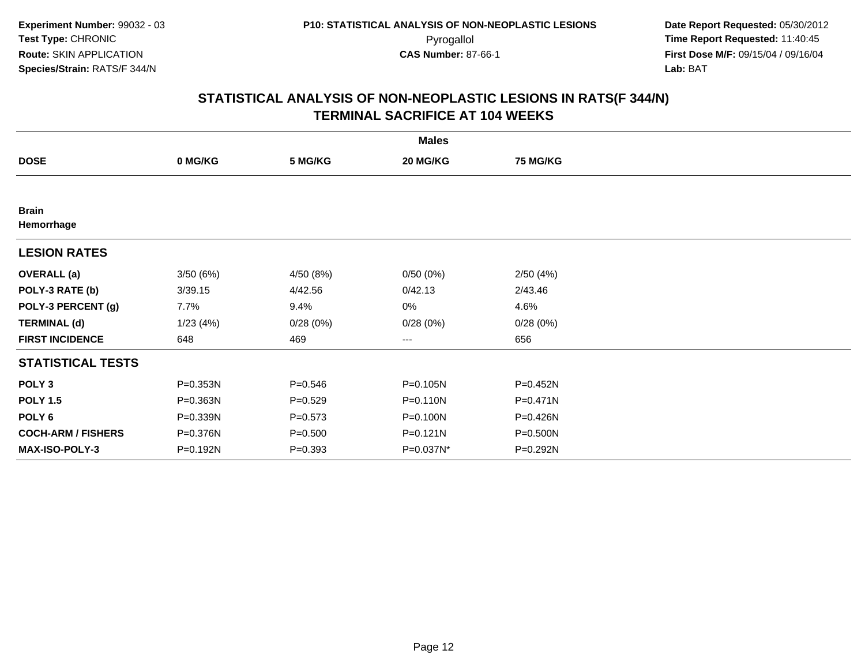|                            |          |             | <b>Males</b> |                 |  |
|----------------------------|----------|-------------|--------------|-----------------|--|
| <b>DOSE</b>                | 0 MG/KG  | 5 MG/KG     | 20 MG/KG     | <b>75 MG/KG</b> |  |
|                            |          |             |              |                 |  |
| <b>Brain</b><br>Hemorrhage |          |             |              |                 |  |
| <b>LESION RATES</b>        |          |             |              |                 |  |
| <b>OVERALL</b> (a)         | 3/50(6%) | 4/50 (8%)   | 0/50(0%)     | 2/50(4%)        |  |
| POLY-3 RATE (b)            | 3/39.15  | 4/42.56     | 0/42.13      | 2/43.46         |  |
| POLY-3 PERCENT (g)         | 7.7%     | 9.4%        | 0%           | 4.6%            |  |
| <b>TERMINAL (d)</b>        | 1/23(4%) | 0/28(0%)    | 0/28(0%)     | 0/28(0%)        |  |
| <b>FIRST INCIDENCE</b>     | 648      | 469         | $\cdots$     | 656             |  |
| <b>STATISTICAL TESTS</b>   |          |             |              |                 |  |
| POLY <sub>3</sub>          | P=0.353N | $P = 0.546$ | P=0.105N     | P=0.452N        |  |
| <b>POLY 1.5</b>            | P=0.363N | $P = 0.529$ | P=0.110N     | $P = 0.471N$    |  |
| POLY <sub>6</sub>          | P=0.339N | $P = 0.573$ | P=0.100N     | P=0.426N        |  |
| <b>COCH-ARM / FISHERS</b>  | P=0.376N | $P = 0.500$ | P=0.121N     | P=0.500N        |  |
| <b>MAX-ISO-POLY-3</b>      | P=0.192N | $P = 0.393$ | P=0.037N*    | P=0.292N        |  |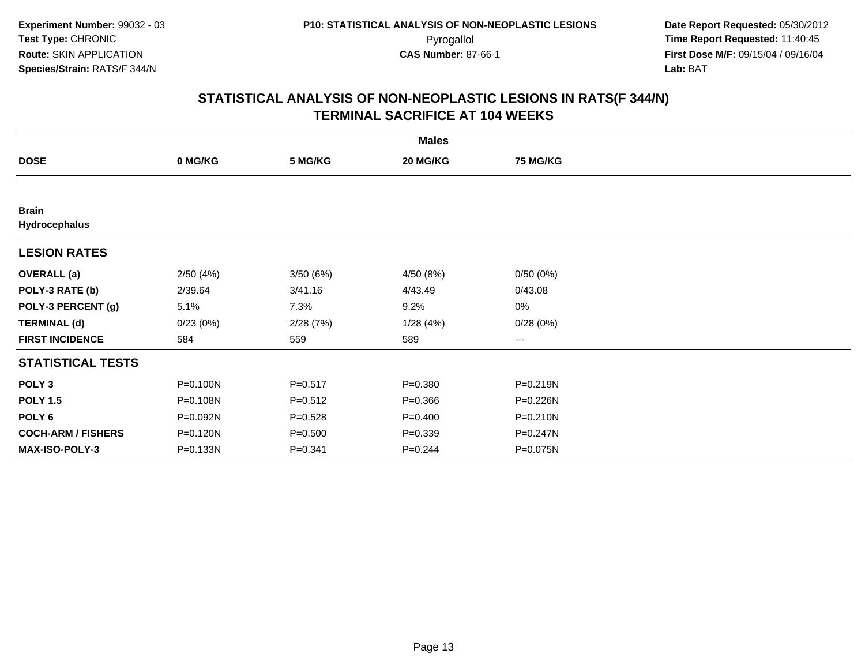|                               |          |             | <b>Males</b> |                 |  |
|-------------------------------|----------|-------------|--------------|-----------------|--|
| <b>DOSE</b>                   | 0 MG/KG  | 5 MG/KG     | 20 MG/KG     | <b>75 MG/KG</b> |  |
|                               |          |             |              |                 |  |
| <b>Brain</b><br>Hydrocephalus |          |             |              |                 |  |
| <b>LESION RATES</b>           |          |             |              |                 |  |
| <b>OVERALL</b> (a)            | 2/50(4%) | 3/50(6%)    | 4/50 (8%)    | 0/50(0%)        |  |
| POLY-3 RATE (b)               | 2/39.64  | 3/41.16     | 4/43.49      | 0/43.08         |  |
| POLY-3 PERCENT (g)            | 5.1%     | 7.3%        | 9.2%         | 0%              |  |
| <b>TERMINAL (d)</b>           | 0/23(0%) | 2/28(7%)    | 1/28(4%)     | 0/28(0%)        |  |
| <b>FIRST INCIDENCE</b>        | 584      | 559         | 589          | $---$           |  |
| <b>STATISTICAL TESTS</b>      |          |             |              |                 |  |
| POLY <sub>3</sub>             | P=0.100N | $P = 0.517$ | $P = 0.380$  | P=0.219N        |  |
| <b>POLY 1.5</b>               | P=0.108N | $P = 0.512$ | $P = 0.366$  | P=0.226N        |  |
| POLY <sub>6</sub>             | P=0.092N | $P = 0.528$ | $P=0.400$    | P=0.210N        |  |
| <b>COCH-ARM / FISHERS</b>     | P=0.120N | $P = 0.500$ | $P = 0.339$  | P=0.247N        |  |
| MAX-ISO-POLY-3                | P=0.133N | $P = 0.341$ | $P = 0.244$  | P=0.075N        |  |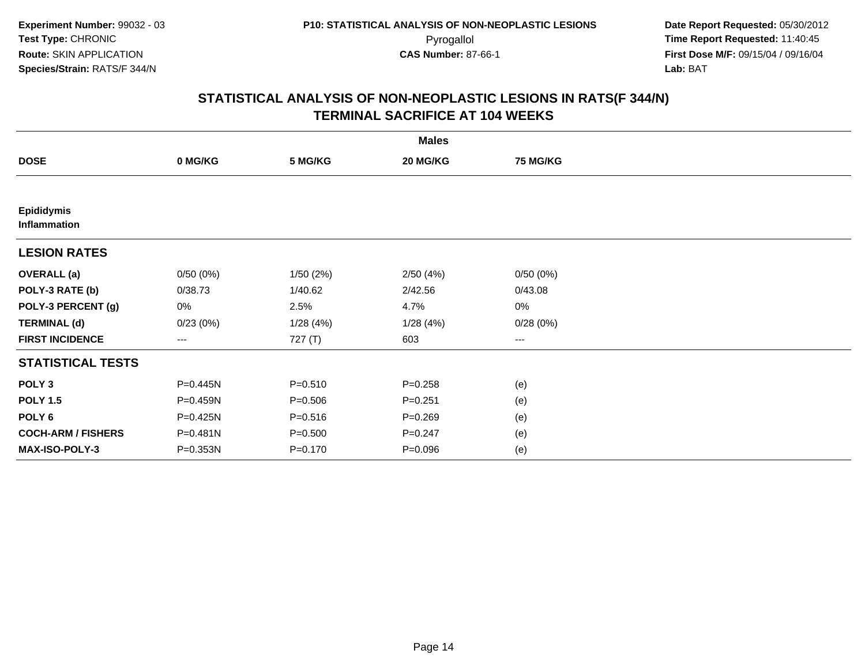|                                   |          |             | <b>Males</b> |                 |  |
|-----------------------------------|----------|-------------|--------------|-----------------|--|
| <b>DOSE</b>                       | 0 MG/KG  | 5 MG/KG     | 20 MG/KG     | <b>75 MG/KG</b> |  |
|                                   |          |             |              |                 |  |
| <b>Epididymis</b><br>Inflammation |          |             |              |                 |  |
| <b>LESION RATES</b>               |          |             |              |                 |  |
| <b>OVERALL</b> (a)                | 0/50(0%) | 1/50(2%)    | 2/50(4%)     | 0/50(0%)        |  |
| POLY-3 RATE (b)                   | 0/38.73  | 1/40.62     | 2/42.56      | 0/43.08         |  |
| POLY-3 PERCENT (g)                | 0%       | 2.5%        | 4.7%         | 0%              |  |
| <b>TERMINAL (d)</b>               | 0/23(0%) | 1/28(4%)    | 1/28(4%)     | 0/28(0%)        |  |
| <b>FIRST INCIDENCE</b>            | ---      | 727 (T)     | 603          | $---$           |  |
| <b>STATISTICAL TESTS</b>          |          |             |              |                 |  |
| POLY <sub>3</sub>                 | P=0.445N | $P = 0.510$ | $P = 0.258$  | (e)             |  |
| <b>POLY 1.5</b>                   | P=0.459N | $P = 0.506$ | $P = 0.251$  | (e)             |  |
| POLY 6                            | P=0.425N | $P = 0.516$ | $P = 0.269$  | (e)             |  |
| <b>COCH-ARM / FISHERS</b>         | P=0.481N | $P = 0.500$ | $P = 0.247$  | (e)             |  |
| MAX-ISO-POLY-3                    | P=0.353N | $P = 0.170$ | $P = 0.096$  | (e)             |  |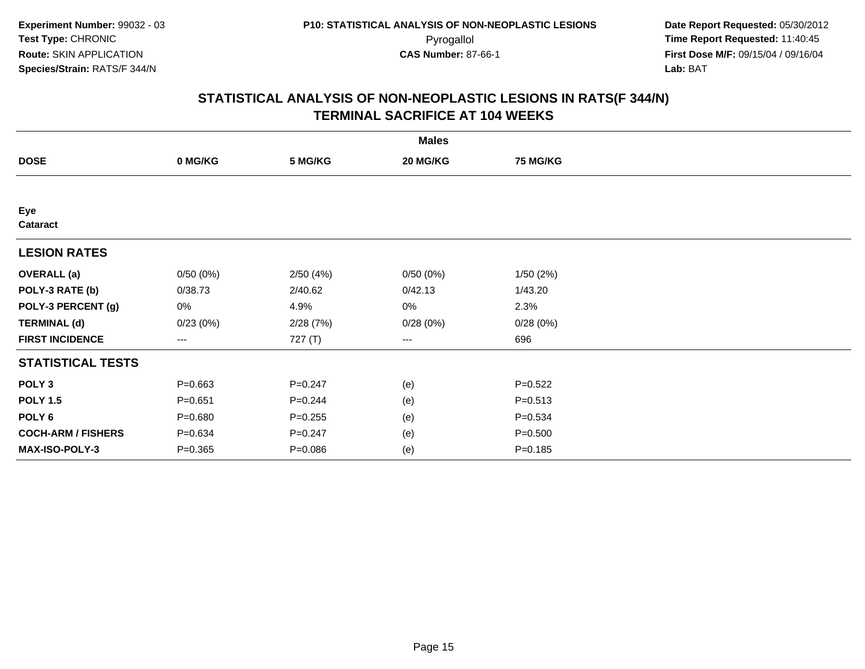|                           |             |             | <b>Males</b>           |             |  |
|---------------------------|-------------|-------------|------------------------|-------------|--|
| <b>DOSE</b>               | 0 MG/KG     | 5 MG/KG     | 20 MG/KG               | 75 MG/KG    |  |
|                           |             |             |                        |             |  |
| Eye<br>Cataract           |             |             |                        |             |  |
| <b>LESION RATES</b>       |             |             |                        |             |  |
| <b>OVERALL</b> (a)        | 0/50(0%)    | 2/50(4%)    | 0/50(0%)               | 1/50(2%)    |  |
| POLY-3 RATE (b)           | 0/38.73     | 2/40.62     | 0/42.13                | 1/43.20     |  |
| POLY-3 PERCENT (g)        | 0%          | 4.9%        | 0%                     | 2.3%        |  |
| <b>TERMINAL (d)</b>       | 0/23(0%)    | 2/28(7%)    | 0/28(0%)               | 0/28(0%)    |  |
| <b>FIRST INCIDENCE</b>    | ---         | 727 (T)     | $\qquad \qquad \cdots$ | 696         |  |
| <b>STATISTICAL TESTS</b>  |             |             |                        |             |  |
| POLY <sub>3</sub>         | $P = 0.663$ | $P=0.247$   | (e)                    | $P=0.522$   |  |
| <b>POLY 1.5</b>           | $P = 0.651$ | $P = 0.244$ | (e)                    | $P = 0.513$ |  |
| POLY <sub>6</sub>         | $P = 0.680$ | $P = 0.255$ | (e)                    | $P = 0.534$ |  |
| <b>COCH-ARM / FISHERS</b> | $P = 0.634$ | $P = 0.247$ | (e)                    | $P = 0.500$ |  |
| MAX-ISO-POLY-3            | $P = 0.365$ | $P = 0.086$ | (e)                    | $P = 0.185$ |  |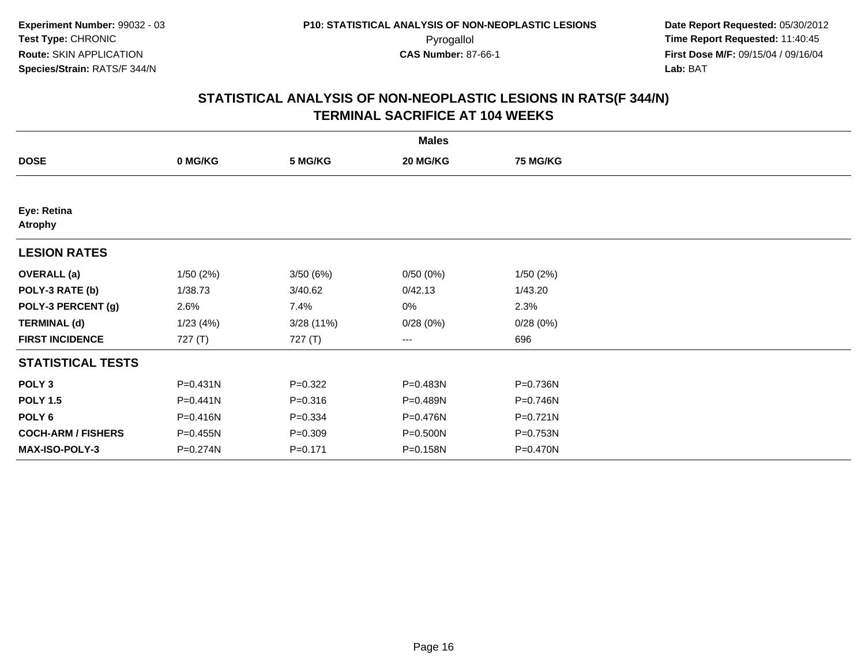| <b>Males</b>                  |          |             |                        |                 |  |  |  |
|-------------------------------|----------|-------------|------------------------|-----------------|--|--|--|
| <b>DOSE</b>                   | 0 MG/KG  | 5 MG/KG     | 20 MG/KG               | <b>75 MG/KG</b> |  |  |  |
|                               |          |             |                        |                 |  |  |  |
| Eye: Retina<br><b>Atrophy</b> |          |             |                        |                 |  |  |  |
| <b>LESION RATES</b>           |          |             |                        |                 |  |  |  |
| <b>OVERALL</b> (a)            | 1/50(2%) | 3/50(6%)    | 0/50(0%)               | 1/50(2%)        |  |  |  |
| POLY-3 RATE (b)               | 1/38.73  | 3/40.62     | 0/42.13                | 1/43.20         |  |  |  |
| POLY-3 PERCENT (g)            | 2.6%     | 7.4%        | 0%                     | 2.3%            |  |  |  |
| <b>TERMINAL (d)</b>           | 1/23(4%) | 3/28 (11%)  | 0/28(0%)               | 0/28(0%)        |  |  |  |
| <b>FIRST INCIDENCE</b>        | 727(T)   | 727 (T)     | $\qquad \qquad \cdots$ | 696             |  |  |  |
| <b>STATISTICAL TESTS</b>      |          |             |                        |                 |  |  |  |
| POLY <sub>3</sub>             | P=0.431N | $P=0.322$   | P=0.483N               | P=0.736N        |  |  |  |
| <b>POLY 1.5</b>               | P=0.441N | $P = 0.316$ | P=0.489N               | P=0.746N        |  |  |  |
| POLY <sub>6</sub>             | P=0.416N | $P = 0.334$ | P=0.476N               | P=0.721N        |  |  |  |
| <b>COCH-ARM / FISHERS</b>     | P=0.455N | $P = 0.309$ | P=0.500N               | P=0.753N        |  |  |  |
| <b>MAX-ISO-POLY-3</b>         | P=0.274N | $P = 0.171$ | P=0.158N               | P=0.470N        |  |  |  |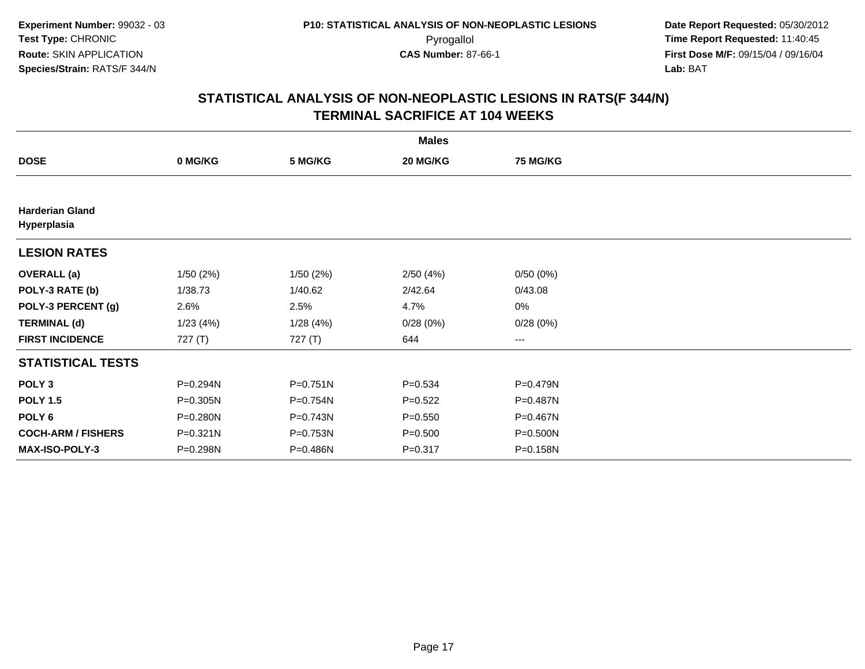|                                       |           |              | <b>Males</b> |                 |  |
|---------------------------------------|-----------|--------------|--------------|-----------------|--|
| <b>DOSE</b>                           | 0 MG/KG   | 5 MG/KG      | 20 MG/KG     | <b>75 MG/KG</b> |  |
|                                       |           |              |              |                 |  |
| <b>Harderian Gland</b><br>Hyperplasia |           |              |              |                 |  |
| <b>LESION RATES</b>                   |           |              |              |                 |  |
| <b>OVERALL</b> (a)                    | 1/50(2%)  | 1/50(2%)     | 2/50(4%)     | 0/50(0%)        |  |
| POLY-3 RATE (b)                       | 1/38.73   | 1/40.62      | 2/42.64      | 0/43.08         |  |
| POLY-3 PERCENT (g)                    | 2.6%      | 2.5%         | 4.7%         | $0\%$           |  |
| <b>TERMINAL (d)</b>                   | 1/23(4%)  | 1/28(4%)     | 0/28(0%)     | 0/28(0%)        |  |
| <b>FIRST INCIDENCE</b>                | 727 $(T)$ | 727 (T)      | 644          | ---             |  |
| <b>STATISTICAL TESTS</b>              |           |              |              |                 |  |
| POLY <sub>3</sub>                     | P=0.294N  | $P = 0.751N$ | $P = 0.534$  | P=0.479N        |  |
| <b>POLY 1.5</b>                       | P=0.305N  | P=0.754N     | $P=0.522$    | P=0.487N        |  |
| POLY 6                                | P=0.280N  | P=0.743N     | $P = 0.550$  | P=0.467N        |  |
| <b>COCH-ARM / FISHERS</b>             | P=0.321N  | P=0.753N     | $P = 0.500$  | P=0.500N        |  |
| <b>MAX-ISO-POLY-3</b>                 | P=0.298N  | P=0.486N     | $P = 0.317$  | P=0.158N        |  |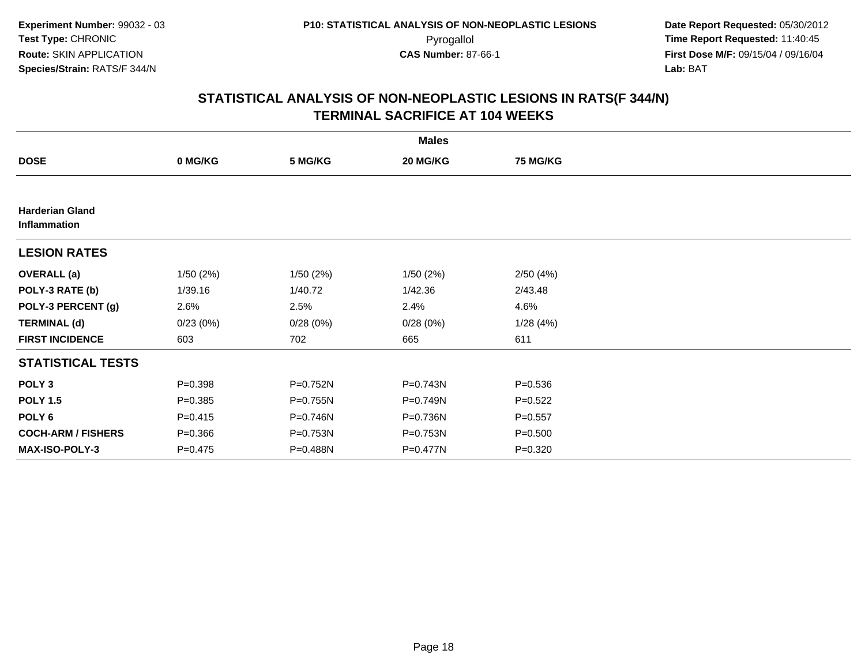|                                        |             |          | <b>Males</b> |                 |  |
|----------------------------------------|-------------|----------|--------------|-----------------|--|
| <b>DOSE</b>                            | 0 MG/KG     | 5 MG/KG  | 20 MG/KG     | <b>75 MG/KG</b> |  |
|                                        |             |          |              |                 |  |
| <b>Harderian Gland</b><br>Inflammation |             |          |              |                 |  |
| <b>LESION RATES</b>                    |             |          |              |                 |  |
| <b>OVERALL</b> (a)                     | 1/50(2%)    | 1/50(2%) | 1/50(2%)     | 2/50(4%)        |  |
| POLY-3 RATE (b)                        | 1/39.16     | 1/40.72  | 1/42.36      | 2/43.48         |  |
| POLY-3 PERCENT (g)                     | 2.6%        | 2.5%     | 2.4%         | 4.6%            |  |
| <b>TERMINAL (d)</b>                    | 0/23(0%)    | 0/28(0%) | 0/28(0%)     | 1/28(4%)        |  |
| <b>FIRST INCIDENCE</b>                 | 603         | 702      | 665          | 611             |  |
| <b>STATISTICAL TESTS</b>               |             |          |              |                 |  |
| POLY <sub>3</sub>                      | $P = 0.398$ | P=0.752N | $P = 0.743N$ | $P = 0.536$     |  |
| <b>POLY 1.5</b>                        | $P = 0.385$ | P=0.755N | P=0.749N     | $P=0.522$       |  |
| POLY 6                                 | $P = 0.415$ | P=0.746N | P=0.736N     | $P = 0.557$     |  |
| <b>COCH-ARM / FISHERS</b>              | $P = 0.366$ | P=0.753N | P=0.753N     | $P = 0.500$     |  |
| MAX-ISO-POLY-3                         | $P=0.475$   | P=0.488N | P=0.477N     | $P = 0.320$     |  |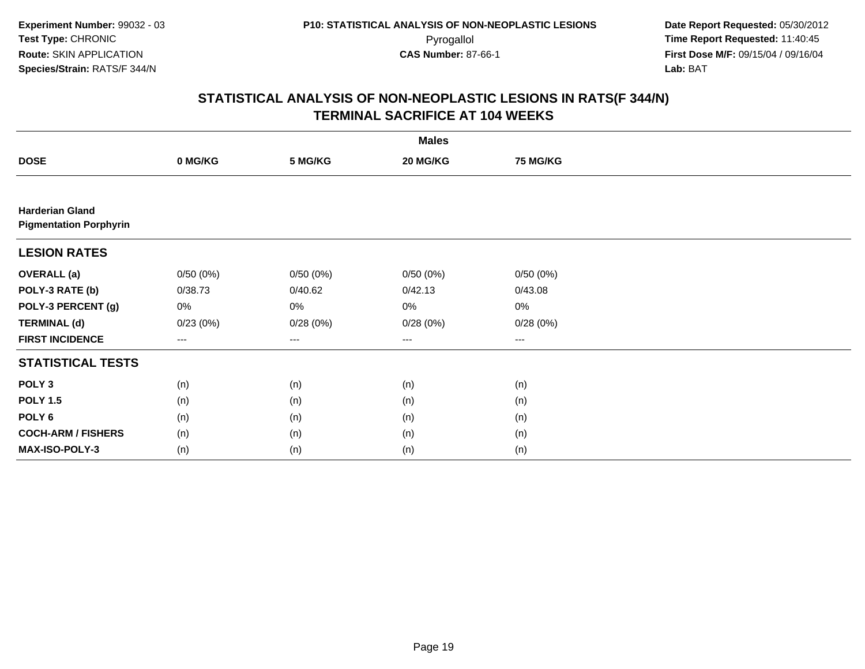|                                                         |          |          | <b>Males</b>      |                 |  |
|---------------------------------------------------------|----------|----------|-------------------|-----------------|--|
| <b>DOSE</b>                                             | 0 MG/KG  | 5 MG/KG  | 20 MG/KG          | <b>75 MG/KG</b> |  |
|                                                         |          |          |                   |                 |  |
| <b>Harderian Gland</b><br><b>Pigmentation Porphyrin</b> |          |          |                   |                 |  |
| <b>LESION RATES</b>                                     |          |          |                   |                 |  |
| <b>OVERALL</b> (a)                                      | 0/50(0%) | 0/50(0%) | 0/50(0%)          | 0/50(0%)        |  |
| POLY-3 RATE (b)                                         | 0/38.73  | 0/40.62  | 0/42.13           | 0/43.08         |  |
| POLY-3 PERCENT (g)                                      | 0%       | 0%       | 0%                | 0%              |  |
| <b>TERMINAL (d)</b>                                     | 0/23(0%) | 0/28(0%) | 0/28(0%)          | 0/28(0%)        |  |
| <b>FIRST INCIDENCE</b>                                  | $---$    | $--$     | $\qquad \qquad -$ | ---             |  |
| <b>STATISTICAL TESTS</b>                                |          |          |                   |                 |  |
| POLY <sub>3</sub>                                       | (n)      | (n)      | (n)               | (n)             |  |
| <b>POLY 1.5</b>                                         | (n)      | (n)      | (n)               | (n)             |  |
| POLY <sub>6</sub>                                       | (n)      | (n)      | (n)               | (n)             |  |
| <b>COCH-ARM / FISHERS</b>                               | (n)      | (n)      | (n)               | (n)             |  |
| <b>MAX-ISO-POLY-3</b>                                   | (n)      | (n)      | (n)               | (n)             |  |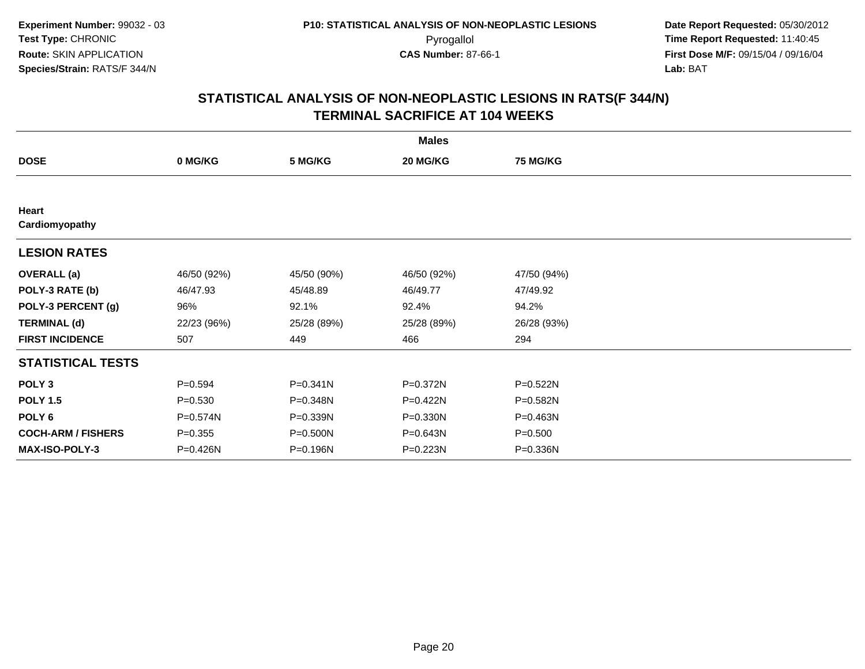| <b>Males</b>              |             |             |              |                 |  |  |  |
|---------------------------|-------------|-------------|--------------|-----------------|--|--|--|
| <b>DOSE</b>               | 0 MG/KG     | 5 MG/KG     | 20 MG/KG     | <b>75 MG/KG</b> |  |  |  |
|                           |             |             |              |                 |  |  |  |
| Heart<br>Cardiomyopathy   |             |             |              |                 |  |  |  |
| <b>LESION RATES</b>       |             |             |              |                 |  |  |  |
| <b>OVERALL</b> (a)        | 46/50 (92%) | 45/50 (90%) | 46/50 (92%)  | 47/50 (94%)     |  |  |  |
| POLY-3 RATE (b)           | 46/47.93    | 45/48.89    | 46/49.77     | 47/49.92        |  |  |  |
| POLY-3 PERCENT (g)        | 96%         | 92.1%       | 92.4%        | 94.2%           |  |  |  |
| <b>TERMINAL (d)</b>       | 22/23 (96%) | 25/28 (89%) | 25/28 (89%)  | 26/28 (93%)     |  |  |  |
| <b>FIRST INCIDENCE</b>    | 507         | 449         | 466          | 294             |  |  |  |
| <b>STATISTICAL TESTS</b>  |             |             |              |                 |  |  |  |
| POLY <sub>3</sub>         | $P = 0.594$ | P=0.341N    | P=0.372N     | P=0.522N        |  |  |  |
| <b>POLY 1.5</b>           | $P = 0.530$ | P=0.348N    | P=0.422N     | P=0.582N        |  |  |  |
| POLY <sub>6</sub>         | P=0.574N    | P=0.339N    | $P = 0.330N$ | P=0.463N        |  |  |  |
| <b>COCH-ARM / FISHERS</b> | $P = 0.355$ | P=0.500N    | P=0.643N     | $P = 0.500$     |  |  |  |
| <b>MAX-ISO-POLY-3</b>     | P=0.426N    | P=0.196N    | $P = 0.223N$ | P=0.336N        |  |  |  |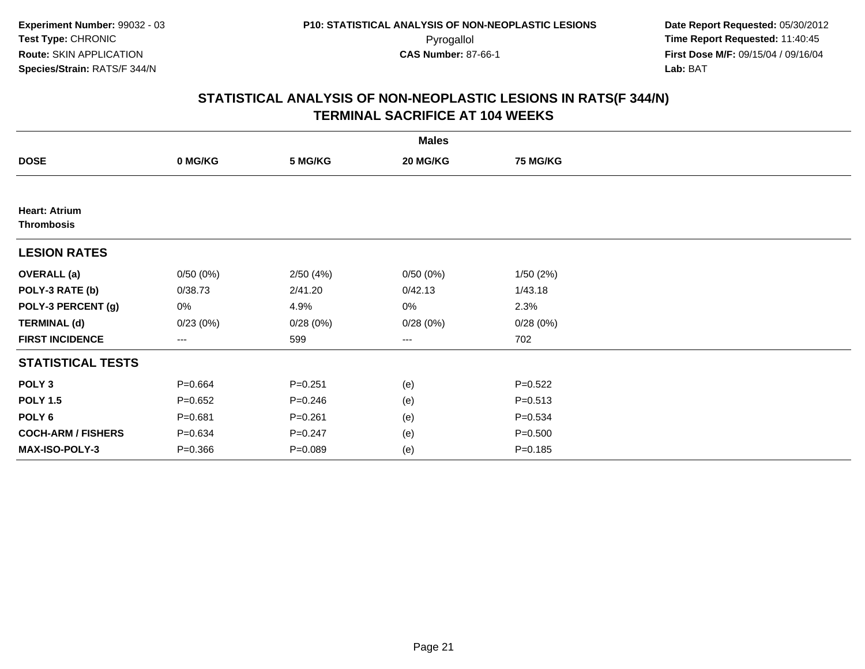|                                           |             |             | <b>Males</b> |                 |  |
|-------------------------------------------|-------------|-------------|--------------|-----------------|--|
| <b>DOSE</b>                               | 0 MG/KG     | 5 MG/KG     | 20 MG/KG     | <b>75 MG/KG</b> |  |
|                                           |             |             |              |                 |  |
| <b>Heart: Atrium</b><br><b>Thrombosis</b> |             |             |              |                 |  |
| <b>LESION RATES</b>                       |             |             |              |                 |  |
| <b>OVERALL</b> (a)                        | 0/50(0%)    | 2/50(4%)    | 0/50(0%)     | 1/50(2%)        |  |
| POLY-3 RATE (b)                           | 0/38.73     | 2/41.20     | 0/42.13      | 1/43.18         |  |
| POLY-3 PERCENT (g)                        | 0%          | 4.9%        | 0%           | 2.3%            |  |
| <b>TERMINAL (d)</b>                       | 0/23(0%)    | 0/28(0%)    | 0/28(0%)     | 0/28(0%)        |  |
| <b>FIRST INCIDENCE</b>                    | $\cdots$    | 599         | $\cdots$     | 702             |  |
| <b>STATISTICAL TESTS</b>                  |             |             |              |                 |  |
| POLY <sub>3</sub>                         | $P = 0.664$ | $P = 0.251$ | (e)          | $P = 0.522$     |  |
| <b>POLY 1.5</b>                           | $P=0.652$   | $P = 0.246$ | (e)          | $P = 0.513$     |  |
| POLY <sub>6</sub>                         | $P = 0.681$ | $P = 0.261$ | (e)          | $P = 0.534$     |  |
| <b>COCH-ARM / FISHERS</b>                 | $P = 0.634$ | $P = 0.247$ | (e)          | $P = 0.500$     |  |
| <b>MAX-ISO-POLY-3</b>                     | $P = 0.366$ | $P = 0.089$ | (e)          | $P = 0.185$     |  |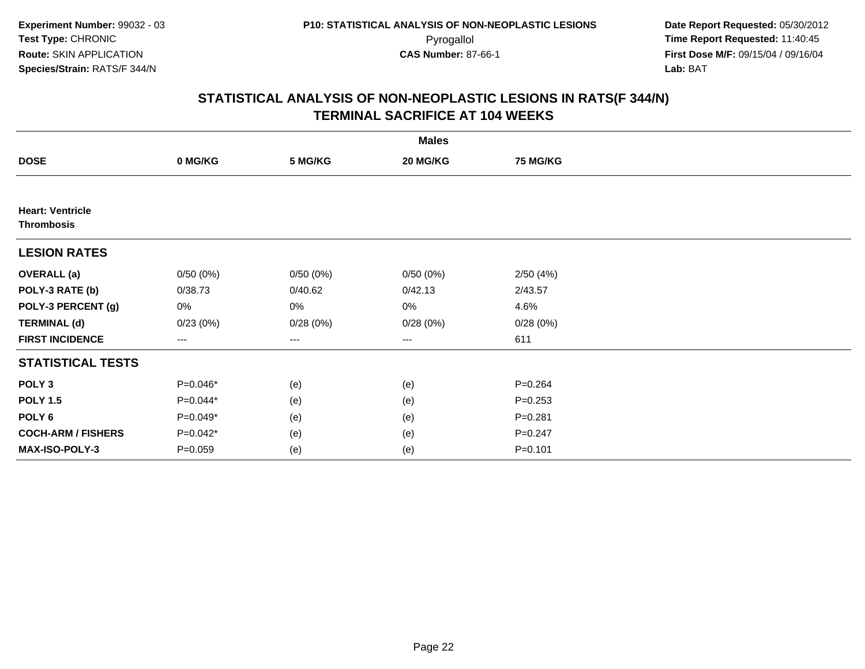|                                              |                   |          | <b>Males</b>      |                 |  |
|----------------------------------------------|-------------------|----------|-------------------|-----------------|--|
| <b>DOSE</b>                                  | 0 MG/KG           | 5 MG/KG  | 20 MG/KG          | <b>75 MG/KG</b> |  |
|                                              |                   |          |                   |                 |  |
| <b>Heart: Ventricle</b><br><b>Thrombosis</b> |                   |          |                   |                 |  |
| <b>LESION RATES</b>                          |                   |          |                   |                 |  |
| <b>OVERALL</b> (a)                           | 0/50(0%)          | 0/50(0%) | 0/50(0%)          | 2/50(4%)        |  |
| POLY-3 RATE (b)                              | 0/38.73           | 0/40.62  | 0/42.13           | 2/43.57         |  |
| POLY-3 PERCENT (g)                           | 0%                | 0%       | 0%                | 4.6%            |  |
| <b>TERMINAL (d)</b>                          | 0/23(0%)          | 0/28(0%) | 0/28(0%)          | 0/28(0%)        |  |
| <b>FIRST INCIDENCE</b>                       | $\qquad \qquad -$ | $---$    | $\qquad \qquad -$ | 611             |  |
| <b>STATISTICAL TESTS</b>                     |                   |          |                   |                 |  |
| POLY <sub>3</sub>                            | P=0.046*          | (e)      | (e)               | $P = 0.264$     |  |
| <b>POLY 1.5</b>                              | $P=0.044*$        | (e)      | (e)               | $P = 0.253$     |  |
| POLY <sub>6</sub>                            | P=0.049*          | (e)      | (e)               | $P = 0.281$     |  |
| <b>COCH-ARM / FISHERS</b>                    | P=0.042*          | (e)      | (e)               | $P = 0.247$     |  |
| <b>MAX-ISO-POLY-3</b>                        | $P = 0.059$       | (e)      | (e)               | $P = 0.101$     |  |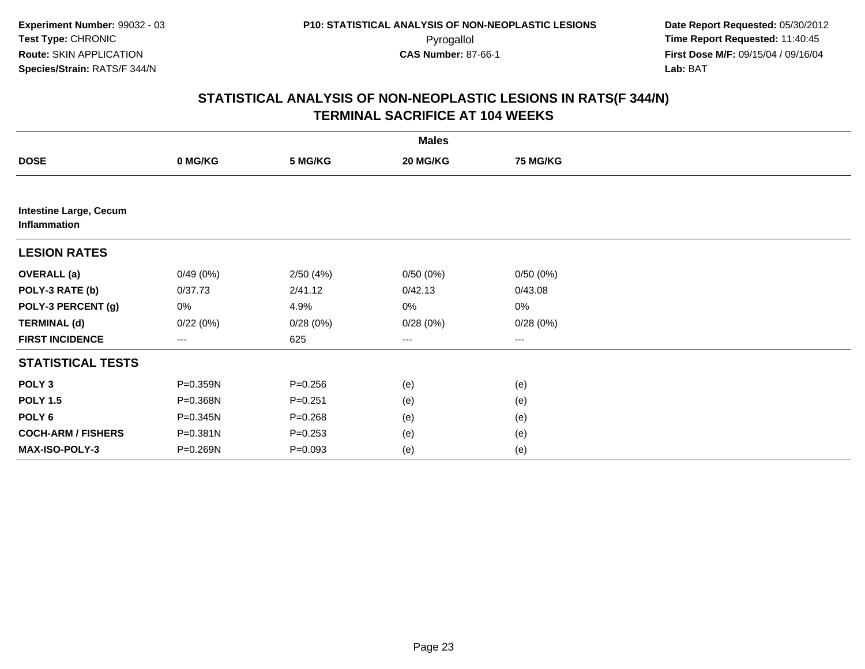|                                               |          |             | <b>Males</b> |          |  |
|-----------------------------------------------|----------|-------------|--------------|----------|--|
| <b>DOSE</b>                                   | 0 MG/KG  | 5 MG/KG     | 20 MG/KG     | 75 MG/KG |  |
|                                               |          |             |              |          |  |
| <b>Intestine Large, Cecum</b><br>Inflammation |          |             |              |          |  |
| <b>LESION RATES</b>                           |          |             |              |          |  |
| <b>OVERALL</b> (a)                            | 0/49(0%) | 2/50(4%)    | 0/50(0%)     | 0/50(0%) |  |
| POLY-3 RATE (b)                               | 0/37.73  | 2/41.12     | 0/42.13      | 0/43.08  |  |
| POLY-3 PERCENT (g)                            | 0%       | 4.9%        | 0%           | $0\%$    |  |
| <b>TERMINAL (d)</b>                           | 0/22(0%) | 0/28(0%)    | 0/28(0%)     | 0/28(0%) |  |
| <b>FIRST INCIDENCE</b>                        | ---      | 625         | ---          | ---      |  |
| <b>STATISTICAL TESTS</b>                      |          |             |              |          |  |
| POLY <sub>3</sub>                             | P=0.359N | $P = 0.256$ | (e)          | (e)      |  |
| <b>POLY 1.5</b>                               | P=0.368N | $P = 0.251$ | (e)          | (e)      |  |
| POLY <sub>6</sub>                             | P=0.345N | $P = 0.268$ | (e)          | (e)      |  |
| <b>COCH-ARM / FISHERS</b>                     | P=0.381N | $P = 0.253$ | (e)          | (e)      |  |
| MAX-ISO-POLY-3                                | P=0.269N | $P=0.093$   | (e)          | (e)      |  |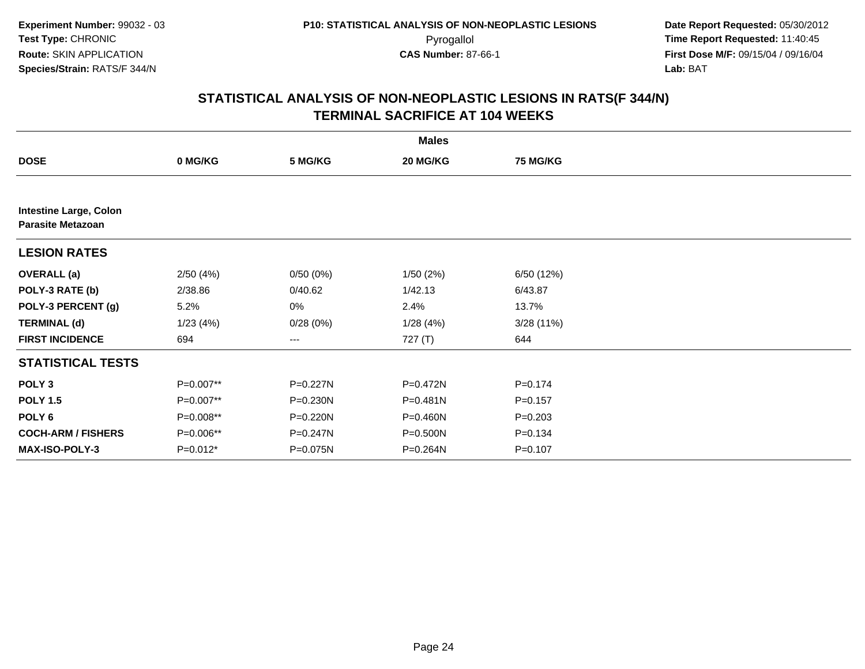|                                                           |            |          | <b>Males</b> |                 |  |
|-----------------------------------------------------------|------------|----------|--------------|-----------------|--|
| <b>DOSE</b>                                               | 0 MG/KG    | 5 MG/KG  | 20 MG/KG     | <b>75 MG/KG</b> |  |
|                                                           |            |          |              |                 |  |
| <b>Intestine Large, Colon</b><br><b>Parasite Metazoan</b> |            |          |              |                 |  |
| <b>LESION RATES</b>                                       |            |          |              |                 |  |
| <b>OVERALL</b> (a)                                        | 2/50(4%)   | 0/50(0%) | 1/50(2%)     | 6/50 (12%)      |  |
| POLY-3 RATE (b)                                           | 2/38.86    | 0/40.62  | 1/42.13      | 6/43.87         |  |
| POLY-3 PERCENT (g)                                        | 5.2%       | 0%       | 2.4%         | 13.7%           |  |
| <b>TERMINAL (d)</b>                                       | 1/23(4%)   | 0/28(0%) | 1/28(4%)     | 3/28(11%)       |  |
| <b>FIRST INCIDENCE</b>                                    | 694        | $--$     | 727 (T)      | 644             |  |
| <b>STATISTICAL TESTS</b>                                  |            |          |              |                 |  |
| POLY <sub>3</sub>                                         | P=0.007**  | P=0.227N | P=0.472N     | $P = 0.174$     |  |
| <b>POLY 1.5</b>                                           | P=0.007**  | P=0.230N | P=0.481N     | $P = 0.157$     |  |
| POLY <sub>6</sub>                                         | P=0.008**  | P=0.220N | P=0.460N     | $P = 0.203$     |  |
| <b>COCH-ARM / FISHERS</b>                                 | P=0.006**  | P=0.247N | P=0.500N     | $P = 0.134$     |  |
| <b>MAX-ISO-POLY-3</b>                                     | $P=0.012*$ | P=0.075N | P=0.264N     | $P = 0.107$     |  |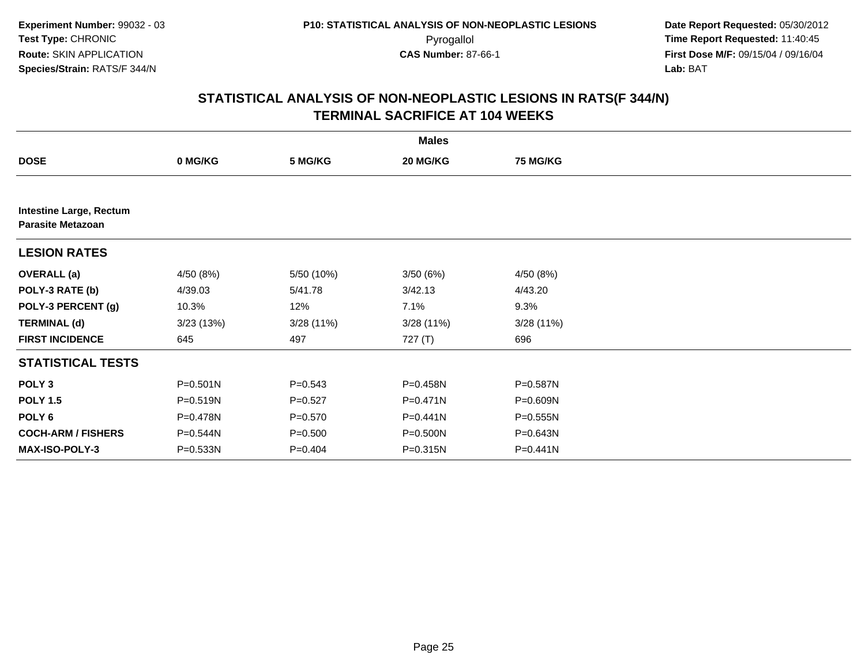|                                                            |              |             | <b>Males</b> |              |  |
|------------------------------------------------------------|--------------|-------------|--------------|--------------|--|
| <b>DOSE</b>                                                | 0 MG/KG      | 5 MG/KG     | 20 MG/KG     | 75 MG/KG     |  |
|                                                            |              |             |              |              |  |
| <b>Intestine Large, Rectum</b><br><b>Parasite Metazoan</b> |              |             |              |              |  |
| <b>LESION RATES</b>                                        |              |             |              |              |  |
| <b>OVERALL (a)</b>                                         | 4/50 (8%)    | 5/50 (10%)  | 3/50(6%)     | 4/50 (8%)    |  |
| POLY-3 RATE (b)                                            | 4/39.03      | 5/41.78     | 3/42.13      | 4/43.20      |  |
| POLY-3 PERCENT (g)                                         | 10.3%        | 12%         | 7.1%         | 9.3%         |  |
| <b>TERMINAL (d)</b>                                        | 3/23 (13%)   | 3/28(11%)   | 3/28(11%)    | 3/28(11%)    |  |
| <b>FIRST INCIDENCE</b>                                     | 645          | 497         | 727 (T)      | 696          |  |
| <b>STATISTICAL TESTS</b>                                   |              |             |              |              |  |
| POLY <sub>3</sub>                                          | $P = 0.501N$ | $P = 0.543$ | P=0.458N     | P=0.587N     |  |
| <b>POLY 1.5</b>                                            | P=0.519N     | $P=0.527$   | $P = 0.471N$ | P=0.609N     |  |
| POLY <sub>6</sub>                                          | P=0.478N     | $P = 0.570$ | $P = 0.441N$ | $P = 0.555N$ |  |
| <b>COCH-ARM / FISHERS</b>                                  | P=0.544N     | $P = 0.500$ | P=0.500N     | P=0.643N     |  |
| <b>MAX-ISO-POLY-3</b>                                      | P=0.533N     | $P = 0.404$ | P=0.315N     | P=0.441N     |  |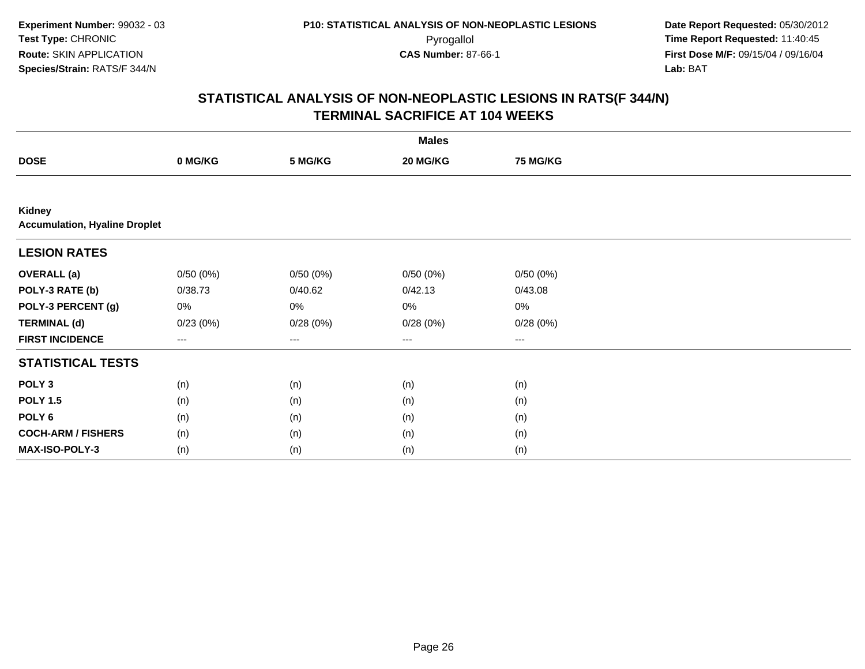| <b>Males</b>                                          |          |                   |                        |                 |  |  |
|-------------------------------------------------------|----------|-------------------|------------------------|-----------------|--|--|
| <b>DOSE</b>                                           | 0 MG/KG  | 5 MG/KG           | 20 MG/KG               | <b>75 MG/KG</b> |  |  |
|                                                       |          |                   |                        |                 |  |  |
| <b>Kidney</b><br><b>Accumulation, Hyaline Droplet</b> |          |                   |                        |                 |  |  |
| <b>LESION RATES</b>                                   |          |                   |                        |                 |  |  |
| <b>OVERALL</b> (a)                                    | 0/50(0%) | 0/50(0%)          | 0/50(0%)               | 0/50(0%)        |  |  |
| POLY-3 RATE (b)                                       | 0/38.73  | 0/40.62           | 0/42.13                | 0/43.08         |  |  |
| POLY-3 PERCENT (g)                                    | 0%       | 0%                | 0%                     | $0\%$           |  |  |
| <b>TERMINAL (d)</b>                                   | 0/23(0%) | 0/28(0%)          | 0/28(0%)               | 0/28(0%)        |  |  |
| <b>FIRST INCIDENCE</b>                                | ---      | $\qquad \qquad -$ | $\qquad \qquad \cdots$ | $---$           |  |  |
| <b>STATISTICAL TESTS</b>                              |          |                   |                        |                 |  |  |
| POLY <sub>3</sub>                                     | (n)      | (n)               | (n)                    | (n)             |  |  |
| <b>POLY 1.5</b>                                       | (n)      | (n)               | (n)                    | (n)             |  |  |
| POLY <sub>6</sub>                                     | (n)      | (n)               | (n)                    | (n)             |  |  |
| <b>COCH-ARM / FISHERS</b>                             | (n)      | (n)               | (n)                    | (n)             |  |  |
| MAX-ISO-POLY-3                                        | (n)      | (n)               | (n)                    | (n)             |  |  |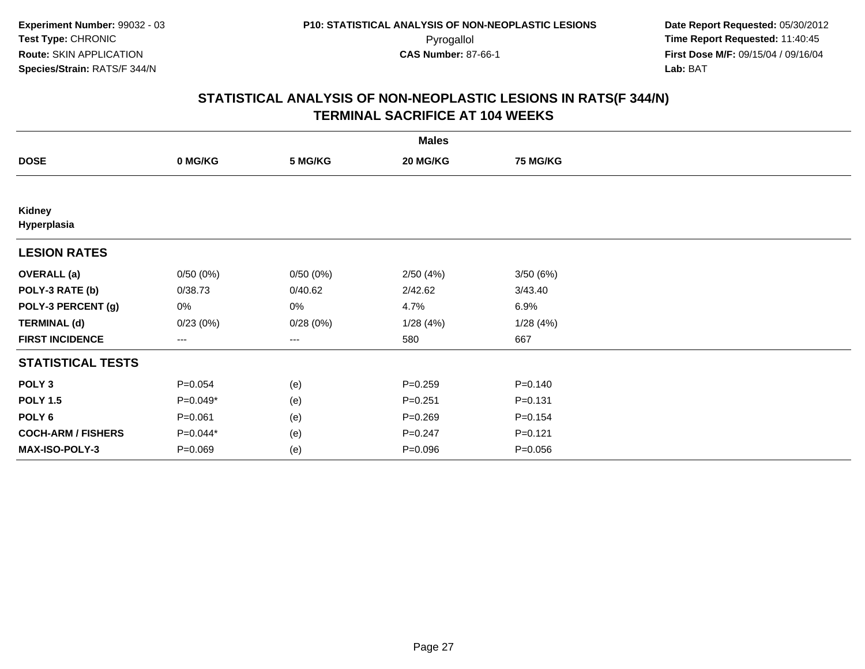| <b>Males</b>              |             |          |             |                 |  |  |
|---------------------------|-------------|----------|-------------|-----------------|--|--|
| <b>DOSE</b>               | 0 MG/KG     | 5 MG/KG  | 20 MG/KG    | <b>75 MG/KG</b> |  |  |
|                           |             |          |             |                 |  |  |
| Kidney<br>Hyperplasia     |             |          |             |                 |  |  |
| <b>LESION RATES</b>       |             |          |             |                 |  |  |
| <b>OVERALL</b> (a)        | 0/50(0%)    | 0/50(0%) | 2/50(4%)    | 3/50(6%)        |  |  |
| POLY-3 RATE (b)           | 0/38.73     | 0/40.62  | 2/42.62     | 3/43.40         |  |  |
| POLY-3 PERCENT (g)        | 0%          | 0%       | 4.7%        | 6.9%            |  |  |
| <b>TERMINAL (d)</b>       | 0/23(0%)    | 0/28(0%) | 1/28(4%)    | 1/28(4%)        |  |  |
| <b>FIRST INCIDENCE</b>    | ---         | $---$    | 580         | 667             |  |  |
| <b>STATISTICAL TESTS</b>  |             |          |             |                 |  |  |
| POLY <sub>3</sub>         | $P = 0.054$ | (e)      | $P = 0.259$ | $P = 0.140$     |  |  |
| <b>POLY 1.5</b>           | P=0.049*    | (e)      | $P = 0.251$ | $P = 0.131$     |  |  |
| POLY 6                    | $P = 0.061$ | (e)      | $P = 0.269$ | $P = 0.154$     |  |  |
| <b>COCH-ARM / FISHERS</b> | P=0.044*    | (e)      | $P = 0.247$ | $P = 0.121$     |  |  |
| MAX-ISO-POLY-3            | $P = 0.069$ | (e)      | $P = 0.096$ | $P = 0.056$     |  |  |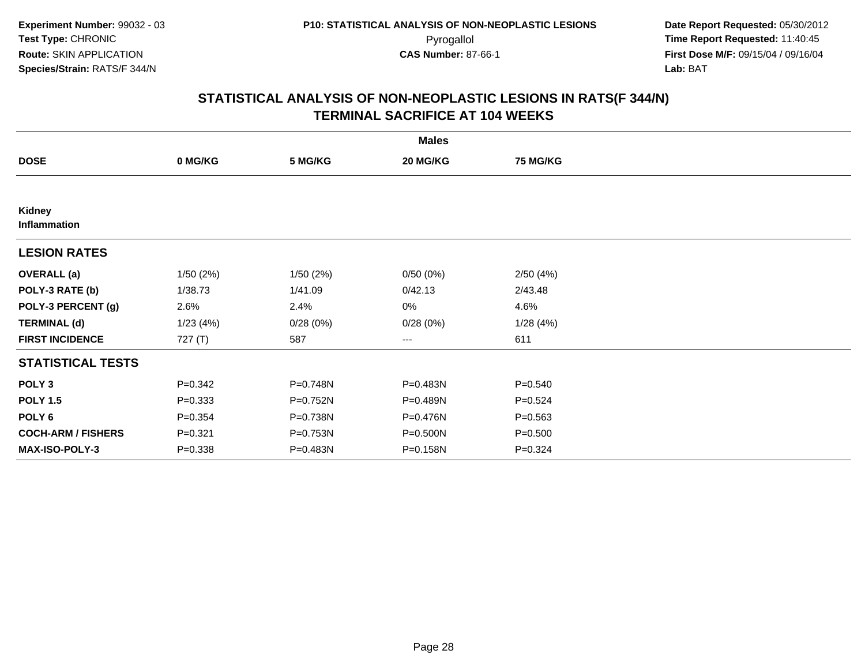|                           |             |          | <b>Males</b> |                 |  |
|---------------------------|-------------|----------|--------------|-----------------|--|
| <b>DOSE</b>               | 0 MG/KG     | 5 MG/KG  | 20 MG/KG     | <b>75 MG/KG</b> |  |
|                           |             |          |              |                 |  |
| Kidney<br>Inflammation    |             |          |              |                 |  |
| <b>LESION RATES</b>       |             |          |              |                 |  |
| <b>OVERALL</b> (a)        | 1/50(2%)    | 1/50(2%) | 0/50(0%)     | 2/50(4%)        |  |
| POLY-3 RATE (b)           | 1/38.73     | 1/41.09  | 0/42.13      | 2/43.48         |  |
| POLY-3 PERCENT (g)        | 2.6%        | 2.4%     | 0%           | 4.6%            |  |
| <b>TERMINAL (d)</b>       | 1/23(4%)    | 0/28(0%) | 0/28(0%)     | 1/28(4%)        |  |
| <b>FIRST INCIDENCE</b>    | 727(T)      | 587      | $---$        | 611             |  |
| <b>STATISTICAL TESTS</b>  |             |          |              |                 |  |
| POLY <sub>3</sub>         | $P = 0.342$ | P=0.748N | P=0.483N     | $P = 0.540$     |  |
| <b>POLY 1.5</b>           | $P = 0.333$ | P=0.752N | P=0.489N     | $P = 0.524$     |  |
| POLY <sub>6</sub>         | $P = 0.354$ | P=0.738N | P=0.476N     | $P = 0.563$     |  |
| <b>COCH-ARM / FISHERS</b> | $P = 0.321$ | P=0.753N | P=0.500N     | $P = 0.500$     |  |
| MAX-ISO-POLY-3            | $P = 0.338$ | P=0.483N | P=0.158N     | $P = 0.324$     |  |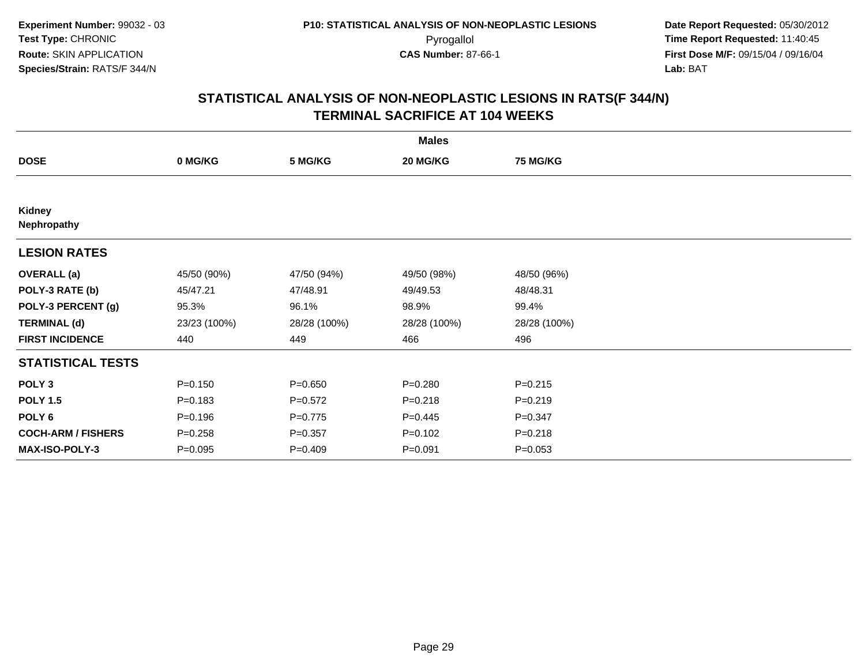| <b>Males</b>              |              |              |              |                 |  |  |
|---------------------------|--------------|--------------|--------------|-----------------|--|--|
| <b>DOSE</b>               | 0 MG/KG      | 5 MG/KG      | 20 MG/KG     | <b>75 MG/KG</b> |  |  |
|                           |              |              |              |                 |  |  |
| Kidney<br>Nephropathy     |              |              |              |                 |  |  |
| <b>LESION RATES</b>       |              |              |              |                 |  |  |
| <b>OVERALL</b> (a)        | 45/50 (90%)  | 47/50 (94%)  | 49/50 (98%)  | 48/50 (96%)     |  |  |
| POLY-3 RATE (b)           | 45/47.21     | 47/48.91     | 49/49.53     | 48/48.31        |  |  |
| POLY-3 PERCENT (g)        | 95.3%        | 96.1%        | 98.9%        | 99.4%           |  |  |
| <b>TERMINAL (d)</b>       | 23/23 (100%) | 28/28 (100%) | 28/28 (100%) | 28/28 (100%)    |  |  |
| <b>FIRST INCIDENCE</b>    | 440          | 449          | 466          | 496             |  |  |
| <b>STATISTICAL TESTS</b>  |              |              |              |                 |  |  |
| POLY <sub>3</sub>         | $P = 0.150$  | $P = 0.650$  | $P = 0.280$  | $P = 0.215$     |  |  |
| <b>POLY 1.5</b>           | $P = 0.183$  | $P=0.572$    | $P = 0.218$  | $P=0.219$       |  |  |
| POLY 6                    | $P = 0.196$  | $P=0.775$    | $P=0.445$    | $P = 0.347$     |  |  |
| <b>COCH-ARM / FISHERS</b> | $P = 0.258$  | $P = 0.357$  | $P = 0.102$  | $P = 0.218$     |  |  |
| <b>MAX-ISO-POLY-3</b>     | $P = 0.095$  | $P=0.409$    | $P = 0.091$  | $P = 0.053$     |  |  |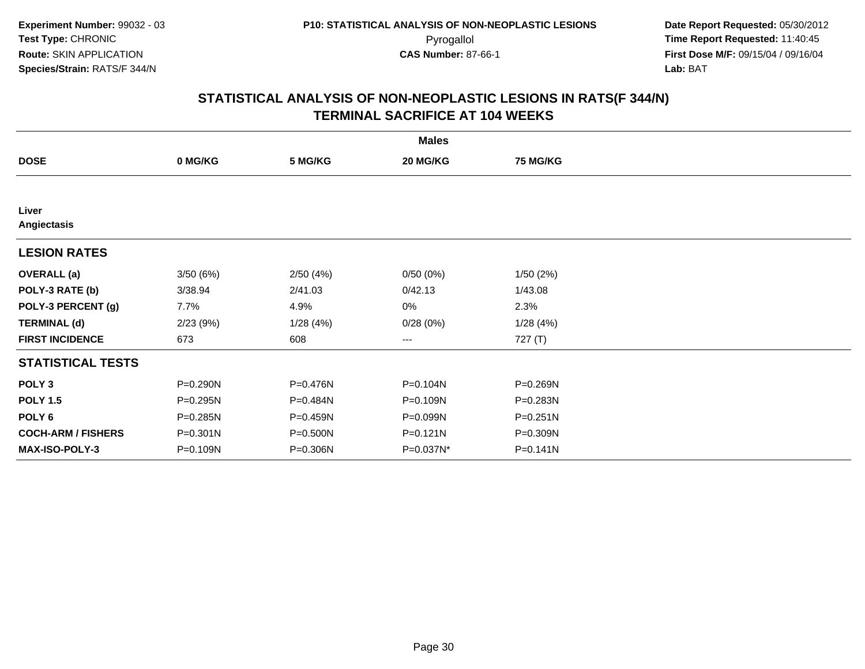|                           |          |          | <b>Males</b>           |                 |  |
|---------------------------|----------|----------|------------------------|-----------------|--|
| <b>DOSE</b>               | 0 MG/KG  | 5 MG/KG  | 20 MG/KG               | <b>75 MG/KG</b> |  |
|                           |          |          |                        |                 |  |
| Liver<br>Angiectasis      |          |          |                        |                 |  |
| <b>LESION RATES</b>       |          |          |                        |                 |  |
| <b>OVERALL</b> (a)        | 3/50(6%) | 2/50(4%) | 0/50(0%)               | 1/50(2%)        |  |
| POLY-3 RATE (b)           | 3/38.94  | 2/41.03  | 0/42.13                | 1/43.08         |  |
| POLY-3 PERCENT (g)        | 7.7%     | 4.9%     | 0%                     | 2.3%            |  |
| <b>TERMINAL (d)</b>       | 2/23(9%) | 1/28(4%) | 0/28(0%)               | 1/28(4%)        |  |
| <b>FIRST INCIDENCE</b>    | 673      | 608      | $\qquad \qquad \cdots$ | 727 (T)         |  |
| <b>STATISTICAL TESTS</b>  |          |          |                        |                 |  |
| POLY <sub>3</sub>         | P=0.290N | P=0.476N | P=0.104N               | P=0.269N        |  |
| <b>POLY 1.5</b>           | P=0.295N | P=0.484N | P=0.109N               | P=0.283N        |  |
| POLY 6                    | P=0.285N | P=0.459N | P=0.099N               | P=0.251N        |  |
| <b>COCH-ARM / FISHERS</b> | P=0.301N | P=0.500N | $P = 0.121N$           | P=0.309N        |  |
| <b>MAX-ISO-POLY-3</b>     | P=0.109N | P=0.306N | P=0.037N*              | P=0.141N        |  |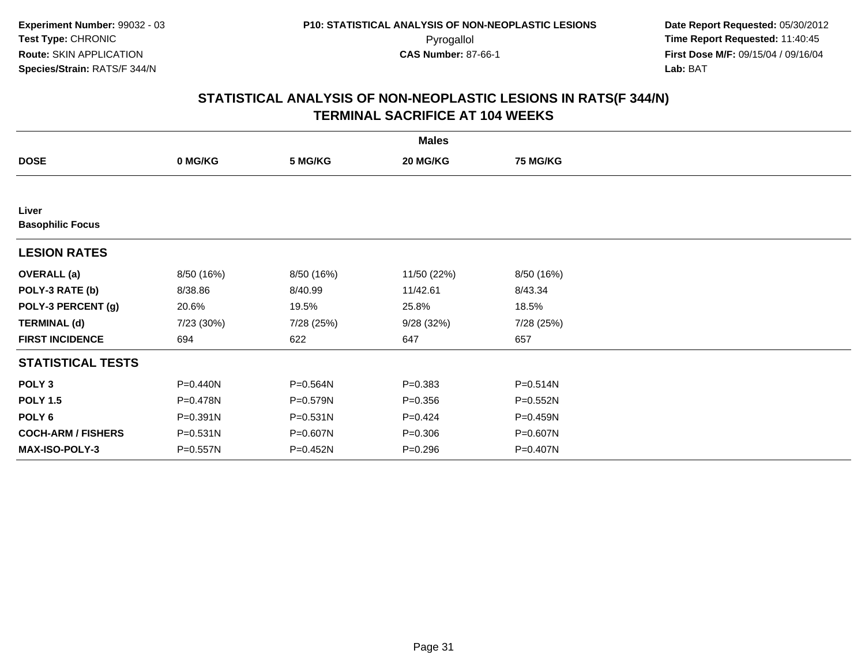| <b>Males</b>                     |            |            |             |                 |  |  |
|----------------------------------|------------|------------|-------------|-----------------|--|--|
| <b>DOSE</b>                      | 0 MG/KG    | 5 MG/KG    | 20 MG/KG    | <b>75 MG/KG</b> |  |  |
|                                  |            |            |             |                 |  |  |
| Liver<br><b>Basophilic Focus</b> |            |            |             |                 |  |  |
| <b>LESION RATES</b>              |            |            |             |                 |  |  |
| <b>OVERALL</b> (a)               | 8/50 (16%) | 8/50 (16%) | 11/50 (22%) | 8/50 (16%)      |  |  |
| POLY-3 RATE (b)                  | 8/38.86    | 8/40.99    | 11/42.61    | 8/43.34         |  |  |
| POLY-3 PERCENT (g)               | 20.6%      | 19.5%      | 25.8%       | 18.5%           |  |  |
| <b>TERMINAL (d)</b>              | 7/23 (30%) | 7/28 (25%) | 9/28(32%)   | 7/28 (25%)      |  |  |
| <b>FIRST INCIDENCE</b>           | 694        | 622        | 647         | 657             |  |  |
| <b>STATISTICAL TESTS</b>         |            |            |             |                 |  |  |
| POLY <sub>3</sub>                | P=0.440N   | P=0.564N   | $P = 0.383$ | P=0.514N        |  |  |
| <b>POLY 1.5</b>                  | P=0.478N   | P=0.579N   | $P = 0.356$ | P=0.552N        |  |  |
| POLY <sub>6</sub>                | P=0.391N   | P=0.531N   | $P=0.424$   | P=0.459N        |  |  |
| <b>COCH-ARM / FISHERS</b>        | P=0.531N   | P=0.607N   | $P = 0.306$ | P=0.607N        |  |  |
| <b>MAX-ISO-POLY-3</b>            | P=0.557N   | P=0.452N   | $P = 0.296$ | P=0.407N        |  |  |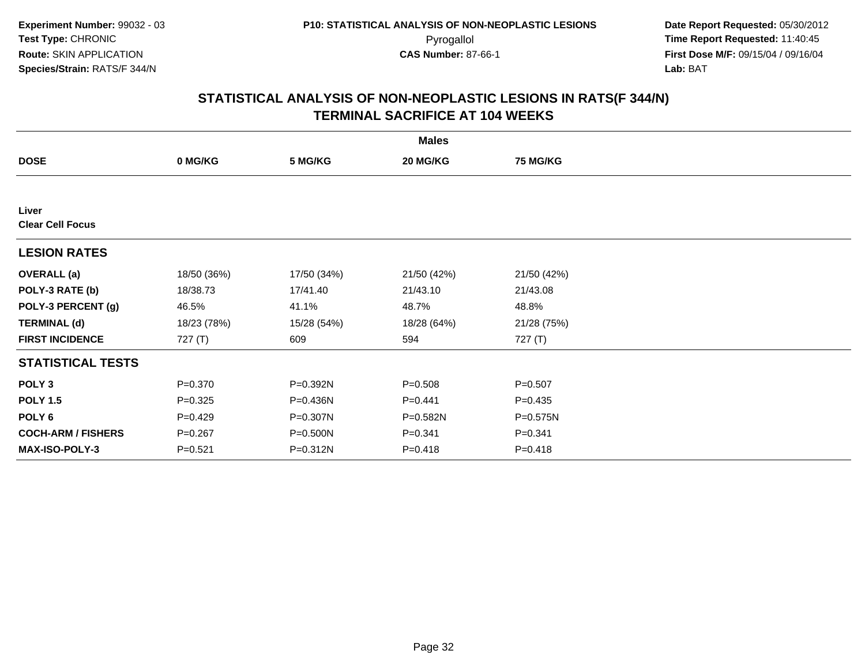| <b>Males</b>                     |             |             |             |                 |  |  |
|----------------------------------|-------------|-------------|-------------|-----------------|--|--|
| <b>DOSE</b>                      | 0 MG/KG     | 5 MG/KG     | 20 MG/KG    | <b>75 MG/KG</b> |  |  |
|                                  |             |             |             |                 |  |  |
| Liver<br><b>Clear Cell Focus</b> |             |             |             |                 |  |  |
| <b>LESION RATES</b>              |             |             |             |                 |  |  |
| <b>OVERALL</b> (a)               | 18/50 (36%) | 17/50 (34%) | 21/50 (42%) | 21/50 (42%)     |  |  |
| POLY-3 RATE (b)                  | 18/38.73    | 17/41.40    | 21/43.10    | 21/43.08        |  |  |
| POLY-3 PERCENT (g)               | 46.5%       | 41.1%       | 48.7%       | 48.8%           |  |  |
| <b>TERMINAL (d)</b>              | 18/23 (78%) | 15/28 (54%) | 18/28 (64%) | 21/28 (75%)     |  |  |
| <b>FIRST INCIDENCE</b>           | 727(T)      | 609         | 594         | 727(T)          |  |  |
| <b>STATISTICAL TESTS</b>         |             |             |             |                 |  |  |
| POLY <sub>3</sub>                | $P = 0.370$ | P=0.392N    | $P = 0.508$ | $P = 0.507$     |  |  |
| <b>POLY 1.5</b>                  | $P = 0.325$ | P=0.436N    | $P=0.441$   | $P = 0.435$     |  |  |
| POLY 6                           | $P=0.429$   | P=0.307N    | P=0.582N    | P=0.575N        |  |  |
| <b>COCH-ARM / FISHERS</b>        | $P = 0.267$ | P=0.500N    | $P = 0.341$ | $P = 0.341$     |  |  |
| MAX-ISO-POLY-3                   | $P = 0.521$ | P=0.312N    | $P = 0.418$ | $P = 0.418$     |  |  |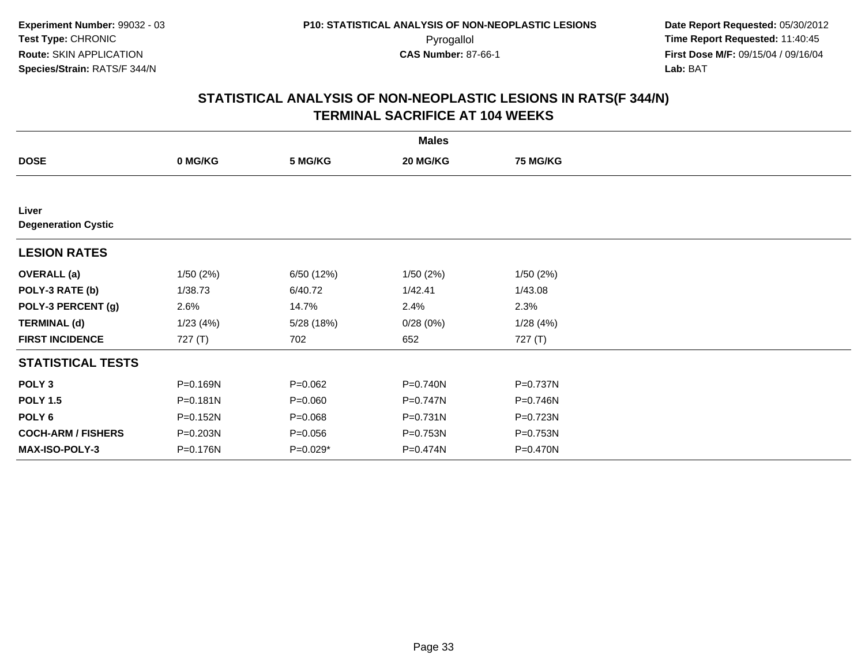| <b>Males</b>                        |              |             |              |                 |  |  |  |
|-------------------------------------|--------------|-------------|--------------|-----------------|--|--|--|
| <b>DOSE</b>                         | 0 MG/KG      | 5 MG/KG     | 20 MG/KG     | <b>75 MG/KG</b> |  |  |  |
|                                     |              |             |              |                 |  |  |  |
| Liver<br><b>Degeneration Cystic</b> |              |             |              |                 |  |  |  |
| <b>LESION RATES</b>                 |              |             |              |                 |  |  |  |
| <b>OVERALL</b> (a)                  | 1/50(2%)     | 6/50 (12%)  | 1/50(2%)     | 1/50(2%)        |  |  |  |
| POLY-3 RATE (b)                     | 1/38.73      | 6/40.72     | 1/42.41      | 1/43.08         |  |  |  |
| POLY-3 PERCENT (g)                  | 2.6%         | 14.7%       | 2.4%         | 2.3%            |  |  |  |
| <b>TERMINAL (d)</b>                 | 1/23(4%)     | 5/28 (18%)  | 0/28(0%)     | 1/28(4%)        |  |  |  |
| <b>FIRST INCIDENCE</b>              | 727 $(T)$    | 702         | 652          | 727 (T)         |  |  |  |
| <b>STATISTICAL TESTS</b>            |              |             |              |                 |  |  |  |
| POLY <sub>3</sub>                   | P=0.169N     | $P=0.062$   | $P = 0.740N$ | P=0.737N        |  |  |  |
| <b>POLY 1.5</b>                     | $P = 0.181N$ | $P = 0.060$ | P=0.747N     | P=0.746N        |  |  |  |
| POLY 6                              | P=0.152N     | $P = 0.068$ | $P = 0.731N$ | P=0.723N        |  |  |  |
| <b>COCH-ARM / FISHERS</b>           | P=0.203N     | $P = 0.056$ | P=0.753N     | P=0.753N        |  |  |  |
| <b>MAX-ISO-POLY-3</b>               | P=0.176N     | P=0.029*    | P=0.474N     | P=0.470N        |  |  |  |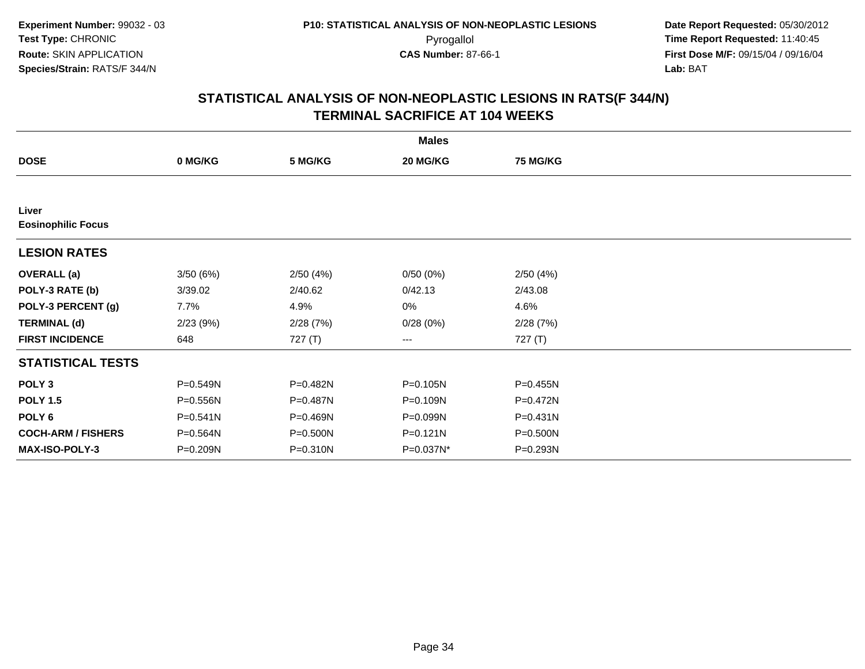|                                    |              |          | <b>Males</b> |                 |  |
|------------------------------------|--------------|----------|--------------|-----------------|--|
| <b>DOSE</b>                        | 0 MG/KG      | 5 MG/KG  | 20 MG/KG     | <b>75 MG/KG</b> |  |
|                                    |              |          |              |                 |  |
| Liver<br><b>Eosinophilic Focus</b> |              |          |              |                 |  |
| <b>LESION RATES</b>                |              |          |              |                 |  |
| <b>OVERALL</b> (a)                 | 3/50(6%)     | 2/50(4%) | 0/50(0%)     | 2/50(4%)        |  |
| POLY-3 RATE (b)                    | 3/39.02      | 2/40.62  | 0/42.13      | 2/43.08         |  |
| POLY-3 PERCENT (g)                 | 7.7%         | 4.9%     | 0%           | 4.6%            |  |
| <b>TERMINAL (d)</b>                | 2/23(9%)     | 2/28(7%) | 0/28(0%)     | 2/28(7%)        |  |
| <b>FIRST INCIDENCE</b>             | 648          | 727(T)   | ---          | 727 (T)         |  |
| <b>STATISTICAL TESTS</b>           |              |          |              |                 |  |
| POLY <sub>3</sub>                  | P=0.549N     | P=0.482N | $P = 0.105N$ | P=0.455N        |  |
| <b>POLY 1.5</b>                    | P=0.556N     | P=0.487N | P=0.109N     | P=0.472N        |  |
| POLY <sub>6</sub>                  | $P = 0.541N$ | P=0.469N | P=0.099N     | $P = 0.431N$    |  |
| <b>COCH-ARM / FISHERS</b>          | P=0.564N     | P=0.500N | P=0.121N     | P=0.500N        |  |
| <b>MAX-ISO-POLY-3</b>              | P=0.209N     | P=0.310N | P=0.037N*    | P=0.293N        |  |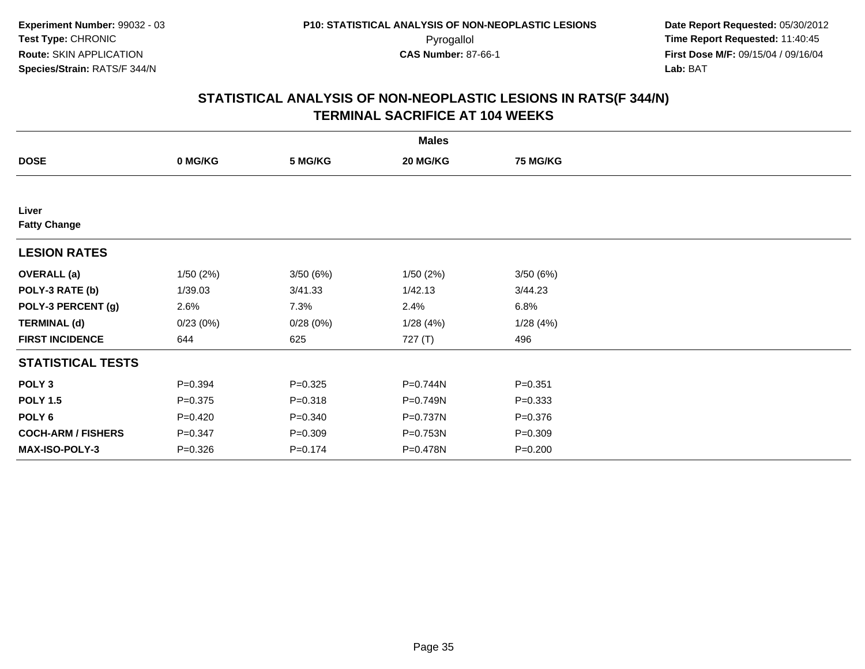|                              |             |             | <b>Males</b> |                 |  |
|------------------------------|-------------|-------------|--------------|-----------------|--|
| <b>DOSE</b>                  | 0 MG/KG     | 5 MG/KG     | 20 MG/KG     | <b>75 MG/KG</b> |  |
|                              |             |             |              |                 |  |
| Liver<br><b>Fatty Change</b> |             |             |              |                 |  |
| <b>LESION RATES</b>          |             |             |              |                 |  |
| <b>OVERALL</b> (a)           | 1/50(2%)    | 3/50(6%)    | 1/50(2%)     | 3/50(6%)        |  |
| POLY-3 RATE (b)              | 1/39.03     | 3/41.33     | 1/42.13      | 3/44.23         |  |
| POLY-3 PERCENT (g)           | 2.6%        | 7.3%        | 2.4%         | 6.8%            |  |
| <b>TERMINAL (d)</b>          | 0/23(0%)    | 0/28(0%)    | 1/28(4%)     | 1/28 (4%)       |  |
| <b>FIRST INCIDENCE</b>       | 644         | 625         | 727 (T)      | 496             |  |
| <b>STATISTICAL TESTS</b>     |             |             |              |                 |  |
| POLY <sub>3</sub>            | $P = 0.394$ | $P = 0.325$ | P=0.744N     | $P = 0.351$     |  |
| <b>POLY 1.5</b>              | $P = 0.375$ | $P = 0.318$ | P=0.749N     | $P = 0.333$     |  |
| POLY <sub>6</sub>            | $P=0.420$   | $P = 0.340$ | P=0.737N     | $P = 0.376$     |  |
| <b>COCH-ARM / FISHERS</b>    | $P = 0.347$ | $P = 0.309$ | P=0.753N     | $P = 0.309$     |  |
| <b>MAX-ISO-POLY-3</b>        | $P = 0.326$ | $P = 0.174$ | P=0.478N     | $P = 0.200$     |  |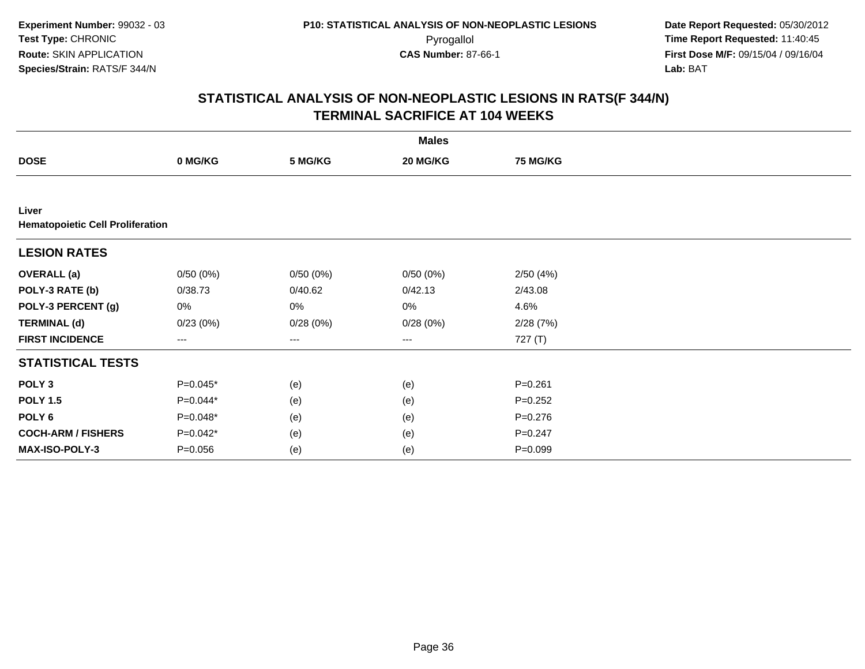| <b>Males</b>                                     |             |          |          |                 |  |  |  |
|--------------------------------------------------|-------------|----------|----------|-----------------|--|--|--|
| <b>DOSE</b>                                      | 0 MG/KG     | 5 MG/KG  | 20 MG/KG | <b>75 MG/KG</b> |  |  |  |
|                                                  |             |          |          |                 |  |  |  |
| Liver<br><b>Hematopoietic Cell Proliferation</b> |             |          |          |                 |  |  |  |
| <b>LESION RATES</b>                              |             |          |          |                 |  |  |  |
| <b>OVERALL</b> (a)                               | 0/50(0%)    | 0/50(0%) | 0/50(0%) | 2/50(4%)        |  |  |  |
| POLY-3 RATE (b)                                  | 0/38.73     | 0/40.62  | 0/42.13  | 2/43.08         |  |  |  |
| POLY-3 PERCENT (g)                               | 0%          | 0%       | 0%       | 4.6%            |  |  |  |
| <b>TERMINAL (d)</b>                              | 0/23(0%)    | 0/28(0%) | 0/28(0%) | 2/28(7%)        |  |  |  |
| <b>FIRST INCIDENCE</b>                           | ---         | $---$    | $--$     | 727 (T)         |  |  |  |
| <b>STATISTICAL TESTS</b>                         |             |          |          |                 |  |  |  |
| POLY <sub>3</sub>                                | P=0.045*    | (e)      | (e)      | $P = 0.261$     |  |  |  |
| <b>POLY 1.5</b>                                  | P=0.044*    | (e)      | (e)      | $P = 0.252$     |  |  |  |
| POLY <sub>6</sub>                                | P=0.048*    | (e)      | (e)      | $P = 0.276$     |  |  |  |
| <b>COCH-ARM / FISHERS</b>                        | P=0.042*    | (e)      | (e)      | $P = 0.247$     |  |  |  |
| MAX-ISO-POLY-3                                   | $P = 0.056$ | (e)      | (e)      | $P = 0.099$     |  |  |  |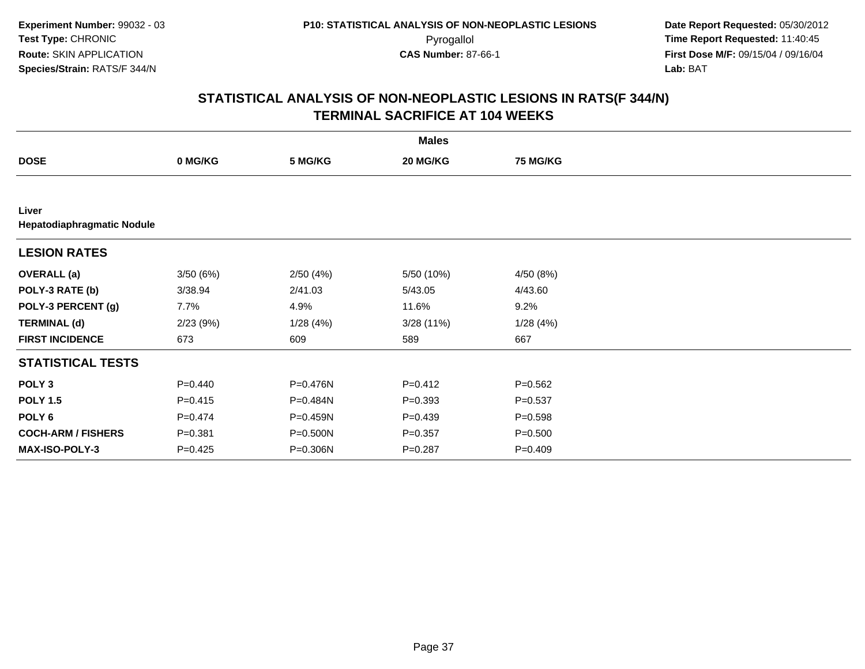|                                     |             |          | <b>Males</b> |                 |  |
|-------------------------------------|-------------|----------|--------------|-----------------|--|
| <b>DOSE</b>                         | 0 MG/KG     | 5 MG/KG  | 20 MG/KG     | <b>75 MG/KG</b> |  |
|                                     |             |          |              |                 |  |
| Liver<br>Hepatodiaphragmatic Nodule |             |          |              |                 |  |
| <b>LESION RATES</b>                 |             |          |              |                 |  |
| <b>OVERALL</b> (a)                  | 3/50(6%)    | 2/50(4%) | 5/50 (10%)   | 4/50 (8%)       |  |
| POLY-3 RATE (b)                     | 3/38.94     | 2/41.03  | 5/43.05      | 4/43.60         |  |
| POLY-3 PERCENT (g)                  | 7.7%        | 4.9%     | 11.6%        | 9.2%            |  |
| <b>TERMINAL (d)</b>                 | 2/23(9%)    | 1/28(4%) | 3/28(11%)    | 1/28(4%)        |  |
| <b>FIRST INCIDENCE</b>              | 673         | 609      | 589          | 667             |  |
| <b>STATISTICAL TESTS</b>            |             |          |              |                 |  |
| POLY <sub>3</sub>                   | $P = 0.440$ | P=0.476N | $P = 0.412$  | $P = 0.562$     |  |
| <b>POLY 1.5</b>                     | $P = 0.415$ | P=0.484N | $P = 0.393$  | $P = 0.537$     |  |
| POLY 6                              | $P=0.474$   | P=0.459N | $P=0.439$    | $P = 0.598$     |  |
| <b>COCH-ARM / FISHERS</b>           | $P = 0.381$ | P=0.500N | $P = 0.357$  | $P = 0.500$     |  |
| MAX-ISO-POLY-3                      | $P = 0.425$ | P=0.306N | $P = 0.287$  | $P = 0.409$     |  |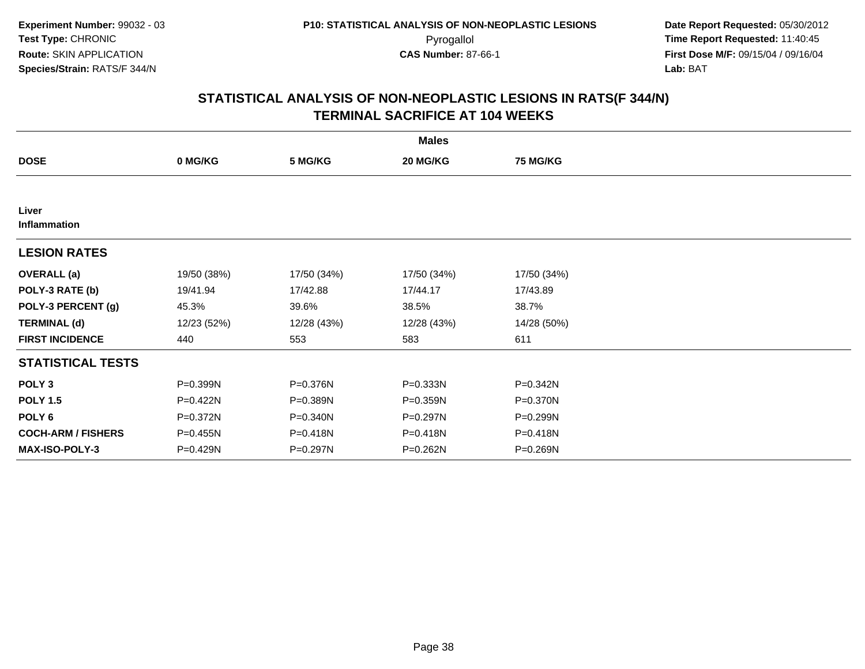|                           |             |              | <b>Males</b> |                 |
|---------------------------|-------------|--------------|--------------|-----------------|
| <b>DOSE</b>               | 0 MG/KG     | 5 MG/KG      | 20 MG/KG     | <b>75 MG/KG</b> |
|                           |             |              |              |                 |
| Liver<br>Inflammation     |             |              |              |                 |
| <b>LESION RATES</b>       |             |              |              |                 |
| <b>OVERALL (a)</b>        | 19/50 (38%) | 17/50 (34%)  | 17/50 (34%)  | 17/50 (34%)     |
| POLY-3 RATE (b)           | 19/41.94    | 17/42.88     | 17/44.17     | 17/43.89        |
| POLY-3 PERCENT (g)        | 45.3%       | 39.6%        | 38.5%        | 38.7%           |
| <b>TERMINAL (d)</b>       | 12/23 (52%) | 12/28 (43%)  | 12/28 (43%)  | 14/28 (50%)     |
| <b>FIRST INCIDENCE</b>    | 440         | 553          | 583          | 611             |
| <b>STATISTICAL TESTS</b>  |             |              |              |                 |
| POLY <sub>3</sub>         | P=0.399N    | P=0.376N     | P=0.333N     | P=0.342N        |
| <b>POLY 1.5</b>           | P=0.422N    | P=0.389N     | P=0.359N     | P=0.370N        |
| POLY 6                    | P=0.372N    | $P = 0.340N$ | P=0.297N     | P=0.299N        |
| <b>COCH-ARM / FISHERS</b> | P=0.455N    | P=0.418N     | P=0.418N     | P=0.418N        |
| MAX-ISO-POLY-3            | P=0.429N    | P=0.297N     | P=0.262N     | P=0.269N        |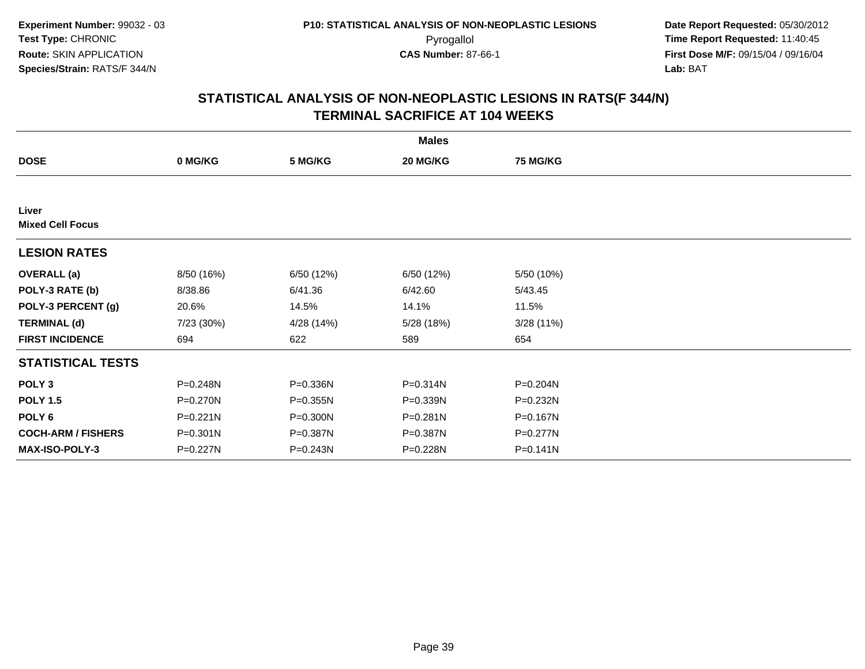|                                  | <b>Males</b> |            |              |                 |  |  |  |
|----------------------------------|--------------|------------|--------------|-----------------|--|--|--|
| <b>DOSE</b>                      | 0 MG/KG      | 5 MG/KG    | 20 MG/KG     | <b>75 MG/KG</b> |  |  |  |
|                                  |              |            |              |                 |  |  |  |
| Liver<br><b>Mixed Cell Focus</b> |              |            |              |                 |  |  |  |
| <b>LESION RATES</b>              |              |            |              |                 |  |  |  |
| <b>OVERALL</b> (a)               | 8/50 (16%)   | 6/50 (12%) | 6/50 (12%)   | 5/50 (10%)      |  |  |  |
| POLY-3 RATE (b)                  | 8/38.86      | 6/41.36    | 6/42.60      | 5/43.45         |  |  |  |
| POLY-3 PERCENT (g)               | 20.6%        | 14.5%      | 14.1%        | 11.5%           |  |  |  |
| <b>TERMINAL (d)</b>              | 7/23 (30%)   | 4/28 (14%) | 5/28 (18%)   | 3/28(11%)       |  |  |  |
| <b>FIRST INCIDENCE</b>           | 694          | 622        | 589          | 654             |  |  |  |
| <b>STATISTICAL TESTS</b>         |              |            |              |                 |  |  |  |
| POLY <sub>3</sub>                | P=0.248N     | P=0.336N   | $P = 0.314N$ | P=0.204N        |  |  |  |
| <b>POLY 1.5</b>                  | P=0.270N     | P=0.355N   | P=0.339N     | P=0.232N        |  |  |  |
| POLY 6                           | P=0.221N     | P=0.300N   | $P = 0.281N$ | P=0.167N        |  |  |  |
| <b>COCH-ARM / FISHERS</b>        | $P = 0.301N$ | P=0.387N   | P=0.387N     | P=0.277N        |  |  |  |
| <b>MAX-ISO-POLY-3</b>            | P=0.227N     | P=0.243N   | P=0.228N     | $P = 0.141N$    |  |  |  |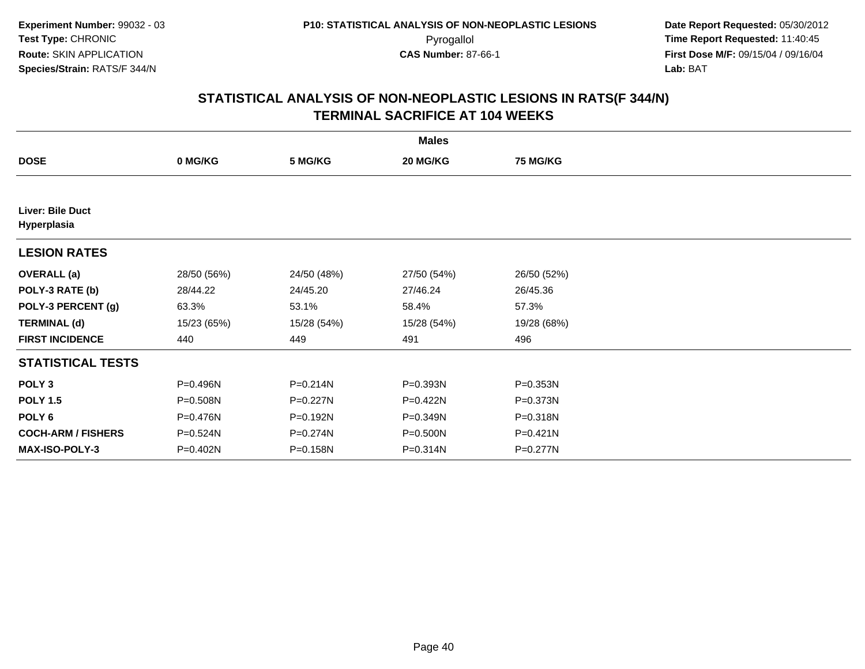|                                 | <b>Males</b> |              |             |                 |  |  |  |
|---------------------------------|--------------|--------------|-------------|-----------------|--|--|--|
| <b>DOSE</b>                     | 0 MG/KG      | 5 MG/KG      | 20 MG/KG    | <b>75 MG/KG</b> |  |  |  |
|                                 |              |              |             |                 |  |  |  |
| Liver: Bile Duct<br>Hyperplasia |              |              |             |                 |  |  |  |
| <b>LESION RATES</b>             |              |              |             |                 |  |  |  |
| <b>OVERALL</b> (a)              | 28/50 (56%)  | 24/50 (48%)  | 27/50 (54%) | 26/50 (52%)     |  |  |  |
| POLY-3 RATE (b)                 | 28/44.22     | 24/45.20     | 27/46.24    | 26/45.36        |  |  |  |
| POLY-3 PERCENT (g)              | 63.3%        | 53.1%        | 58.4%       | 57.3%           |  |  |  |
| <b>TERMINAL (d)</b>             | 15/23 (65%)  | 15/28 (54%)  | 15/28 (54%) | 19/28 (68%)     |  |  |  |
| <b>FIRST INCIDENCE</b>          | 440          | 449          | 491         | 496             |  |  |  |
| <b>STATISTICAL TESTS</b>        |              |              |             |                 |  |  |  |
| POLY <sub>3</sub>               | P=0.496N     | P=0.214N     | P=0.393N    | P=0.353N        |  |  |  |
| <b>POLY 1.5</b>                 | P=0.508N     | $P = 0.227N$ | $P=0.422N$  | P=0.373N        |  |  |  |
| POLY 6                          | P=0.476N     | P=0.192N     | P=0.349N    | P=0.318N        |  |  |  |
| <b>COCH-ARM / FISHERS</b>       | P=0.524N     | P=0.274N     | P=0.500N    | $P=0.421N$      |  |  |  |
| <b>MAX-ISO-POLY-3</b>           | P=0.402N     | P=0.158N     | P=0.314N    | P=0.277N        |  |  |  |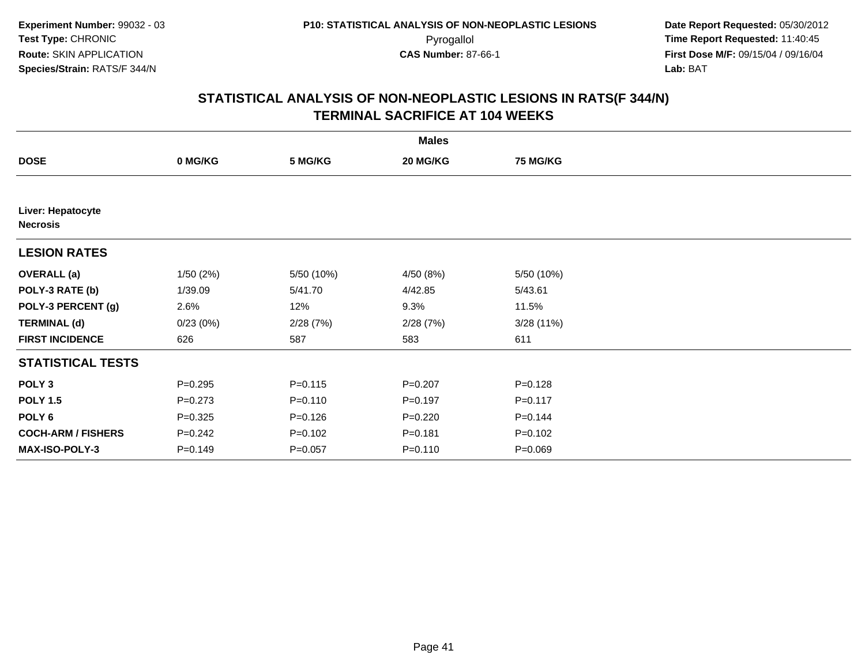|                                      | <b>Males</b> |             |             |                 |  |  |  |  |
|--------------------------------------|--------------|-------------|-------------|-----------------|--|--|--|--|
| <b>DOSE</b>                          | 0 MG/KG      | 5 MG/KG     | 20 MG/KG    | <b>75 MG/KG</b> |  |  |  |  |
|                                      |              |             |             |                 |  |  |  |  |
| Liver: Hepatocyte<br><b>Necrosis</b> |              |             |             |                 |  |  |  |  |
| <b>LESION RATES</b>                  |              |             |             |                 |  |  |  |  |
| <b>OVERALL (a)</b>                   | 1/50(2%)     | 5/50 (10%)  | 4/50 (8%)   | 5/50 (10%)      |  |  |  |  |
| POLY-3 RATE (b)                      | 1/39.09      | 5/41.70     | 4/42.85     | 5/43.61         |  |  |  |  |
| POLY-3 PERCENT (g)                   | 2.6%         | 12%         | 9.3%        | 11.5%           |  |  |  |  |
| <b>TERMINAL (d)</b>                  | 0/23(0%)     | 2/28(7%)    | 2/28(7%)    | 3/28(11%)       |  |  |  |  |
| <b>FIRST INCIDENCE</b>               | 626          | 587         | 583         | 611             |  |  |  |  |
| <b>STATISTICAL TESTS</b>             |              |             |             |                 |  |  |  |  |
| POLY <sub>3</sub>                    | $P = 0.295$  | $P = 0.115$ | $P = 0.207$ | $P = 0.128$     |  |  |  |  |
| <b>POLY 1.5</b>                      | $P = 0.273$  | $P = 0.110$ | $P = 0.197$ | $P = 0.117$     |  |  |  |  |
| POLY <sub>6</sub>                    | $P=0.325$    | $P = 0.126$ | $P=0.220$   | $P = 0.144$     |  |  |  |  |
| <b>COCH-ARM / FISHERS</b>            | $P = 0.242$  | $P=0.102$   | $P = 0.181$ | $P = 0.102$     |  |  |  |  |
| MAX-ISO-POLY-3                       | $P = 0.149$  | $P = 0.057$ | $P = 0.110$ | $P = 0.069$     |  |  |  |  |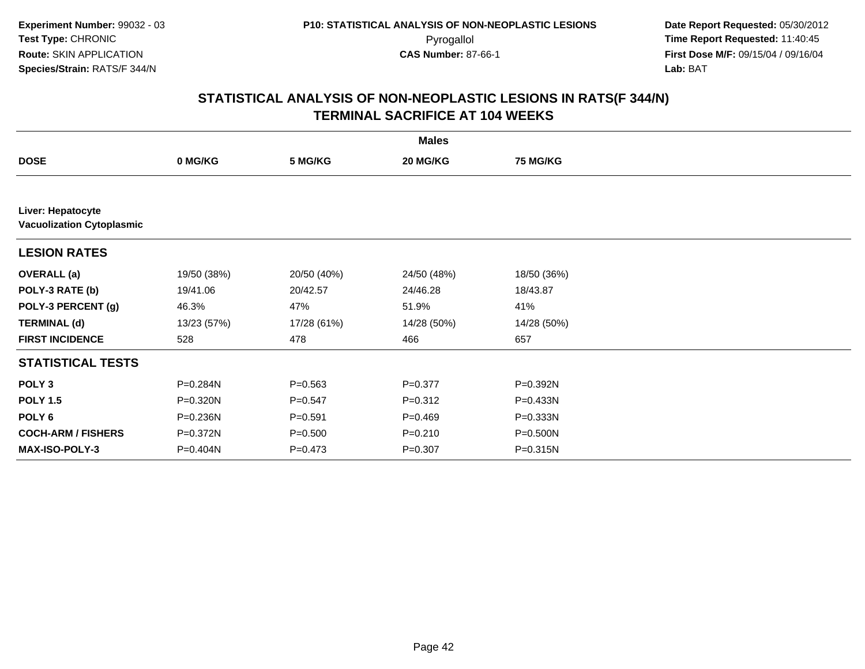|                                                       |             |             | <b>Males</b> |                 |
|-------------------------------------------------------|-------------|-------------|--------------|-----------------|
| <b>DOSE</b>                                           | 0 MG/KG     | 5 MG/KG     | 20 MG/KG     | <b>75 MG/KG</b> |
|                                                       |             |             |              |                 |
| Liver: Hepatocyte<br><b>Vacuolization Cytoplasmic</b> |             |             |              |                 |
| <b>LESION RATES</b>                                   |             |             |              |                 |
| <b>OVERALL</b> (a)                                    | 19/50 (38%) | 20/50 (40%) | 24/50 (48%)  | 18/50 (36%)     |
| POLY-3 RATE (b)                                       | 19/41.06    | 20/42.57    | 24/46.28     | 18/43.87        |
| POLY-3 PERCENT (g)                                    | 46.3%       | 47%         | 51.9%        | 41%             |
| <b>TERMINAL (d)</b>                                   | 13/23 (57%) | 17/28 (61%) | 14/28 (50%)  | 14/28 (50%)     |
| <b>FIRST INCIDENCE</b>                                | 528         | 478         | 466          | 657             |
| <b>STATISTICAL TESTS</b>                              |             |             |              |                 |
| POLY <sub>3</sub>                                     | P=0.284N    | $P = 0.563$ | $P = 0.377$  | P=0.392N        |
| <b>POLY 1.5</b>                                       | P=0.320N    | $P = 0.547$ | $P = 0.312$  | P=0.433N        |
| POLY 6                                                | P=0.236N    | $P = 0.591$ | $P=0.469$    | P=0.333N        |
| <b>COCH-ARM / FISHERS</b>                             | P=0.372N    | $P = 0.500$ | $P = 0.210$  | P=0.500N        |
| <b>MAX-ISO-POLY-3</b>                                 | P=0.404N    | $P = 0.473$ | $P = 0.307$  | $P = 0.315N$    |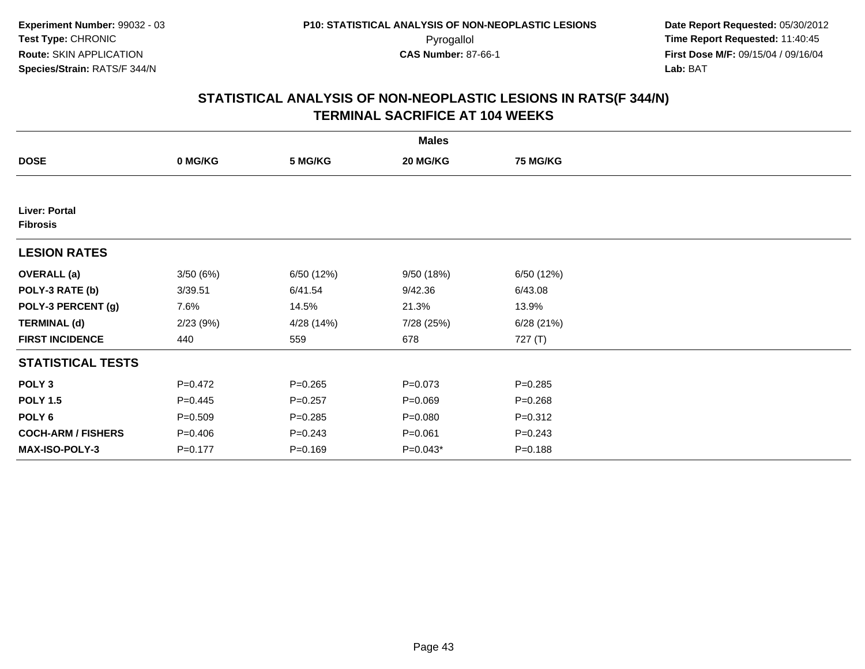|                                  |             |             | <b>Males</b> |                 |  |
|----------------------------------|-------------|-------------|--------------|-----------------|--|
| <b>DOSE</b>                      | 0 MG/KG     | 5 MG/KG     | 20 MG/KG     | <b>75 MG/KG</b> |  |
|                                  |             |             |              |                 |  |
| Liver: Portal<br><b>Fibrosis</b> |             |             |              |                 |  |
| <b>LESION RATES</b>              |             |             |              |                 |  |
| <b>OVERALL (a)</b>               | 3/50(6%)    | 6/50 (12%)  | 9/50 (18%)   | 6/50 (12%)      |  |
| POLY-3 RATE (b)                  | 3/39.51     | 6/41.54     | 9/42.36      | 6/43.08         |  |
| POLY-3 PERCENT (g)               | 7.6%        | 14.5%       | 21.3%        | 13.9%           |  |
| <b>TERMINAL (d)</b>              | 2/23(9%)    | 4/28 (14%)  | 7/28 (25%)   | 6/28(21%)       |  |
| <b>FIRST INCIDENCE</b>           | 440         | 559         | 678          | 727 (T)         |  |
| <b>STATISTICAL TESTS</b>         |             |             |              |                 |  |
| POLY <sub>3</sub>                | $P=0.472$   | $P = 0.265$ | $P = 0.073$  | $P = 0.285$     |  |
| <b>POLY 1.5</b>                  | $P=0.445$   | $P = 0.257$ | $P = 0.069$  | $P = 0.268$     |  |
| POLY 6                           | $P = 0.509$ | $P = 0.285$ | $P = 0.080$  | $P = 0.312$     |  |
| <b>COCH-ARM / FISHERS</b>        | $P = 0.406$ | $P = 0.243$ | $P = 0.061$  | $P = 0.243$     |  |
| MAX-ISO-POLY-3                   | $P = 0.177$ | $P = 0.169$ | $P=0.043*$   | $P = 0.188$     |  |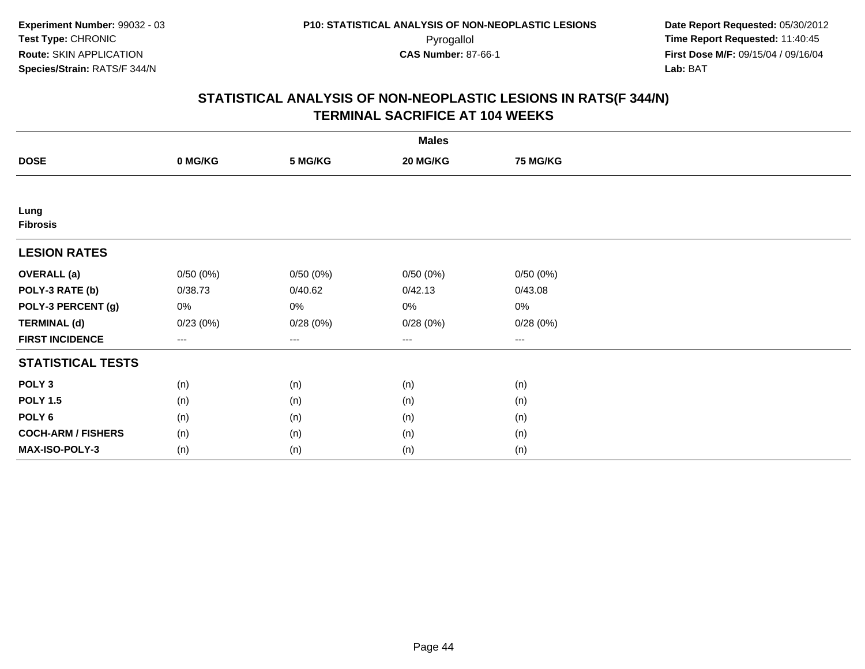| <b>Males</b>              |          |          |          |                      |  |  |
|---------------------------|----------|----------|----------|----------------------|--|--|
| <b>DOSE</b>               | 0 MG/KG  | 5 MG/KG  | 20 MG/KG | 75 MG/KG             |  |  |
|                           |          |          |          |                      |  |  |
| Lung<br><b>Fibrosis</b>   |          |          |          |                      |  |  |
| <b>LESION RATES</b>       |          |          |          |                      |  |  |
| <b>OVERALL</b> (a)        | 0/50(0%) | 0/50(0%) | 0/50(0%) | 0/50(0%)             |  |  |
| POLY-3 RATE (b)           | 0/38.73  | 0/40.62  | 0/42.13  | 0/43.08              |  |  |
| POLY-3 PERCENT (g)        | 0%       | 0%       | 0%       | 0%                   |  |  |
| <b>TERMINAL (d)</b>       | 0/23(0%) | 0/28(0%) | 0/28(0%) | 0/28(0%)             |  |  |
| <b>FIRST INCIDENCE</b>    | $---$    | $---$    | ---      | $\scriptstyle\cdots$ |  |  |
| <b>STATISTICAL TESTS</b>  |          |          |          |                      |  |  |
| POLY <sub>3</sub>         | (n)      | (n)      | (n)      | (n)                  |  |  |
| <b>POLY 1.5</b>           | (n)      | (n)      | (n)      | (n)                  |  |  |
| POLY <sub>6</sub>         | (n)      | (n)      | (n)      | (n)                  |  |  |
| <b>COCH-ARM / FISHERS</b> | (n)      | (n)      | (n)      | (n)                  |  |  |
| MAX-ISO-POLY-3            | (n)      | (n)      | (n)      | (n)                  |  |  |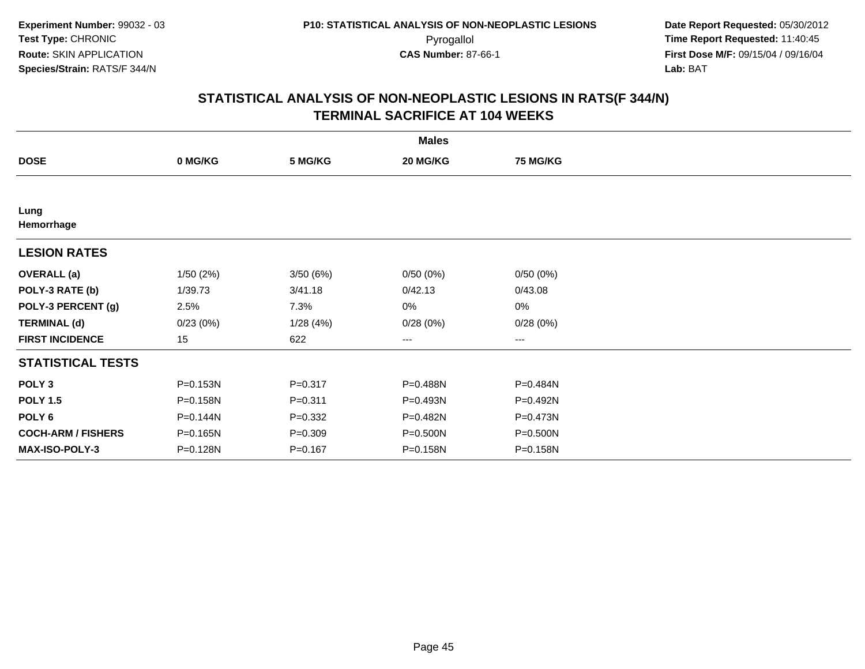|                           |          |             | <b>Males</b> |                 |  |
|---------------------------|----------|-------------|--------------|-----------------|--|
| <b>DOSE</b>               | 0 MG/KG  | 5 MG/KG     | 20 MG/KG     | <b>75 MG/KG</b> |  |
|                           |          |             |              |                 |  |
| Lung<br>Hemorrhage        |          |             |              |                 |  |
| <b>LESION RATES</b>       |          |             |              |                 |  |
| <b>OVERALL</b> (a)        | 1/50(2%) | 3/50(6%)    | 0/50(0%)     | 0/50(0%)        |  |
| POLY-3 RATE (b)           | 1/39.73  | 3/41.18     | 0/42.13      | 0/43.08         |  |
| POLY-3 PERCENT (g)        | 2.5%     | 7.3%        | 0%           | 0%              |  |
| <b>TERMINAL (d)</b>       | 0/23(0%) | 1/28(4%)    | 0/28(0%)     | 0/28(0%)        |  |
| <b>FIRST INCIDENCE</b>    | 15       | 622         | ---          | $---$           |  |
| <b>STATISTICAL TESTS</b>  |          |             |              |                 |  |
| POLY <sub>3</sub>         | P=0.153N | $P = 0.317$ | P=0.488N     | P=0.484N        |  |
| <b>POLY 1.5</b>           | P=0.158N | $P = 0.311$ | P=0.493N     | P=0.492N        |  |
| POLY <sub>6</sub>         | P=0.144N | $P = 0.332$ | P=0.482N     | P=0.473N        |  |
| <b>COCH-ARM / FISHERS</b> | P=0.165N | $P = 0.309$ | P=0.500N     | P=0.500N        |  |
| <b>MAX-ISO-POLY-3</b>     | P=0.128N | $P = 0.167$ | P=0.158N     | P=0.158N        |  |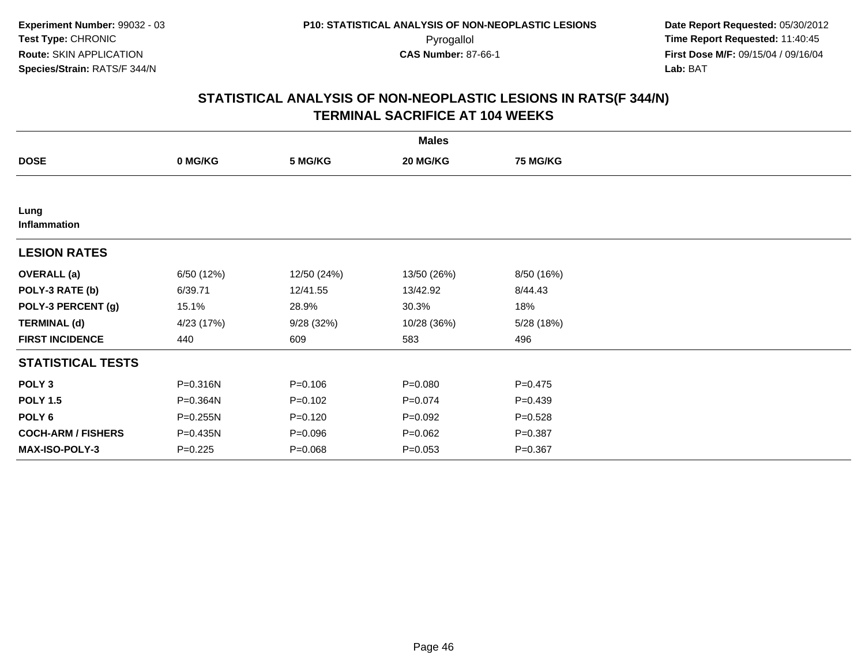|                           | <b>Males</b> |             |             |                 |  |  |  |
|---------------------------|--------------|-------------|-------------|-----------------|--|--|--|
| <b>DOSE</b>               | 0 MG/KG      | 5 MG/KG     | 20 MG/KG    | <b>75 MG/KG</b> |  |  |  |
|                           |              |             |             |                 |  |  |  |
| Lung<br>Inflammation      |              |             |             |                 |  |  |  |
| <b>LESION RATES</b>       |              |             |             |                 |  |  |  |
| <b>OVERALL</b> (a)        | 6/50 (12%)   | 12/50 (24%) | 13/50 (26%) | 8/50 (16%)      |  |  |  |
| POLY-3 RATE (b)           | 6/39.71      | 12/41.55    | 13/42.92    | 8/44.43         |  |  |  |
| POLY-3 PERCENT (g)        | 15.1%        | 28.9%       | 30.3%       | 18%             |  |  |  |
| <b>TERMINAL (d)</b>       | 4/23 (17%)   | 9/28(32%)   | 10/28 (36%) | 5/28(18%)       |  |  |  |
| <b>FIRST INCIDENCE</b>    | 440          | 609         | 583         | 496             |  |  |  |
| <b>STATISTICAL TESTS</b>  |              |             |             |                 |  |  |  |
| POLY <sub>3</sub>         | P=0.316N     | $P = 0.106$ | $P = 0.080$ | $P=0.475$       |  |  |  |
| <b>POLY 1.5</b>           | P=0.364N     | $P=0.102$   | $P=0.074$   | $P=0.439$       |  |  |  |
| POLY 6                    | $P = 0.255N$ | $P=0.120$   | $P=0.092$   | $P = 0.528$     |  |  |  |
| <b>COCH-ARM / FISHERS</b> | $P = 0.435N$ | $P = 0.096$ | $P=0.062$   | $P = 0.387$     |  |  |  |
| MAX-ISO-POLY-3            | $P=0.225$    | $P = 0.068$ | $P = 0.053$ | $P = 0.367$     |  |  |  |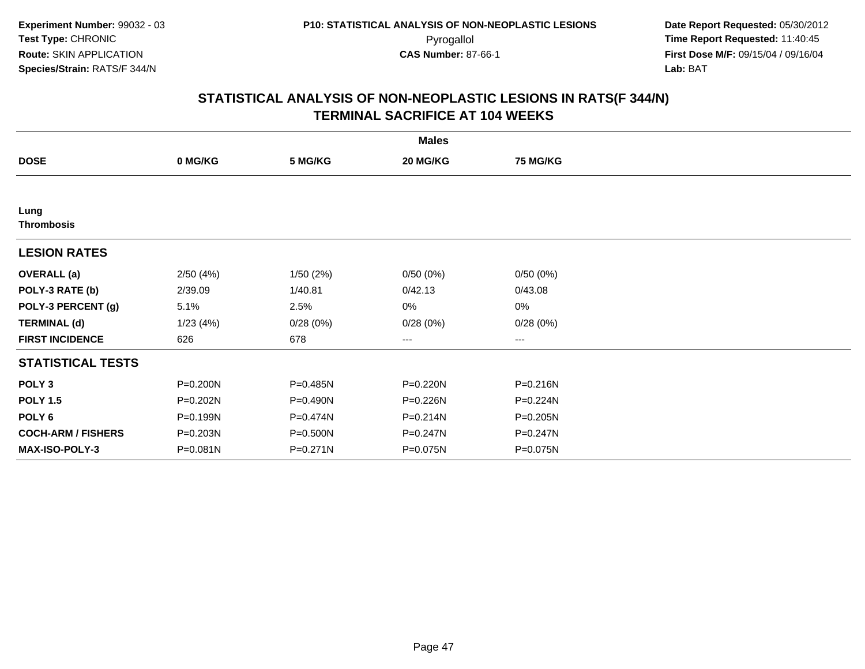|                           |              |          | <b>Males</b> |                 |  |
|---------------------------|--------------|----------|--------------|-----------------|--|
| <b>DOSE</b>               | 0 MG/KG      | 5 MG/KG  | 20 MG/KG     | <b>75 MG/KG</b> |  |
|                           |              |          |              |                 |  |
| Lung<br><b>Thrombosis</b> |              |          |              |                 |  |
| <b>LESION RATES</b>       |              |          |              |                 |  |
| <b>OVERALL</b> (a)        | 2/50(4%)     | 1/50(2%) | 0/50(0%)     | 0/50(0%)        |  |
| POLY-3 RATE (b)           | 2/39.09      | 1/40.81  | 0/42.13      | 0/43.08         |  |
| POLY-3 PERCENT (g)        | 5.1%         | 2.5%     | 0%           | 0%              |  |
| <b>TERMINAL (d)</b>       | 1/23(4%)     | 0/28(0%) | 0/28(0%)     | 0/28(0%)        |  |
| <b>FIRST INCIDENCE</b>    | 626          | 678      | $\cdots$     | $\cdots$        |  |
| <b>STATISTICAL TESTS</b>  |              |          |              |                 |  |
| POLY <sub>3</sub>         | P=0.200N     | P=0.485N | P=0.220N     | P=0.216N        |  |
| <b>POLY 1.5</b>           | P=0.202N     | P=0.490N | P=0.226N     | P=0.224N        |  |
| POLY <sub>6</sub>         | P=0.199N     | P=0.474N | $P = 0.214N$ | $P = 0.205N$    |  |
| <b>COCH-ARM / FISHERS</b> | P=0.203N     | P=0.500N | P=0.247N     | P=0.247N        |  |
| <b>MAX-ISO-POLY-3</b>     | $P = 0.081N$ | P=0.271N | P=0.075N     | P=0.075N        |  |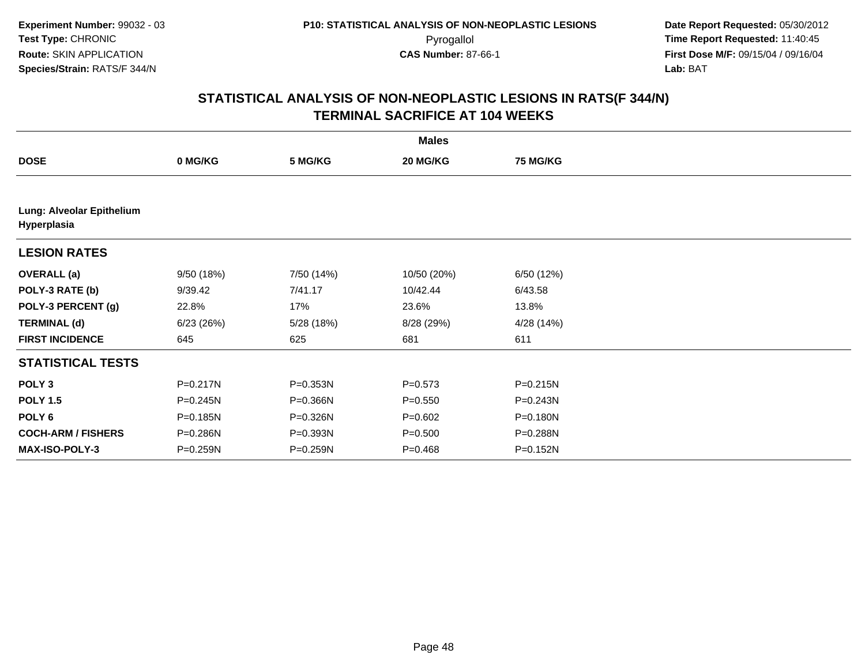|                                          | <b>Males</b> |            |             |                 |  |  |  |
|------------------------------------------|--------------|------------|-------------|-----------------|--|--|--|
| <b>DOSE</b>                              | 0 MG/KG      | 5 MG/KG    | 20 MG/KG    | <b>75 MG/KG</b> |  |  |  |
|                                          |              |            |             |                 |  |  |  |
| Lung: Alveolar Epithelium<br>Hyperplasia |              |            |             |                 |  |  |  |
| <b>LESION RATES</b>                      |              |            |             |                 |  |  |  |
| <b>OVERALL (a)</b>                       | 9/50 (18%)   | 7/50 (14%) | 10/50 (20%) | 6/50 (12%)      |  |  |  |
| POLY-3 RATE (b)                          | 9/39.42      | 7/41.17    | 10/42.44    | 6/43.58         |  |  |  |
| POLY-3 PERCENT (g)                       | 22.8%        | 17%        | 23.6%       | 13.8%           |  |  |  |
| <b>TERMINAL (d)</b>                      | 6/23(26%)    | 5/28 (18%) | 8/28 (29%)  | 4/28 (14%)      |  |  |  |
| <b>FIRST INCIDENCE</b>                   | 645          | 625        | 681         | 611             |  |  |  |
| <b>STATISTICAL TESTS</b>                 |              |            |             |                 |  |  |  |
| POLY <sub>3</sub>                        | P=0.217N     | P=0.353N   | $P = 0.573$ | P=0.215N        |  |  |  |
| <b>POLY 1.5</b>                          | P=0.245N     | P=0.366N   | $P = 0.550$ | P=0.243N        |  |  |  |
| POLY <sub>6</sub>                        | P=0.185N     | P=0.326N   | $P = 0.602$ | P=0.180N        |  |  |  |
| <b>COCH-ARM / FISHERS</b>                | P=0.286N     | P=0.393N   | $P = 0.500$ | P=0.288N        |  |  |  |
| <b>MAX-ISO-POLY-3</b>                    | P=0.259N     | P=0.259N   | $P = 0.468$ | P=0.152N        |  |  |  |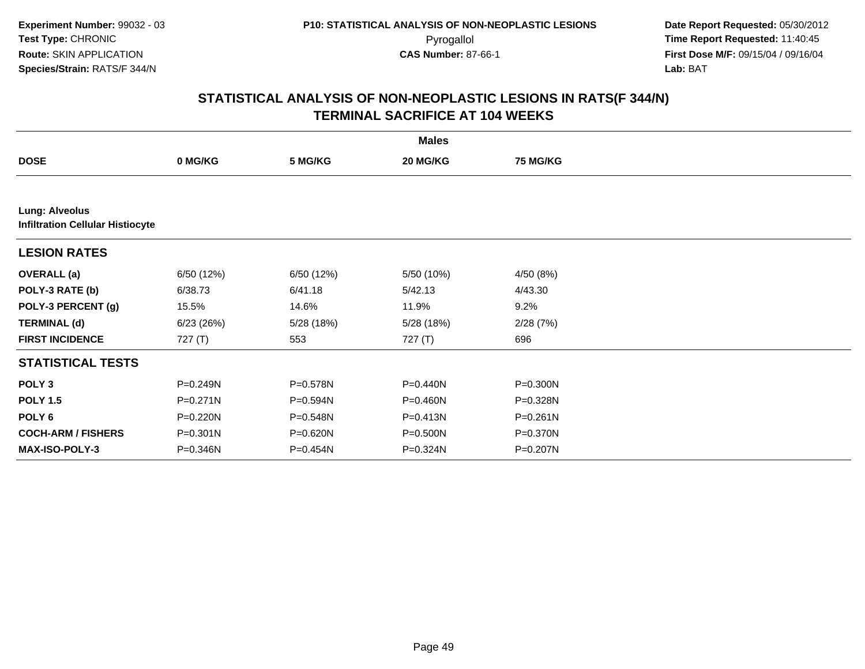|                           |                                         |            | <b>Males</b> |                 |  |  |  |  |  |
|---------------------------|-----------------------------------------|------------|--------------|-----------------|--|--|--|--|--|
| <b>DOSE</b>               | 0 MG/KG                                 | 5 MG/KG    | 20 MG/KG     | <b>75 MG/KG</b> |  |  |  |  |  |
|                           |                                         |            |              |                 |  |  |  |  |  |
| <b>Lung: Alveolus</b>     | <b>Infiltration Cellular Histiocyte</b> |            |              |                 |  |  |  |  |  |
| <b>LESION RATES</b>       |                                         |            |              |                 |  |  |  |  |  |
| <b>OVERALL</b> (a)        | 6/50 (12%)                              | 6/50 (12%) | 5/50 (10%)   | 4/50 (8%)       |  |  |  |  |  |
| POLY-3 RATE (b)           | 6/38.73                                 | 6/41.18    | 5/42.13      | 4/43.30         |  |  |  |  |  |
| POLY-3 PERCENT (g)        | 15.5%                                   | 14.6%      | 11.9%        | 9.2%            |  |  |  |  |  |
| <b>TERMINAL (d)</b>       | 6/23(26%)                               | 5/28 (18%) | 5/28 (18%)   | 2/28(7%)        |  |  |  |  |  |
| <b>FIRST INCIDENCE</b>    | 727(T)                                  | 553        | 727 (T)      | 696             |  |  |  |  |  |
| <b>STATISTICAL TESTS</b>  |                                         |            |              |                 |  |  |  |  |  |
| POLY <sub>3</sub>         | P=0.249N                                | P=0.578N   | P=0.440N     | $P = 0.300N$    |  |  |  |  |  |
| <b>POLY 1.5</b>           | P=0.271N                                | P=0.594N   | P=0.460N     | P=0.328N        |  |  |  |  |  |
| POLY <sub>6</sub>         | P=0.220N                                | P=0.548N   | $P = 0.413N$ | $P = 0.261N$    |  |  |  |  |  |
| <b>COCH-ARM / FISHERS</b> | P=0.301N                                | P=0.620N   | P=0.500N     | P=0.370N        |  |  |  |  |  |
| <b>MAX-ISO-POLY-3</b>     | P=0.346N                                | $P=0.454N$ | P=0.324N     | P=0.207N        |  |  |  |  |  |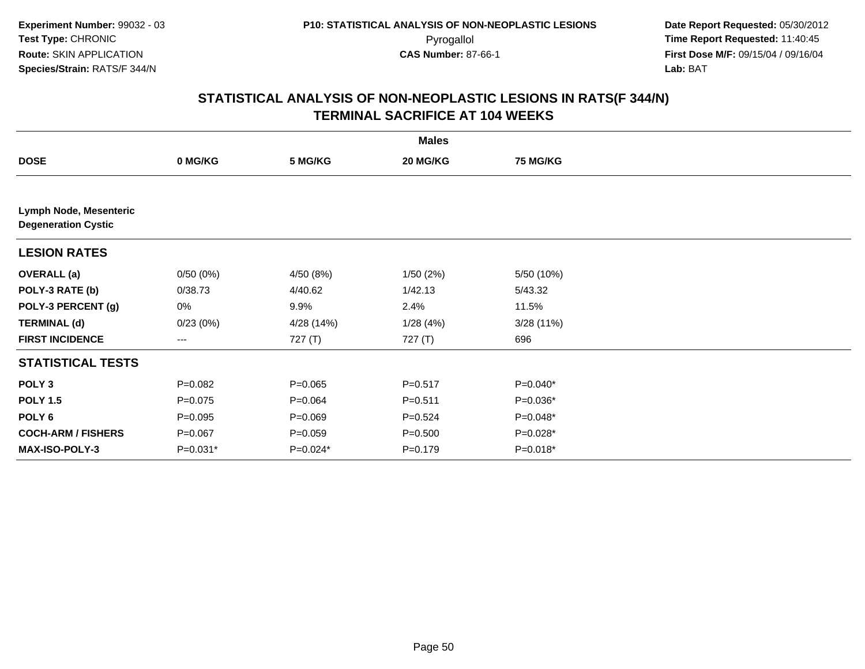|                                                      |             |             | <b>Males</b> |            |  |
|------------------------------------------------------|-------------|-------------|--------------|------------|--|
| <b>DOSE</b>                                          | 0 MG/KG     | 5 MG/KG     | 20 MG/KG     | 75 MG/KG   |  |
|                                                      |             |             |              |            |  |
| Lymph Node, Mesenteric<br><b>Degeneration Cystic</b> |             |             |              |            |  |
| <b>LESION RATES</b>                                  |             |             |              |            |  |
| <b>OVERALL</b> (a)                                   | 0/50(0%)    | 4/50 (8%)   | 1/50(2%)     | 5/50 (10%) |  |
| POLY-3 RATE (b)                                      | 0/38.73     | 4/40.62     | 1/42.13      | 5/43.32    |  |
| POLY-3 PERCENT (g)                                   | 0%          | 9.9%        | 2.4%         | 11.5%      |  |
| <b>TERMINAL (d)</b>                                  | 0/23(0%)    | 4/28 (14%)  | 1/28(4%)     | 3/28(11%)  |  |
| <b>FIRST INCIDENCE</b>                               | ---         | 727 (T)     | 727 (T)      | 696        |  |
| <b>STATISTICAL TESTS</b>                             |             |             |              |            |  |
| POLY <sub>3</sub>                                    | $P = 0.082$ | $P = 0.065$ | $P = 0.517$  | P=0.040*   |  |
| <b>POLY 1.5</b>                                      | $P = 0.075$ | $P = 0.064$ | $P = 0.511$  | P=0.036*   |  |
| POLY <sub>6</sub>                                    | $P = 0.095$ | $P = 0.069$ | $P=0.524$    | P=0.048*   |  |
| <b>COCH-ARM / FISHERS</b>                            | $P = 0.067$ | $P = 0.059$ | $P = 0.500$  | P=0.028*   |  |
| MAX-ISO-POLY-3                                       | P=0.031*    | $P=0.024*$  | $P = 0.179$  | P=0.018*   |  |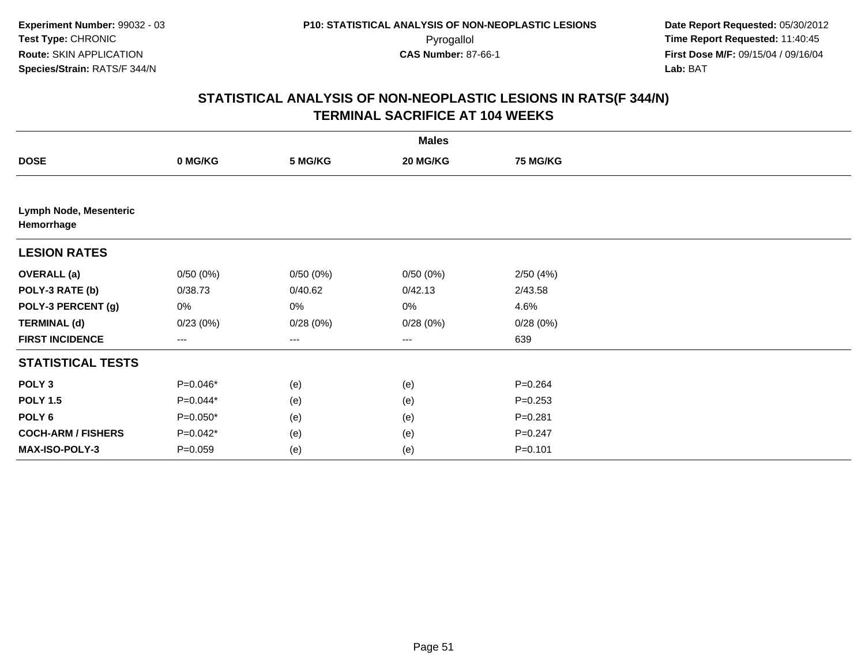|                                             |             |          | <b>Males</b> |                 |  |
|---------------------------------------------|-------------|----------|--------------|-----------------|--|
| <b>DOSE</b>                                 | 0 MG/KG     | 5 MG/KG  | 20 MG/KG     | <b>75 MG/KG</b> |  |
|                                             |             |          |              |                 |  |
| <b>Lymph Node, Mesenteric</b><br>Hemorrhage |             |          |              |                 |  |
| <b>LESION RATES</b>                         |             |          |              |                 |  |
| <b>OVERALL</b> (a)                          | 0/50(0%)    | 0/50(0%) | 0/50(0%)     | 2/50(4%)        |  |
| POLY-3 RATE (b)                             | 0/38.73     | 0/40.62  | 0/42.13      | 2/43.58         |  |
| POLY-3 PERCENT (g)                          | 0%          | 0%       | 0%           | 4.6%            |  |
| <b>TERMINAL (d)</b>                         | 0/23(0%)    | 0/28(0%) | 0/28(0%)     | 0/28(0%)        |  |
| <b>FIRST INCIDENCE</b>                      | $--$        | $---$    | $--$         | 639             |  |
| <b>STATISTICAL TESTS</b>                    |             |          |              |                 |  |
| POLY <sub>3</sub>                           | P=0.046*    | (e)      | (e)          | $P = 0.264$     |  |
| <b>POLY 1.5</b>                             | P=0.044*    | (e)      | (e)          | $P = 0.253$     |  |
| POLY <sub>6</sub>                           | $P=0.050*$  | (e)      | (e)          | $P = 0.281$     |  |
| <b>COCH-ARM / FISHERS</b>                   | $P=0.042*$  | (e)      | (e)          | $P = 0.247$     |  |
| <b>MAX-ISO-POLY-3</b>                       | $P = 0.059$ | (e)      | (e)          | $P = 0.101$     |  |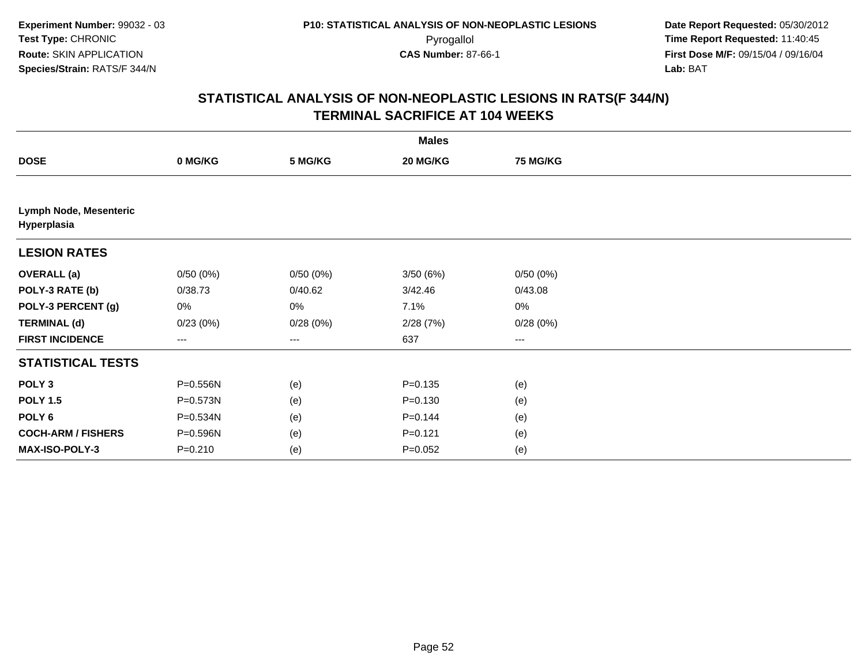|                                       |             |          | <b>Males</b> |                        |  |
|---------------------------------------|-------------|----------|--------------|------------------------|--|
| <b>DOSE</b>                           | 0 MG/KG     | 5 MG/KG  | 20 MG/KG     | <b>75 MG/KG</b>        |  |
|                                       |             |          |              |                        |  |
| Lymph Node, Mesenteric<br>Hyperplasia |             |          |              |                        |  |
| <b>LESION RATES</b>                   |             |          |              |                        |  |
| <b>OVERALL (a)</b>                    | 0/50(0%)    | 0/50(0%) | 3/50(6%)     | 0/50(0%)               |  |
| POLY-3 RATE (b)                       | 0/38.73     | 0/40.62  | 3/42.46      | 0/43.08                |  |
| POLY-3 PERCENT (g)                    | 0%          | 0%       | 7.1%         | $0\%$                  |  |
| <b>TERMINAL (d)</b>                   | 0/23(0%)    | 0/28(0%) | 2/28(7%)     | 0/28(0%)               |  |
| <b>FIRST INCIDENCE</b>                | ---         | $--$     | 637          | $\qquad \qquad \cdots$ |  |
| <b>STATISTICAL TESTS</b>              |             |          |              |                        |  |
| POLY <sub>3</sub>                     | P=0.556N    | (e)      | $P = 0.135$  | (e)                    |  |
| <b>POLY 1.5</b>                       | P=0.573N    | (e)      | $P = 0.130$  | (e)                    |  |
| POLY <sub>6</sub>                     | P=0.534N    | (e)      | $P = 0.144$  | (e)                    |  |
| <b>COCH-ARM / FISHERS</b>             | P=0.596N    | (e)      | $P = 0.121$  | (e)                    |  |
| MAX-ISO-POLY-3                        | $P = 0.210$ | (e)      | $P=0.052$    | (e)                    |  |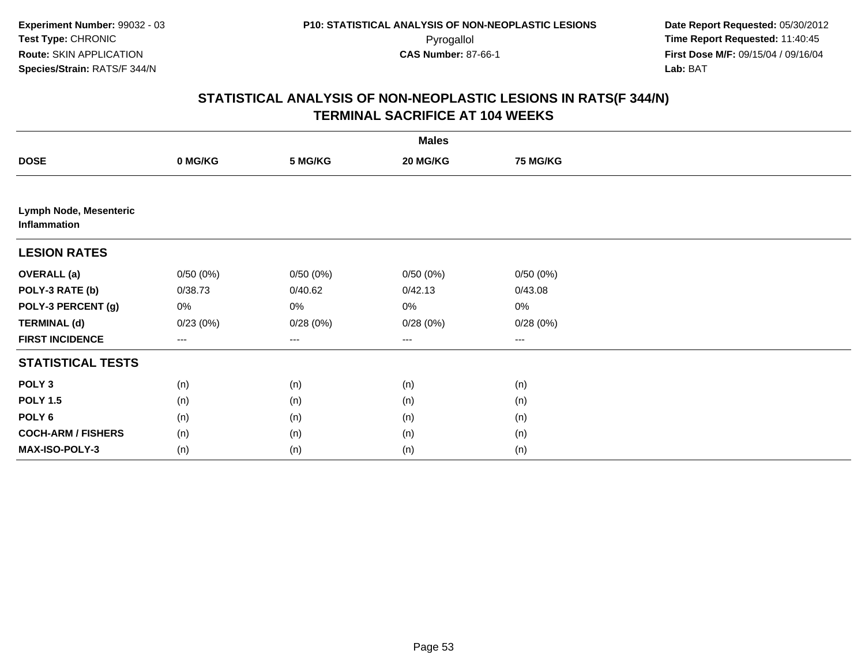|                                               |          |                        | <b>Males</b> |                 |  |
|-----------------------------------------------|----------|------------------------|--------------|-----------------|--|
| <b>DOSE</b>                                   | 0 MG/KG  | 5 MG/KG                | 20 MG/KG     | <b>75 MG/KG</b> |  |
|                                               |          |                        |              |                 |  |
| <b>Lymph Node, Mesenteric</b><br>Inflammation |          |                        |              |                 |  |
| <b>LESION RATES</b>                           |          |                        |              |                 |  |
| <b>OVERALL (a)</b>                            | 0/50(0%) | 0/50(0%)               | 0/50(0%)     | 0/50(0%)        |  |
| POLY-3 RATE (b)                               | 0/38.73  | 0/40.62                | 0/42.13      | 0/43.08         |  |
| POLY-3 PERCENT (g)                            | 0%       | 0%                     | $0\%$        | 0%              |  |
| <b>TERMINAL (d)</b>                           | 0/23(0%) | 0/28(0%)               | 0/28(0%)     | 0/28(0%)        |  |
| <b>FIRST INCIDENCE</b>                        | ---      | $\qquad \qquad \cdots$ | $\cdots$     | ---             |  |
| <b>STATISTICAL TESTS</b>                      |          |                        |              |                 |  |
| POLY <sub>3</sub>                             | (n)      | (n)                    | (n)          | (n)             |  |
| <b>POLY 1.5</b>                               | (n)      | (n)                    | (n)          | (n)             |  |
| POLY <sub>6</sub>                             | (n)      | (n)                    | (n)          | (n)             |  |
| <b>COCH-ARM / FISHERS</b>                     | (n)      | (n)                    | (n)          | (n)             |  |
| MAX-ISO-POLY-3                                | (n)      | (n)                    | (n)          | (n)             |  |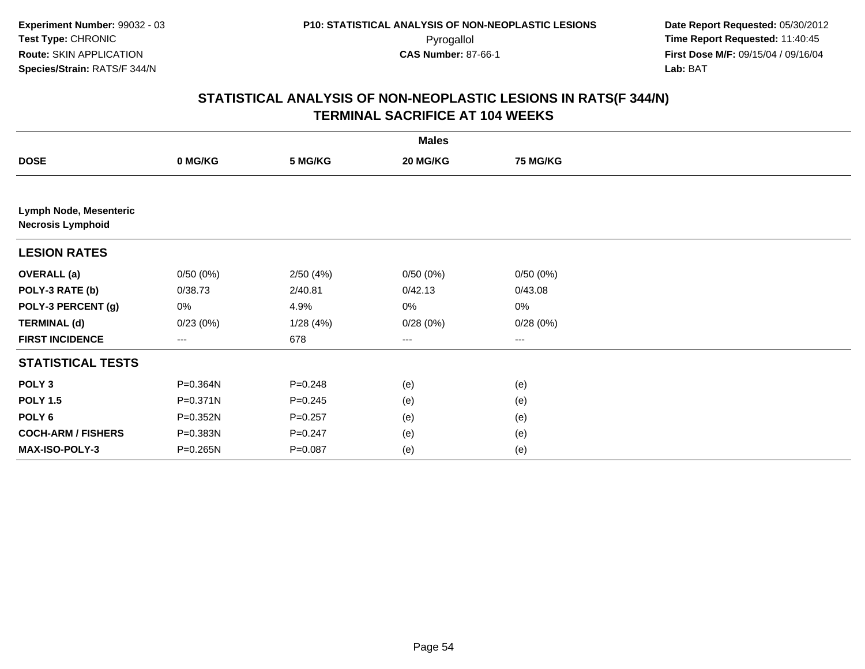|                                                           |          |             | <b>Males</b> |                 |  |
|-----------------------------------------------------------|----------|-------------|--------------|-----------------|--|
| <b>DOSE</b>                                               | 0 MG/KG  | 5 MG/KG     | 20 MG/KG     | <b>75 MG/KG</b> |  |
|                                                           |          |             |              |                 |  |
| <b>Lymph Node, Mesenteric</b><br><b>Necrosis Lymphoid</b> |          |             |              |                 |  |
| <b>LESION RATES</b>                                       |          |             |              |                 |  |
| <b>OVERALL</b> (a)                                        | 0/50(0%) | 2/50(4%)    | 0/50(0%)     | 0/50(0%)        |  |
| POLY-3 RATE (b)                                           | 0/38.73  | 2/40.81     | 0/42.13      | 0/43.08         |  |
| POLY-3 PERCENT (g)                                        | 0%       | 4.9%        | 0%           | 0%              |  |
| <b>TERMINAL (d)</b>                                       | 0/23(0%) | 1/28(4%)    | 0/28(0%)     | 0/28(0%)        |  |
| <b>FIRST INCIDENCE</b>                                    | $---$    | 678         | $--$         | ---             |  |
| <b>STATISTICAL TESTS</b>                                  |          |             |              |                 |  |
| POLY <sub>3</sub>                                         | P=0.364N | $P = 0.248$ | (e)          | (e)             |  |
| <b>POLY 1.5</b>                                           | P=0.371N | $P = 0.245$ | (e)          | (e)             |  |
| POLY <sub>6</sub>                                         | P=0.352N | $P = 0.257$ | (e)          | (e)             |  |
| <b>COCH-ARM / FISHERS</b>                                 | P=0.383N | $P = 0.247$ | (e)          | (e)             |  |
| MAX-ISO-POLY-3                                            | P=0.265N | $P = 0.087$ | (e)          | (e)             |  |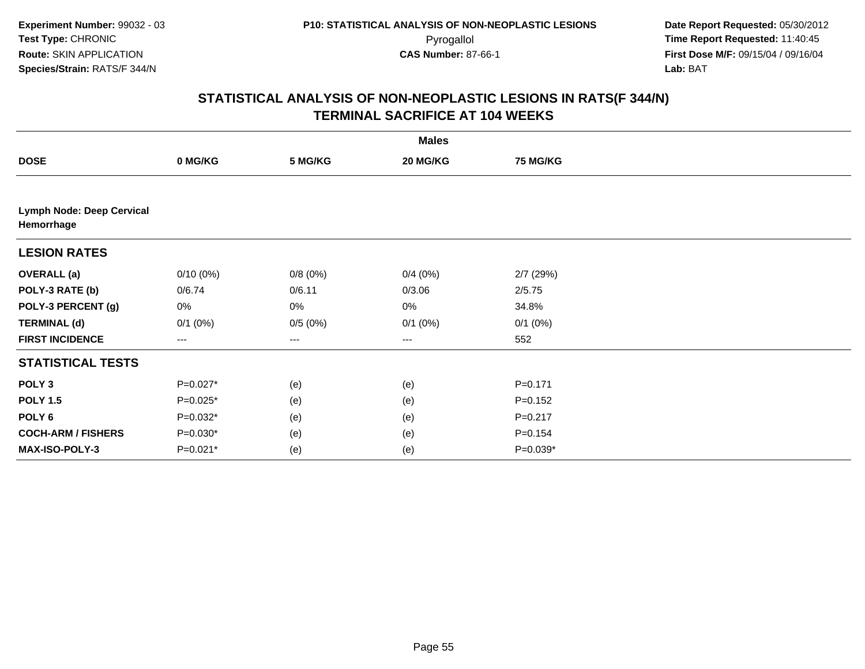|                                                |              |                   | <b>Males</b>      |                 |  |
|------------------------------------------------|--------------|-------------------|-------------------|-----------------|--|
| <b>DOSE</b>                                    | 0 MG/KG      | 5 MG/KG           | 20 MG/KG          | <b>75 MG/KG</b> |  |
|                                                |              |                   |                   |                 |  |
| <b>Lymph Node: Deep Cervical</b><br>Hemorrhage |              |                   |                   |                 |  |
| <b>LESION RATES</b>                            |              |                   |                   |                 |  |
| <b>OVERALL (a)</b>                             | $0/10(0\%)$  | 0/8(0%)           | 0/4(0%)           | 2/7(29%)        |  |
| POLY-3 RATE (b)                                | 0/6.74       | 0/6.11            | 0/3.06            | 2/5.75          |  |
| POLY-3 PERCENT (g)                             | 0%           | 0%                | 0%                | 34.8%           |  |
| <b>TERMINAL (d)</b>                            | $0/1$ $(0%)$ | 0/5(0%)           | $0/1$ $(0%)$      | $0/1$ $(0%)$    |  |
| <b>FIRST INCIDENCE</b>                         | ---          | $\qquad \qquad -$ | $\qquad \qquad -$ | 552             |  |
| <b>STATISTICAL TESTS</b>                       |              |                   |                   |                 |  |
| POLY <sub>3</sub>                              | P=0.027*     | (e)               | (e)               | $P = 0.171$     |  |
| <b>POLY 1.5</b>                                | P=0.025*     | (e)               | (e)               | $P = 0.152$     |  |
| POLY <sub>6</sub>                              | P=0.032*     | (e)               | (e)               | $P = 0.217$     |  |
| <b>COCH-ARM / FISHERS</b>                      | $P=0.030*$   | (e)               | (e)               | $P = 0.154$     |  |
| MAX-ISO-POLY-3                                 | P=0.021*     | (e)               | (e)               | $P=0.039*$      |  |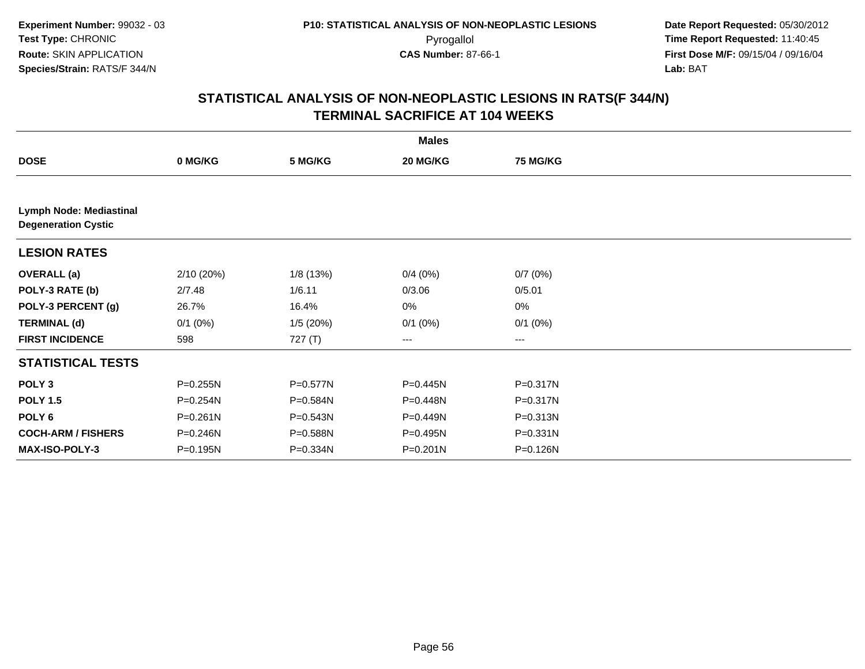|                                                              |              |              | <b>Males</b>      |                 |  |
|--------------------------------------------------------------|--------------|--------------|-------------------|-----------------|--|
| <b>DOSE</b>                                                  | 0 MG/KG      | 5 MG/KG      | 20 MG/KG          | <b>75 MG/KG</b> |  |
|                                                              |              |              |                   |                 |  |
| <b>Lymph Node: Mediastinal</b><br><b>Degeneration Cystic</b> |              |              |                   |                 |  |
| <b>LESION RATES</b>                                          |              |              |                   |                 |  |
| <b>OVERALL</b> (a)                                           | 2/10 (20%)   | 1/8 (13%)    | 0/4(0%)           | 0/7(0%)         |  |
| POLY-3 RATE (b)                                              | 2/7.48       | 1/6.11       | 0/3.06            | 0/5.01          |  |
| POLY-3 PERCENT (g)                                           | 26.7%        | 16.4%        | 0%                | 0%              |  |
| <b>TERMINAL (d)</b>                                          | $0/1$ $(0%)$ | 1/5(20%)     | $0/1$ (0%)        | $0/1$ $(0%)$    |  |
| <b>FIRST INCIDENCE</b>                                       | 598          | 727 (T)      | $\qquad \qquad -$ | ---             |  |
| <b>STATISTICAL TESTS</b>                                     |              |              |                   |                 |  |
| POLY <sub>3</sub>                                            | P=0.255N     | P=0.577N     | P=0.445N          | P=0.317N        |  |
| <b>POLY 1.5</b>                                              | P=0.254N     | P=0.584N     | P=0.448N          | P=0.317N        |  |
| POLY <sub>6</sub>                                            | $P = 0.261N$ | $P = 0.543N$ | P=0.449N          | P=0.313N        |  |
| <b>COCH-ARM / FISHERS</b>                                    | P=0.246N     | P=0.588N     | P=0.495N          | P=0.331N        |  |
| <b>MAX-ISO-POLY-3</b>                                        | P=0.195N     | P=0.334N     | $P = 0.201N$      | P=0.126N        |  |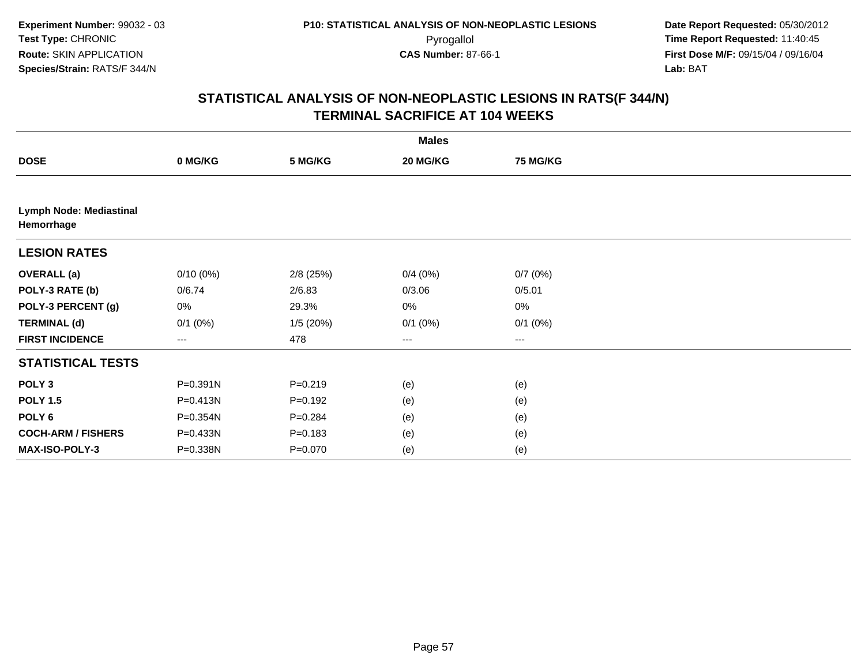|                                              |              |             | <b>Males</b>           |                 |  |
|----------------------------------------------|--------------|-------------|------------------------|-----------------|--|
| <b>DOSE</b>                                  | 0 MG/KG      | 5 MG/KG     | 20 MG/KG               | <b>75 MG/KG</b> |  |
|                                              |              |             |                        |                 |  |
| <b>Lymph Node: Mediastinal</b><br>Hemorrhage |              |             |                        |                 |  |
| <b>LESION RATES</b>                          |              |             |                        |                 |  |
| <b>OVERALL</b> (a)                           | $0/10(0\%)$  | $2/8$ (25%) | 0/4(0%)                | 0/7(0%)         |  |
| POLY-3 RATE (b)                              | 0/6.74       | 2/6.83      | 0/3.06                 | 0/5.01          |  |
| POLY-3 PERCENT (g)                           | 0%           | 29.3%       | 0%                     | 0%              |  |
| <b>TERMINAL (d)</b>                          | $0/1$ $(0%)$ | 1/5(20%)    | $0/1$ $(0%)$           | $0/1$ $(0%)$    |  |
| <b>FIRST INCIDENCE</b>                       | ---          | 478         | $\qquad \qquad \cdots$ | $\cdots$        |  |
| <b>STATISTICAL TESTS</b>                     |              |             |                        |                 |  |
| POLY <sub>3</sub>                            | P=0.391N     | $P = 0.219$ | (e)                    | (e)             |  |
| <b>POLY 1.5</b>                              | P=0.413N     | $P = 0.192$ | (e)                    | (e)             |  |
| POLY <sub>6</sub>                            | P=0.354N     | $P = 0.284$ | (e)                    | (e)             |  |
| <b>COCH-ARM / FISHERS</b>                    | P=0.433N     | $P = 0.183$ | (e)                    | (e)             |  |
| MAX-ISO-POLY-3                               | P=0.338N     | $P = 0.070$ | (e)                    | (e)             |  |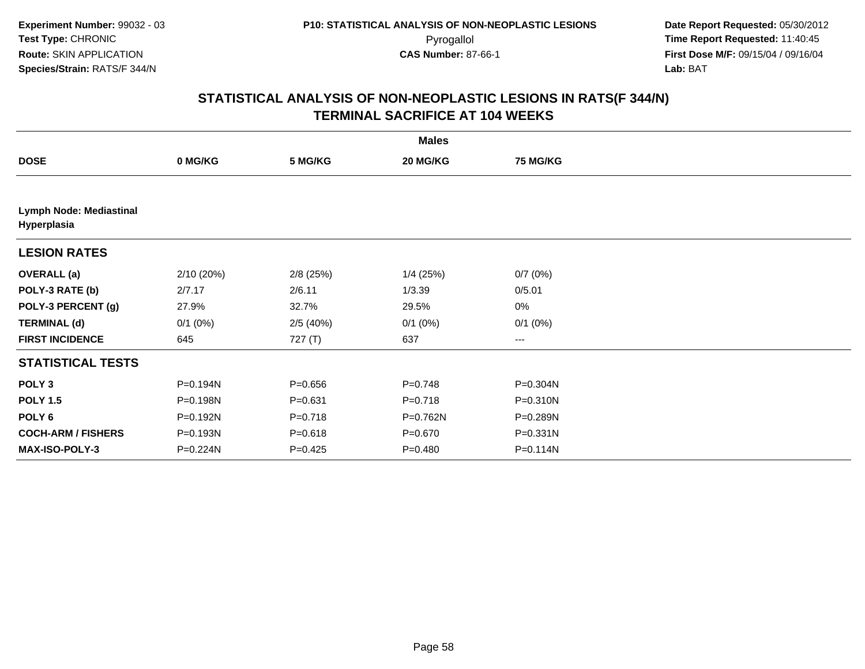|                                        |              |             | <b>Males</b> |              |  |
|----------------------------------------|--------------|-------------|--------------|--------------|--|
| <b>DOSE</b>                            | 0 MG/KG      | 5 MG/KG     | 20 MG/KG     | 75 MG/KG     |  |
|                                        |              |             |              |              |  |
| Lymph Node: Mediastinal<br>Hyperplasia |              |             |              |              |  |
| <b>LESION RATES</b>                    |              |             |              |              |  |
| <b>OVERALL</b> (a)                     | 2/10 (20%)   | $2/8$ (25%) | $1/4$ (25%)  | 0/7(0%)      |  |
| POLY-3 RATE (b)                        | 2/7.17       | 2/6.11      | 1/3.39       | 0/5.01       |  |
| POLY-3 PERCENT (g)                     | 27.9%        | 32.7%       | 29.5%        | 0%           |  |
| <b>TERMINAL (d)</b>                    | $0/1$ $(0%)$ | 2/5(40%)    | $0/1$ $(0%)$ | $0/1$ $(0%)$ |  |
| <b>FIRST INCIDENCE</b>                 | 645          | 727(T)      | 637          | ---          |  |
| <b>STATISTICAL TESTS</b>               |              |             |              |              |  |
| POLY <sub>3</sub>                      | P=0.194N     | $P = 0.656$ | $P=0.748$    | P=0.304N     |  |
| <b>POLY 1.5</b>                        | P=0.198N     | $P = 0.631$ | $P = 0.718$  | $P = 0.310N$ |  |
| POLY <sub>6</sub>                      | P=0.192N     | $P=0.718$   | P=0.762N     | P=0.289N     |  |
| <b>COCH-ARM / FISHERS</b>              | P=0.193N     | $P = 0.618$ | $P = 0.670$  | P=0.331N     |  |
| MAX-ISO-POLY-3                         | P=0.224N     | $P=0.425$   | $P=0.480$    | P=0.114N     |  |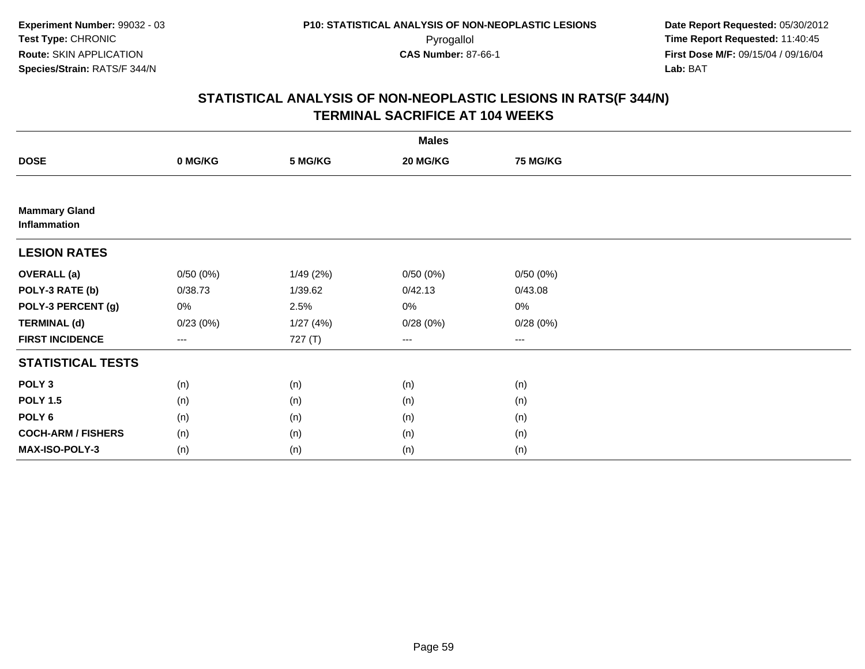|                                      |                   |          | <b>Males</b> |          |  |
|--------------------------------------|-------------------|----------|--------------|----------|--|
| <b>DOSE</b>                          | 0 MG/KG           | 5 MG/KG  | 20 MG/KG     | 75 MG/KG |  |
|                                      |                   |          |              |          |  |
| <b>Mammary Gland</b><br>Inflammation |                   |          |              |          |  |
| <b>LESION RATES</b>                  |                   |          |              |          |  |
| <b>OVERALL</b> (a)                   | 0/50(0%)          | 1/49(2%) | 0/50(0%)     | 0/50(0%) |  |
| POLY-3 RATE (b)                      | 0/38.73           | 1/39.62  | 0/42.13      | 0/43.08  |  |
| POLY-3 PERCENT (g)                   | 0%                | 2.5%     | $0\%$        | $0\%$    |  |
| <b>TERMINAL (d)</b>                  | 0/23(0%)          | 1/27(4%) | 0/28(0%)     | 0/28(0%) |  |
| <b>FIRST INCIDENCE</b>               | $\qquad \qquad -$ | 727 (T)  | $\cdots$     | $\cdots$ |  |
| <b>STATISTICAL TESTS</b>             |                   |          |              |          |  |
| POLY <sub>3</sub>                    | (n)               | (n)      | (n)          | (n)      |  |
| <b>POLY 1.5</b>                      | (n)               | (n)      | (n)          | (n)      |  |
| POLY <sub>6</sub>                    | (n)               | (n)      | (n)          | (n)      |  |
| <b>COCH-ARM / FISHERS</b>            | (n)               | (n)      | (n)          | (n)      |  |
| <b>MAX-ISO-POLY-3</b>                | (n)               | (n)      | (n)          | (n)      |  |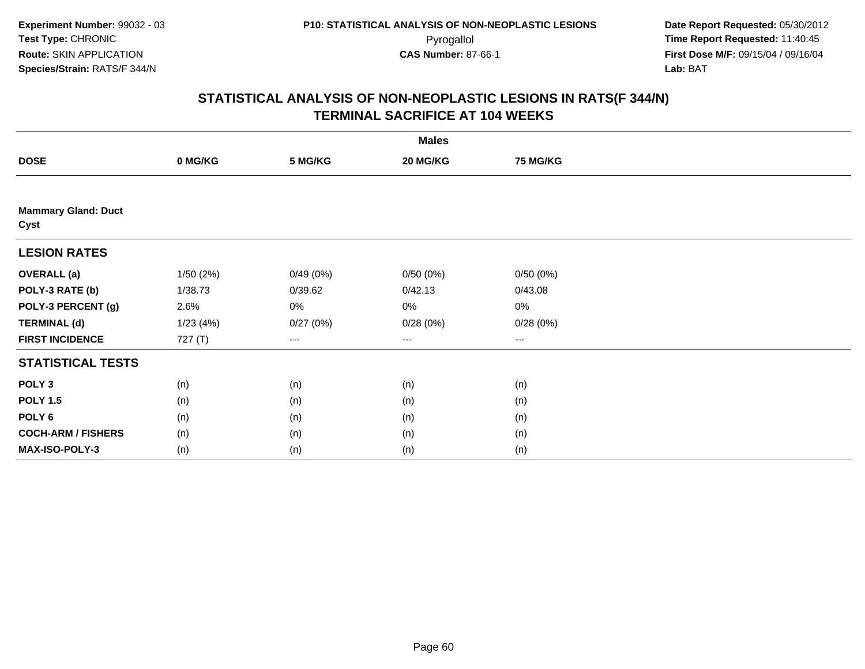|                                    |          |          | <b>Males</b>           |                 |  |
|------------------------------------|----------|----------|------------------------|-----------------|--|
| <b>DOSE</b>                        | 0 MG/KG  | 5 MG/KG  | 20 MG/KG               | <b>75 MG/KG</b> |  |
|                                    |          |          |                        |                 |  |
| <b>Mammary Gland: Duct</b><br>Cyst |          |          |                        |                 |  |
| <b>LESION RATES</b>                |          |          |                        |                 |  |
| <b>OVERALL</b> (a)                 | 1/50(2%) | 0/49(0%) | 0/50(0%)               | 0/50(0%)        |  |
| POLY-3 RATE (b)                    | 1/38.73  | 0/39.62  | 0/42.13                | 0/43.08         |  |
| POLY-3 PERCENT (g)                 | 2.6%     | 0%       | 0%                     | 0%              |  |
| <b>TERMINAL (d)</b>                | 1/23(4%) | 0/27(0%) | 0/28(0%)               | 0/28(0%)        |  |
| <b>FIRST INCIDENCE</b>             | 727 (T)  | ---      | $\qquad \qquad \cdots$ | $--$            |  |
| <b>STATISTICAL TESTS</b>           |          |          |                        |                 |  |
| POLY <sub>3</sub>                  | (n)      | (n)      | (n)                    | (n)             |  |
| <b>POLY 1.5</b>                    | (n)      | (n)      | (n)                    | (n)             |  |
| POLY <sub>6</sub>                  | (n)      | (n)      | (n)                    | (n)             |  |
| <b>COCH-ARM / FISHERS</b>          | (n)      | (n)      | (n)                    | (n)             |  |
| MAX-ISO-POLY-3                     | (n)      | (n)      | (n)                    | (n)             |  |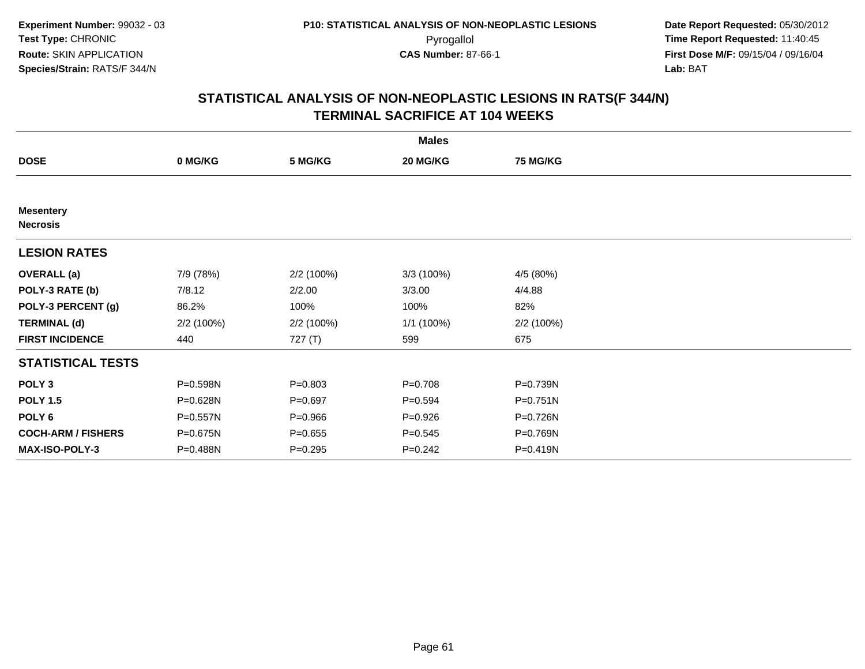| <b>Males</b>                        |            |             |             |                 |  |  |  |
|-------------------------------------|------------|-------------|-------------|-----------------|--|--|--|
| <b>DOSE</b>                         | 0 MG/KG    | 5 MG/KG     | 20 MG/KG    | <b>75 MG/KG</b> |  |  |  |
|                                     |            |             |             |                 |  |  |  |
| <b>Mesentery</b><br><b>Necrosis</b> |            |             |             |                 |  |  |  |
| <b>LESION RATES</b>                 |            |             |             |                 |  |  |  |
| <b>OVERALL</b> (a)                  | 7/9 (78%)  | 2/2 (100%)  | 3/3 (100%)  | 4/5 (80%)       |  |  |  |
| POLY-3 RATE (b)                     | 7/8.12     | 2/2.00      | 3/3.00      | 4/4.88          |  |  |  |
| POLY-3 PERCENT (g)                  | 86.2%      | 100%        | 100%        | 82%             |  |  |  |
| <b>TERMINAL (d)</b>                 | 2/2 (100%) | 2/2 (100%)  | 1/1 (100%)  | 2/2(100%)       |  |  |  |
| <b>FIRST INCIDENCE</b>              | 440        | 727 $(T)$   | 599         | 675             |  |  |  |
| <b>STATISTICAL TESTS</b>            |            |             |             |                 |  |  |  |
| POLY <sub>3</sub>                   | P=0.598N   | $P = 0.803$ | $P = 0.708$ | P=0.739N        |  |  |  |
| <b>POLY 1.5</b>                     | P=0.628N   | $P = 0.697$ | $P = 0.594$ | P=0.751N        |  |  |  |
| POLY <sub>6</sub>                   | P=0.557N   | $P = 0.966$ | $P = 0.926$ | P=0.726N        |  |  |  |
| <b>COCH-ARM / FISHERS</b>           | P=0.675N   | $P = 0.655$ | $P = 0.545$ | P=0.769N        |  |  |  |
| <b>MAX-ISO-POLY-3</b>               | P=0.488N   | $P = 0.295$ | $P = 0.242$ | P=0.419N        |  |  |  |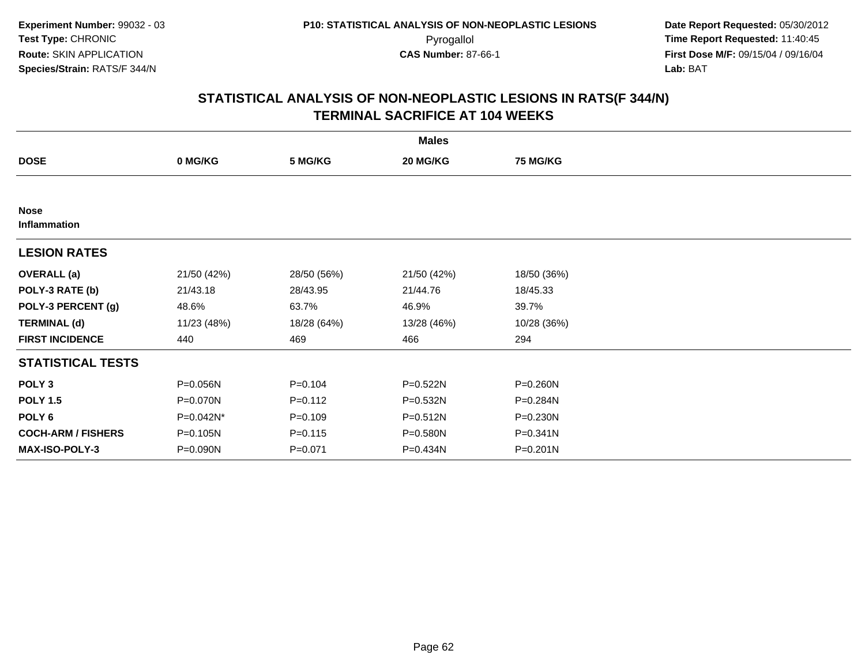| <b>Males</b>                |             |             |              |                 |  |  |  |
|-----------------------------|-------------|-------------|--------------|-----------------|--|--|--|
| <b>DOSE</b>                 | 0 MG/KG     | 5 MG/KG     | 20 MG/KG     | <b>75 MG/KG</b> |  |  |  |
|                             |             |             |              |                 |  |  |  |
| <b>Nose</b><br>Inflammation |             |             |              |                 |  |  |  |
| <b>LESION RATES</b>         |             |             |              |                 |  |  |  |
| <b>OVERALL</b> (a)          | 21/50 (42%) | 28/50 (56%) | 21/50 (42%)  | 18/50 (36%)     |  |  |  |
| POLY-3 RATE (b)             | 21/43.18    | 28/43.95    | 21/44.76     | 18/45.33        |  |  |  |
| POLY-3 PERCENT (g)          | 48.6%       | 63.7%       | 46.9%        | 39.7%           |  |  |  |
| <b>TERMINAL (d)</b>         | 11/23 (48%) | 18/28 (64%) | 13/28 (46%)  | 10/28 (36%)     |  |  |  |
| <b>FIRST INCIDENCE</b>      | 440         | 469         | 466          | 294             |  |  |  |
| <b>STATISTICAL TESTS</b>    |             |             |              |                 |  |  |  |
| POLY <sub>3</sub>           | P=0.056N    | $P = 0.104$ | $P = 0.522N$ | P=0.260N        |  |  |  |
| <b>POLY 1.5</b>             | P=0.070N    | $P = 0.112$ | P=0.532N     | P=0.284N        |  |  |  |
| POLY 6                      | P=0.042N*   | $P = 0.109$ | $P = 0.512N$ | P=0.230N        |  |  |  |
| <b>COCH-ARM / FISHERS</b>   | P=0.105N    | $P = 0.115$ | P=0.580N     | $P = 0.341N$    |  |  |  |
| MAX-ISO-POLY-3              | P=0.090N    | $P = 0.071$ | P=0.434N     | P=0.201N        |  |  |  |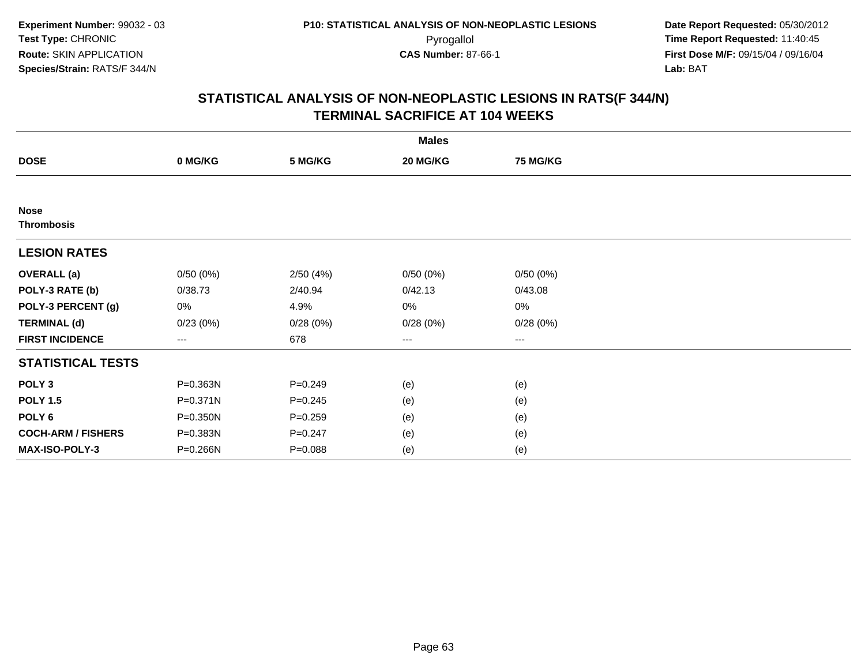| <b>Males</b>                     |              |             |          |                 |  |  |  |
|----------------------------------|--------------|-------------|----------|-----------------|--|--|--|
| <b>DOSE</b>                      | 0 MG/KG      | 5 MG/KG     | 20 MG/KG | <b>75 MG/KG</b> |  |  |  |
|                                  |              |             |          |                 |  |  |  |
| <b>Nose</b><br><b>Thrombosis</b> |              |             |          |                 |  |  |  |
| <b>LESION RATES</b>              |              |             |          |                 |  |  |  |
| <b>OVERALL</b> (a)               | 0/50(0%)     | 2/50(4%)    | 0/50(0%) | 0/50(0%)        |  |  |  |
| POLY-3 RATE (b)                  | 0/38.73      | 2/40.94     | 0/42.13  | 0/43.08         |  |  |  |
| POLY-3 PERCENT (g)               | 0%           | 4.9%        | 0%       | 0%              |  |  |  |
| <b>TERMINAL (d)</b>              | 0/23(0%)     | 0/28(0%)    | 0/28(0%) | 0/28(0%)        |  |  |  |
| <b>FIRST INCIDENCE</b>           | ---          | 678         | $--$     | $--$            |  |  |  |
| <b>STATISTICAL TESTS</b>         |              |             |          |                 |  |  |  |
| POLY <sub>3</sub>                | P=0.363N     | $P = 0.249$ | (e)      | (e)             |  |  |  |
| <b>POLY 1.5</b>                  | $P = 0.371N$ | $P = 0.245$ | (e)      | (e)             |  |  |  |
| POLY 6                           | P=0.350N     | $P = 0.259$ | (e)      | (e)             |  |  |  |
| <b>COCH-ARM / FISHERS</b>        | P=0.383N     | $P = 0.247$ | (e)      | (e)             |  |  |  |
| MAX-ISO-POLY-3                   | P=0.266N     | $P = 0.088$ | (e)      | (e)             |  |  |  |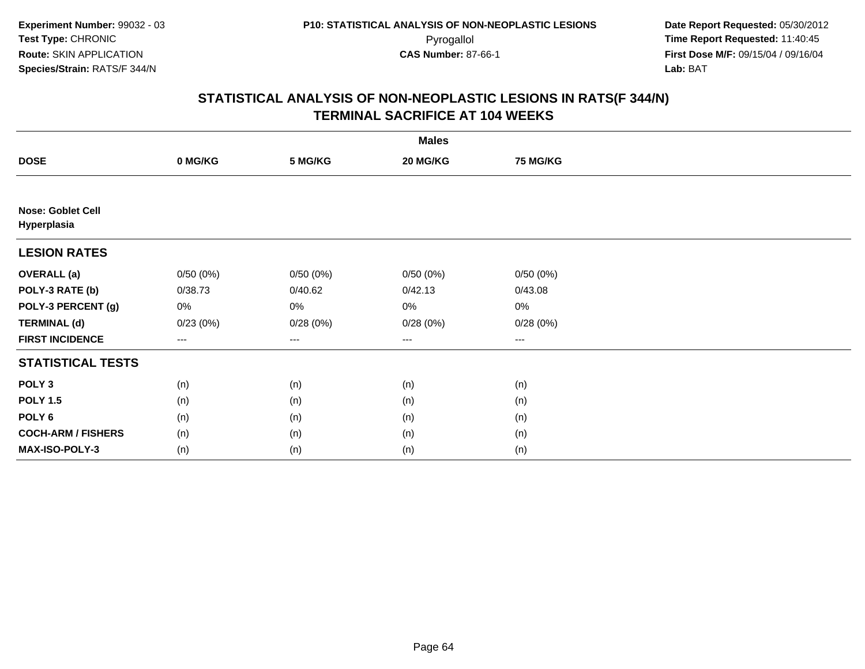| <b>Males</b>                            |                   |          |                        |                 |  |  |  |
|-----------------------------------------|-------------------|----------|------------------------|-----------------|--|--|--|
| <b>DOSE</b>                             | 0 MG/KG           | 5 MG/KG  | 20 MG/KG               | <b>75 MG/KG</b> |  |  |  |
|                                         |                   |          |                        |                 |  |  |  |
| <b>Nose: Goblet Cell</b><br>Hyperplasia |                   |          |                        |                 |  |  |  |
| <b>LESION RATES</b>                     |                   |          |                        |                 |  |  |  |
| <b>OVERALL (a)</b>                      | 0/50(0%)          | 0/50(0%) | 0/50(0%)               | 0/50(0%)        |  |  |  |
| POLY-3 RATE (b)                         | 0/38.73           | 0/40.62  | 0/42.13                | 0/43.08         |  |  |  |
| POLY-3 PERCENT (g)                      | 0%                | 0%       | 0%                     | $0\%$           |  |  |  |
| <b>TERMINAL (d)</b>                     | 0/23(0%)          | 0/28(0%) | 0/28(0%)               | 0/28(0%)        |  |  |  |
| <b>FIRST INCIDENCE</b>                  | $\qquad \qquad -$ | ---      | $\qquad \qquad \cdots$ | ---             |  |  |  |
| <b>STATISTICAL TESTS</b>                |                   |          |                        |                 |  |  |  |
| POLY <sub>3</sub>                       | (n)               | (n)      | (n)                    | (n)             |  |  |  |
| <b>POLY 1.5</b>                         | (n)               | (n)      | (n)                    | (n)             |  |  |  |
| POLY 6                                  | (n)               | (n)      | (n)                    | (n)             |  |  |  |
| <b>COCH-ARM / FISHERS</b>               | (n)               | (n)      | (n)                    | (n)             |  |  |  |
| MAX-ISO-POLY-3                          | (n)               | (n)      | (n)                    | (n)             |  |  |  |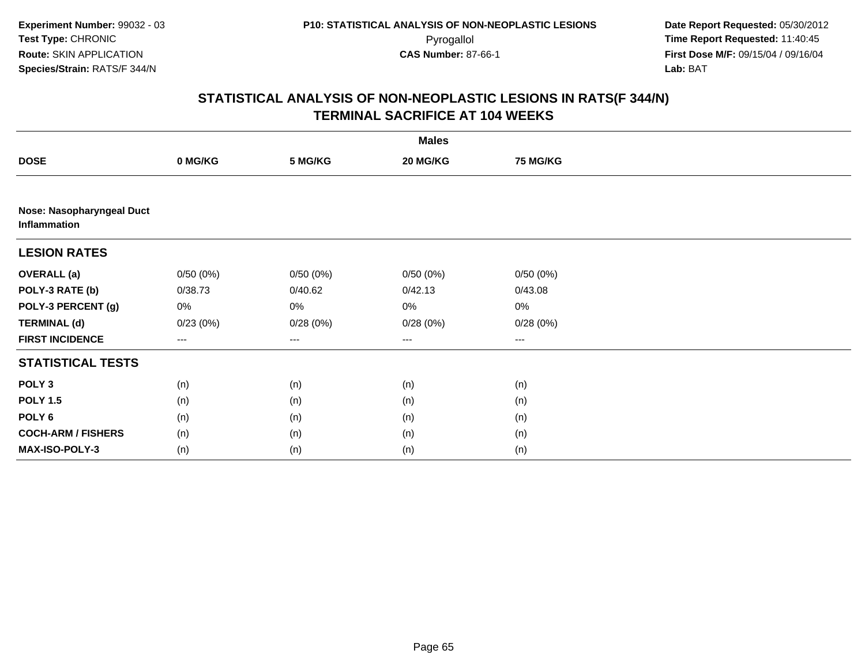| <b>Males</b>                              |          |                        |          |          |  |  |  |  |  |
|-------------------------------------------|----------|------------------------|----------|----------|--|--|--|--|--|
| <b>DOSE</b>                               | 0 MG/KG  | 5 MG/KG                | 20 MG/KG | 75 MG/KG |  |  |  |  |  |
|                                           |          |                        |          |          |  |  |  |  |  |
| Nose: Nasopharyngeal Duct<br>Inflammation |          |                        |          |          |  |  |  |  |  |
| <b>LESION RATES</b>                       |          |                        |          |          |  |  |  |  |  |
| <b>OVERALL (a)</b>                        | 0/50(0%) | 0/50(0%)               | 0/50(0%) | 0/50(0%) |  |  |  |  |  |
| POLY-3 RATE (b)                           | 0/38.73  | 0/40.62                | 0/42.13  | 0/43.08  |  |  |  |  |  |
| POLY-3 PERCENT (g)                        | 0%       | 0%                     | $0\%$    | 0%       |  |  |  |  |  |
| <b>TERMINAL (d)</b>                       | 0/23(0%) | 0/28(0%)               | 0/28(0%) | 0/28(0%) |  |  |  |  |  |
| <b>FIRST INCIDENCE</b>                    | ---      | $\qquad \qquad \cdots$ | $--$     | ---      |  |  |  |  |  |
| <b>STATISTICAL TESTS</b>                  |          |                        |          |          |  |  |  |  |  |
| POLY <sub>3</sub>                         | (n)      | (n)                    | (n)      | (n)      |  |  |  |  |  |
| <b>POLY 1.5</b>                           | (n)      | (n)                    | (n)      | (n)      |  |  |  |  |  |
| POLY <sub>6</sub>                         | (n)      | (n)                    | (n)      | (n)      |  |  |  |  |  |
| <b>COCH-ARM / FISHERS</b>                 | (n)      | (n)                    | (n)      | (n)      |  |  |  |  |  |
| MAX-ISO-POLY-3                            | (n)      | (n)                    | (n)      | (n)      |  |  |  |  |  |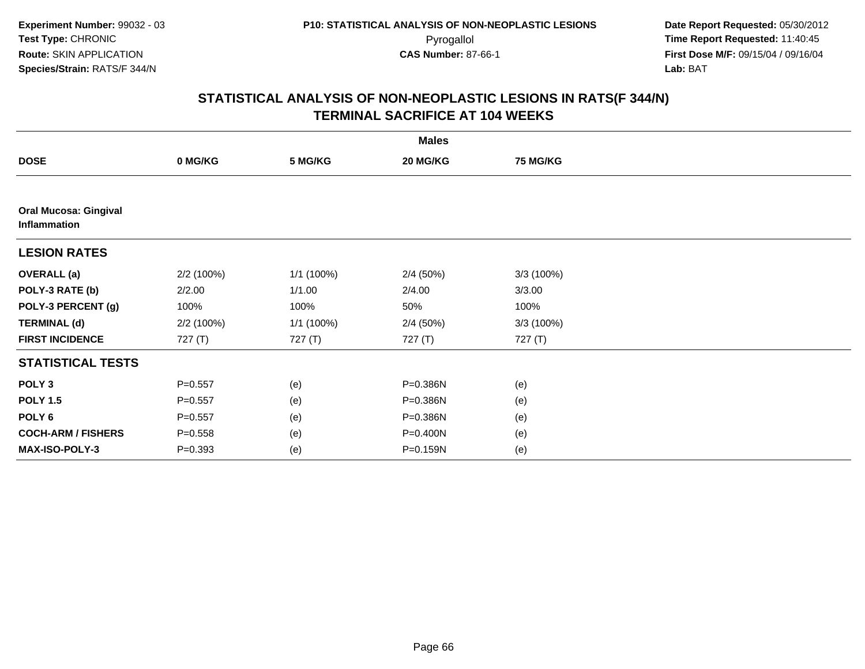| <b>Males</b>                                 |             |            |          |                 |  |  |  |
|----------------------------------------------|-------------|------------|----------|-----------------|--|--|--|
| <b>DOSE</b>                                  | 0 MG/KG     | 5 MG/KG    | 20 MG/KG | <b>75 MG/KG</b> |  |  |  |
|                                              |             |            |          |                 |  |  |  |
| <b>Oral Mucosa: Gingival</b><br>Inflammation |             |            |          |                 |  |  |  |
| <b>LESION RATES</b>                          |             |            |          |                 |  |  |  |
| <b>OVERALL</b> (a)                           | 2/2 (100%)  | 1/1 (100%) | 2/4(50%) | 3/3(100%)       |  |  |  |
| POLY-3 RATE (b)                              | 2/2.00      | 1/1.00     | 2/4.00   | 3/3.00          |  |  |  |
| POLY-3 PERCENT (g)                           | 100%        | 100%       | 50%      | 100%            |  |  |  |
| <b>TERMINAL (d)</b>                          | 2/2 (100%)  | 1/1 (100%) | 2/4(50%) | 3/3 (100%)      |  |  |  |
| <b>FIRST INCIDENCE</b>                       | 727 (T)     | 727 (T)    | 727 (T)  | 727 (T)         |  |  |  |
| <b>STATISTICAL TESTS</b>                     |             |            |          |                 |  |  |  |
| POLY <sub>3</sub>                            | $P = 0.557$ | (e)        | P=0.386N | (e)             |  |  |  |
| <b>POLY 1.5</b>                              | $P = 0.557$ | (e)        | P=0.386N | (e)             |  |  |  |
| POLY <sub>6</sub>                            | $P = 0.557$ | (e)        | P=0.386N | (e)             |  |  |  |
| <b>COCH-ARM / FISHERS</b>                    | $P = 0.558$ | (e)        | P=0.400N | (e)             |  |  |  |
| MAX-ISO-POLY-3                               | $P = 0.393$ | (e)        | P=0.159N | (e)             |  |  |  |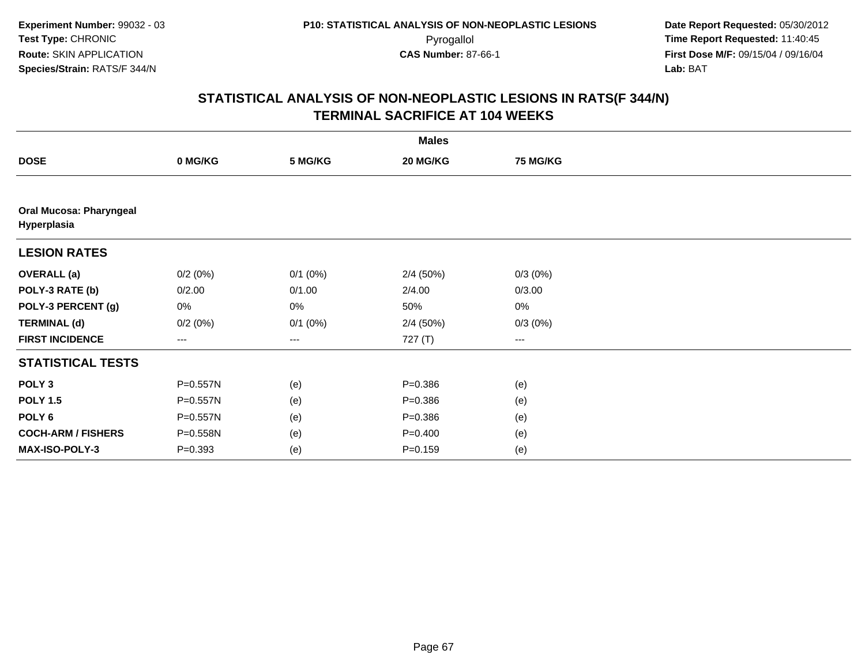| <b>Males</b>                                  |             |                   |             |                   |  |  |  |
|-----------------------------------------------|-------------|-------------------|-------------|-------------------|--|--|--|
| <b>DOSE</b>                                   | 0 MG/KG     | 5 MG/KG           | 20 MG/KG    | <b>75 MG/KG</b>   |  |  |  |
|                                               |             |                   |             |                   |  |  |  |
| <b>Oral Mucosa: Pharyngeal</b><br>Hyperplasia |             |                   |             |                   |  |  |  |
| <b>LESION RATES</b>                           |             |                   |             |                   |  |  |  |
| <b>OVERALL</b> (a)                            | 0/2(0%)     | $0/1$ (0%)        | 2/4(50%)    | $0/3(0\%)$        |  |  |  |
| POLY-3 RATE (b)                               | 0/2.00      | 0/1.00            | 2/4.00      | 0/3.00            |  |  |  |
| POLY-3 PERCENT (g)                            | 0%          | 0%                | 50%         | $0\%$             |  |  |  |
| <b>TERMINAL (d)</b>                           | 0/2(0%)     | $0/1$ (0%)        | 2/4(50%)    | $0/3(0\%)$        |  |  |  |
| <b>FIRST INCIDENCE</b>                        | ---         | $\qquad \qquad -$ | 727 (T)     | $\qquad \qquad -$ |  |  |  |
| <b>STATISTICAL TESTS</b>                      |             |                   |             |                   |  |  |  |
| POLY <sub>3</sub>                             | P=0.557N    | (e)               | $P = 0.386$ | (e)               |  |  |  |
| <b>POLY 1.5</b>                               | P=0.557N    | (e)               | $P = 0.386$ | (e)               |  |  |  |
| POLY <sub>6</sub>                             | P=0.557N    | (e)               | $P = 0.386$ | (e)               |  |  |  |
| <b>COCH-ARM / FISHERS</b>                     | P=0.558N    | (e)               | $P=0.400$   | (e)               |  |  |  |
| MAX-ISO-POLY-3                                | $P = 0.393$ | (e)               | $P = 0.159$ | (e)               |  |  |  |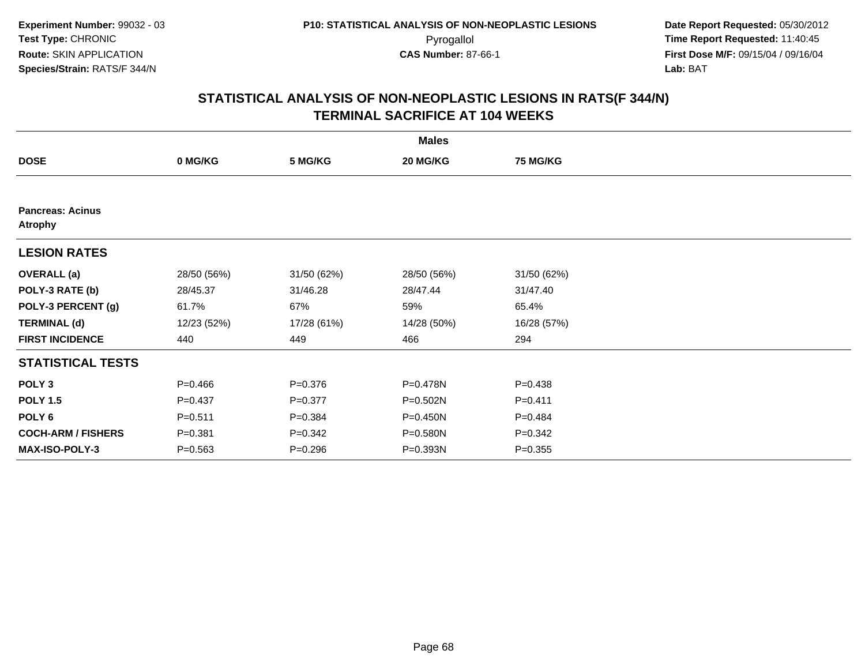| <b>Males</b>                              |             |             |             |                 |  |  |  |
|-------------------------------------------|-------------|-------------|-------------|-----------------|--|--|--|
| <b>DOSE</b>                               | 0 MG/KG     | 5 MG/KG     | 20 MG/KG    | <b>75 MG/KG</b> |  |  |  |
|                                           |             |             |             |                 |  |  |  |
| <b>Pancreas: Acinus</b><br><b>Atrophy</b> |             |             |             |                 |  |  |  |
| <b>LESION RATES</b>                       |             |             |             |                 |  |  |  |
| <b>OVERALL</b> (a)                        | 28/50 (56%) | 31/50 (62%) | 28/50 (56%) | 31/50 (62%)     |  |  |  |
| POLY-3 RATE (b)                           | 28/45.37    | 31/46.28    | 28/47.44    | 31/47.40        |  |  |  |
| POLY-3 PERCENT (g)                        | 61.7%       | 67%         | 59%         | 65.4%           |  |  |  |
| <b>TERMINAL (d)</b>                       | 12/23 (52%) | 17/28 (61%) | 14/28 (50%) | 16/28 (57%)     |  |  |  |
| <b>FIRST INCIDENCE</b>                    | 440         | 449         | 466         | 294             |  |  |  |
| <b>STATISTICAL TESTS</b>                  |             |             |             |                 |  |  |  |
| POLY <sub>3</sub>                         | $P = 0.466$ | $P = 0.376$ | P=0.478N    | $P = 0.438$     |  |  |  |
| <b>POLY 1.5</b>                           | $P = 0.437$ | $P = 0.377$ | P=0.502N    | $P = 0.411$     |  |  |  |
| POLY 6                                    | $P = 0.511$ | $P = 0.384$ | P=0.450N    | $P=0.484$       |  |  |  |
| <b>COCH-ARM / FISHERS</b>                 | $P = 0.381$ | $P = 0.342$ | P=0.580N    | $P = 0.342$     |  |  |  |
| <b>MAX-ISO-POLY-3</b>                     | $P = 0.563$ | $P = 0.296$ | P=0.393N    | $P = 0.355$     |  |  |  |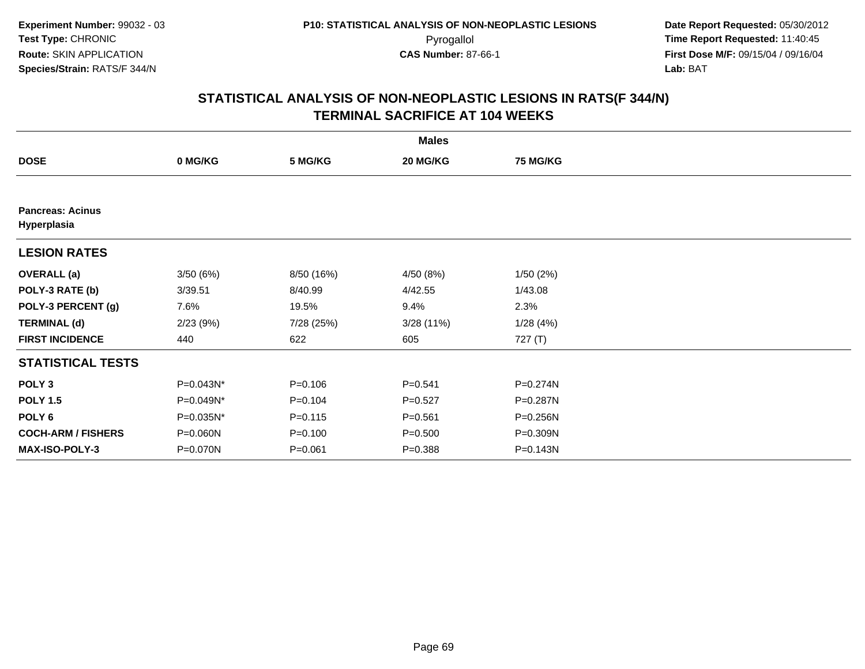| <b>Males</b>                           |           |             |             |                 |  |  |  |
|----------------------------------------|-----------|-------------|-------------|-----------------|--|--|--|
| <b>DOSE</b>                            | 0 MG/KG   | 5 MG/KG     | 20 MG/KG    | <b>75 MG/KG</b> |  |  |  |
|                                        |           |             |             |                 |  |  |  |
| <b>Pancreas: Acinus</b><br>Hyperplasia |           |             |             |                 |  |  |  |
| <b>LESION RATES</b>                    |           |             |             |                 |  |  |  |
| <b>OVERALL</b> (a)                     | 3/50(6%)  | 8/50 (16%)  | 4/50 (8%)   | 1/50(2%)        |  |  |  |
| POLY-3 RATE (b)                        | 3/39.51   | 8/40.99     | 4/42.55     | 1/43.08         |  |  |  |
| POLY-3 PERCENT (g)                     | 7.6%      | 19.5%       | 9.4%        | 2.3%            |  |  |  |
| <b>TERMINAL (d)</b>                    | 2/23(9%)  | 7/28 (25%)  | 3/28(11%)   | 1/28(4%)        |  |  |  |
| <b>FIRST INCIDENCE</b>                 | 440       | 622         | 605         | 727 (T)         |  |  |  |
| <b>STATISTICAL TESTS</b>               |           |             |             |                 |  |  |  |
| POLY <sub>3</sub>                      | P=0.043N* | $P = 0.106$ | $P = 0.541$ | P=0.274N        |  |  |  |
| <b>POLY 1.5</b>                        | P=0.049N* | $P = 0.104$ | $P = 0.527$ | P=0.287N        |  |  |  |
| POLY 6                                 | P=0.035N* | $P = 0.115$ | $P = 0.561$ | P=0.256N        |  |  |  |
| <b>COCH-ARM / FISHERS</b>              | P=0.060N  | $P = 0.100$ | $P = 0.500$ | P=0.309N        |  |  |  |
| MAX-ISO-POLY-3                         | P=0.070N  | $P = 0.061$ | $P = 0.388$ | P=0.143N        |  |  |  |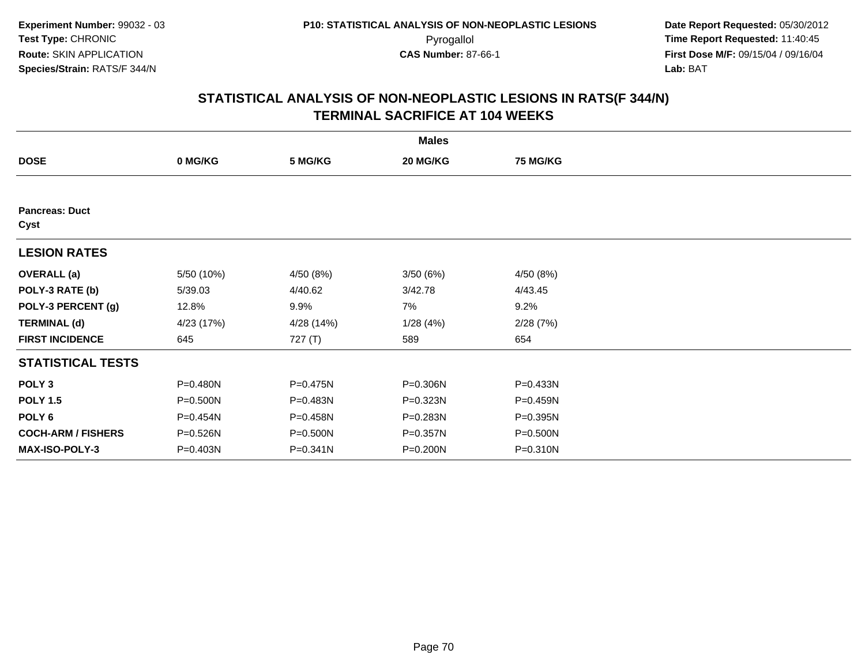| <b>Males</b>                  |            |            |          |                 |  |  |  |
|-------------------------------|------------|------------|----------|-----------------|--|--|--|
| <b>DOSE</b>                   | 0 MG/KG    | 5 MG/KG    | 20 MG/KG | <b>75 MG/KG</b> |  |  |  |
|                               |            |            |          |                 |  |  |  |
| <b>Pancreas: Duct</b><br>Cyst |            |            |          |                 |  |  |  |
| <b>LESION RATES</b>           |            |            |          |                 |  |  |  |
| <b>OVERALL</b> (a)            | 5/50 (10%) | 4/50 (8%)  | 3/50(6%) | 4/50 (8%)       |  |  |  |
| POLY-3 RATE (b)               | 5/39.03    | 4/40.62    | 3/42.78  | 4/43.45         |  |  |  |
| POLY-3 PERCENT (g)            | 12.8%      | 9.9%       | 7%       | 9.2%            |  |  |  |
| <b>TERMINAL (d)</b>           | 4/23 (17%) | 4/28 (14%) | 1/28(4%) | 2/28(7%)        |  |  |  |
| <b>FIRST INCIDENCE</b>        | 645        | 727 $(T)$  | 589      | 654             |  |  |  |
| <b>STATISTICAL TESTS</b>      |            |            |          |                 |  |  |  |
| POLY <sub>3</sub>             | P=0.480N   | P=0.475N   | P=0.306N | P=0.433N        |  |  |  |
| <b>POLY 1.5</b>               | P=0.500N   | P=0.483N   | P=0.323N | P=0.459N        |  |  |  |
| POLY 6                        | P=0.454N   | P=0.458N   | P=0.283N | P=0.395N        |  |  |  |
| <b>COCH-ARM / FISHERS</b>     | P=0.526N   | P=0.500N   | P=0.357N | P=0.500N        |  |  |  |
| <b>MAX-ISO-POLY-3</b>         | P=0.403N   | P=0.341N   | P=0.200N | P=0.310N        |  |  |  |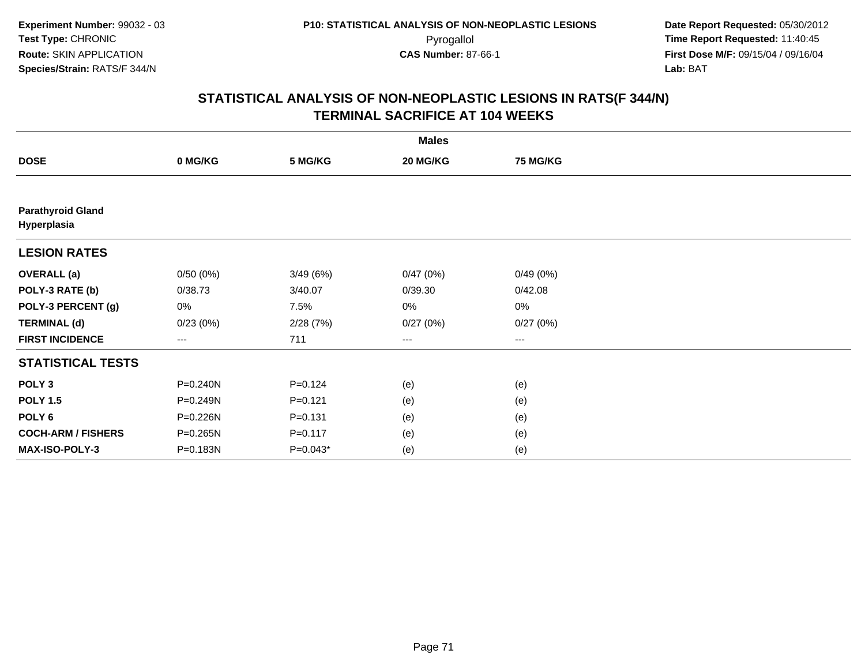| <b>Males</b>                            |          |             |          |                 |  |  |  |
|-----------------------------------------|----------|-------------|----------|-----------------|--|--|--|
| <b>DOSE</b>                             | 0 MG/KG  | 5 MG/KG     | 20 MG/KG | <b>75 MG/KG</b> |  |  |  |
|                                         |          |             |          |                 |  |  |  |
| <b>Parathyroid Gland</b><br>Hyperplasia |          |             |          |                 |  |  |  |
| <b>LESION RATES</b>                     |          |             |          |                 |  |  |  |
| <b>OVERALL</b> (a)                      | 0/50(0%) | 3/49(6%)    | 0/47(0%) | 0/49(0%)        |  |  |  |
| POLY-3 RATE (b)                         | 0/38.73  | 3/40.07     | 0/39.30  | 0/42.08         |  |  |  |
| POLY-3 PERCENT (g)                      | 0%       | 7.5%        | 0%       | $0\%$           |  |  |  |
| <b>TERMINAL (d)</b>                     | 0/23(0%) | 2/28(7%)    | 0/27(0%) | 0/27(0%)        |  |  |  |
| <b>FIRST INCIDENCE</b>                  | $\cdots$ | 711         | $\cdots$ | $\cdots$        |  |  |  |
| <b>STATISTICAL TESTS</b>                |          |             |          |                 |  |  |  |
| POLY <sub>3</sub>                       | P=0.240N | $P = 0.124$ | (e)      | (e)             |  |  |  |
| <b>POLY 1.5</b>                         | P=0.249N | $P=0.121$   | (e)      | (e)             |  |  |  |
| POLY <sub>6</sub>                       | P=0.226N | $P = 0.131$ | (e)      | (e)             |  |  |  |
| <b>COCH-ARM / FISHERS</b>               | P=0.265N | $P = 0.117$ | (e)      | (e)             |  |  |  |
| <b>MAX-ISO-POLY-3</b>                   | P=0.183N | $P=0.043*$  | (e)      | (e)             |  |  |  |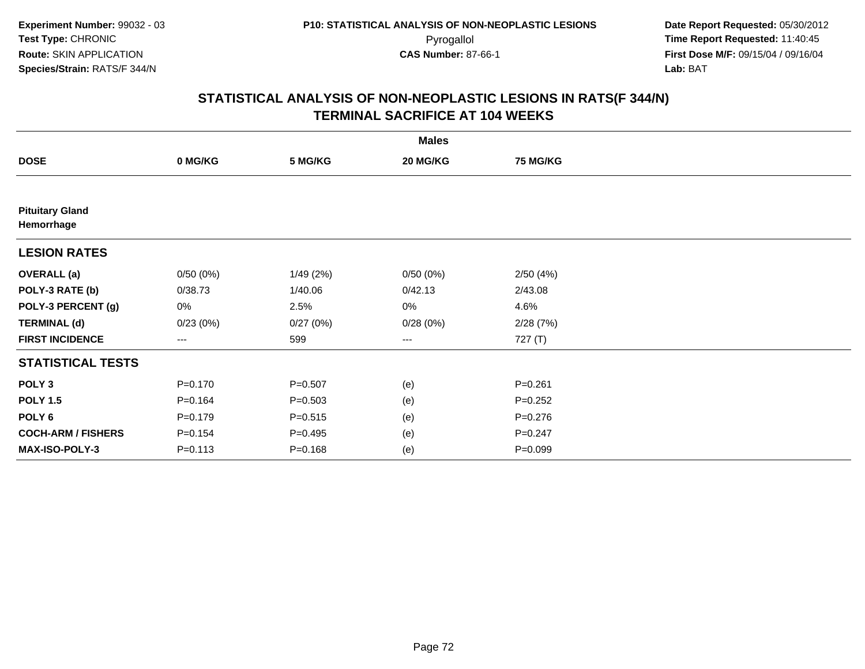|                                      |             |             | <b>Males</b>        |                 |  |
|--------------------------------------|-------------|-------------|---------------------|-----------------|--|
| <b>DOSE</b>                          | 0 MG/KG     | 5 MG/KG     | 20 MG/KG            | <b>75 MG/KG</b> |  |
|                                      |             |             |                     |                 |  |
| <b>Pituitary Gland</b><br>Hemorrhage |             |             |                     |                 |  |
| <b>LESION RATES</b>                  |             |             |                     |                 |  |
| <b>OVERALL</b> (a)                   | 0/50(0%)    | 1/49(2%)    | 0/50(0%)            | 2/50(4%)        |  |
| POLY-3 RATE (b)                      | 0/38.73     | 1/40.06     | 0/42.13             | 2/43.08         |  |
| POLY-3 PERCENT (g)                   | 0%          | 2.5%        | 0%                  | 4.6%            |  |
| <b>TERMINAL (d)</b>                  | 0/23(0%)    | 0/27(0%)    | 0/28(0%)            | 2/28(7%)        |  |
| <b>FIRST INCIDENCE</b>               | ---         | 599         | $\qquad \qquad - -$ | 727 (T)         |  |
| <b>STATISTICAL TESTS</b>             |             |             |                     |                 |  |
| POLY <sub>3</sub>                    | $P = 0.170$ | $P = 0.507$ | (e)                 | $P = 0.261$     |  |
| <b>POLY 1.5</b>                      | $P = 0.164$ | $P = 0.503$ | (e)                 | $P = 0.252$     |  |
| POLY <sub>6</sub>                    | $P = 0.179$ | $P = 0.515$ | (e)                 | $P = 0.276$     |  |
| <b>COCH-ARM / FISHERS</b>            | $P = 0.154$ | $P = 0.495$ | (e)                 | $P = 0.247$     |  |
| MAX-ISO-POLY-3                       | $P = 0.113$ | $P = 0.168$ | (e)                 | $P = 0.099$     |  |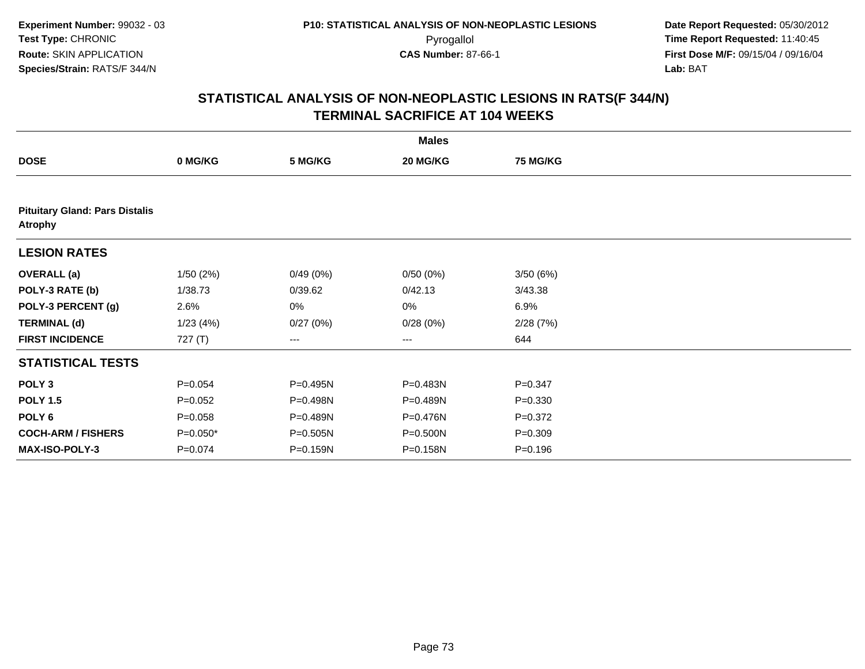|                           |                                       |          | <b>Males</b> |                 |  |  |  |  |  |
|---------------------------|---------------------------------------|----------|--------------|-----------------|--|--|--|--|--|
| <b>DOSE</b>               | 0 MG/KG                               | 5 MG/KG  | 20 MG/KG     | <b>75 MG/KG</b> |  |  |  |  |  |
|                           |                                       |          |              |                 |  |  |  |  |  |
| <b>Atrophy</b>            | <b>Pituitary Gland: Pars Distalis</b> |          |              |                 |  |  |  |  |  |
| <b>LESION RATES</b>       |                                       |          |              |                 |  |  |  |  |  |
| <b>OVERALL</b> (a)        | 1/50(2%)                              | 0/49(0%) | 0/50(0%)     | 3/50(6%)        |  |  |  |  |  |
| POLY-3 RATE (b)           | 1/38.73                               | 0/39.62  | 0/42.13      | 3/43.38         |  |  |  |  |  |
| POLY-3 PERCENT (g)        | 2.6%                                  | 0%       | 0%           | 6.9%            |  |  |  |  |  |
| <b>TERMINAL (d)</b>       | 1/23(4%)                              | 0/27(0%) | 0/28(0%)     | 2/28(7%)        |  |  |  |  |  |
| <b>FIRST INCIDENCE</b>    | 727 (T)                               | ---      | $---$        | 644             |  |  |  |  |  |
| <b>STATISTICAL TESTS</b>  |                                       |          |              |                 |  |  |  |  |  |
| POLY <sub>3</sub>         | $P = 0.054$                           | P=0.495N | P=0.483N     | $P = 0.347$     |  |  |  |  |  |
| <b>POLY 1.5</b>           | $P=0.052$                             | P=0.498N | P=0.489N     | $P = 0.330$     |  |  |  |  |  |
| POLY <sub>6</sub>         | $P = 0.058$                           | P=0.489N | P=0.476N     | $P = 0.372$     |  |  |  |  |  |
| <b>COCH-ARM / FISHERS</b> | $P=0.050*$                            | P=0.505N | P=0.500N     | $P = 0.309$     |  |  |  |  |  |
| <b>MAX-ISO-POLY-3</b>     | $P = 0.074$                           | P=0.159N | P=0.158N     | $P = 0.196$     |  |  |  |  |  |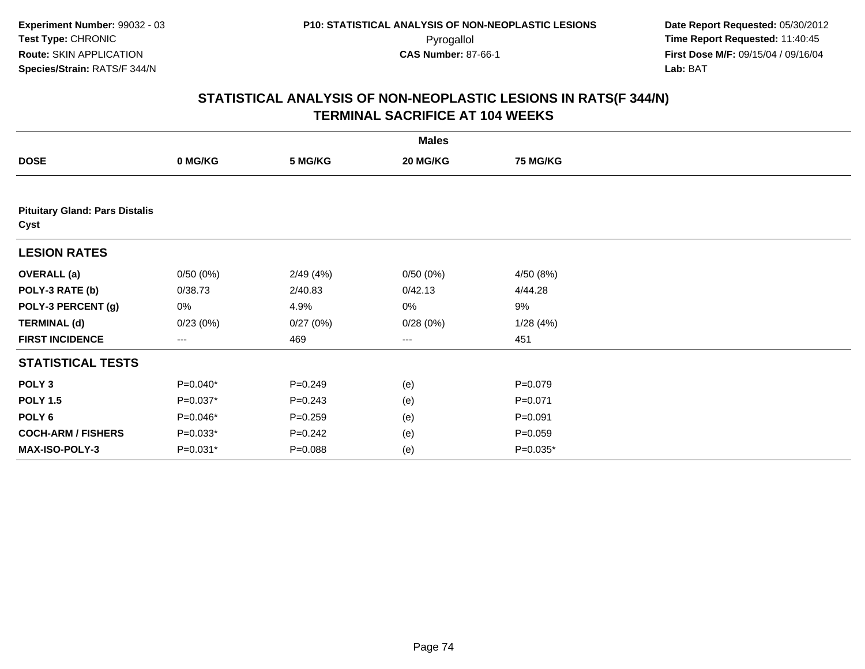|                           |                                       |             | <b>Males</b>           |                 |  |  |  |  |  |
|---------------------------|---------------------------------------|-------------|------------------------|-----------------|--|--|--|--|--|
| <b>DOSE</b>               | 0 MG/KG                               | 5 MG/KG     | 20 MG/KG               | <b>75 MG/KG</b> |  |  |  |  |  |
|                           |                                       |             |                        |                 |  |  |  |  |  |
| Cyst                      | <b>Pituitary Gland: Pars Distalis</b> |             |                        |                 |  |  |  |  |  |
| <b>LESION RATES</b>       |                                       |             |                        |                 |  |  |  |  |  |
| <b>OVERALL</b> (a)        | 0/50(0%)                              | 2/49(4%)    | 0/50(0%)               | 4/50 (8%)       |  |  |  |  |  |
| POLY-3 RATE (b)           | 0/38.73                               | 2/40.83     | 0/42.13                | 4/44.28         |  |  |  |  |  |
| POLY-3 PERCENT (g)        | 0%                                    | 4.9%        | 0%                     | 9%              |  |  |  |  |  |
| <b>TERMINAL (d)</b>       | 0/23(0%)                              | 0/27(0%)    | 0/28(0%)               | 1/28(4%)        |  |  |  |  |  |
| <b>FIRST INCIDENCE</b>    | ---                                   | 469         | $\qquad \qquad \cdots$ | 451             |  |  |  |  |  |
| <b>STATISTICAL TESTS</b>  |                                       |             |                        |                 |  |  |  |  |  |
| POLY <sub>3</sub>         | $P=0.040*$                            | $P = 0.249$ | (e)                    | $P=0.079$       |  |  |  |  |  |
| <b>POLY 1.5</b>           | $P=0.037*$                            | $P = 0.243$ | (e)                    | $P = 0.071$     |  |  |  |  |  |
| POLY <sub>6</sub>         | P=0.046*                              | $P = 0.259$ | (e)                    | $P = 0.091$     |  |  |  |  |  |
| <b>COCH-ARM / FISHERS</b> | $P=0.033*$                            | $P = 0.242$ | (e)                    | $P=0.059$       |  |  |  |  |  |
| MAX-ISO-POLY-3            | $P=0.031*$                            | $P = 0.088$ | (e)                    | $P=0.035*$      |  |  |  |  |  |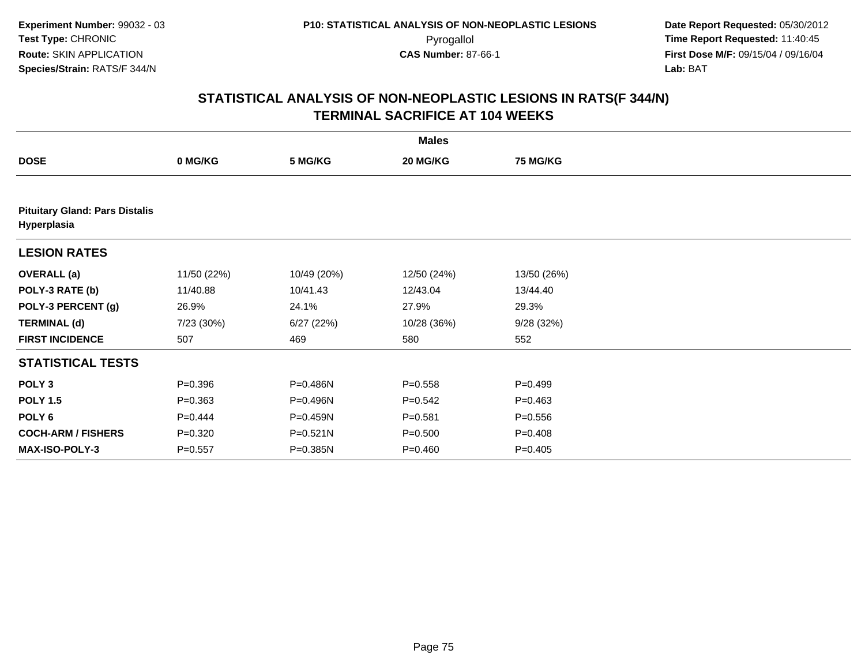| <b>Males</b>                                         |             |             |             |                 |  |  |  |  |  |
|------------------------------------------------------|-------------|-------------|-------------|-----------------|--|--|--|--|--|
| <b>DOSE</b>                                          | 0 MG/KG     | 5 MG/KG     | 20 MG/KG    | <b>75 MG/KG</b> |  |  |  |  |  |
|                                                      |             |             |             |                 |  |  |  |  |  |
| <b>Pituitary Gland: Pars Distalis</b><br>Hyperplasia |             |             |             |                 |  |  |  |  |  |
| <b>LESION RATES</b>                                  |             |             |             |                 |  |  |  |  |  |
| <b>OVERALL</b> (a)                                   | 11/50 (22%) | 10/49 (20%) | 12/50 (24%) | 13/50 (26%)     |  |  |  |  |  |
| POLY-3 RATE (b)                                      | 11/40.88    | 10/41.43    | 12/43.04    | 13/44.40        |  |  |  |  |  |
| POLY-3 PERCENT (g)                                   | 26.9%       | 24.1%       | 27.9%       | 29.3%           |  |  |  |  |  |
| <b>TERMINAL (d)</b>                                  | 7/23 (30%)  | 6/27(22%)   | 10/28 (36%) | 9/28(32%)       |  |  |  |  |  |
| <b>FIRST INCIDENCE</b>                               | 507         | 469         | 580         | 552             |  |  |  |  |  |
| <b>STATISTICAL TESTS</b>                             |             |             |             |                 |  |  |  |  |  |
| POLY <sub>3</sub>                                    | $P = 0.396$ | P=0.486N    | $P = 0.558$ | $P=0.499$       |  |  |  |  |  |
| <b>POLY 1.5</b>                                      | $P = 0.363$ | P=0.496N    | $P = 0.542$ | $P = 0.463$     |  |  |  |  |  |
| POLY <sub>6</sub>                                    | $P=0.444$   | P=0.459N    | $P = 0.581$ | $P = 0.556$     |  |  |  |  |  |
| <b>COCH-ARM / FISHERS</b>                            | $P = 0.320$ | P=0.521N    | $P = 0.500$ | $P = 0.408$     |  |  |  |  |  |
| <b>MAX-ISO-POLY-3</b>                                | $P = 0.557$ | P=0.385N    | $P = 0.460$ | $P = 0.405$     |  |  |  |  |  |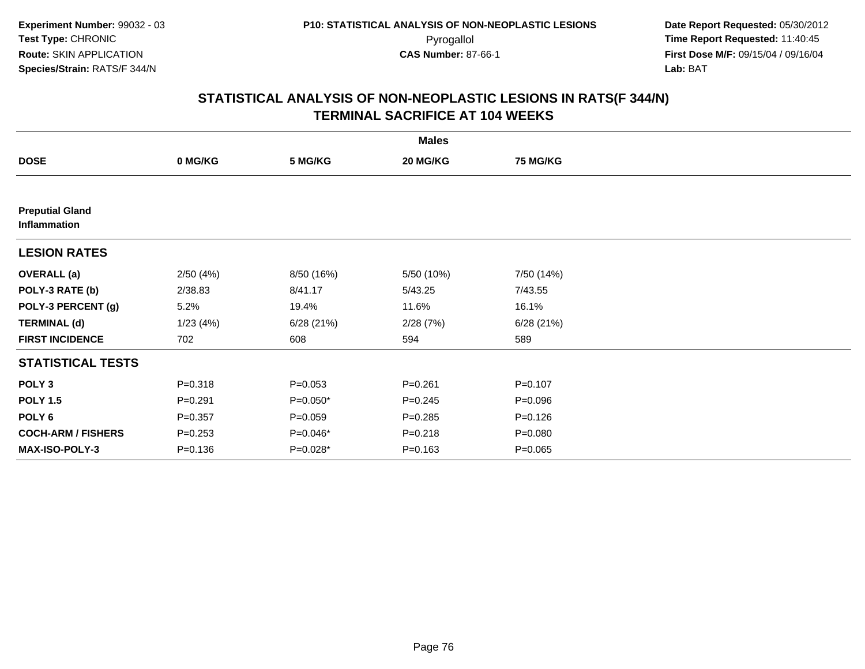|                                        |             |             | <b>Males</b> |                 |  |
|----------------------------------------|-------------|-------------|--------------|-----------------|--|
| <b>DOSE</b>                            | 0 MG/KG     | 5 MG/KG     | 20 MG/KG     | <b>75 MG/KG</b> |  |
|                                        |             |             |              |                 |  |
| <b>Preputial Gland</b><br>Inflammation |             |             |              |                 |  |
| <b>LESION RATES</b>                    |             |             |              |                 |  |
| <b>OVERALL</b> (a)                     | 2/50(4%)    | 8/50 (16%)  | 5/50 (10%)   | 7/50 (14%)      |  |
| POLY-3 RATE (b)                        | 2/38.83     | 8/41.17     | 5/43.25      | 7/43.55         |  |
| POLY-3 PERCENT (g)                     | 5.2%        | 19.4%       | 11.6%        | 16.1%           |  |
| <b>TERMINAL (d)</b>                    | 1/23(4%)    | 6/28(21%)   | 2/28(7%)     | 6/28(21%)       |  |
| <b>FIRST INCIDENCE</b>                 | 702         | 608         | 594          | 589             |  |
| <b>STATISTICAL TESTS</b>               |             |             |              |                 |  |
| POLY <sub>3</sub>                      | $P = 0.318$ | $P = 0.053$ | $P = 0.261$  | $P = 0.107$     |  |
| <b>POLY 1.5</b>                        | $P = 0.291$ | $P=0.050*$  | $P = 0.245$  | $P = 0.096$     |  |
| POLY <sub>6</sub>                      | $P = 0.357$ | $P = 0.059$ | $P = 0.285$  | $P = 0.126$     |  |
| <b>COCH-ARM / FISHERS</b>              | $P = 0.253$ | P=0.046*    | $P = 0.218$  | $P = 0.080$     |  |
| <b>MAX-ISO-POLY-3</b>                  | $P = 0.136$ | $P=0.028*$  | $P = 0.163$  | $P = 0.065$     |  |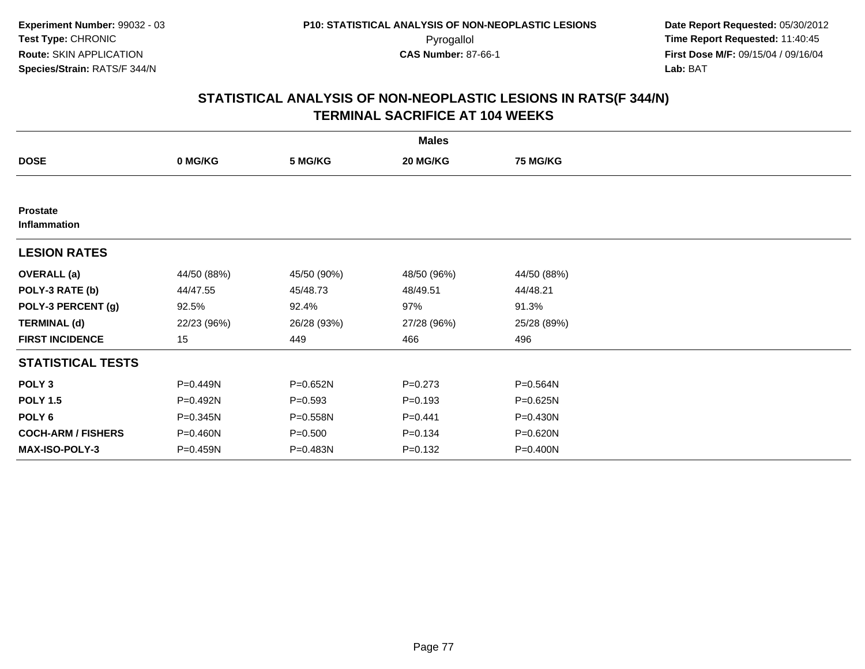| <b>Males</b>                    |              |             |             |                 |  |  |  |
|---------------------------------|--------------|-------------|-------------|-----------------|--|--|--|
| <b>DOSE</b>                     | 0 MG/KG      | 5 MG/KG     | 20 MG/KG    | <b>75 MG/KG</b> |  |  |  |
|                                 |              |             |             |                 |  |  |  |
| <b>Prostate</b><br>Inflammation |              |             |             |                 |  |  |  |
| <b>LESION RATES</b>             |              |             |             |                 |  |  |  |
| <b>OVERALL</b> (a)              | 44/50 (88%)  | 45/50 (90%) | 48/50 (96%) | 44/50 (88%)     |  |  |  |
| POLY-3 RATE (b)                 | 44/47.55     | 45/48.73    | 48/49.51    | 44/48.21        |  |  |  |
| POLY-3 PERCENT (g)              | 92.5%        | 92.4%       | 97%         | 91.3%           |  |  |  |
| <b>TERMINAL (d)</b>             | 22/23 (96%)  | 26/28 (93%) | 27/28 (96%) | 25/28 (89%)     |  |  |  |
| <b>FIRST INCIDENCE</b>          | 15           | 449         | 466         | 496             |  |  |  |
| <b>STATISTICAL TESTS</b>        |              |             |             |                 |  |  |  |
| POLY <sub>3</sub>               | P=0.449N     | P=0.652N    | $P = 0.273$ | P=0.564N        |  |  |  |
| <b>POLY 1.5</b>                 | P=0.492N     | $P = 0.593$ | $P=0.193$   | P=0.625N        |  |  |  |
| POLY <sub>6</sub>               | $P = 0.345N$ | P=0.558N    | $P=0.441$   | $P = 0.430N$    |  |  |  |
| <b>COCH-ARM / FISHERS</b>       | P=0.460N     | $P = 0.500$ | $P = 0.134$ | $P = 0.620N$    |  |  |  |
| <b>MAX-ISO-POLY-3</b>           | P=0.459N     | P=0.483N    | $P = 0.132$ | P=0.400N        |  |  |  |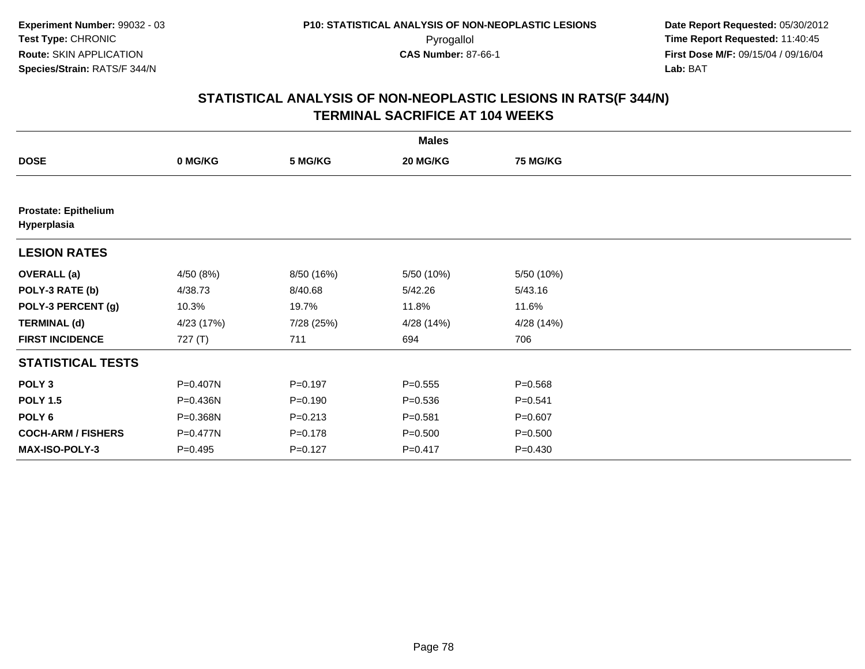|                                            |            |             | <b>Males</b> |                 |  |
|--------------------------------------------|------------|-------------|--------------|-----------------|--|
| <b>DOSE</b>                                | 0 MG/KG    | 5 MG/KG     | 20 MG/KG     | <b>75 MG/KG</b> |  |
|                                            |            |             |              |                 |  |
| <b>Prostate: Epithelium</b><br>Hyperplasia |            |             |              |                 |  |
| <b>LESION RATES</b>                        |            |             |              |                 |  |
| <b>OVERALL</b> (a)                         | 4/50 (8%)  | 8/50 (16%)  | 5/50 (10%)   | 5/50 (10%)      |  |
| POLY-3 RATE (b)                            | 4/38.73    | 8/40.68     | 5/42.26      | 5/43.16         |  |
| POLY-3 PERCENT (g)                         | 10.3%      | 19.7%       | 11.8%        | 11.6%           |  |
| <b>TERMINAL (d)</b>                        | 4/23 (17%) | 7/28 (25%)  | 4/28 (14%)   | 4/28 (14%)      |  |
| <b>FIRST INCIDENCE</b>                     | 727(T)     | 711         | 694          | 706             |  |
| <b>STATISTICAL TESTS</b>                   |            |             |              |                 |  |
| POLY <sub>3</sub>                          | P=0.407N   | $P = 0.197$ | $P = 0.555$  | $P = 0.568$     |  |
| <b>POLY 1.5</b>                            | P=0.436N   | $P = 0.190$ | $P = 0.536$  | $P = 0.541$     |  |
| POLY <sub>6</sub>                          | P=0.368N   | $P = 0.213$ | $P = 0.581$  | $P = 0.607$     |  |
| <b>COCH-ARM / FISHERS</b>                  | P=0.477N   | $P = 0.178$ | $P = 0.500$  | $P = 0.500$     |  |
| <b>MAX-ISO-POLY-3</b>                      | $P=0.495$  | $P = 0.127$ | $P = 0.417$  | $P = 0.430$     |  |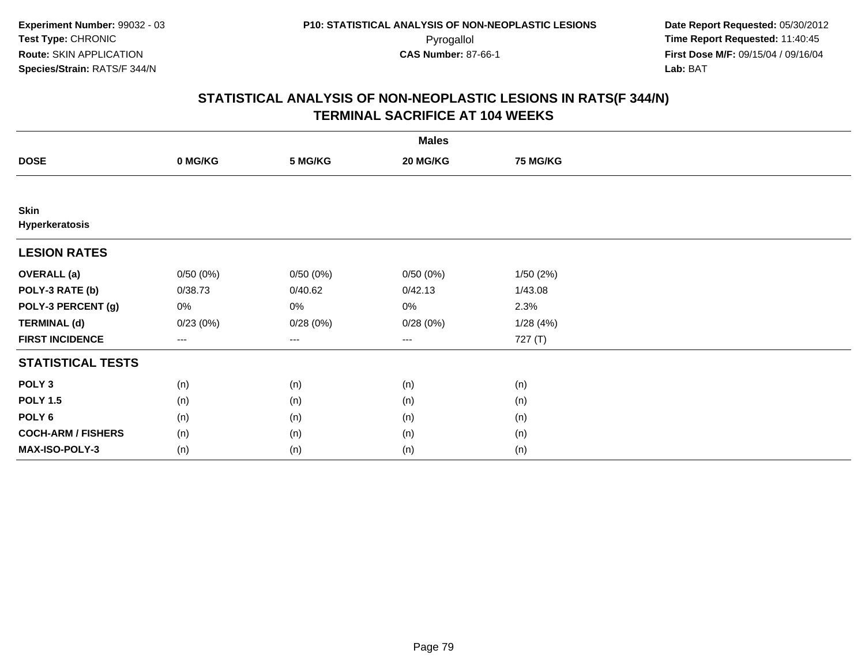|                               |                     |          | <b>Males</b>      |                 |  |
|-------------------------------|---------------------|----------|-------------------|-----------------|--|
| <b>DOSE</b>                   | 0 MG/KG             | 5 MG/KG  | 20 MG/KG          | <b>75 MG/KG</b> |  |
|                               |                     |          |                   |                 |  |
| <b>Skin</b><br>Hyperkeratosis |                     |          |                   |                 |  |
| <b>LESION RATES</b>           |                     |          |                   |                 |  |
| <b>OVERALL (a)</b>            | 0/50(0%)            | 0/50(0%) | 0/50(0%)          | 1/50(2%)        |  |
| POLY-3 RATE (b)               | 0/38.73             | 0/40.62  | 0/42.13           | 1/43.08         |  |
| POLY-3 PERCENT (g)            | $0\%$               | 0%       | 0%                | 2.3%            |  |
| <b>TERMINAL (d)</b>           | 0/23(0%)            | 0/28(0%) | 0/28(0%)          | 1/28(4%)        |  |
| <b>FIRST INCIDENCE</b>        | $\qquad \qquad - -$ | $---$    | $\qquad \qquad -$ | 727 (T)         |  |
| <b>STATISTICAL TESTS</b>      |                     |          |                   |                 |  |
| POLY <sub>3</sub>             | (n)                 | (n)      | (n)               | (n)             |  |
| <b>POLY 1.5</b>               | (n)                 | (n)      | (n)               | (n)             |  |
| POLY <sub>6</sub>             | (n)                 | (n)      | (n)               | (n)             |  |
| <b>COCH-ARM / FISHERS</b>     | (n)                 | (n)      | (n)               | (n)             |  |
| MAX-ISO-POLY-3                | (n)                 | (n)      | (n)               | (n)             |  |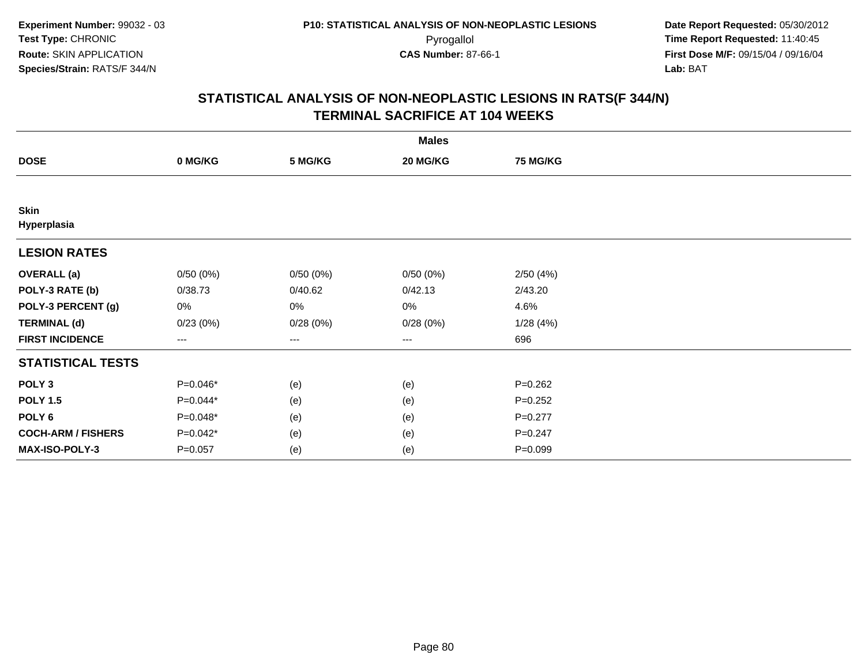|                            |             |          | <b>Males</b> |             |  |
|----------------------------|-------------|----------|--------------|-------------|--|
| <b>DOSE</b>                | 0 MG/KG     | 5 MG/KG  | 20 MG/KG     | 75 MG/KG    |  |
|                            |             |          |              |             |  |
| <b>Skin</b><br>Hyperplasia |             |          |              |             |  |
| <b>LESION RATES</b>        |             |          |              |             |  |
| <b>OVERALL</b> (a)         | 0/50(0%)    | 0/50(0%) | 0/50(0%)     | 2/50(4%)    |  |
| POLY-3 RATE (b)            | 0/38.73     | 0/40.62  | 0/42.13      | 2/43.20     |  |
| POLY-3 PERCENT (g)         | 0%          | 0%       | 0%           | 4.6%        |  |
| <b>TERMINAL (d)</b>        | 0/23(0%)    | 0/28(0%) | 0/28(0%)     | 1/28(4%)    |  |
| <b>FIRST INCIDENCE</b>     | ---         | $---$    | ---          | 696         |  |
| <b>STATISTICAL TESTS</b>   |             |          |              |             |  |
| POLY <sub>3</sub>          | P=0.046*    | (e)      | (e)          | $P = 0.262$ |  |
| <b>POLY 1.5</b>            | P=0.044*    | (e)      | (e)          | $P = 0.252$ |  |
| POLY <sub>6</sub>          | P=0.048*    | (e)      | (e)          | $P=0.277$   |  |
| <b>COCH-ARM / FISHERS</b>  | $P=0.042*$  | (e)      | (e)          | $P = 0.247$ |  |
| MAX-ISO-POLY-3             | $P = 0.057$ | (e)      | (e)          | $P = 0.099$ |  |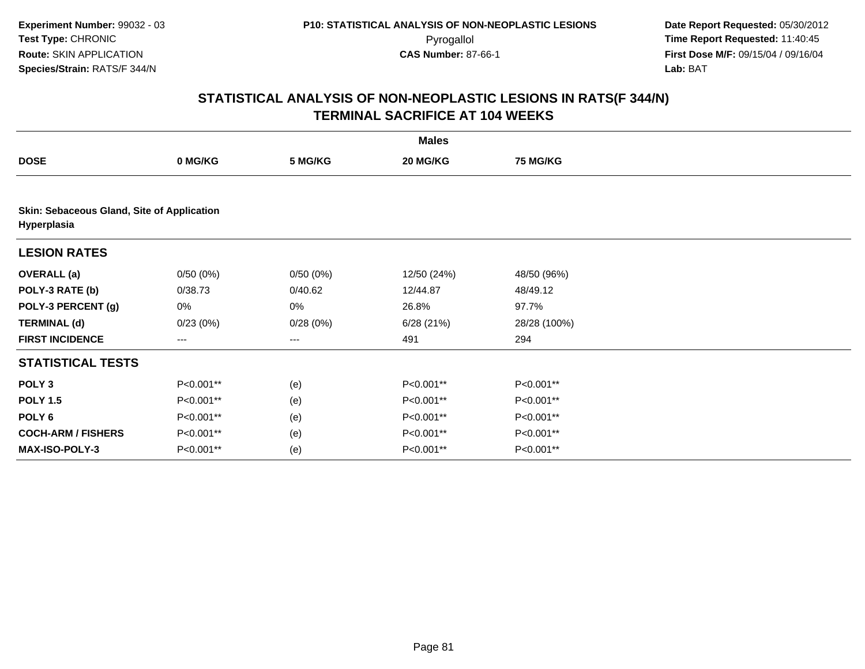|                                                           |           |                   | <b>Males</b> |                 |  |
|-----------------------------------------------------------|-----------|-------------------|--------------|-----------------|--|
| <b>DOSE</b>                                               | 0 MG/KG   | 5 MG/KG           | 20 MG/KG     | <b>75 MG/KG</b> |  |
|                                                           |           |                   |              |                 |  |
| Skin: Sebaceous Gland, Site of Application<br>Hyperplasia |           |                   |              |                 |  |
| <b>LESION RATES</b>                                       |           |                   |              |                 |  |
| <b>OVERALL</b> (a)                                        | 0/50(0%)  | 0/50(0%)          | 12/50 (24%)  | 48/50 (96%)     |  |
| POLY-3 RATE (b)                                           | 0/38.73   | 0/40.62           | 12/44.87     | 48/49.12        |  |
| POLY-3 PERCENT (g)                                        | 0%        | 0%                | 26.8%        | 97.7%           |  |
| <b>TERMINAL (d)</b>                                       | 0/23(0%)  | 0/28(0%)          | 6/28(21%)    | 28/28 (100%)    |  |
| <b>FIRST INCIDENCE</b>                                    | $--$      | $\qquad \qquad -$ | 491          | 294             |  |
| <b>STATISTICAL TESTS</b>                                  |           |                   |              |                 |  |
| POLY <sub>3</sub>                                         | P<0.001** | (e)               | P<0.001**    | P<0.001**       |  |
| <b>POLY 1.5</b>                                           | P<0.001** | (e)               | P<0.001**    | P<0.001**       |  |
| POLY <sub>6</sub>                                         | P<0.001** | (e)               | P<0.001**    | P<0.001**       |  |
| <b>COCH-ARM / FISHERS</b>                                 | P<0.001** | (e)               | P<0.001**    | P<0.001**       |  |
| <b>MAX-ISO-POLY-3</b>                                     | P<0.001** | (e)               | P<0.001**    | P<0.001**       |  |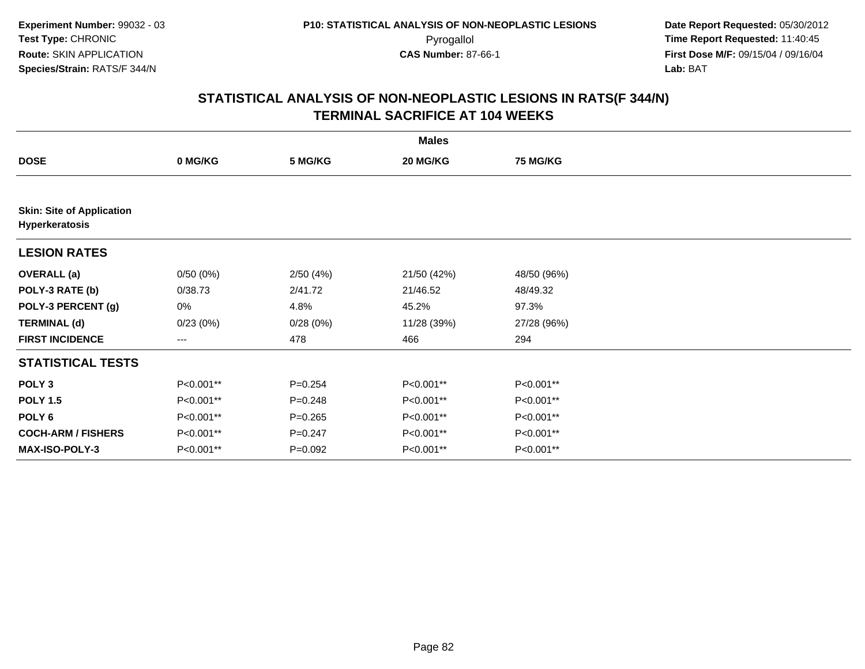|                                                    |           |             | <b>Males</b> |                 |  |
|----------------------------------------------------|-----------|-------------|--------------|-----------------|--|
| <b>DOSE</b>                                        | 0 MG/KG   | 5 MG/KG     | 20 MG/KG     | <b>75 MG/KG</b> |  |
|                                                    |           |             |              |                 |  |
| <b>Skin: Site of Application</b><br>Hyperkeratosis |           |             |              |                 |  |
| <b>LESION RATES</b>                                |           |             |              |                 |  |
| <b>OVERALL</b> (a)                                 | 0/50(0%)  | 2/50(4%)    | 21/50 (42%)  | 48/50 (96%)     |  |
| POLY-3 RATE (b)                                    | 0/38.73   | 2/41.72     | 21/46.52     | 48/49.32        |  |
| POLY-3 PERCENT (g)                                 | 0%        | 4.8%        | 45.2%        | 97.3%           |  |
| <b>TERMINAL (d)</b>                                | 0/23(0%)  | 0/28(0%)    | 11/28 (39%)  | 27/28 (96%)     |  |
| <b>FIRST INCIDENCE</b>                             | $--$      | 478         | 466          | 294             |  |
| <b>STATISTICAL TESTS</b>                           |           |             |              |                 |  |
| POLY <sub>3</sub>                                  | P<0.001** | $P=0.254$   | P<0.001**    | P<0.001**       |  |
| <b>POLY 1.5</b>                                    | P<0.001** | $P=0.248$   | P<0.001**    | P<0.001**       |  |
| POLY <sub>6</sub>                                  | P<0.001** | $P=0.265$   | P<0.001**    | P<0.001**       |  |
| <b>COCH-ARM / FISHERS</b>                          | P<0.001** | $P = 0.247$ | P<0.001**    | P<0.001**       |  |
| <b>MAX-ISO-POLY-3</b>                              | P<0.001** | $P=0.092$   | P<0.001**    | P<0.001**       |  |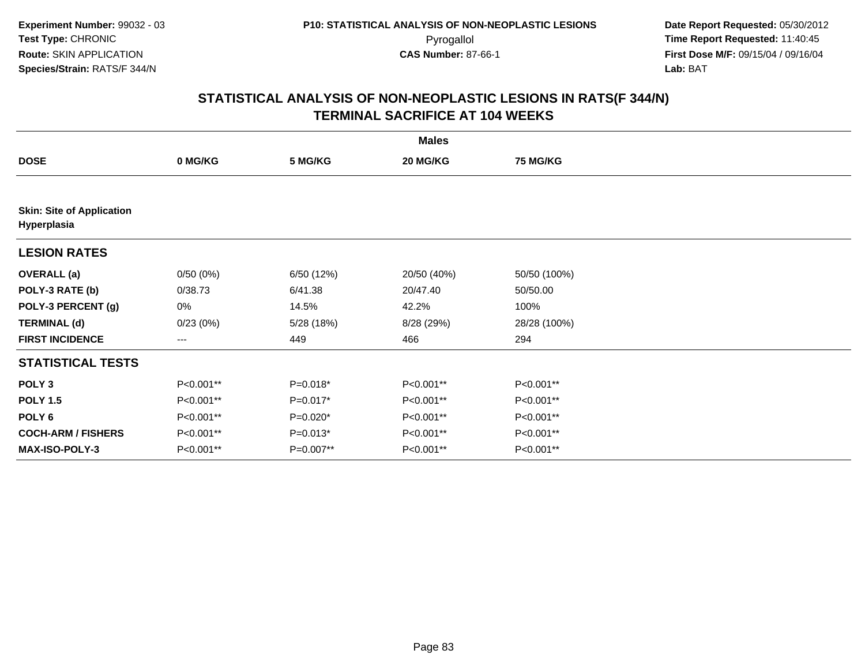| <b>Males</b>                                    |           |            |             |                 |  |  |  |
|-------------------------------------------------|-----------|------------|-------------|-----------------|--|--|--|
| <b>DOSE</b>                                     | 0 MG/KG   | 5 MG/KG    | 20 MG/KG    | <b>75 MG/KG</b> |  |  |  |
|                                                 |           |            |             |                 |  |  |  |
| <b>Skin: Site of Application</b><br>Hyperplasia |           |            |             |                 |  |  |  |
| <b>LESION RATES</b>                             |           |            |             |                 |  |  |  |
| <b>OVERALL (a)</b>                              | 0/50(0%)  | 6/50(12%)  | 20/50 (40%) | 50/50 (100%)    |  |  |  |
| POLY-3 RATE (b)                                 | 0/38.73   | 6/41.38    | 20/47.40    | 50/50.00        |  |  |  |
| POLY-3 PERCENT (g)                              | 0%        | 14.5%      | 42.2%       | 100%            |  |  |  |
| <b>TERMINAL (d)</b>                             | 0/23(0%)  | 5/28 (18%) | 8/28 (29%)  | 28/28 (100%)    |  |  |  |
| <b>FIRST INCIDENCE</b>                          | ---       | 449        | 466         | 294             |  |  |  |
| <b>STATISTICAL TESTS</b>                        |           |            |             |                 |  |  |  |
| POLY <sub>3</sub>                               | P<0.001** | $P=0.018*$ | P<0.001**   | P<0.001**       |  |  |  |
| <b>POLY 1.5</b>                                 | P<0.001** | $P=0.017*$ | P<0.001**   | P<0.001**       |  |  |  |
| POLY <sub>6</sub>                               | P<0.001** | $P=0.020*$ | P<0.001**   | P<0.001**       |  |  |  |
| <b>COCH-ARM / FISHERS</b>                       | P<0.001** | $P=0.013*$ | P<0.001**   | P<0.001**       |  |  |  |
| MAX-ISO-POLY-3                                  | P<0.001** | P=0.007**  | P<0.001**   | P<0.001**       |  |  |  |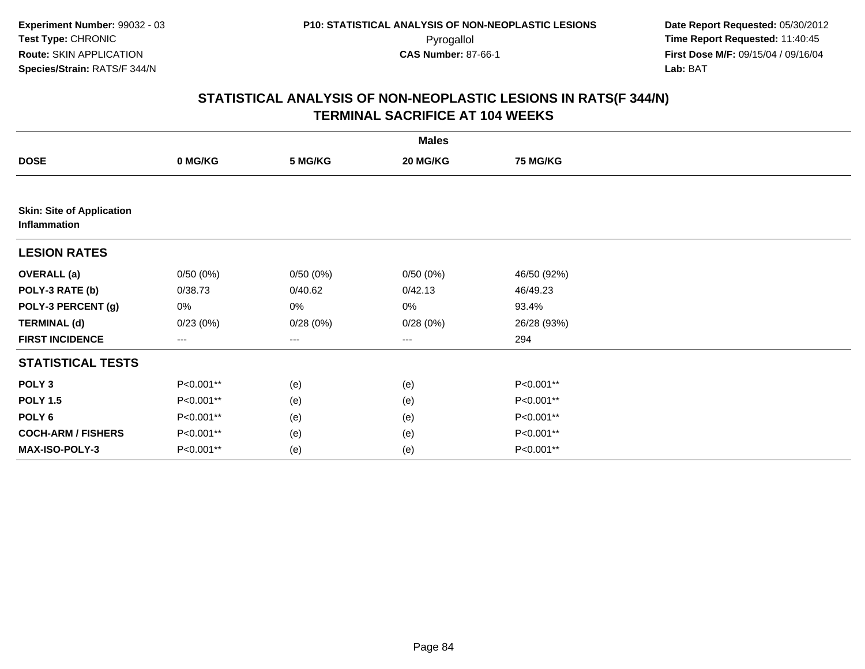|                                                  |           |                   | <b>Males</b>      |                 |  |
|--------------------------------------------------|-----------|-------------------|-------------------|-----------------|--|
| <b>DOSE</b>                                      | 0 MG/KG   | 5 MG/KG           | 20 MG/KG          | <b>75 MG/KG</b> |  |
|                                                  |           |                   |                   |                 |  |
| <b>Skin: Site of Application</b><br>Inflammation |           |                   |                   |                 |  |
| <b>LESION RATES</b>                              |           |                   |                   |                 |  |
| <b>OVERALL (a)</b>                               | 0/50(0%)  | 0/50(0%)          | 0/50(0%)          | 46/50 (92%)     |  |
| POLY-3 RATE (b)                                  | 0/38.73   | 0/40.62           | 0/42.13           | 46/49.23        |  |
| POLY-3 PERCENT (g)                               | 0%        | 0%                | 0%                | 93.4%           |  |
| <b>TERMINAL (d)</b>                              | 0/23(0%)  | 0/28(0%)          | 0/28(0%)          | 26/28 (93%)     |  |
| <b>FIRST INCIDENCE</b>                           | ---       | $\qquad \qquad -$ | $\qquad \qquad -$ | 294             |  |
| <b>STATISTICAL TESTS</b>                         |           |                   |                   |                 |  |
| POLY <sub>3</sub>                                | P<0.001** | (e)               | (e)               | P<0.001**       |  |
| <b>POLY 1.5</b>                                  | P<0.001** | (e)               | (e)               | P<0.001**       |  |
| POLY <sub>6</sub>                                | P<0.001** | (e)               | (e)               | P<0.001**       |  |
| <b>COCH-ARM / FISHERS</b>                        | P<0.001** | (e)               | (e)               | P<0.001**       |  |
| MAX-ISO-POLY-3                                   | P<0.001** | (e)               | (e)               | P<0.001**       |  |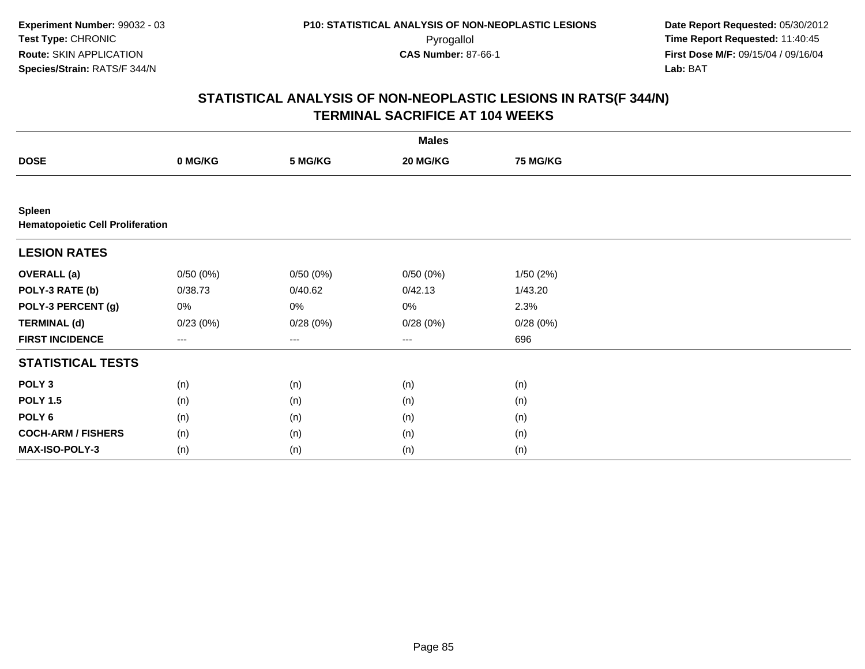|                                                          |          |          | <b>Males</b>      |          |  |
|----------------------------------------------------------|----------|----------|-------------------|----------|--|
| <b>DOSE</b>                                              | 0 MG/KG  | 5 MG/KG  | 20 MG/KG          | 75 MG/KG |  |
|                                                          |          |          |                   |          |  |
| <b>Spleen</b><br><b>Hematopoietic Cell Proliferation</b> |          |          |                   |          |  |
| <b>LESION RATES</b>                                      |          |          |                   |          |  |
| <b>OVERALL</b> (a)                                       | 0/50(0%) | 0/50(0%) | 0/50(0%)          | 1/50(2%) |  |
| POLY-3 RATE (b)                                          | 0/38.73  | 0/40.62  | 0/42.13           | 1/43.20  |  |
| POLY-3 PERCENT (g)                                       | 0%       | 0%       | 0%                | 2.3%     |  |
| <b>TERMINAL (d)</b>                                      | 0/23(0%) | 0/28(0%) | 0/28(0%)          | 0/28(0%) |  |
| <b>FIRST INCIDENCE</b>                                   | $---$    | $--$     | $\qquad \qquad -$ | 696      |  |
| <b>STATISTICAL TESTS</b>                                 |          |          |                   |          |  |
| POLY <sub>3</sub>                                        | (n)      | (n)      | (n)               | (n)      |  |
| <b>POLY 1.5</b>                                          | (n)      | (n)      | (n)               | (n)      |  |
| POLY <sub>6</sub>                                        | (n)      | (n)      | (n)               | (n)      |  |
| <b>COCH-ARM / FISHERS</b>                                | (n)      | (n)      | (n)               | (n)      |  |
| MAX-ISO-POLY-3                                           | (n)      | (n)      | (n)               | (n)      |  |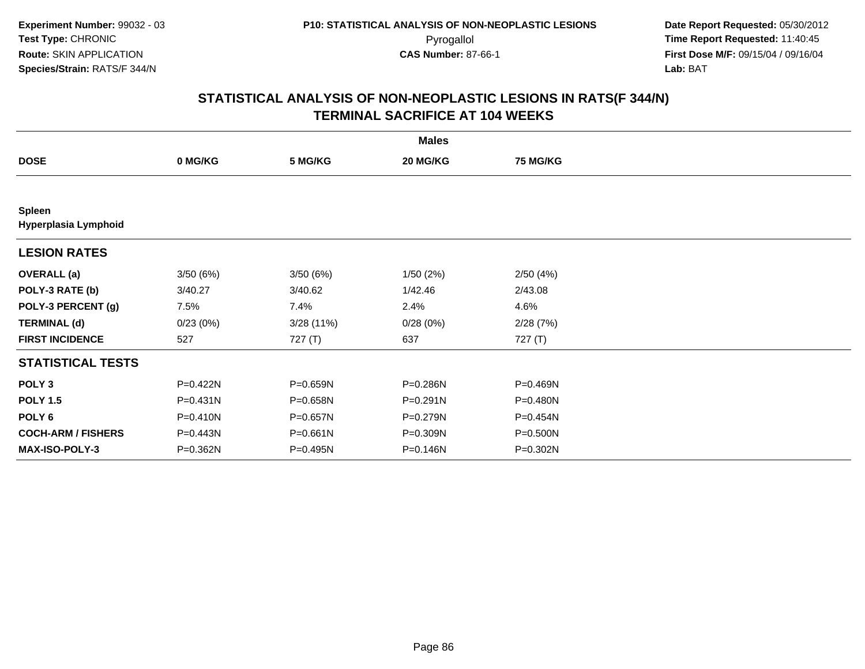|                                       |              |           | <b>Males</b> |                 |  |
|---------------------------------------|--------------|-----------|--------------|-----------------|--|
| <b>DOSE</b>                           | 0 MG/KG      | 5 MG/KG   | 20 MG/KG     | <b>75 MG/KG</b> |  |
|                                       |              |           |              |                 |  |
| <b>Spleen</b><br>Hyperplasia Lymphoid |              |           |              |                 |  |
| <b>LESION RATES</b>                   |              |           |              |                 |  |
| <b>OVERALL</b> (a)                    | 3/50(6%)     | 3/50(6%)  | 1/50(2%)     | 2/50(4%)        |  |
| POLY-3 RATE (b)                       | 3/40.27      | 3/40.62   | 1/42.46      | 2/43.08         |  |
| POLY-3 PERCENT (g)                    | 7.5%         | 7.4%      | 2.4%         | 4.6%            |  |
| <b>TERMINAL (d)</b>                   | 0/23(0%)     | 3/28(11%) | 0/28(0%)     | 2/28(7%)        |  |
| <b>FIRST INCIDENCE</b>                | 527          | 727 (T)   | 637          | 727 (T)         |  |
| <b>STATISTICAL TESTS</b>              |              |           |              |                 |  |
| POLY <sub>3</sub>                     | P=0.422N     | P=0.659N  | P=0.286N     | P=0.469N        |  |
| <b>POLY 1.5</b>                       | P=0.431N     | P=0.658N  | P=0.291N     | P=0.480N        |  |
| POLY 6                                | $P = 0.410N$ | P=0.657N  | P=0.279N     | P=0.454N        |  |
| <b>COCH-ARM / FISHERS</b>             | P=0.443N     | P=0.661N  | P=0.309N     | P=0.500N        |  |
| <b>MAX-ISO-POLY-3</b>                 | P=0.362N     | P=0.495N  | P=0.146N     | P=0.302N        |  |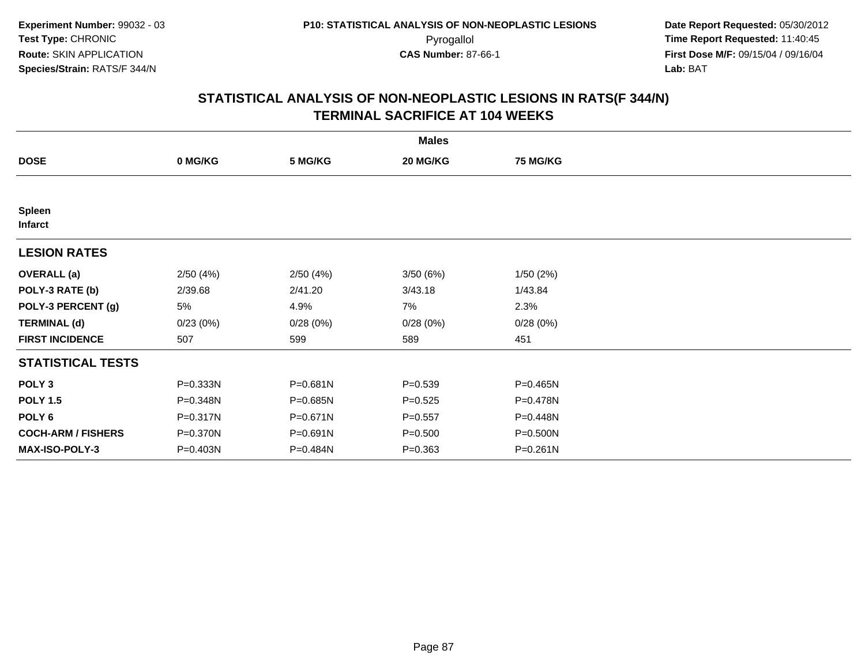|                           |          |          | <b>Males</b> |                 |  |
|---------------------------|----------|----------|--------------|-----------------|--|
| <b>DOSE</b>               | 0 MG/KG  | 5 MG/KG  | 20 MG/KG     | <b>75 MG/KG</b> |  |
|                           |          |          |              |                 |  |
| <b>Spleen</b><br>Infarct  |          |          |              |                 |  |
| <b>LESION RATES</b>       |          |          |              |                 |  |
| <b>OVERALL</b> (a)        | 2/50(4%) | 2/50(4%) | 3/50(6%)     | 1/50(2%)        |  |
| POLY-3 RATE (b)           | 2/39.68  | 2/41.20  | 3/43.18      | 1/43.84         |  |
| POLY-3 PERCENT (g)        | 5%       | 4.9%     | 7%           | 2.3%            |  |
| <b>TERMINAL (d)</b>       | 0/23(0%) | 0/28(0%) | 0/28(0%)     | 0/28(0%)        |  |
| <b>FIRST INCIDENCE</b>    | 507      | 599      | 589          | 451             |  |
| <b>STATISTICAL TESTS</b>  |          |          |              |                 |  |
| POLY <sub>3</sub>         | P=0.333N | P=0.681N | $P = 0.539$  | $P = 0.465N$    |  |
| <b>POLY 1.5</b>           | P=0.348N | P=0.685N | $P = 0.525$  | P=0.478N        |  |
| POLY 6                    | P=0.317N | P=0.671N | $P = 0.557$  | P=0.448N        |  |
| <b>COCH-ARM / FISHERS</b> | P=0.370N | P=0.691N | $P = 0.500$  | $P = 0.500N$    |  |
| <b>MAX-ISO-POLY-3</b>     | P=0.403N | P=0.484N | $P = 0.363$  | $P = 0.261N$    |  |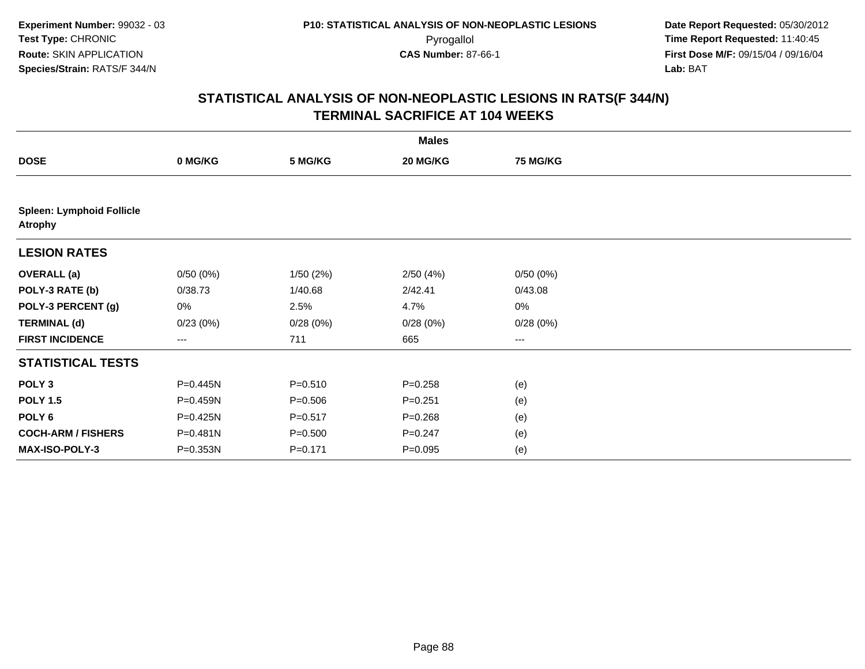|                                                    |          |             | <b>Males</b> |                 |  |
|----------------------------------------------------|----------|-------------|--------------|-----------------|--|
| <b>DOSE</b>                                        | 0 MG/KG  | 5 MG/KG     | 20 MG/KG     | <b>75 MG/KG</b> |  |
|                                                    |          |             |              |                 |  |
| <b>Spleen: Lymphoid Follicle</b><br><b>Atrophy</b> |          |             |              |                 |  |
| <b>LESION RATES</b>                                |          |             |              |                 |  |
| <b>OVERALL</b> (a)                                 | 0/50(0%) | 1/50(2%)    | 2/50(4%)     | 0/50(0%)        |  |
| POLY-3 RATE (b)                                    | 0/38.73  | 1/40.68     | 2/42.41      | 0/43.08         |  |
| POLY-3 PERCENT (g)                                 | 0%       | 2.5%        | 4.7%         | 0%              |  |
| <b>TERMINAL (d)</b>                                | 0/23(0%) | 0/28(0%)    | 0/28(0%)     | 0/28(0%)        |  |
| <b>FIRST INCIDENCE</b>                             | ---      | 711         | 665          | ---             |  |
| <b>STATISTICAL TESTS</b>                           |          |             |              |                 |  |
| POLY <sub>3</sub>                                  | P=0.445N | $P = 0.510$ | $P = 0.258$  | (e)             |  |
| <b>POLY 1.5</b>                                    | P=0.459N | $P = 0.506$ | $P = 0.251$  | (e)             |  |
| POLY <sub>6</sub>                                  | P=0.425N | $P = 0.517$ | $P = 0.268$  | (e)             |  |
| <b>COCH-ARM / FISHERS</b>                          | P=0.481N | $P = 0.500$ | $P=0.247$    | (e)             |  |
| MAX-ISO-POLY-3                                     | P=0.353N | $P = 0.171$ | $P = 0.095$  | (e)             |  |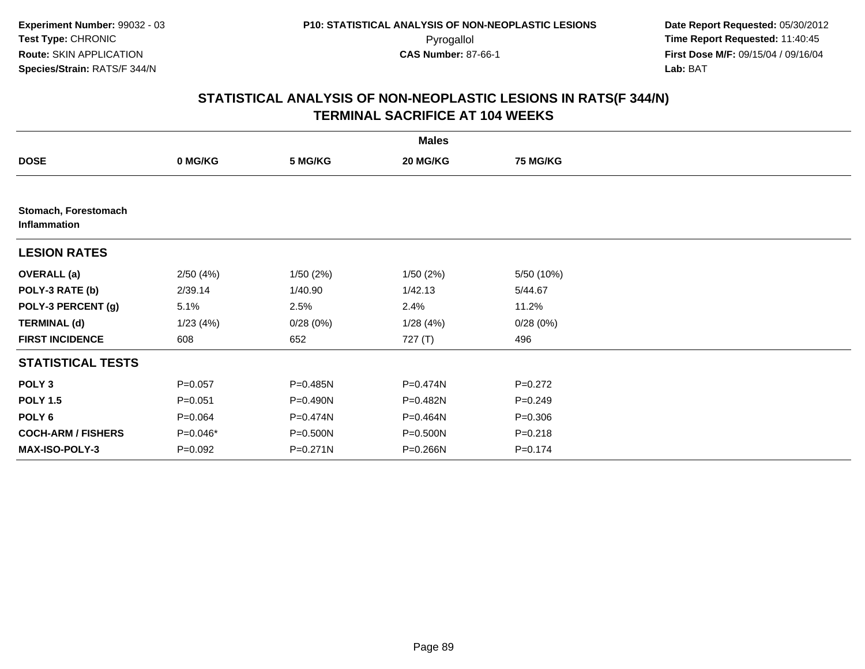|                                      |             |              | <b>Males</b> |                 |  |
|--------------------------------------|-------------|--------------|--------------|-----------------|--|
| <b>DOSE</b>                          | 0 MG/KG     | 5 MG/KG      | 20 MG/KG     | <b>75 MG/KG</b> |  |
|                                      |             |              |              |                 |  |
| Stomach, Forestomach<br>Inflammation |             |              |              |                 |  |
| <b>LESION RATES</b>                  |             |              |              |                 |  |
| <b>OVERALL</b> (a)                   | 2/50(4%)    | 1/50(2%)     | 1/50(2%)     | 5/50 (10%)      |  |
| POLY-3 RATE (b)                      | 2/39.14     | 1/40.90      | 1/42.13      | 5/44.67         |  |
| POLY-3 PERCENT (g)                   | 5.1%        | 2.5%         | 2.4%         | 11.2%           |  |
| <b>TERMINAL (d)</b>                  | 1/23(4%)    | 0/28(0%)     | 1/28(4%)     | 0/28(0%)        |  |
| <b>FIRST INCIDENCE</b>               | 608         | 652          | 727 (T)      | 496             |  |
| <b>STATISTICAL TESTS</b>             |             |              |              |                 |  |
| POLY <sub>3</sub>                    | $P = 0.057$ | P=0.485N     | P=0.474N     | $P=0.272$       |  |
| <b>POLY 1.5</b>                      | $P = 0.051$ | P=0.490N     | P=0.482N     | $P = 0.249$     |  |
| POLY <sub>6</sub>                    | $P = 0.064$ | P=0.474N     | P=0.464N     | $P = 0.306$     |  |
| <b>COCH-ARM / FISHERS</b>            | $P=0.046*$  | P=0.500N     | P=0.500N     | $P = 0.218$     |  |
| <b>MAX-ISO-POLY-3</b>                | $P=0.092$   | $P = 0.271N$ | P=0.266N     | $P = 0.174$     |  |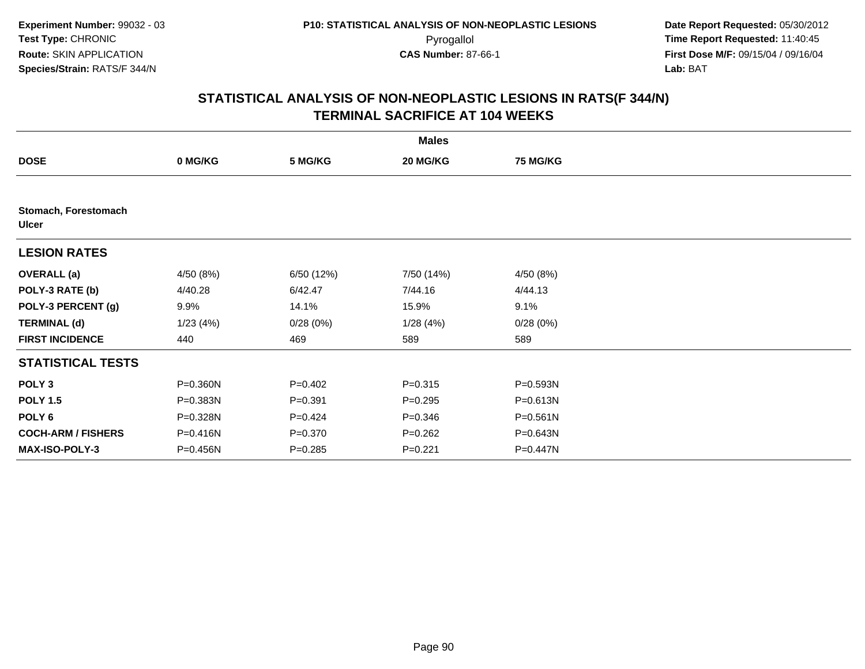|                                      |           |             | <b>Males</b> |                 |  |
|--------------------------------------|-----------|-------------|--------------|-----------------|--|
| <b>DOSE</b>                          | 0 MG/KG   | 5 MG/KG     | 20 MG/KG     | <b>75 MG/KG</b> |  |
|                                      |           |             |              |                 |  |
| Stomach, Forestomach<br><b>Ulcer</b> |           |             |              |                 |  |
| <b>LESION RATES</b>                  |           |             |              |                 |  |
| <b>OVERALL</b> (a)                   | 4/50 (8%) | 6/50 (12%)  | 7/50 (14%)   | 4/50 (8%)       |  |
| POLY-3 RATE (b)                      | 4/40.28   | 6/42.47     | 7/44.16      | 4/44.13         |  |
| POLY-3 PERCENT (g)                   | 9.9%      | 14.1%       | 15.9%        | 9.1%            |  |
| <b>TERMINAL (d)</b>                  | 1/23(4%)  | 0/28(0%)    | 1/28(4%)     | 0/28(0%)        |  |
| <b>FIRST INCIDENCE</b>               | 440       | 469         | 589          | 589             |  |
| <b>STATISTICAL TESTS</b>             |           |             |              |                 |  |
| POLY <sub>3</sub>                    | P=0.360N  | $P=0.402$   | $P = 0.315$  | P=0.593N        |  |
| <b>POLY 1.5</b>                      | P=0.383N  | $P = 0.391$ | $P = 0.295$  | P=0.613N        |  |
| POLY <sub>6</sub>                    | P=0.328N  | $P=0.424$   | $P = 0.346$  | $P = 0.561N$    |  |
| <b>COCH-ARM / FISHERS</b>            | P=0.416N  | $P = 0.370$ | $P = 0.262$  | P=0.643N        |  |
| <b>MAX-ISO-POLY-3</b>                | P=0.456N  | $P = 0.285$ | $P=0.221$    | P=0.447N        |  |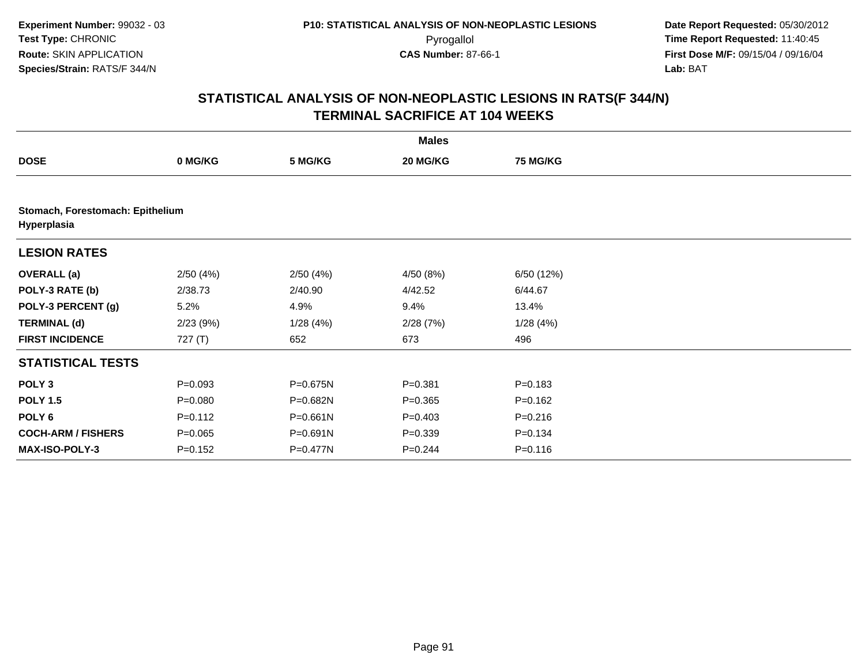|                           |                                  |              | <b>Males</b> |                 |  |  |  |  |  |
|---------------------------|----------------------------------|--------------|--------------|-----------------|--|--|--|--|--|
| <b>DOSE</b>               | 0 MG/KG                          | 5 MG/KG      | 20 MG/KG     | <b>75 MG/KG</b> |  |  |  |  |  |
|                           |                                  |              |              |                 |  |  |  |  |  |
| Hyperplasia               | Stomach, Forestomach: Epithelium |              |              |                 |  |  |  |  |  |
| <b>LESION RATES</b>       |                                  |              |              |                 |  |  |  |  |  |
| <b>OVERALL</b> (a)        | 2/50(4%)                         | 2/50(4%)     | 4/50(8%)     | 6/50 (12%)      |  |  |  |  |  |
| POLY-3 RATE (b)           | 2/38.73                          | 2/40.90      | 4/42.52      | 6/44.67         |  |  |  |  |  |
| POLY-3 PERCENT (g)        | 5.2%                             | 4.9%         | 9.4%         | 13.4%           |  |  |  |  |  |
| <b>TERMINAL (d)</b>       | 2/23(9%)                         | 1/28(4%)     | 2/28(7%)     | 1/28(4%)        |  |  |  |  |  |
| <b>FIRST INCIDENCE</b>    | 727(T)                           | 652          | 673          | 496             |  |  |  |  |  |
| <b>STATISTICAL TESTS</b>  |                                  |              |              |                 |  |  |  |  |  |
| POLY <sub>3</sub>         | $P = 0.093$                      | P=0.675N     | $P = 0.381$  | $P = 0.183$     |  |  |  |  |  |
| <b>POLY 1.5</b>           | $P = 0.080$                      | P=0.682N     | $P = 0.365$  | $P = 0.162$     |  |  |  |  |  |
| POLY <sub>6</sub>         | $P=0.112$                        | $P = 0.661N$ | $P=0.403$    | $P = 0.216$     |  |  |  |  |  |
| <b>COCH-ARM / FISHERS</b> | $P = 0.065$                      | P=0.691N     | $P = 0.339$  | $P = 0.134$     |  |  |  |  |  |
| <b>MAX-ISO-POLY-3</b>     | $P = 0.152$                      | P=0.477N     | $P = 0.244$  | $P = 0.116$     |  |  |  |  |  |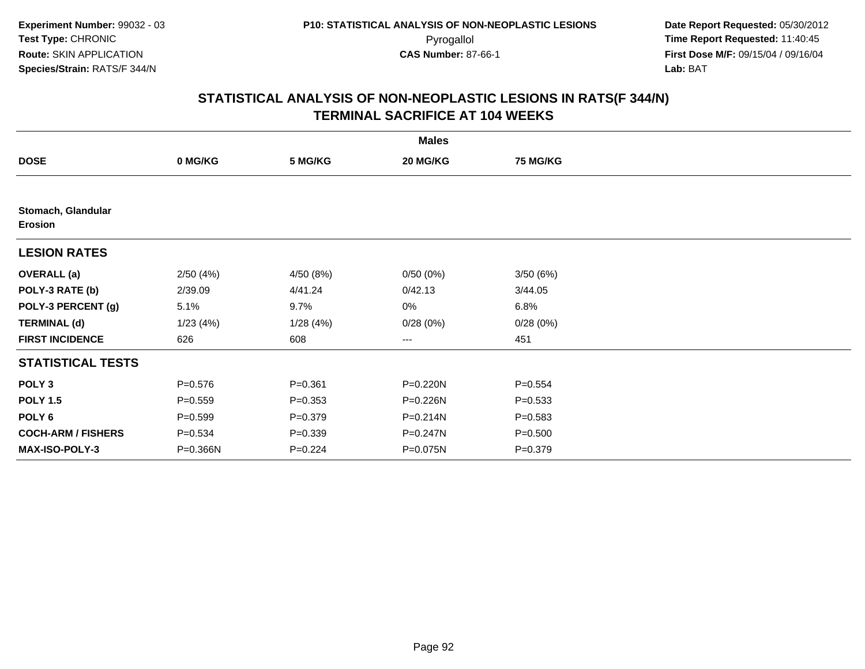|                                      |             |             | <b>Males</b> |                 |  |
|--------------------------------------|-------------|-------------|--------------|-----------------|--|
| <b>DOSE</b>                          | 0 MG/KG     | 5 MG/KG     | 20 MG/KG     | <b>75 MG/KG</b> |  |
|                                      |             |             |              |                 |  |
| Stomach, Glandular<br><b>Erosion</b> |             |             |              |                 |  |
| <b>LESION RATES</b>                  |             |             |              |                 |  |
| <b>OVERALL</b> (a)                   | 2/50(4%)    | 4/50 (8%)   | 0/50(0%)     | 3/50(6%)        |  |
| POLY-3 RATE (b)                      | 2/39.09     | 4/41.24     | 0/42.13      | 3/44.05         |  |
| POLY-3 PERCENT (g)                   | 5.1%        | 9.7%        | 0%           | 6.8%            |  |
| <b>TERMINAL (d)</b>                  | 1/23(4%)    | 1/28(4%)    | 0/28(0%)     | 0/28(0%)        |  |
| <b>FIRST INCIDENCE</b>               | 626         | 608         | $--$         | 451             |  |
| <b>STATISTICAL TESTS</b>             |             |             |              |                 |  |
| POLY <sub>3</sub>                    | $P = 0.576$ | $P = 0.361$ | P=0.220N     | $P = 0.554$     |  |
| <b>POLY 1.5</b>                      | $P = 0.559$ | $P = 0.353$ | P=0.226N     | $P = 0.533$     |  |
| POLY 6                               | $P = 0.599$ | $P = 0.379$ | P=0.214N     | $P = 0.583$     |  |
| <b>COCH-ARM / FISHERS</b>            | $P = 0.534$ | $P = 0.339$ | P=0.247N     | $P = 0.500$     |  |
| MAX-ISO-POLY-3                       | P=0.366N    | $P=0.224$   | P=0.075N     | $P = 0.379$     |  |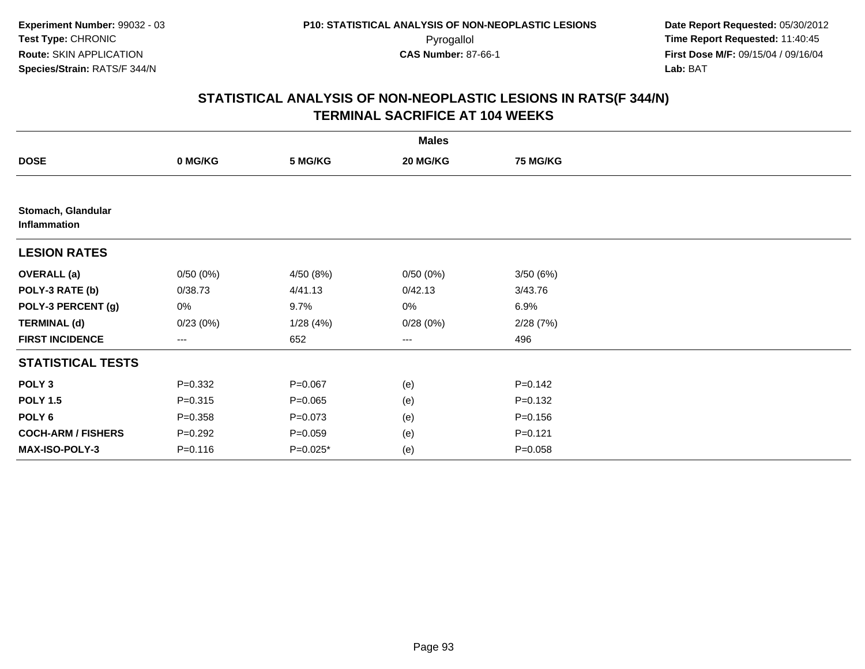|                                    |             |             | <b>Males</b> |                 |  |
|------------------------------------|-------------|-------------|--------------|-----------------|--|
| <b>DOSE</b>                        | 0 MG/KG     | 5 MG/KG     | 20 MG/KG     | <b>75 MG/KG</b> |  |
|                                    |             |             |              |                 |  |
| Stomach, Glandular<br>Inflammation |             |             |              |                 |  |
| <b>LESION RATES</b>                |             |             |              |                 |  |
| <b>OVERALL (a)</b>                 | 0/50(0%)    | 4/50 (8%)   | 0/50(0%)     | 3/50(6%)        |  |
| POLY-3 RATE (b)                    | 0/38.73     | 4/41.13     | 0/42.13      | 3/43.76         |  |
| POLY-3 PERCENT (g)                 | 0%          | 9.7%        | 0%           | 6.9%            |  |
| <b>TERMINAL (d)</b>                | 0/23(0%)    | 1/28(4%)    | 0/28(0%)     | 2/28(7%)        |  |
| <b>FIRST INCIDENCE</b>             | ---         | 652         | $---$        | 496             |  |
| <b>STATISTICAL TESTS</b>           |             |             |              |                 |  |
| POLY <sub>3</sub>                  | $P = 0.332$ | $P = 0.067$ | (e)          | $P = 0.142$     |  |
| <b>POLY 1.5</b>                    | $P = 0.315$ | $P = 0.065$ | (e)          | $P = 0.132$     |  |
| POLY <sub>6</sub>                  | $P = 0.358$ | $P = 0.073$ | (e)          | $P = 0.156$     |  |
| <b>COCH-ARM / FISHERS</b>          | $P = 0.292$ | $P = 0.059$ | (e)          | $P=0.121$       |  |
| MAX-ISO-POLY-3                     | $P = 0.116$ | $P=0.025*$  | (e)          | $P = 0.058$     |  |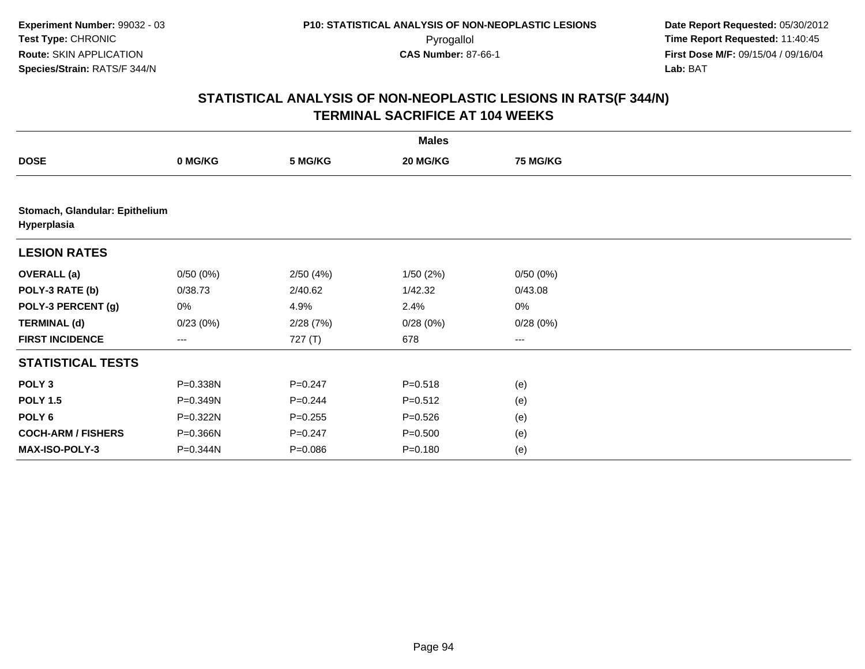|                           |                                |             | <b>Males</b> |                 |  |  |  |  |  |
|---------------------------|--------------------------------|-------------|--------------|-----------------|--|--|--|--|--|
| <b>DOSE</b>               | 0 MG/KG                        | 5 MG/KG     | 20 MG/KG     | <b>75 MG/KG</b> |  |  |  |  |  |
|                           |                                |             |              |                 |  |  |  |  |  |
| Hyperplasia               | Stomach, Glandular: Epithelium |             |              |                 |  |  |  |  |  |
| <b>LESION RATES</b>       |                                |             |              |                 |  |  |  |  |  |
| <b>OVERALL</b> (a)        | 0/50(0%)                       | 2/50(4%)    | 1/50(2%)     | 0/50(0%)        |  |  |  |  |  |
| POLY-3 RATE (b)           | 0/38.73                        | 2/40.62     | 1/42.32      | 0/43.08         |  |  |  |  |  |
| POLY-3 PERCENT (g)        | 0%                             | 4.9%        | 2.4%         | $0\%$           |  |  |  |  |  |
| <b>TERMINAL (d)</b>       | 0/23(0%)                       | 2/28(7%)    | 0/28(0%)     | 0/28(0%)        |  |  |  |  |  |
| <b>FIRST INCIDENCE</b>    | ---                            | 727 (T)     | 678          | ---             |  |  |  |  |  |
| <b>STATISTICAL TESTS</b>  |                                |             |              |                 |  |  |  |  |  |
| POLY <sub>3</sub>         | P=0.338N                       | $P = 0.247$ | $P = 0.518$  | (e)             |  |  |  |  |  |
| <b>POLY 1.5</b>           | P=0.349N                       | $P = 0.244$ | $P = 0.512$  | (e)             |  |  |  |  |  |
| POLY <sub>6</sub>         | P=0.322N                       | $P = 0.255$ | $P = 0.526$  | (e)             |  |  |  |  |  |
| <b>COCH-ARM / FISHERS</b> | P=0.366N                       | $P = 0.247$ | $P = 0.500$  | (e)             |  |  |  |  |  |
| <b>MAX-ISO-POLY-3</b>     | P=0.344N                       | $P = 0.086$ | $P = 0.180$  | (e)             |  |  |  |  |  |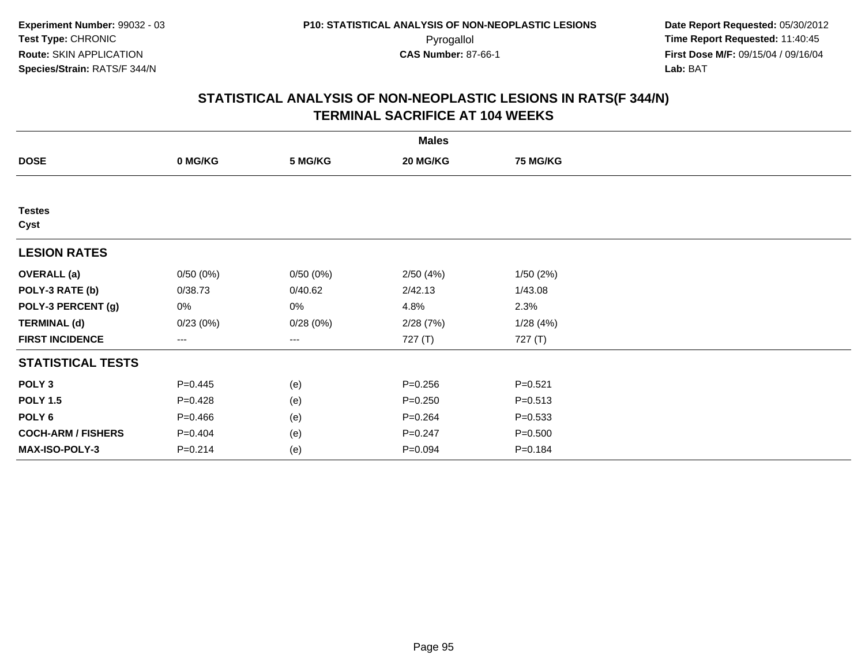|                           |             |          | <b>Males</b> |                 |  |
|---------------------------|-------------|----------|--------------|-----------------|--|
| <b>DOSE</b>               | 0 MG/KG     | 5 MG/KG  | 20 MG/KG     | <b>75 MG/KG</b> |  |
|                           |             |          |              |                 |  |
| <b>Testes</b><br>Cyst     |             |          |              |                 |  |
| <b>LESION RATES</b>       |             |          |              |                 |  |
| <b>OVERALL</b> (a)        | 0/50(0%)    | 0/50(0%) | 2/50(4%)     | 1/50(2%)        |  |
| POLY-3 RATE (b)           | 0/38.73     | 0/40.62  | 2/42.13      | 1/43.08         |  |
| POLY-3 PERCENT (g)        | 0%          | 0%       | 4.8%         | 2.3%            |  |
| <b>TERMINAL (d)</b>       | 0/23(0%)    | 0/28(0%) | 2/28(7%)     | 1/28(4%)        |  |
| <b>FIRST INCIDENCE</b>    | ---         | ---      | 727 (T)      | 727 (T)         |  |
| <b>STATISTICAL TESTS</b>  |             |          |              |                 |  |
| POLY <sub>3</sub>         | $P=0.445$   | (e)      | $P = 0.256$  | $P = 0.521$     |  |
| <b>POLY 1.5</b>           | $P=0.428$   | (e)      | $P = 0.250$  | $P = 0.513$     |  |
| POLY <sub>6</sub>         | $P = 0.466$ | (e)      | $P = 0.264$  | $P = 0.533$     |  |
| <b>COCH-ARM / FISHERS</b> | $P=0.404$   | (e)      | $P = 0.247$  | $P = 0.500$     |  |
| <b>MAX-ISO-POLY-3</b>     | $P = 0.214$ | (e)      | $P = 0.094$  | $P = 0.184$     |  |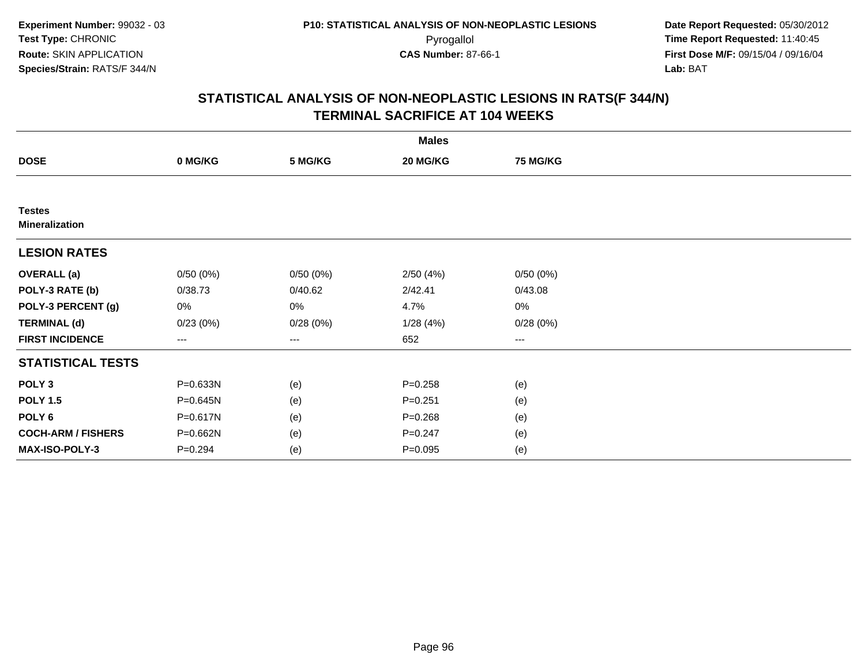|                                        |             |          | <b>Males</b> |                 |  |
|----------------------------------------|-------------|----------|--------------|-----------------|--|
| <b>DOSE</b>                            | 0 MG/KG     | 5 MG/KG  | 20 MG/KG     | <b>75 MG/KG</b> |  |
|                                        |             |          |              |                 |  |
| <b>Testes</b><br><b>Mineralization</b> |             |          |              |                 |  |
| <b>LESION RATES</b>                    |             |          |              |                 |  |
| <b>OVERALL</b> (a)                     | 0/50(0%)    | 0/50(0%) | 2/50(4%)     | 0/50(0%)        |  |
| POLY-3 RATE (b)                        | 0/38.73     | 0/40.62  | 2/42.41      | 0/43.08         |  |
| POLY-3 PERCENT (g)                     | 0%          | 0%       | 4.7%         | 0%              |  |
| <b>TERMINAL (d)</b>                    | 0/23(0%)    | 0/28(0%) | 1/28(4%)     | 0/28(0%)        |  |
| <b>FIRST INCIDENCE</b>                 | ---         | ---      | 652          | $---$           |  |
| <b>STATISTICAL TESTS</b>               |             |          |              |                 |  |
| POLY <sub>3</sub>                      | P=0.633N    | (e)      | $P = 0.258$  | (e)             |  |
| <b>POLY 1.5</b>                        | P=0.645N    | (e)      | $P = 0.251$  | (e)             |  |
| POLY <sub>6</sub>                      | P=0.617N    | (e)      | $P = 0.268$  | (e)             |  |
| <b>COCH-ARM / FISHERS</b>              | P=0.662N    | (e)      | $P = 0.247$  | (e)             |  |
| MAX-ISO-POLY-3                         | $P = 0.294$ | (e)      | $P = 0.095$  | (e)             |  |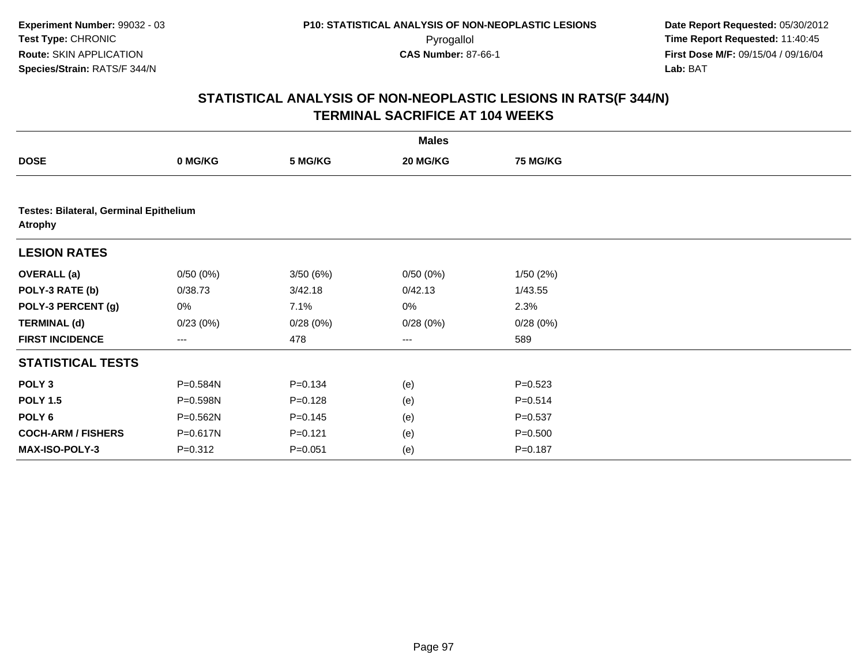|                                                          |             |             | <b>Males</b> |                 |  |
|----------------------------------------------------------|-------------|-------------|--------------|-----------------|--|
| <b>DOSE</b>                                              | 0 MG/KG     | 5 MG/KG     | 20 MG/KG     | <b>75 MG/KG</b> |  |
|                                                          |             |             |              |                 |  |
| Testes: Bilateral, Germinal Epithelium<br><b>Atrophy</b> |             |             |              |                 |  |
| <b>LESION RATES</b>                                      |             |             |              |                 |  |
| <b>OVERALL</b> (a)                                       | 0/50(0%)    | 3/50(6%)    | 0/50(0%)     | 1/50(2%)        |  |
| POLY-3 RATE (b)                                          | 0/38.73     | 3/42.18     | 0/42.13      | 1/43.55         |  |
| POLY-3 PERCENT (g)                                       | 0%          | 7.1%        | 0%           | 2.3%            |  |
| <b>TERMINAL (d)</b>                                      | 0/23(0%)    | 0/28(0%)    | 0/28(0%)     | 0/28(0%)        |  |
| <b>FIRST INCIDENCE</b>                                   | ---         | 478         | ---          | 589             |  |
| <b>STATISTICAL TESTS</b>                                 |             |             |              |                 |  |
| POLY <sub>3</sub>                                        | P=0.584N    | $P = 0.134$ | (e)          | $P = 0.523$     |  |
| <b>POLY 1.5</b>                                          | P=0.598N    | $P = 0.128$ | (e)          | $P = 0.514$     |  |
| POLY 6                                                   | P=0.562N    | $P = 0.145$ | (e)          | $P = 0.537$     |  |
| <b>COCH-ARM / FISHERS</b>                                | P=0.617N    | $P=0.121$   | (e)          | $P = 0.500$     |  |
| MAX-ISO-POLY-3                                           | $P = 0.312$ | $P = 0.051$ | (e)          | $P = 0.187$     |  |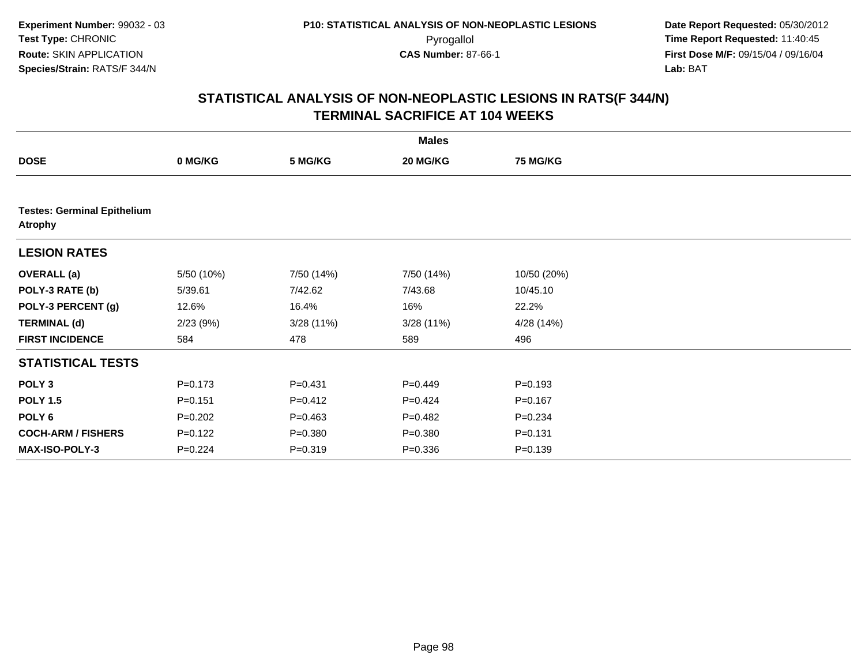|                                                      |             |             | <b>Males</b> |                 |  |  |  |  |  |
|------------------------------------------------------|-------------|-------------|--------------|-----------------|--|--|--|--|--|
| <b>DOSE</b>                                          | 0 MG/KG     | 5 MG/KG     | 20 MG/KG     | <b>75 MG/KG</b> |  |  |  |  |  |
|                                                      |             |             |              |                 |  |  |  |  |  |
| <b>Testes: Germinal Epithelium</b><br><b>Atrophy</b> |             |             |              |                 |  |  |  |  |  |
| <b>LESION RATES</b>                                  |             |             |              |                 |  |  |  |  |  |
| <b>OVERALL</b> (a)                                   | 5/50 (10%)  | 7/50 (14%)  | 7/50 (14%)   | 10/50 (20%)     |  |  |  |  |  |
| POLY-3 RATE (b)                                      | 5/39.61     | 7/42.62     | 7/43.68      | 10/45.10        |  |  |  |  |  |
| POLY-3 PERCENT (g)                                   | 12.6%       | 16.4%       | 16%          | 22.2%           |  |  |  |  |  |
| <b>TERMINAL (d)</b>                                  | 2/23(9%)    | 3/28(11%)   | 3/28(11%)    | 4/28 (14%)      |  |  |  |  |  |
| <b>FIRST INCIDENCE</b>                               | 584         | 478         | 589          | 496             |  |  |  |  |  |
| <b>STATISTICAL TESTS</b>                             |             |             |              |                 |  |  |  |  |  |
| POLY <sub>3</sub>                                    | $P = 0.173$ | $P = 0.431$ | $P=0.449$    | $P = 0.193$     |  |  |  |  |  |
| <b>POLY 1.5</b>                                      | $P = 0.151$ | $P = 0.412$ | $P=0.424$    | $P = 0.167$     |  |  |  |  |  |
| POLY <sub>6</sub>                                    | $P=0.202$   | $P=0.463$   | $P=0.482$    | $P = 0.234$     |  |  |  |  |  |
| <b>COCH-ARM / FISHERS</b>                            | $P=0.122$   | $P = 0.380$ | $P = 0.380$  | $P = 0.131$     |  |  |  |  |  |
| <b>MAX-ISO-POLY-3</b>                                | $P=0.224$   | $P = 0.319$ | $P = 0.336$  | $P = 0.139$     |  |  |  |  |  |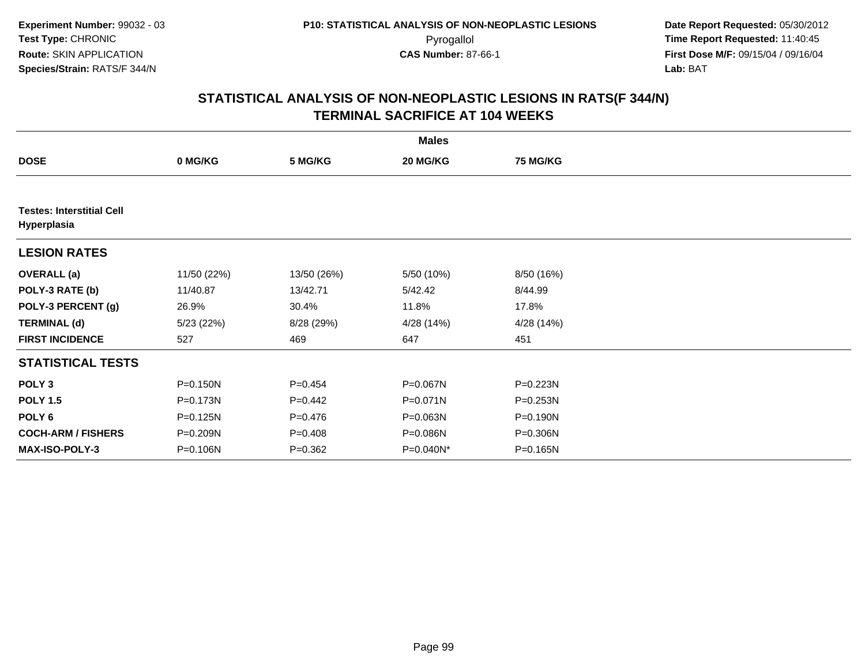|                                                 |             |             | <b>Males</b> |                 |  |
|-------------------------------------------------|-------------|-------------|--------------|-----------------|--|
| <b>DOSE</b>                                     | 0 MG/KG     | 5 MG/KG     | 20 MG/KG     | <b>75 MG/KG</b> |  |
|                                                 |             |             |              |                 |  |
| <b>Testes: Interstitial Cell</b><br>Hyperplasia |             |             |              |                 |  |
| <b>LESION RATES</b>                             |             |             |              |                 |  |
| <b>OVERALL</b> (a)                              | 11/50 (22%) | 13/50 (26%) | 5/50 (10%)   | 8/50 (16%)      |  |
| POLY-3 RATE (b)                                 | 11/40.87    | 13/42.71    | 5/42.42      | 8/44.99         |  |
| POLY-3 PERCENT (g)                              | 26.9%       | 30.4%       | 11.8%        | 17.8%           |  |
| <b>TERMINAL (d)</b>                             | 5/23(22%)   | 8/28 (29%)  | 4/28 (14%)   | 4/28 (14%)      |  |
| <b>FIRST INCIDENCE</b>                          | 527         | 469         | 647          | 451             |  |
| <b>STATISTICAL TESTS</b>                        |             |             |              |                 |  |
| POLY <sub>3</sub>                               | P=0.150N    | $P=0.454$   | P=0.067N     | P=0.223N        |  |
| <b>POLY 1.5</b>                                 | P=0.173N    | $P=0.442$   | P=0.071N     | P=0.253N        |  |
| POLY 6                                          | P=0.125N    | $P = 0.476$ | P=0.063N     | P=0.190N        |  |
| <b>COCH-ARM / FISHERS</b>                       | P=0.209N    | $P = 0.408$ | P=0.086N     | P=0.306N        |  |
| <b>MAX-ISO-POLY-3</b>                           | P=0.106N    | $P = 0.362$ | P=0.040N*    | P=0.165N        |  |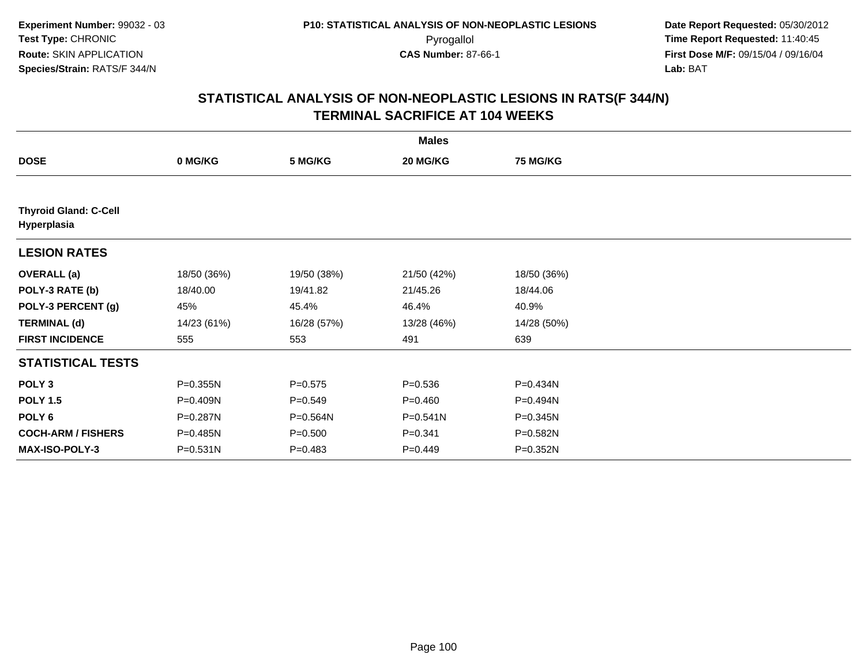|                                             |              |             | <b>Males</b> |                 |  |
|---------------------------------------------|--------------|-------------|--------------|-----------------|--|
| <b>DOSE</b>                                 | 0 MG/KG      | 5 MG/KG     | 20 MG/KG     | <b>75 MG/KG</b> |  |
|                                             |              |             |              |                 |  |
| <b>Thyroid Gland: C-Cell</b><br>Hyperplasia |              |             |              |                 |  |
| <b>LESION RATES</b>                         |              |             |              |                 |  |
| <b>OVERALL</b> (a)                          | 18/50 (36%)  | 19/50 (38%) | 21/50 (42%)  | 18/50 (36%)     |  |
| POLY-3 RATE (b)                             | 18/40.00     | 19/41.82    | 21/45.26     | 18/44.06        |  |
| POLY-3 PERCENT (g)                          | 45%          | 45.4%       | 46.4%        | 40.9%           |  |
| <b>TERMINAL (d)</b>                         | 14/23 (61%)  | 16/28 (57%) | 13/28 (46%)  | 14/28 (50%)     |  |
| <b>FIRST INCIDENCE</b>                      | 555          | 553         | 491          | 639             |  |
| <b>STATISTICAL TESTS</b>                    |              |             |              |                 |  |
| POLY <sub>3</sub>                           | P=0.355N     | $P = 0.575$ | $P = 0.536$  | P=0.434N        |  |
| <b>POLY 1.5</b>                             | P=0.409N     | $P = 0.549$ | $P = 0.460$  | P=0.494N        |  |
| POLY <sub>6</sub>                           | P=0.287N     | P=0.564N    | $P = 0.541N$ | P=0.345N        |  |
| <b>COCH-ARM / FISHERS</b>                   | P=0.485N     | $P = 0.500$ | $P = 0.341$  | P=0.582N        |  |
| <b>MAX-ISO-POLY-3</b>                       | $P = 0.531N$ | $P = 0.483$ | $P = 0.449$  | P=0.352N        |  |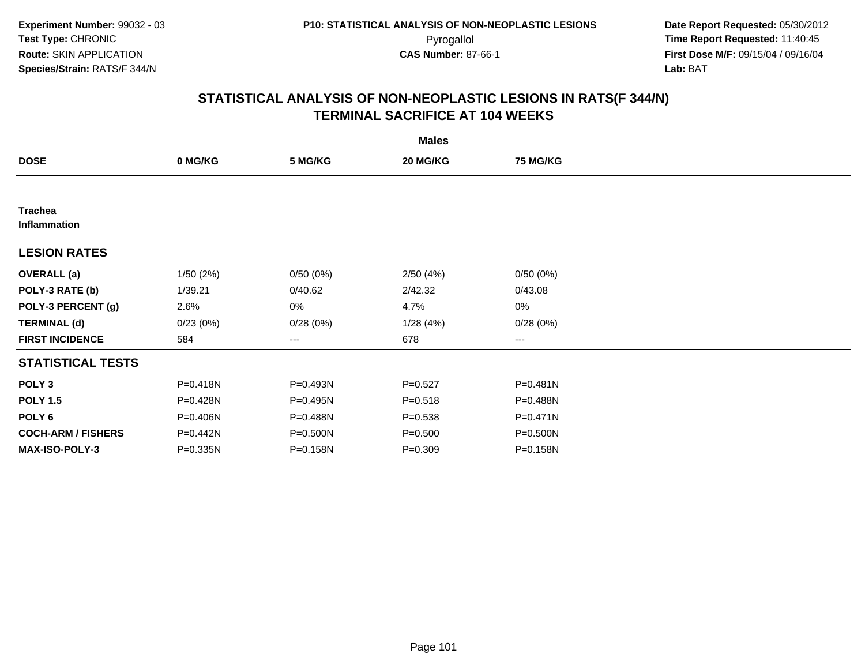|                                |          |          | <b>Males</b> |                 |  |
|--------------------------------|----------|----------|--------------|-----------------|--|
| <b>DOSE</b>                    | 0 MG/KG  | 5 MG/KG  | 20 MG/KG     | <b>75 MG/KG</b> |  |
|                                |          |          |              |                 |  |
| <b>Trachea</b><br>Inflammation |          |          |              |                 |  |
| <b>LESION RATES</b>            |          |          |              |                 |  |
| <b>OVERALL</b> (a)             | 1/50(2%) | 0/50(0%) | 2/50(4%)     | 0/50(0%)        |  |
| POLY-3 RATE (b)                | 1/39.21  | 0/40.62  | 2/42.32      | 0/43.08         |  |
| POLY-3 PERCENT (g)             | 2.6%     | 0%       | 4.7%         | 0%              |  |
| <b>TERMINAL (d)</b>            | 0/23(0%) | 0/28(0%) | 1/28(4%)     | 0/28(0%)        |  |
| <b>FIRST INCIDENCE</b>         | 584      | ---      | 678          | $---$           |  |
| <b>STATISTICAL TESTS</b>       |          |          |              |                 |  |
| POLY <sub>3</sub>              | P=0.418N | P=0.493N | $P = 0.527$  | P=0.481N        |  |
| <b>POLY 1.5</b>                | P=0.428N | P=0.495N | $P = 0.518$  | P=0.488N        |  |
| POLY <sub>6</sub>              | P=0.406N | P=0.488N | $P = 0.538$  | $P = 0.471N$    |  |
| <b>COCH-ARM / FISHERS</b>      | P=0.442N | P=0.500N | $P = 0.500$  | P=0.500N        |  |
| <b>MAX-ISO-POLY-3</b>          | P=0.335N | P=0.158N | $P = 0.309$  | P=0.158N        |  |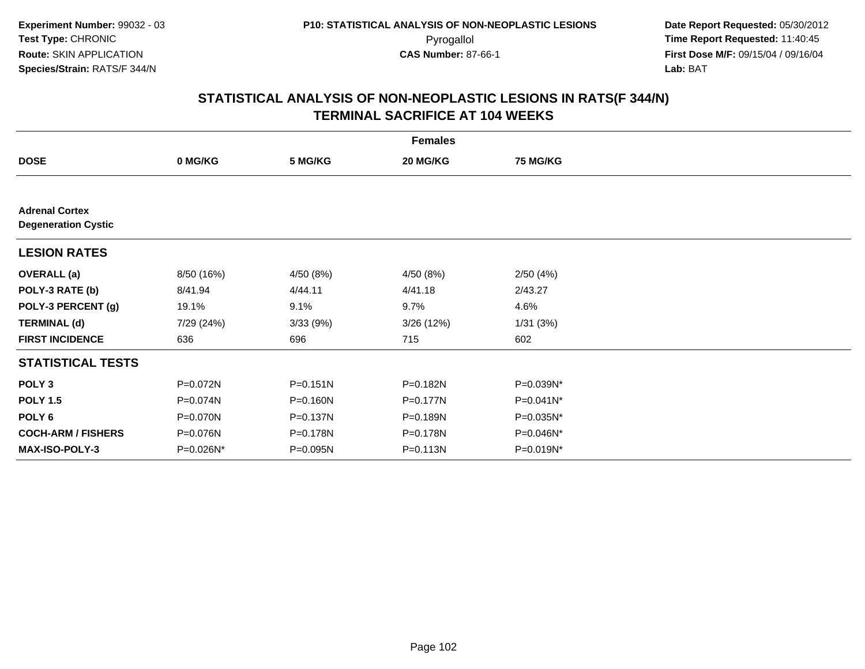|                                                     |            |              | <b>Females</b> |                 |  |
|-----------------------------------------------------|------------|--------------|----------------|-----------------|--|
| <b>DOSE</b>                                         | 0 MG/KG    | 5 MG/KG      | 20 MG/KG       | <b>75 MG/KG</b> |  |
|                                                     |            |              |                |                 |  |
| <b>Adrenal Cortex</b><br><b>Degeneration Cystic</b> |            |              |                |                 |  |
| <b>LESION RATES</b>                                 |            |              |                |                 |  |
| <b>OVERALL</b> (a)                                  | 8/50 (16%) | 4/50 (8%)    | 4/50 (8%)      | 2/50(4%)        |  |
| POLY-3 RATE (b)                                     | 8/41.94    | 4/44.11      | 4/41.18        | 2/43.27         |  |
| POLY-3 PERCENT (g)                                  | 19.1%      | 9.1%         | 9.7%           | 4.6%            |  |
| <b>TERMINAL (d)</b>                                 | 7/29 (24%) | 3/33(9%)     | 3/26 (12%)     | 1/31(3%)        |  |
| <b>FIRST INCIDENCE</b>                              | 636        | 696          | 715            | 602             |  |
| <b>STATISTICAL TESTS</b>                            |            |              |                |                 |  |
| POLY <sub>3</sub>                                   | P=0.072N   | $P = 0.151N$ | P=0.182N       | P=0.039N*       |  |
| <b>POLY 1.5</b>                                     | P=0.074N   | P=0.160N     | P=0.177N       | P=0.041N*       |  |
| POLY <sub>6</sub>                                   | P=0.070N   | P=0.137N     | P=0.189N       | P=0.035N*       |  |
| <b>COCH-ARM / FISHERS</b>                           | P=0.076N   | P=0.178N     | P=0.178N       | P=0.046N*       |  |
| <b>MAX-ISO-POLY-3</b>                               | P=0.026N*  | P=0.095N     | $P = 0.113N$   | $P=0.019N^*$    |  |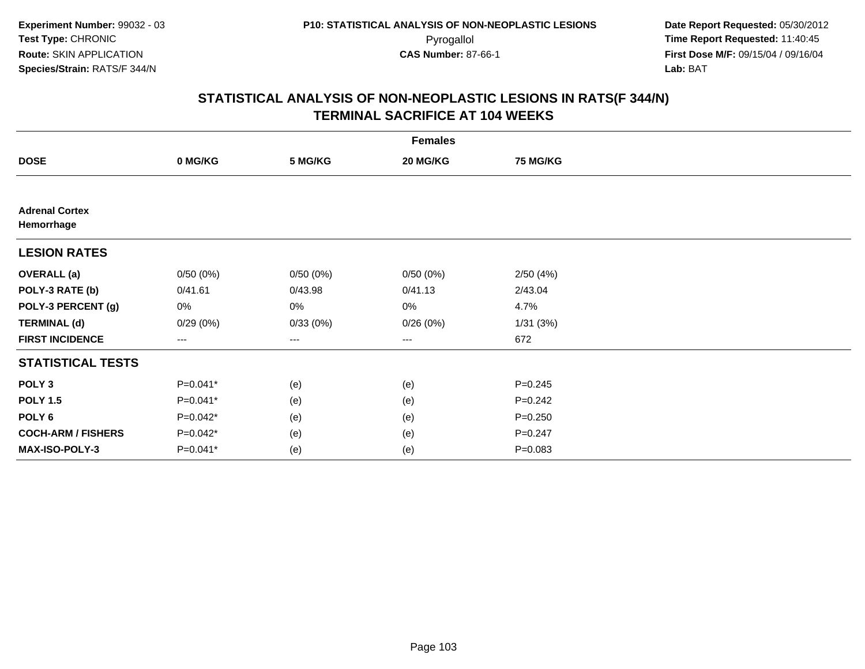|                                     |                     |          | <b>Females</b>    |                 |  |
|-------------------------------------|---------------------|----------|-------------------|-----------------|--|
| <b>DOSE</b>                         | 0 MG/KG             | 5 MG/KG  | 20 MG/KG          | <b>75 MG/KG</b> |  |
|                                     |                     |          |                   |                 |  |
| <b>Adrenal Cortex</b><br>Hemorrhage |                     |          |                   |                 |  |
| <b>LESION RATES</b>                 |                     |          |                   |                 |  |
| <b>OVERALL</b> (a)                  | 0/50(0%)            | 0/50(0%) | 0/50(0%)          | 2/50(4%)        |  |
| POLY-3 RATE (b)                     | 0/41.61             | 0/43.98  | 0/41.13           | 2/43.04         |  |
| POLY-3 PERCENT (g)                  | 0%                  | 0%       | 0%                | 4.7%            |  |
| <b>TERMINAL (d)</b>                 | 0/29(0%)            | 0/33(0%) | 0/26(0%)          | 1/31(3%)        |  |
| <b>FIRST INCIDENCE</b>              | $\qquad \qquad - -$ | ---      | $\qquad \qquad -$ | 672             |  |
| <b>STATISTICAL TESTS</b>            |                     |          |                   |                 |  |
| POLY <sub>3</sub>                   | $P=0.041*$          | (e)      | (e)               | $P = 0.245$     |  |
| <b>POLY 1.5</b>                     | $P=0.041*$          | (e)      | (e)               | $P=0.242$       |  |
| POLY <sub>6</sub>                   | P=0.042*            | (e)      | (e)               | $P = 0.250$     |  |
| <b>COCH-ARM / FISHERS</b>           | $P=0.042*$          | (e)      | (e)               | $P = 0.247$     |  |
| MAX-ISO-POLY-3                      | P=0.041*            | (e)      | (e)               | $P = 0.083$     |  |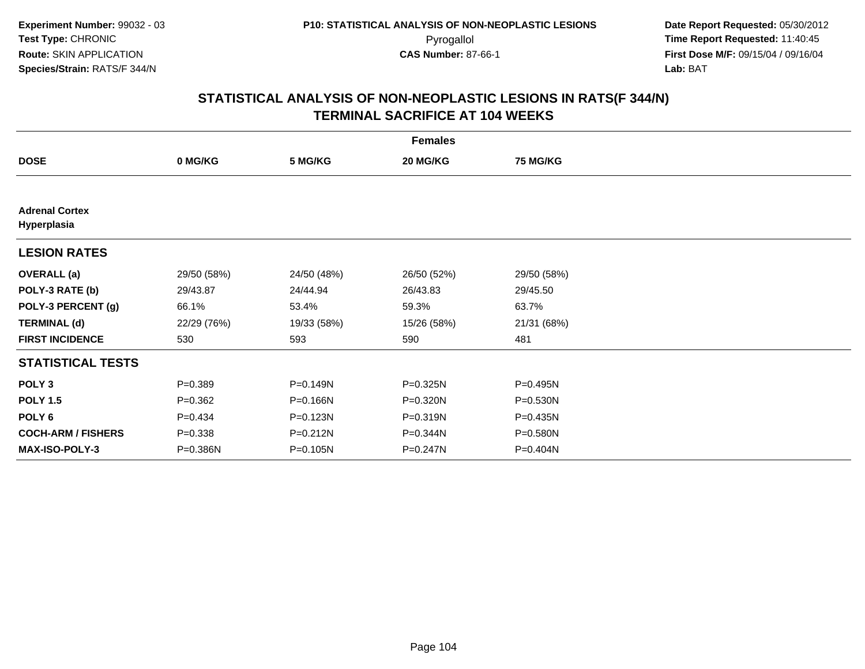|                                      |             |             | <b>Females</b> |                 |  |
|--------------------------------------|-------------|-------------|----------------|-----------------|--|
| <b>DOSE</b>                          | 0 MG/KG     | 5 MG/KG     | 20 MG/KG       | <b>75 MG/KG</b> |  |
|                                      |             |             |                |                 |  |
| <b>Adrenal Cortex</b><br>Hyperplasia |             |             |                |                 |  |
| <b>LESION RATES</b>                  |             |             |                |                 |  |
| <b>OVERALL</b> (a)                   | 29/50 (58%) | 24/50 (48%) | 26/50 (52%)    | 29/50 (58%)     |  |
| POLY-3 RATE (b)                      | 29/43.87    | 24/44.94    | 26/43.83       | 29/45.50        |  |
| POLY-3 PERCENT (g)                   | 66.1%       | 53.4%       | 59.3%          | 63.7%           |  |
| <b>TERMINAL (d)</b>                  | 22/29 (76%) | 19/33 (58%) | 15/26 (58%)    | 21/31 (68%)     |  |
| <b>FIRST INCIDENCE</b>               | 530         | 593         | 590            | 481             |  |
| <b>STATISTICAL TESTS</b>             |             |             |                |                 |  |
| POLY <sub>3</sub>                    | $P = 0.389$ | P=0.149N    | $P = 0.325N$   | P=0.495N        |  |
| <b>POLY 1.5</b>                      | $P = 0.362$ | P=0.166N    | P=0.320N       | P=0.530N        |  |
| POLY 6                               | $P=0.434$   | P=0.123N    | $P = 0.319N$   | P=0.435N        |  |
| <b>COCH-ARM / FISHERS</b>            | $P = 0.338$ | P=0.212N    | P=0.344N       | P=0.580N        |  |
| <b>MAX-ISO-POLY-3</b>                | P=0.386N    | P=0.105N    | P=0.247N       | P=0.404N        |  |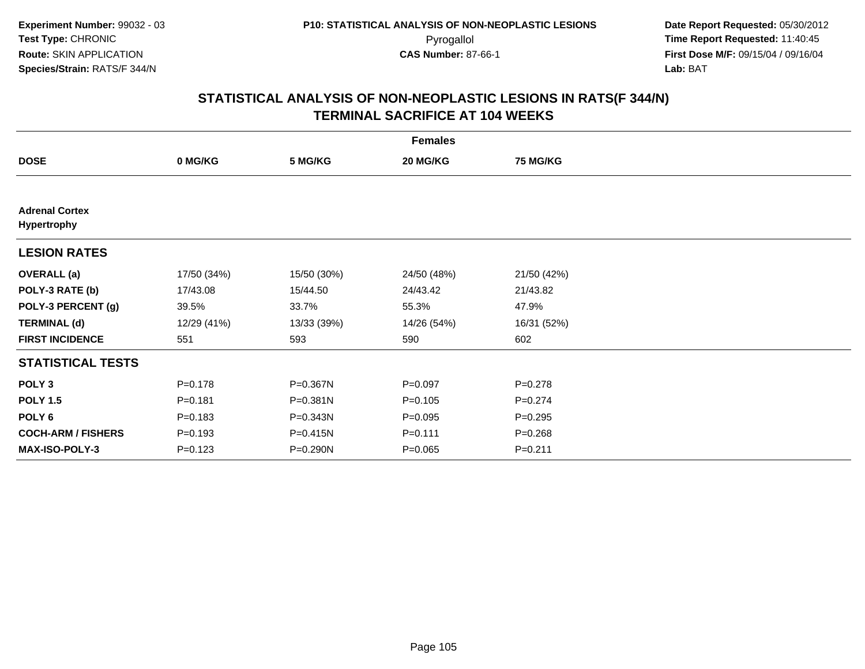|                                      |             |              | <b>Females</b> |                 |  |
|--------------------------------------|-------------|--------------|----------------|-----------------|--|
| <b>DOSE</b>                          | 0 MG/KG     | 5 MG/KG      | 20 MG/KG       | <b>75 MG/KG</b> |  |
|                                      |             |              |                |                 |  |
| <b>Adrenal Cortex</b><br>Hypertrophy |             |              |                |                 |  |
| <b>LESION RATES</b>                  |             |              |                |                 |  |
| <b>OVERALL</b> (a)                   | 17/50 (34%) | 15/50 (30%)  | 24/50 (48%)    | 21/50 (42%)     |  |
| POLY-3 RATE (b)                      | 17/43.08    | 15/44.50     | 24/43.42       | 21/43.82        |  |
| POLY-3 PERCENT (g)                   | 39.5%       | 33.7%        | 55.3%          | 47.9%           |  |
| <b>TERMINAL (d)</b>                  | 12/29 (41%) | 13/33 (39%)  | 14/26 (54%)    | 16/31 (52%)     |  |
| <b>FIRST INCIDENCE</b>               | 551         | 593          | 590            | 602             |  |
| <b>STATISTICAL TESTS</b>             |             |              |                |                 |  |
| POLY <sub>3</sub>                    | $P = 0.178$ | P=0.367N     | $P = 0.097$    | $P = 0.278$     |  |
| <b>POLY 1.5</b>                      | $P = 0.181$ | $P = 0.381N$ | $P = 0.105$    | $P=0.274$       |  |
| POLY 6                               | $P = 0.183$ | $P = 0.343N$ | $P=0.095$      | $P = 0.295$     |  |
| <b>COCH-ARM / FISHERS</b>            | $P = 0.193$ | P=0.415N     | $P = 0.111$    | $P = 0.268$     |  |
| MAX-ISO-POLY-3                       | $P = 0.123$ | P=0.290N     | $P = 0.065$    | $P = 0.211$     |  |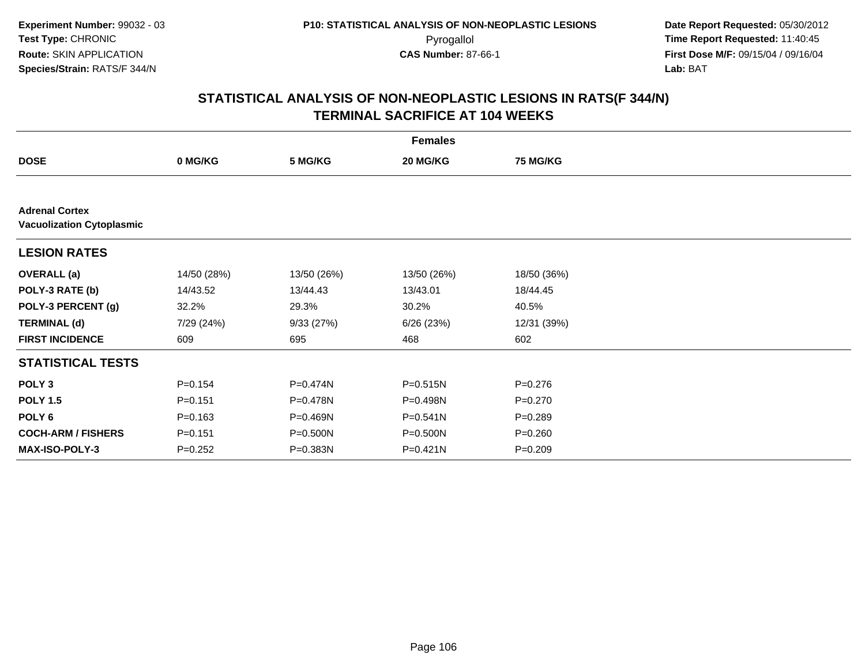|                                                           |             |              | <b>Females</b> |                 |  |
|-----------------------------------------------------------|-------------|--------------|----------------|-----------------|--|
| <b>DOSE</b>                                               | 0 MG/KG     | 5 MG/KG      | 20 MG/KG       | <b>75 MG/KG</b> |  |
|                                                           |             |              |                |                 |  |
| <b>Adrenal Cortex</b><br><b>Vacuolization Cytoplasmic</b> |             |              |                |                 |  |
| <b>LESION RATES</b>                                       |             |              |                |                 |  |
| <b>OVERALL</b> (a)                                        | 14/50 (28%) | 13/50 (26%)  | 13/50 (26%)    | 18/50 (36%)     |  |
| POLY-3 RATE (b)                                           | 14/43.52    | 13/44.43     | 13/43.01       | 18/44.45        |  |
| POLY-3 PERCENT (g)                                        | 32.2%       | 29.3%        | 30.2%          | 40.5%           |  |
| <b>TERMINAL (d)</b>                                       | 7/29 (24%)  | 9/33(27%)    | 6/26(23%)      | 12/31 (39%)     |  |
| <b>FIRST INCIDENCE</b>                                    | 609         | 695          | 468            | 602             |  |
| <b>STATISTICAL TESTS</b>                                  |             |              |                |                 |  |
| POLY <sub>3</sub>                                         | $P = 0.154$ | P=0.474N     | P=0.515N       | $P = 0.276$     |  |
| <b>POLY 1.5</b>                                           | $P = 0.151$ | P=0.478N     | P=0.498N       | $P=0.270$       |  |
| POLY <sub>6</sub>                                         | $P = 0.163$ | $P = 0.469N$ | $P = 0.541N$   | $P = 0.289$     |  |
| <b>COCH-ARM / FISHERS</b>                                 | $P = 0.151$ | P=0.500N     | P=0.500N       | $P = 0.260$     |  |
| MAX-ISO-POLY-3                                            | $P=0.252$   | P=0.383N     | $P = 0.421N$   | $P = 0.209$     |  |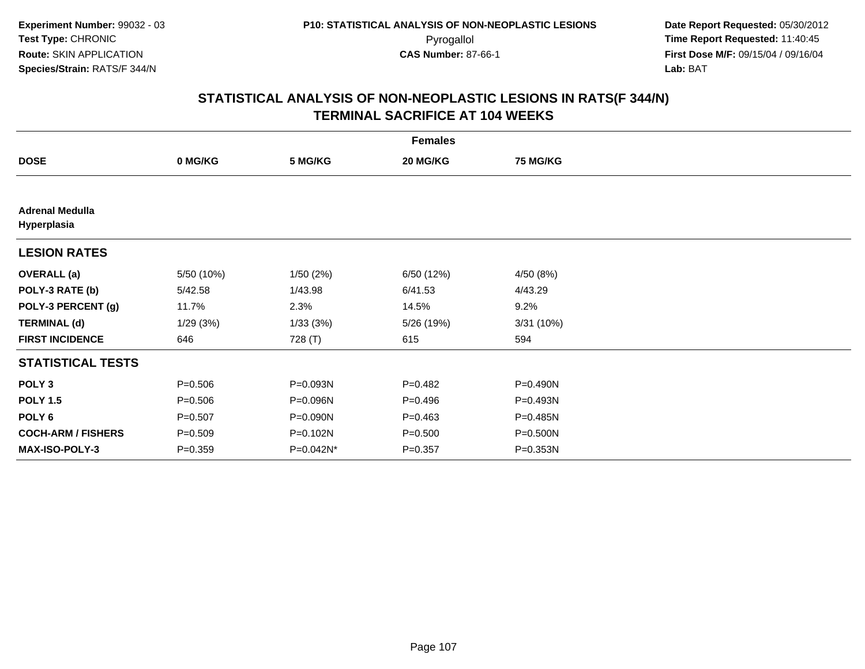|                                       |             |           | <b>Females</b> |                 |  |
|---------------------------------------|-------------|-----------|----------------|-----------------|--|
| <b>DOSE</b>                           | 0 MG/KG     | 5 MG/KG   | 20 MG/KG       | <b>75 MG/KG</b> |  |
|                                       |             |           |                |                 |  |
| <b>Adrenal Medulla</b><br>Hyperplasia |             |           |                |                 |  |
| <b>LESION RATES</b>                   |             |           |                |                 |  |
| <b>OVERALL</b> (a)                    | 5/50 (10%)  | 1/50(2%)  | 6/50 (12%)     | 4/50 (8%)       |  |
| POLY-3 RATE (b)                       | 5/42.58     | 1/43.98   | 6/41.53        | 4/43.29         |  |
| POLY-3 PERCENT (g)                    | 11.7%       | 2.3%      | 14.5%          | 9.2%            |  |
| <b>TERMINAL (d)</b>                   | 1/29(3%)    | 1/33(3%)  | 5/26 (19%)     | 3/31(10%)       |  |
| <b>FIRST INCIDENCE</b>                | 646         | 728 (T)   | 615            | 594             |  |
| <b>STATISTICAL TESTS</b>              |             |           |                |                 |  |
| POLY <sub>3</sub>                     | $P = 0.506$ | P=0.093N  | $P=0.482$      | P=0.490N        |  |
| <b>POLY 1.5</b>                       | $P = 0.506$ | P=0.096N  | $P = 0.496$    | P=0.493N        |  |
| POLY 6                                | $P = 0.507$ | P=0.090N  | $P = 0.463$    | P=0.485N        |  |
| <b>COCH-ARM / FISHERS</b>             | $P = 0.509$ | P=0.102N  | $P = 0.500$    | P=0.500N        |  |
| <b>MAX-ISO-POLY-3</b>                 | $P = 0.359$ | P=0.042N* | $P = 0.357$    | P=0.353N        |  |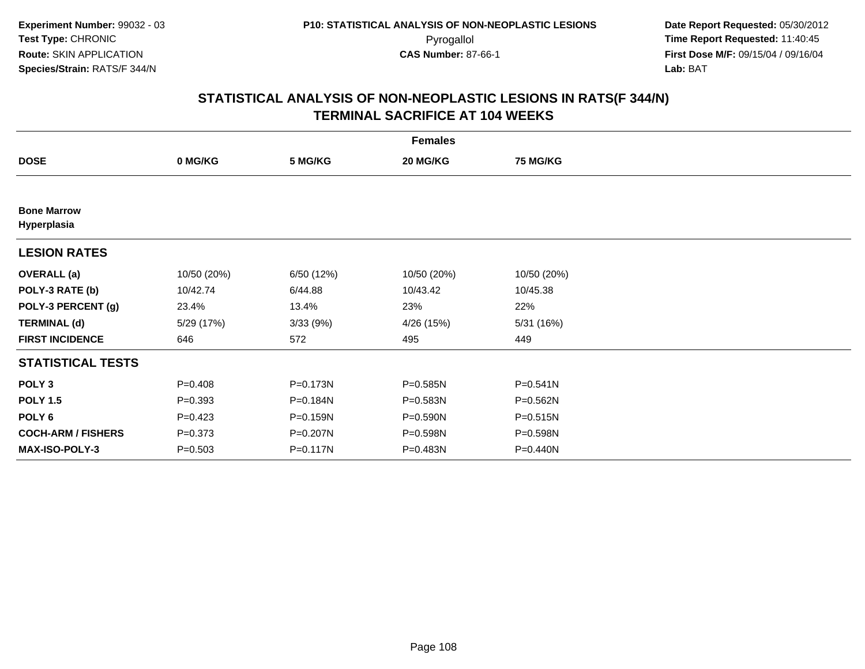|                                   |             |              | <b>Females</b> |                 |  |
|-----------------------------------|-------------|--------------|----------------|-----------------|--|
| <b>DOSE</b>                       | 0 MG/KG     | 5 MG/KG      | 20 MG/KG       | <b>75 MG/KG</b> |  |
|                                   |             |              |                |                 |  |
| <b>Bone Marrow</b><br>Hyperplasia |             |              |                |                 |  |
| <b>LESION RATES</b>               |             |              |                |                 |  |
| <b>OVERALL</b> (a)                | 10/50 (20%) | 6/50 (12%)   | 10/50 (20%)    | 10/50 (20%)     |  |
| POLY-3 RATE (b)                   | 10/42.74    | 6/44.88      | 10/43.42       | 10/45.38        |  |
| POLY-3 PERCENT (g)                | 23.4%       | 13.4%        | 23%            | 22%             |  |
| <b>TERMINAL (d)</b>               | 5/29 (17%)  | 3/33(9%)     | 4/26 (15%)     | 5/31 (16%)      |  |
| <b>FIRST INCIDENCE</b>            | 646         | 572          | 495            | 449             |  |
| <b>STATISTICAL TESTS</b>          |             |              |                |                 |  |
| POLY <sub>3</sub>                 | $P = 0.408$ | P=0.173N     | $P = 0.585N$   | $P = 0.541N$    |  |
| <b>POLY 1.5</b>                   | $P = 0.393$ | P=0.184N     | P=0.583N       | P=0.562N        |  |
| POLY 6                            | $P=0.423$   | P=0.159N     | P=0.590N       | P=0.515N        |  |
| <b>COCH-ARM / FISHERS</b>         | $P = 0.373$ | P=0.207N     | P=0.598N       | P=0.598N        |  |
| MAX-ISO-POLY-3                    | $P = 0.503$ | $P = 0.117N$ | P=0.483N       | P=0.440N        |  |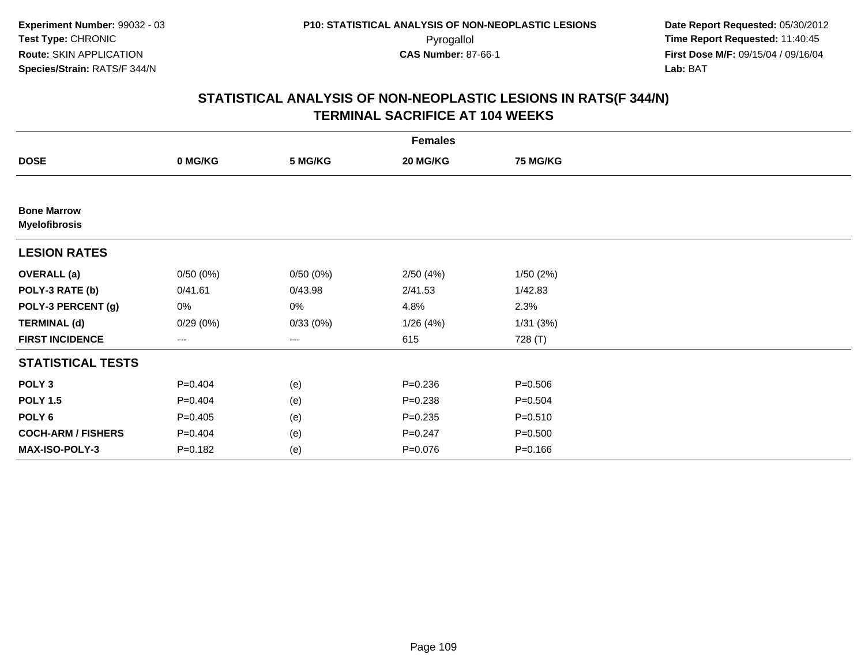| <b>Females</b>                             |                   |          |             |                 |  |  |  |
|--------------------------------------------|-------------------|----------|-------------|-----------------|--|--|--|
| <b>DOSE</b>                                | 0 MG/KG           | 5 MG/KG  | 20 MG/KG    | <b>75 MG/KG</b> |  |  |  |
|                                            |                   |          |             |                 |  |  |  |
| <b>Bone Marrow</b><br><b>Myelofibrosis</b> |                   |          |             |                 |  |  |  |
| <b>LESION RATES</b>                        |                   |          |             |                 |  |  |  |
| <b>OVERALL</b> (a)                         | 0/50(0%)          | 0/50(0%) | 2/50(4%)    | 1/50(2%)        |  |  |  |
| POLY-3 RATE (b)                            | 0/41.61           | 0/43.98  | 2/41.53     | 1/42.83         |  |  |  |
| POLY-3 PERCENT (g)                         | 0%                | 0%       | 4.8%        | 2.3%            |  |  |  |
| <b>TERMINAL (d)</b>                        | 0/29(0%)          | 0/33(0%) | 1/26 (4%)   | 1/31(3%)        |  |  |  |
| <b>FIRST INCIDENCE</b>                     | $\qquad \qquad -$ | ---      | 615         | 728 (T)         |  |  |  |
| <b>STATISTICAL TESTS</b>                   |                   |          |             |                 |  |  |  |
| POLY <sub>3</sub>                          | $P=0.404$         | (e)      | $P=0.236$   | $P = 0.506$     |  |  |  |
| <b>POLY 1.5</b>                            | $P=0.404$         | (e)      | $P = 0.238$ | $P = 0.504$     |  |  |  |
| POLY 6                                     | $P=0.405$         | (e)      | $P = 0.235$ | $P = 0.510$     |  |  |  |
| <b>COCH-ARM / FISHERS</b>                  | $P=0.404$         | (e)      | $P = 0.247$ | $P = 0.500$     |  |  |  |
| MAX-ISO-POLY-3                             | $P = 0.182$       | (e)      | $P = 0.076$ | $P = 0.166$     |  |  |  |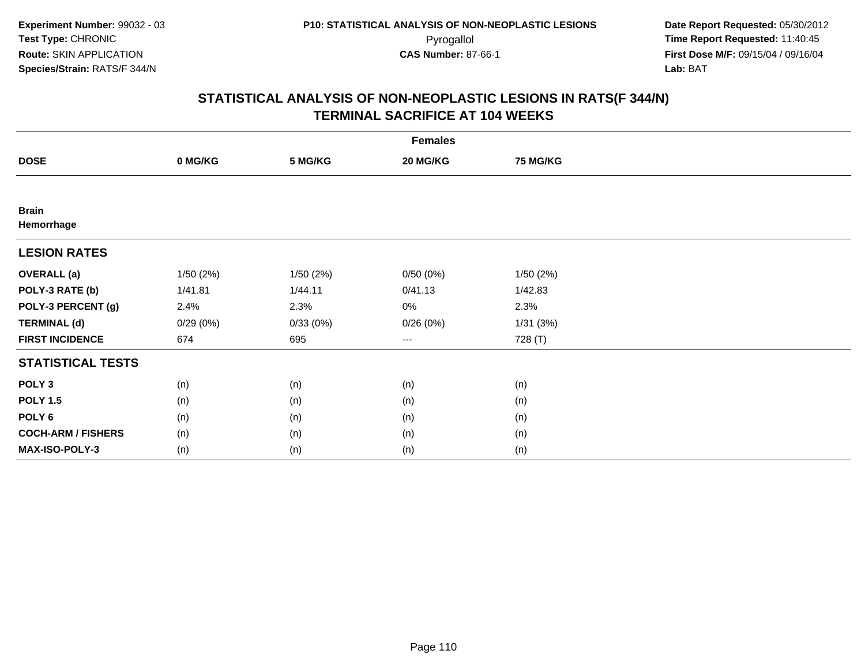| <b>Females</b>             |          |          |                        |                 |  |  |
|----------------------------|----------|----------|------------------------|-----------------|--|--|
| <b>DOSE</b>                | 0 MG/KG  | 5 MG/KG  | 20 MG/KG               | <b>75 MG/KG</b> |  |  |
|                            |          |          |                        |                 |  |  |
| <b>Brain</b><br>Hemorrhage |          |          |                        |                 |  |  |
| <b>LESION RATES</b>        |          |          |                        |                 |  |  |
| <b>OVERALL (a)</b>         | 1/50(2%) | 1/50(2%) | 0/50(0%)               | 1/50(2%)        |  |  |
| POLY-3 RATE (b)            | 1/41.81  | 1/44.11  | 0/41.13                | 1/42.83         |  |  |
| POLY-3 PERCENT (g)         | 2.4%     | 2.3%     | 0%                     | 2.3%            |  |  |
| <b>TERMINAL (d)</b>        | 0/29(0%) | 0/33(0%) | 0/26(0%)               | 1/31(3%)        |  |  |
| <b>FIRST INCIDENCE</b>     | 674      | 695      | $\qquad \qquad \cdots$ | 728 (T)         |  |  |
| <b>STATISTICAL TESTS</b>   |          |          |                        |                 |  |  |
| POLY <sub>3</sub>          | (n)      | (n)      | (n)                    | (n)             |  |  |
| <b>POLY 1.5</b>            | (n)      | (n)      | (n)                    | (n)             |  |  |
| POLY <sub>6</sub>          | (n)      | (n)      | (n)                    | (n)             |  |  |
| <b>COCH-ARM / FISHERS</b>  | (n)      | (n)      | (n)                    | (n)             |  |  |
| MAX-ISO-POLY-3             | (n)      | (n)      | (n)                    | (n)             |  |  |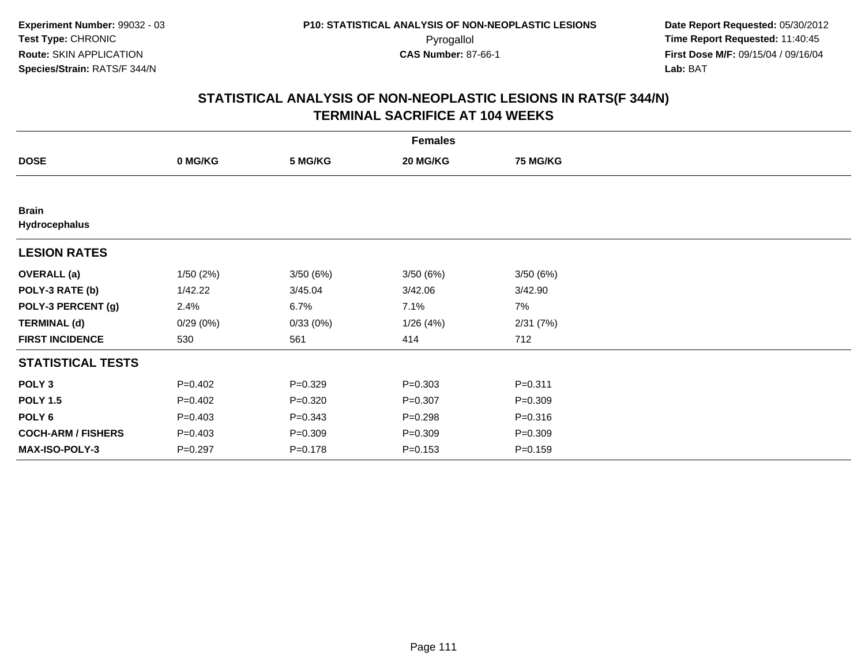| <b>Females</b>                |           |             |             |                 |  |  |
|-------------------------------|-----------|-------------|-------------|-----------------|--|--|
| <b>DOSE</b>                   | 0 MG/KG   | 5 MG/KG     | 20 MG/KG    | <b>75 MG/KG</b> |  |  |
|                               |           |             |             |                 |  |  |
| <b>Brain</b><br>Hydrocephalus |           |             |             |                 |  |  |
| <b>LESION RATES</b>           |           |             |             |                 |  |  |
| <b>OVERALL</b> (a)            | 1/50(2%)  | 3/50(6%)    | 3/50(6%)    | 3/50(6%)        |  |  |
| POLY-3 RATE (b)               | 1/42.22   | 3/45.04     | 3/42.06     | 3/42.90         |  |  |
| POLY-3 PERCENT (g)            | 2.4%      | 6.7%        | 7.1%        | 7%              |  |  |
| <b>TERMINAL (d)</b>           | 0/29(0%)  | 0/33(0%)    | 1/26(4%)    | 2/31(7%)        |  |  |
| <b>FIRST INCIDENCE</b>        | 530       | 561         | 414         | 712             |  |  |
| <b>STATISTICAL TESTS</b>      |           |             |             |                 |  |  |
| POLY <sub>3</sub>             | $P=0.402$ | $P = 0.329$ | $P = 0.303$ | $P = 0.311$     |  |  |
| <b>POLY 1.5</b>               | $P=0.402$ | $P = 0.320$ | $P = 0.307$ | $P = 0.309$     |  |  |
| POLY <sub>6</sub>             | $P=0.403$ | $P = 0.343$ | $P = 0.298$ | $P = 0.316$     |  |  |
| <b>COCH-ARM / FISHERS</b>     | $P=0.403$ | $P = 0.309$ | $P = 0.309$ | $P = 0.309$     |  |  |
| <b>MAX-ISO-POLY-3</b>         | $P=0.297$ | $P = 0.178$ | $P = 0.153$ | $P = 0.159$     |  |  |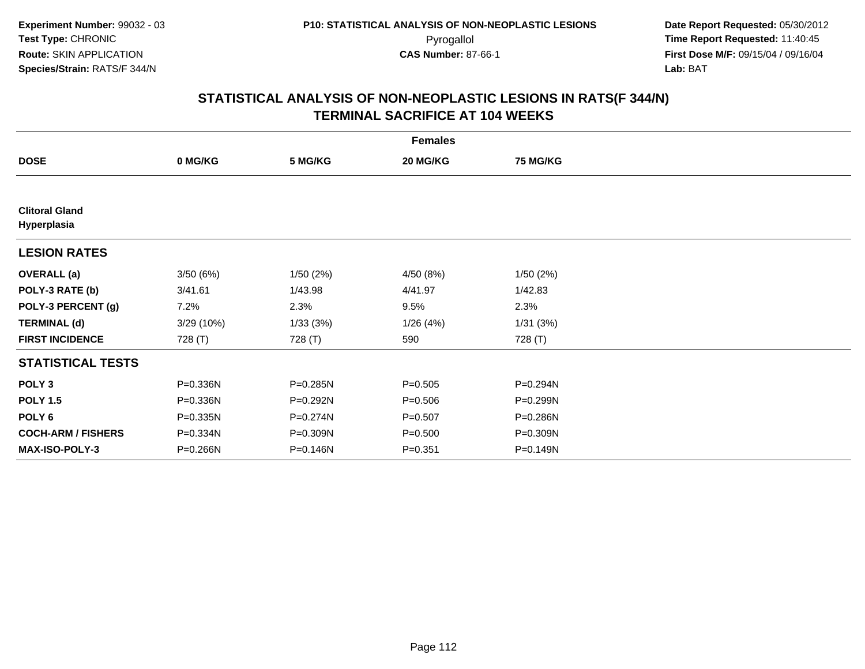| <b>Females</b>                       |            |          |             |                 |  |  |  |
|--------------------------------------|------------|----------|-------------|-----------------|--|--|--|
| <b>DOSE</b>                          | 0 MG/KG    | 5 MG/KG  | 20 MG/KG    | <b>75 MG/KG</b> |  |  |  |
|                                      |            |          |             |                 |  |  |  |
| <b>Clitoral Gland</b><br>Hyperplasia |            |          |             |                 |  |  |  |
| <b>LESION RATES</b>                  |            |          |             |                 |  |  |  |
| <b>OVERALL</b> (a)                   | 3/50(6%)   | 1/50(2%) | 4/50 (8%)   | 1/50(2%)        |  |  |  |
| POLY-3 RATE (b)                      | 3/41.61    | 1/43.98  | 4/41.97     | 1/42.83         |  |  |  |
| POLY-3 PERCENT (g)                   | 7.2%       | 2.3%     | 9.5%        | 2.3%            |  |  |  |
| <b>TERMINAL (d)</b>                  | 3/29 (10%) | 1/33(3%) | 1/26(4%)    | 1/31(3%)        |  |  |  |
| <b>FIRST INCIDENCE</b>               | 728 (T)    | 728 (T)  | 590         | 728 (T)         |  |  |  |
| <b>STATISTICAL TESTS</b>             |            |          |             |                 |  |  |  |
| POLY <sub>3</sub>                    | P=0.336N   | P=0.285N | $P = 0.505$ | P=0.294N        |  |  |  |
| <b>POLY 1.5</b>                      | P=0.336N   | P=0.292N | $P = 0.506$ | P=0.299N        |  |  |  |
| POLY <sub>6</sub>                    | P=0.335N   | P=0.274N | $P = 0.507$ | P=0.286N        |  |  |  |
| <b>COCH-ARM / FISHERS</b>            | P=0.334N   | P=0.309N | $P = 0.500$ | P=0.309N        |  |  |  |
| MAX-ISO-POLY-3                       | P=0.266N   | P=0.146N | $P = 0.351$ | P=0.149N        |  |  |  |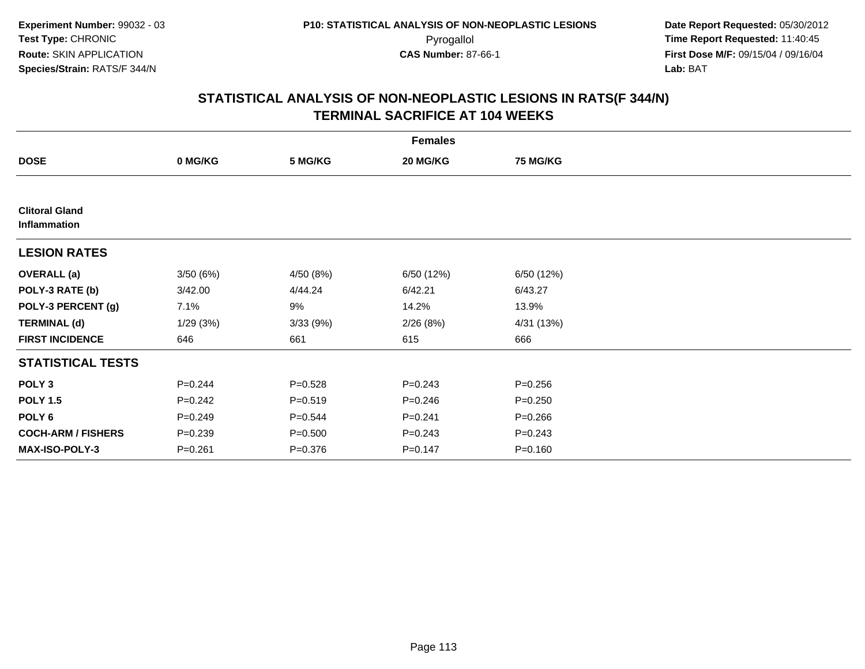| <b>Females</b>                        |             |             |             |                 |  |  |  |
|---------------------------------------|-------------|-------------|-------------|-----------------|--|--|--|
| <b>DOSE</b>                           | 0 MG/KG     | 5 MG/KG     | 20 MG/KG    | <b>75 MG/KG</b> |  |  |  |
|                                       |             |             |             |                 |  |  |  |
| <b>Clitoral Gland</b><br>Inflammation |             |             |             |                 |  |  |  |
| <b>LESION RATES</b>                   |             |             |             |                 |  |  |  |
| <b>OVERALL (a)</b>                    | 3/50(6%)    | 4/50 (8%)   | 6/50 (12%)  | 6/50 (12%)      |  |  |  |
| POLY-3 RATE (b)                       | 3/42.00     | 4/44.24     | 6/42.21     | 6/43.27         |  |  |  |
| POLY-3 PERCENT (g)                    | 7.1%        | 9%          | 14.2%       | 13.9%           |  |  |  |
| <b>TERMINAL (d)</b>                   | 1/29(3%)    | 3/33 (9%)   | 2/26(8%)    | 4/31 (13%)      |  |  |  |
| <b>FIRST INCIDENCE</b>                | 646         | 661         | 615         | 666             |  |  |  |
| <b>STATISTICAL TESTS</b>              |             |             |             |                 |  |  |  |
| POLY <sub>3</sub>                     | $P = 0.244$ | $P = 0.528$ | $P = 0.243$ | $P = 0.256$     |  |  |  |
| <b>POLY 1.5</b>                       | $P = 0.242$ | $P = 0.519$ | $P = 0.246$ | $P = 0.250$     |  |  |  |
| POLY 6                                | $P = 0.249$ | $P = 0.544$ | $P=0.241$   | $P = 0.266$     |  |  |  |
| <b>COCH-ARM / FISHERS</b>             | $P = 0.239$ | $P = 0.500$ | $P = 0.243$ | $P = 0.243$     |  |  |  |
| MAX-ISO-POLY-3                        | $P = 0.261$ | $P = 0.376$ | $P = 0.147$ | $P = 0.160$     |  |  |  |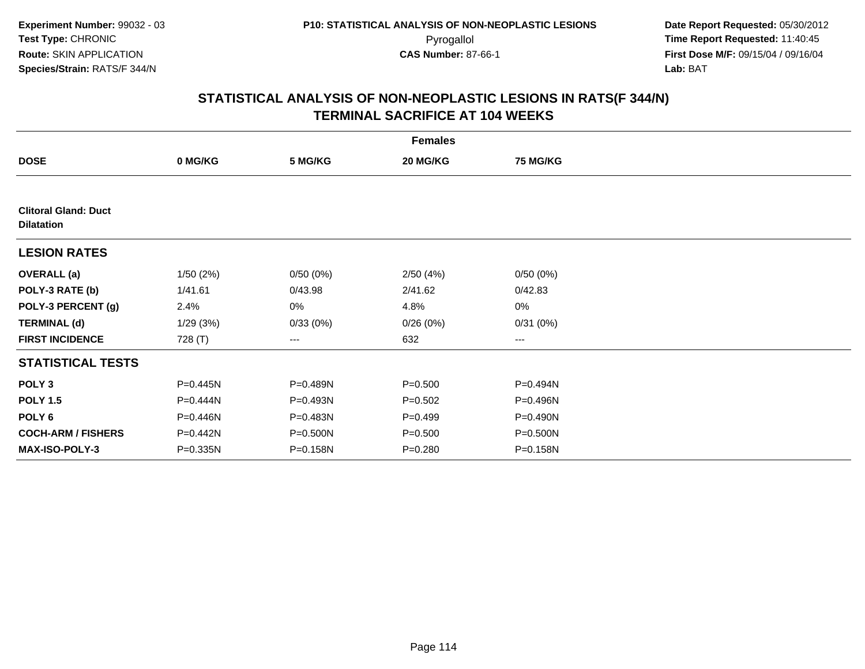| <b>Females</b>                                   |          |          |             |                 |  |  |  |
|--------------------------------------------------|----------|----------|-------------|-----------------|--|--|--|
| <b>DOSE</b>                                      | 0 MG/KG  | 5 MG/KG  | 20 MG/KG    | <b>75 MG/KG</b> |  |  |  |
|                                                  |          |          |             |                 |  |  |  |
| <b>Clitoral Gland: Duct</b><br><b>Dilatation</b> |          |          |             |                 |  |  |  |
| <b>LESION RATES</b>                              |          |          |             |                 |  |  |  |
| <b>OVERALL (a)</b>                               | 1/50(2%) | 0/50(0%) | 2/50(4%)    | 0/50(0%)        |  |  |  |
| POLY-3 RATE (b)                                  | 1/41.61  | 0/43.98  | 2/41.62     | 0/42.83         |  |  |  |
| POLY-3 PERCENT (g)                               | 2.4%     | 0%       | 4.8%        | 0%              |  |  |  |
| <b>TERMINAL (d)</b>                              | 1/29(3%) | 0/33(0%) | 0/26(0%)    | 0/31(0%)        |  |  |  |
| <b>FIRST INCIDENCE</b>                           | 728 (T)  | ---      | 632         | ---             |  |  |  |
| <b>STATISTICAL TESTS</b>                         |          |          |             |                 |  |  |  |
| POLY <sub>3</sub>                                | P=0.445N | P=0.489N | $P = 0.500$ | P=0.494N        |  |  |  |
| <b>POLY 1.5</b>                                  | P=0.444N | P=0.493N | $P=0.502$   | P=0.496N        |  |  |  |
| POLY 6                                           | P=0.446N | P=0.483N | $P = 0.499$ | P=0.490N        |  |  |  |
| <b>COCH-ARM / FISHERS</b>                        | P=0.442N | P=0.500N | $P = 0.500$ | P=0.500N        |  |  |  |
| <b>MAX-ISO-POLY-3</b>                            | P=0.335N | P=0.158N | $P = 0.280$ | P=0.158N        |  |  |  |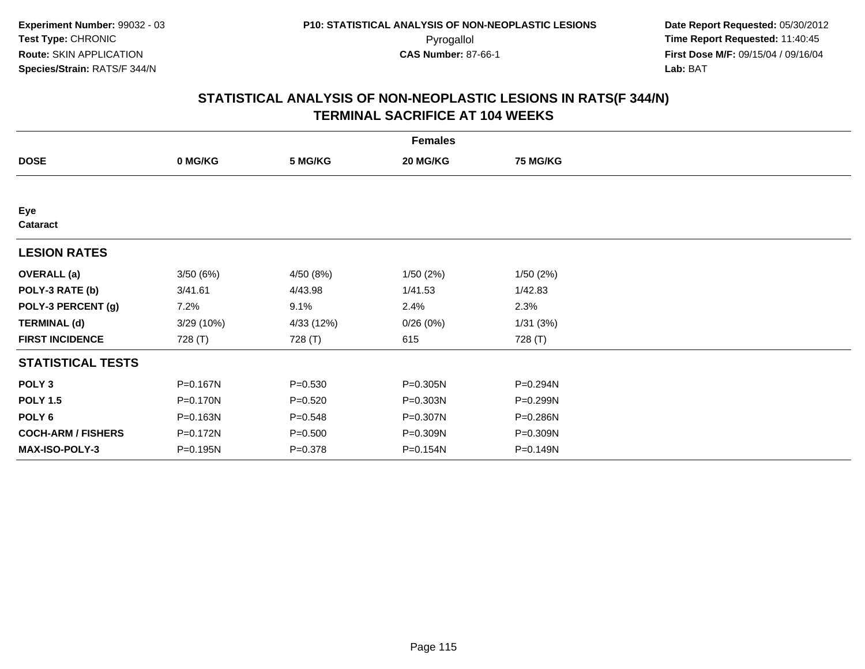| <b>Females</b>            |            |             |          |                 |  |  |  |
|---------------------------|------------|-------------|----------|-----------------|--|--|--|
| <b>DOSE</b>               | 0 MG/KG    | 5 MG/KG     | 20 MG/KG | <b>75 MG/KG</b> |  |  |  |
|                           |            |             |          |                 |  |  |  |
| Eye<br>Cataract           |            |             |          |                 |  |  |  |
| <b>LESION RATES</b>       |            |             |          |                 |  |  |  |
| <b>OVERALL</b> (a)        | 3/50(6%)   | 4/50 (8%)   | 1/50(2%) | 1/50(2%)        |  |  |  |
| POLY-3 RATE (b)           | 3/41.61    | 4/43.98     | 1/41.53  | 1/42.83         |  |  |  |
| POLY-3 PERCENT (g)        | 7.2%       | 9.1%        | 2.4%     | 2.3%            |  |  |  |
| <b>TERMINAL (d)</b>       | 3/29 (10%) | 4/33 (12%)  | 0/26(0%) | 1/31(3%)        |  |  |  |
| <b>FIRST INCIDENCE</b>    | 728 (T)    | 728 (T)     | 615      | 728 (T)         |  |  |  |
| <b>STATISTICAL TESTS</b>  |            |             |          |                 |  |  |  |
| POLY <sub>3</sub>         | P=0.167N   | $P = 0.530$ | P=0.305N | P=0.294N        |  |  |  |
| <b>POLY 1.5</b>           | P=0.170N   | $P = 0.520$ | P=0.303N | P=0.299N        |  |  |  |
| POLY <sub>6</sub>         | P=0.163N   | $P = 0.548$ | P=0.307N | P=0.286N        |  |  |  |
| <b>COCH-ARM / FISHERS</b> | P=0.172N   | $P = 0.500$ | P=0.309N | P=0.309N        |  |  |  |
| <b>MAX-ISO-POLY-3</b>     | P=0.195N   | $P = 0.378$ | P=0.154N | P=0.149N        |  |  |  |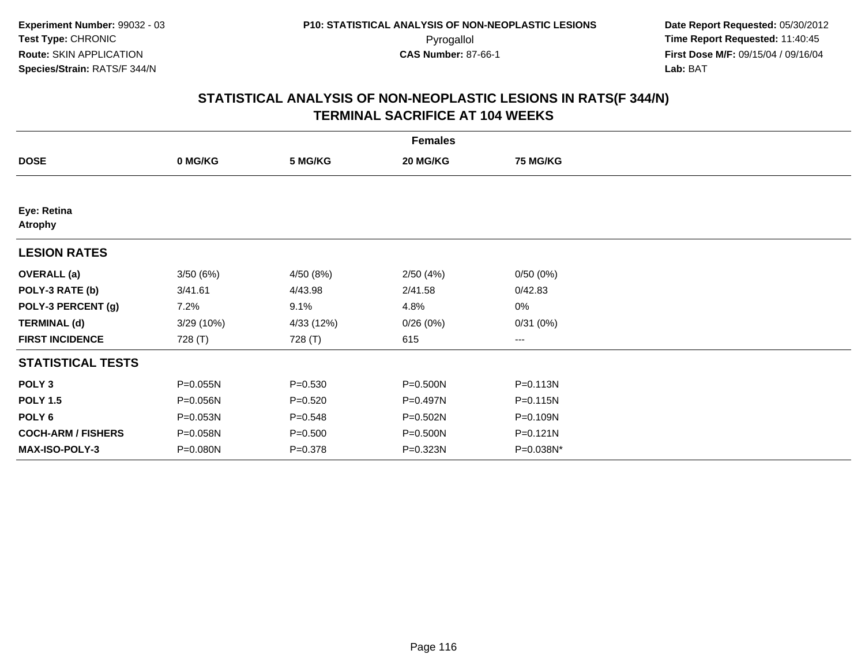| <b>Females</b>                |            |             |          |                   |  |  |  |
|-------------------------------|------------|-------------|----------|-------------------|--|--|--|
| <b>DOSE</b>                   | 0 MG/KG    | 5 MG/KG     | 20 MG/KG | <b>75 MG/KG</b>   |  |  |  |
|                               |            |             |          |                   |  |  |  |
| Eye: Retina<br><b>Atrophy</b> |            |             |          |                   |  |  |  |
| <b>LESION RATES</b>           |            |             |          |                   |  |  |  |
| <b>OVERALL</b> (a)            | 3/50(6%)   | 4/50 (8%)   | 2/50(4%) | 0/50(0%)          |  |  |  |
| POLY-3 RATE (b)               | 3/41.61    | 4/43.98     | 2/41.58  | 0/42.83           |  |  |  |
| POLY-3 PERCENT (g)            | 7.2%       | 9.1%        | 4.8%     | $0\%$             |  |  |  |
| <b>TERMINAL (d)</b>           | 3/29 (10%) | 4/33 (12%)  | 0/26(0%) | 0/31(0%)          |  |  |  |
| <b>FIRST INCIDENCE</b>        | 728 (T)    | 728 (T)     | 615      | $\qquad \qquad -$ |  |  |  |
| <b>STATISTICAL TESTS</b>      |            |             |          |                   |  |  |  |
| POLY <sub>3</sub>             | P=0.055N   | $P = 0.530$ | P=0.500N | P=0.113N          |  |  |  |
| <b>POLY 1.5</b>               | P=0.056N   | $P = 0.520$ | P=0.497N | P=0.115N          |  |  |  |
| POLY <sub>6</sub>             | P=0.053N   | $P = 0.548$ | P=0.502N | P=0.109N          |  |  |  |
| <b>COCH-ARM / FISHERS</b>     | P=0.058N   | $P = 0.500$ | P=0.500N | P=0.121N          |  |  |  |
| MAX-ISO-POLY-3                | P=0.080N   | $P = 0.378$ | P=0.323N | P=0.038N*         |  |  |  |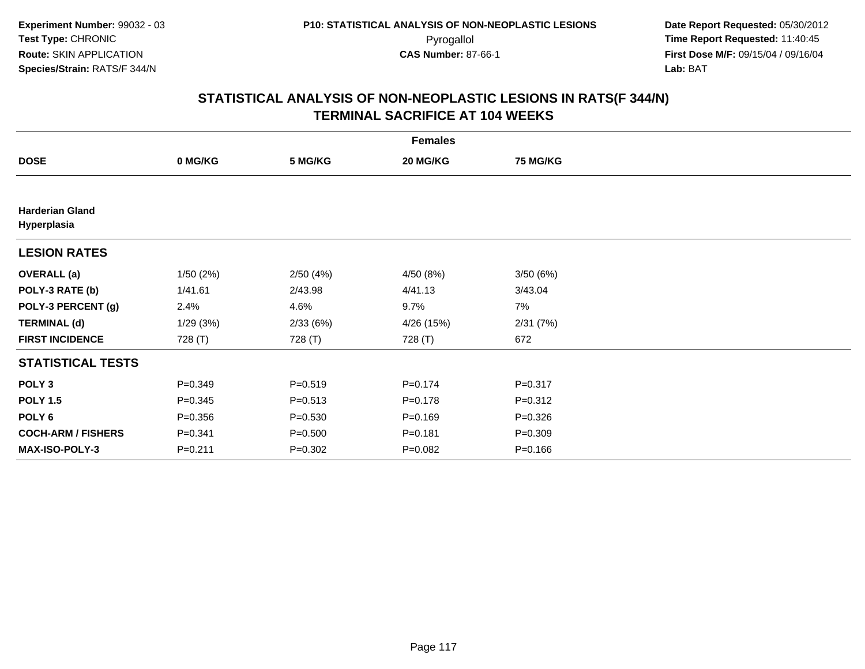| <b>Females</b>                        |             |             |             |                 |  |  |  |
|---------------------------------------|-------------|-------------|-------------|-----------------|--|--|--|
| <b>DOSE</b>                           | 0 MG/KG     | 5 MG/KG     | 20 MG/KG    | <b>75 MG/KG</b> |  |  |  |
|                                       |             |             |             |                 |  |  |  |
| <b>Harderian Gland</b><br>Hyperplasia |             |             |             |                 |  |  |  |
| <b>LESION RATES</b>                   |             |             |             |                 |  |  |  |
| <b>OVERALL</b> (a)                    | 1/50(2%)    | 2/50(4%)    | 4/50(8%)    | 3/50(6%)        |  |  |  |
| POLY-3 RATE (b)                       | 1/41.61     | 2/43.98     | 4/41.13     | 3/43.04         |  |  |  |
| POLY-3 PERCENT (g)                    | 2.4%        | 4.6%        | 9.7%        | 7%              |  |  |  |
| <b>TERMINAL (d)</b>                   | 1/29(3%)    | 2/33(6%)    | 4/26 (15%)  | 2/31(7%)        |  |  |  |
| <b>FIRST INCIDENCE</b>                | 728 (T)     | 728 (T)     | 728 (T)     | 672             |  |  |  |
| <b>STATISTICAL TESTS</b>              |             |             |             |                 |  |  |  |
| POLY <sub>3</sub>                     | $P = 0.349$ | $P = 0.519$ | $P = 0.174$ | $P = 0.317$     |  |  |  |
| <b>POLY 1.5</b>                       | $P = 0.345$ | $P = 0.513$ | $P = 0.178$ | $P = 0.312$     |  |  |  |
| POLY <sub>6</sub>                     | $P = 0.356$ | $P = 0.530$ | $P = 0.169$ | $P = 0.326$     |  |  |  |
| <b>COCH-ARM / FISHERS</b>             | $P = 0.341$ | $P = 0.500$ | $P = 0.181$ | $P = 0.309$     |  |  |  |
| MAX-ISO-POLY-3                        | $P = 0.211$ | $P = 0.302$ | $P = 0.082$ | $P = 0.166$     |  |  |  |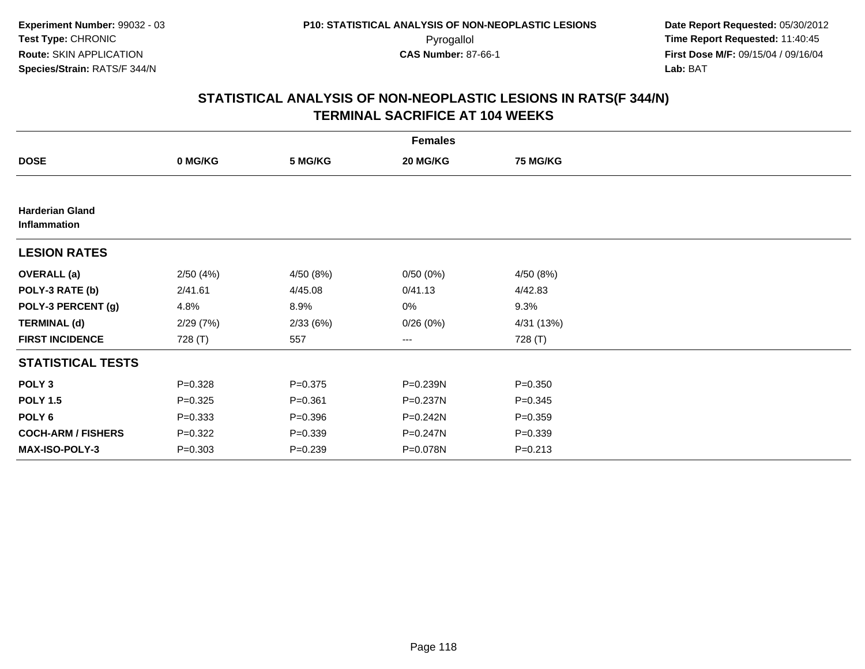| <b>Females</b>                         |             |             |              |                 |  |  |
|----------------------------------------|-------------|-------------|--------------|-----------------|--|--|
| <b>DOSE</b>                            | 0 MG/KG     | 5 MG/KG     | 20 MG/KG     | <b>75 MG/KG</b> |  |  |
|                                        |             |             |              |                 |  |  |
| <b>Harderian Gland</b><br>Inflammation |             |             |              |                 |  |  |
| <b>LESION RATES</b>                    |             |             |              |                 |  |  |
| <b>OVERALL</b> (a)                     | 2/50(4%)    | 4/50 (8%)   | 0/50(0%)     | 4/50 (8%)       |  |  |
| POLY-3 RATE (b)                        | 2/41.61     | 4/45.08     | 0/41.13      | 4/42.83         |  |  |
| POLY-3 PERCENT (g)                     | 4.8%        | 8.9%        | 0%           | 9.3%            |  |  |
| <b>TERMINAL (d)</b>                    | 2/29(7%)    | 2/33(6%)    | 0/26(0%)     | 4/31 (13%)      |  |  |
| <b>FIRST INCIDENCE</b>                 | 728 (T)     | 557         | $--$         | 728 (T)         |  |  |
| <b>STATISTICAL TESTS</b>               |             |             |              |                 |  |  |
| POLY <sub>3</sub>                      | $P = 0.328$ | $P = 0.375$ | P=0.239N     | $P = 0.350$     |  |  |
| <b>POLY 1.5</b>                        | $P = 0.325$ | $P = 0.361$ | P=0.237N     | $P = 0.345$     |  |  |
| POLY <sub>6</sub>                      | $P = 0.333$ | $P = 0.396$ | $P = 0.242N$ | $P = 0.359$     |  |  |
| <b>COCH-ARM / FISHERS</b>              | $P=0.322$   | $P = 0.339$ | P=0.247N     | $P = 0.339$     |  |  |
| <b>MAX-ISO-POLY-3</b>                  | $P = 0.303$ | $P = 0.239$ | P=0.078N     | $P = 0.213$     |  |  |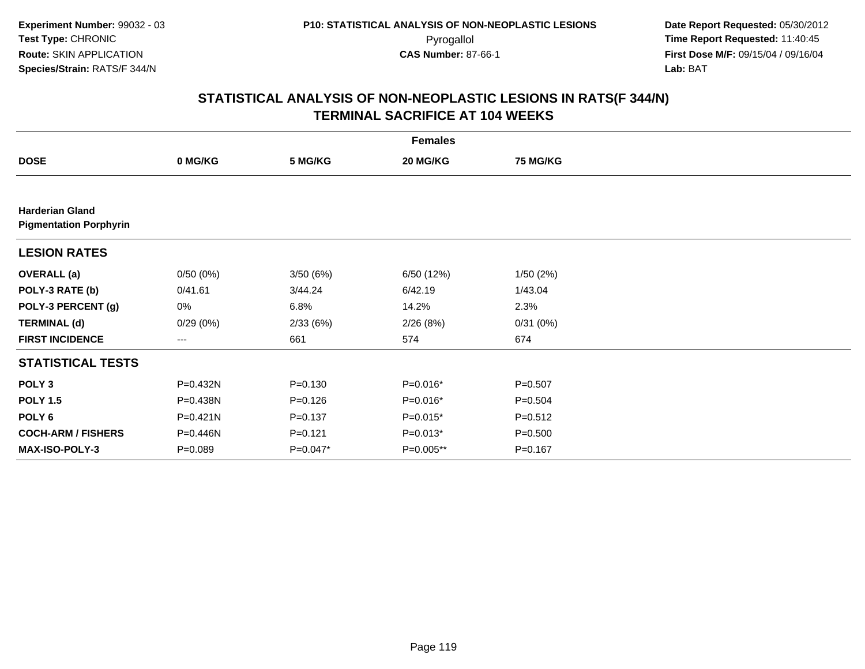| <b>Females</b>                                          |             |             |             |                 |  |  |  |
|---------------------------------------------------------|-------------|-------------|-------------|-----------------|--|--|--|
| <b>DOSE</b>                                             | 0 MG/KG     | 5 MG/KG     | 20 MG/KG    | <b>75 MG/KG</b> |  |  |  |
|                                                         |             |             |             |                 |  |  |  |
| <b>Harderian Gland</b><br><b>Pigmentation Porphyrin</b> |             |             |             |                 |  |  |  |
| <b>LESION RATES</b>                                     |             |             |             |                 |  |  |  |
| <b>OVERALL</b> (a)                                      | 0/50(0%)    | 3/50(6%)    | 6/50 (12%)  | 1/50(2%)        |  |  |  |
| POLY-3 RATE (b)                                         | 0/41.61     | 3/44.24     | 6/42.19     | 1/43.04         |  |  |  |
| POLY-3 PERCENT (g)                                      | 0%          | 6.8%        | 14.2%       | 2.3%            |  |  |  |
| <b>TERMINAL (d)</b>                                     | 0/29(0%)    | 2/33(6%)    | 2/26(8%)    | 0/31(0%)        |  |  |  |
| <b>FIRST INCIDENCE</b>                                  | ---         | 661         | 574         | 674             |  |  |  |
| <b>STATISTICAL TESTS</b>                                |             |             |             |                 |  |  |  |
| POLY <sub>3</sub>                                       | P=0.432N    | $P = 0.130$ | $P=0.016*$  | $P = 0.507$     |  |  |  |
| <b>POLY 1.5</b>                                         | P=0.438N    | $P = 0.126$ | $P=0.016*$  | $P = 0.504$     |  |  |  |
| POLY <sub>6</sub>                                       | P=0.421N    | $P = 0.137$ | $P=0.015*$  | $P = 0.512$     |  |  |  |
| <b>COCH-ARM / FISHERS</b>                               | P=0.446N    | $P = 0.121$ | $P=0.013*$  | $P = 0.500$     |  |  |  |
| <b>MAX-ISO-POLY-3</b>                                   | $P = 0.089$ | $P=0.047*$  | $P=0.005**$ | $P = 0.167$     |  |  |  |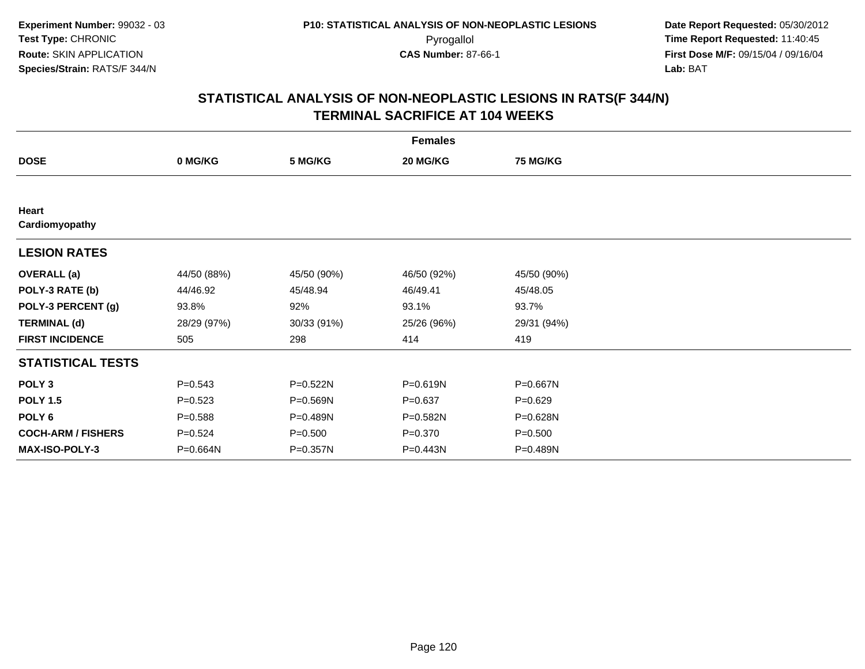| <b>Females</b>            |             |              |             |                 |  |  |  |
|---------------------------|-------------|--------------|-------------|-----------------|--|--|--|
| <b>DOSE</b>               | 0 MG/KG     | 5 MG/KG      | 20 MG/KG    | <b>75 MG/KG</b> |  |  |  |
|                           |             |              |             |                 |  |  |  |
| Heart<br>Cardiomyopathy   |             |              |             |                 |  |  |  |
| <b>LESION RATES</b>       |             |              |             |                 |  |  |  |
| <b>OVERALL</b> (a)        | 44/50 (88%) | 45/50 (90%)  | 46/50 (92%) | 45/50 (90%)     |  |  |  |
| POLY-3 RATE (b)           | 44/46.92    | 45/48.94     | 46/49.41    | 45/48.05        |  |  |  |
| POLY-3 PERCENT (g)        | 93.8%       | 92%          | 93.1%       | 93.7%           |  |  |  |
| <b>TERMINAL (d)</b>       | 28/29 (97%) | 30/33 (91%)  | 25/26 (96%) | 29/31 (94%)     |  |  |  |
| <b>FIRST INCIDENCE</b>    | 505         | 298          | 414         | 419             |  |  |  |
| <b>STATISTICAL TESTS</b>  |             |              |             |                 |  |  |  |
| POLY <sub>3</sub>         | $P = 0.543$ | P=0.522N     | P=0.619N    | P=0.667N        |  |  |  |
| <b>POLY 1.5</b>           | $P = 0.523$ | $P = 0.569N$ | $P = 0.637$ | $P = 0.629$     |  |  |  |
| POLY 6                    | $P = 0.588$ | P=0.489N     | P=0.582N    | P=0.628N        |  |  |  |
| <b>COCH-ARM / FISHERS</b> | $P = 0.524$ | $P = 0.500$  | $P = 0.370$ | $P = 0.500$     |  |  |  |
| <b>MAX-ISO-POLY-3</b>     | P=0.664N    | P=0.357N     | P=0.443N    | P=0.489N        |  |  |  |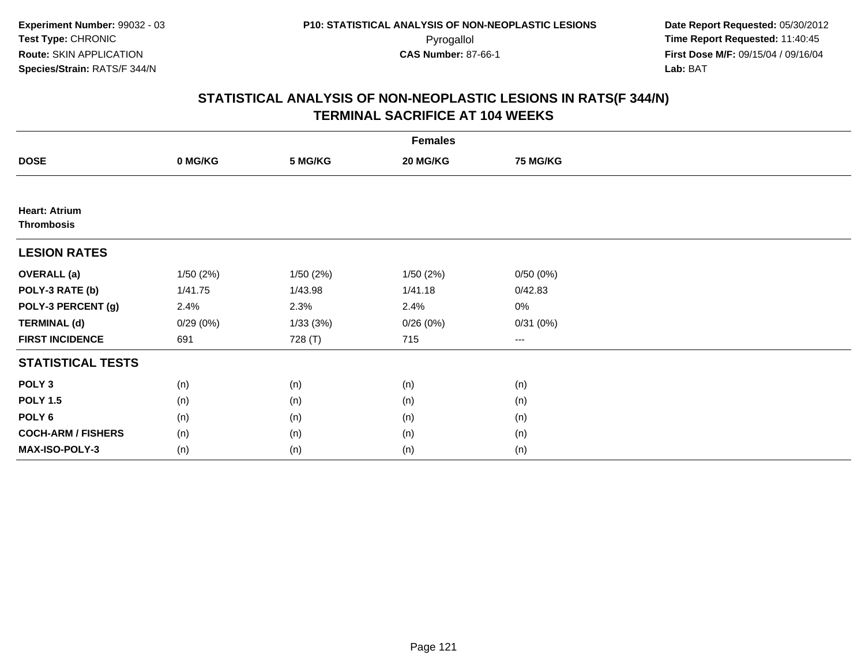| <b>Females</b>                            |          |          |           |                 |  |  |  |
|-------------------------------------------|----------|----------|-----------|-----------------|--|--|--|
| <b>DOSE</b>                               | 0 MG/KG  | 5 MG/KG  | 20 MG/KG  | <b>75 MG/KG</b> |  |  |  |
|                                           |          |          |           |                 |  |  |  |
| <b>Heart: Atrium</b><br><b>Thrombosis</b> |          |          |           |                 |  |  |  |
| <b>LESION RATES</b>                       |          |          |           |                 |  |  |  |
| <b>OVERALL</b> (a)                        | 1/50(2%) | 1/50(2%) | 1/50 (2%) | 0/50(0%)        |  |  |  |
| POLY-3 RATE (b)                           | 1/41.75  | 1/43.98  | 1/41.18   | 0/42.83         |  |  |  |
| POLY-3 PERCENT (g)                        | 2.4%     | 2.3%     | 2.4%      | $0\%$           |  |  |  |
| <b>TERMINAL (d)</b>                       | 0/29(0%) | 1/33(3%) | 0/26(0%)  | 0/31(0%)        |  |  |  |
| <b>FIRST INCIDENCE</b>                    | 691      | 728 (T)  | 715       | $\cdots$        |  |  |  |
| <b>STATISTICAL TESTS</b>                  |          |          |           |                 |  |  |  |
| POLY <sub>3</sub>                         | (n)      | (n)      | (n)       | (n)             |  |  |  |
| <b>POLY 1.5</b>                           | (n)      | (n)      | (n)       | (n)             |  |  |  |
| POLY <sub>6</sub>                         | (n)      | (n)      | (n)       | (n)             |  |  |  |
| <b>COCH-ARM / FISHERS</b>                 | (n)      | (n)      | (n)       | (n)             |  |  |  |
| <b>MAX-ISO-POLY-3</b>                     | (n)      | (n)      | (n)       | (n)             |  |  |  |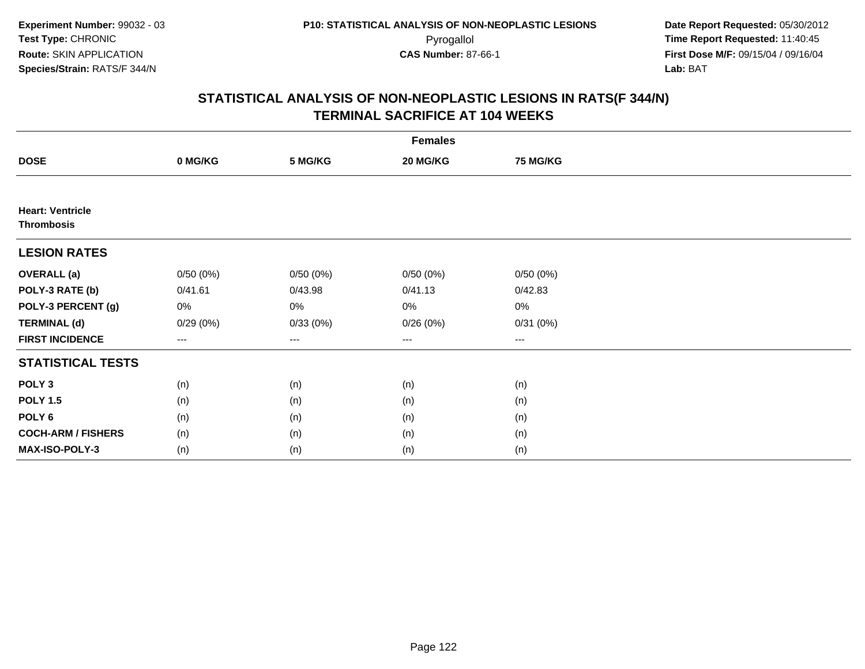| <b>Females</b>                               |                   |          |          |          |  |  |  |
|----------------------------------------------|-------------------|----------|----------|----------|--|--|--|
| <b>DOSE</b>                                  | 0 MG/KG           | 5 MG/KG  | 20 MG/KG | 75 MG/KG |  |  |  |
|                                              |                   |          |          |          |  |  |  |
| <b>Heart: Ventricle</b><br><b>Thrombosis</b> |                   |          |          |          |  |  |  |
| <b>LESION RATES</b>                          |                   |          |          |          |  |  |  |
| <b>OVERALL</b> (a)                           | 0/50(0%)          | 0/50(0%) | 0/50(0%) | 0/50(0%) |  |  |  |
| POLY-3 RATE (b)                              | 0/41.61           | 0/43.98  | 0/41.13  | 0/42.83  |  |  |  |
| POLY-3 PERCENT (g)                           | 0%                | 0%       | 0%       | $0\%$    |  |  |  |
| <b>TERMINAL (d)</b>                          | 0/29(0%)          | 0/33(0%) | 0/26(0%) | 0/31(0%) |  |  |  |
| <b>FIRST INCIDENCE</b>                       | $\qquad \qquad -$ | $---$    | $\cdots$ | $\cdots$ |  |  |  |
| <b>STATISTICAL TESTS</b>                     |                   |          |          |          |  |  |  |
| POLY <sub>3</sub>                            | (n)               | (n)      | (n)      | (n)      |  |  |  |
| <b>POLY 1.5</b>                              | (n)               | (n)      | (n)      | (n)      |  |  |  |
| POLY <sub>6</sub>                            | (n)               | (n)      | (n)      | (n)      |  |  |  |
| <b>COCH-ARM / FISHERS</b>                    | (n)               | (n)      | (n)      | (n)      |  |  |  |
| <b>MAX-ISO-POLY-3</b>                        | (n)               | (n)      | (n)      | (n)      |  |  |  |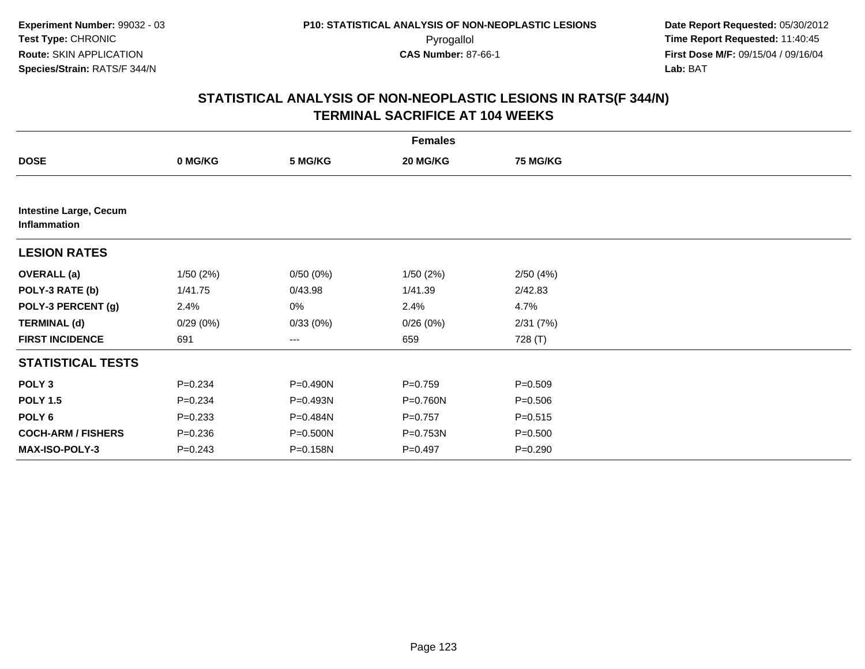| <b>Females</b>                                |             |                        |             |                 |  |  |  |
|-----------------------------------------------|-------------|------------------------|-------------|-----------------|--|--|--|
| <b>DOSE</b>                                   | 0 MG/KG     | 5 MG/KG                | 20 MG/KG    | <b>75 MG/KG</b> |  |  |  |
|                                               |             |                        |             |                 |  |  |  |
| <b>Intestine Large, Cecum</b><br>Inflammation |             |                        |             |                 |  |  |  |
| <b>LESION RATES</b>                           |             |                        |             |                 |  |  |  |
| <b>OVERALL (a)</b>                            | 1/50(2%)    | 0/50(0%)               | 1/50(2%)    | 2/50(4%)        |  |  |  |
| POLY-3 RATE (b)                               | 1/41.75     | 0/43.98                | 1/41.39     | 2/42.83         |  |  |  |
| POLY-3 PERCENT (g)                            | 2.4%        | 0%                     | 2.4%        | 4.7%            |  |  |  |
| <b>TERMINAL (d)</b>                           | 0/29(0%)    | 0/33(0%)               | 0/26(0%)    | 2/31 (7%)       |  |  |  |
| <b>FIRST INCIDENCE</b>                        | 691         | $\qquad \qquad \cdots$ | 659         | 728 (T)         |  |  |  |
| <b>STATISTICAL TESTS</b>                      |             |                        |             |                 |  |  |  |
| POLY <sub>3</sub>                             | $P = 0.234$ | P=0.490N               | $P = 0.759$ | $P = 0.509$     |  |  |  |
| <b>POLY 1.5</b>                               | $P = 0.234$ | P=0.493N               | P=0.760N    | $P = 0.506$     |  |  |  |
| POLY <sub>6</sub>                             | $P = 0.233$ | P=0.484N               | $P = 0.757$ | $P = 0.515$     |  |  |  |
| <b>COCH-ARM / FISHERS</b>                     | $P = 0.236$ | P=0.500N               | P=0.753N    | $P = 0.500$     |  |  |  |
| <b>MAX-ISO-POLY-3</b>                         | $P = 0.243$ | P=0.158N               | $P = 0.497$ | $P = 0.290$     |  |  |  |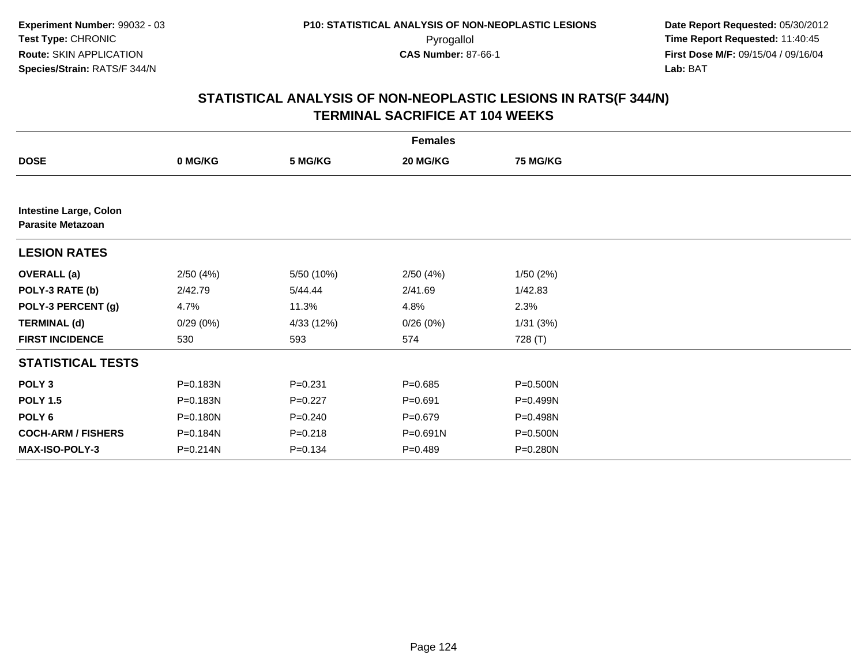| <b>Females</b>                                            |          |             |             |                 |  |  |  |
|-----------------------------------------------------------|----------|-------------|-------------|-----------------|--|--|--|
| <b>DOSE</b>                                               | 0 MG/KG  | 5 MG/KG     | 20 MG/KG    | <b>75 MG/KG</b> |  |  |  |
|                                                           |          |             |             |                 |  |  |  |
| <b>Intestine Large, Colon</b><br><b>Parasite Metazoan</b> |          |             |             |                 |  |  |  |
| <b>LESION RATES</b>                                       |          |             |             |                 |  |  |  |
| <b>OVERALL (a)</b>                                        | 2/50(4%) | 5/50 (10%)  | 2/50(4%)    | 1/50(2%)        |  |  |  |
| POLY-3 RATE (b)                                           | 2/42.79  | 5/44.44     | 2/41.69     | 1/42.83         |  |  |  |
| POLY-3 PERCENT (g)                                        | 4.7%     | 11.3%       | 4.8%        | 2.3%            |  |  |  |
| <b>TERMINAL (d)</b>                                       | 0/29(0%) | 4/33 (12%)  | 0/26(0%)    | 1/31(3%)        |  |  |  |
| <b>FIRST INCIDENCE</b>                                    | 530      | 593         | 574         | 728 (T)         |  |  |  |
| <b>STATISTICAL TESTS</b>                                  |          |             |             |                 |  |  |  |
| POLY <sub>3</sub>                                         | P=0.183N | $P = 0.231$ | $P = 0.685$ | P=0.500N        |  |  |  |
| <b>POLY 1.5</b>                                           | P=0.183N | $P=0.227$   | $P = 0.691$ | P=0.499N        |  |  |  |
| POLY <sub>6</sub>                                         | P=0.180N | $P = 0.240$ | $P = 0.679$ | P=0.498N        |  |  |  |
| <b>COCH-ARM / FISHERS</b>                                 | P=0.184N | $P = 0.218$ | P=0.691N    | P=0.500N        |  |  |  |
| <b>MAX-ISO-POLY-3</b>                                     | P=0.214N | $P = 0.134$ | $P = 0.489$ | P=0.280N        |  |  |  |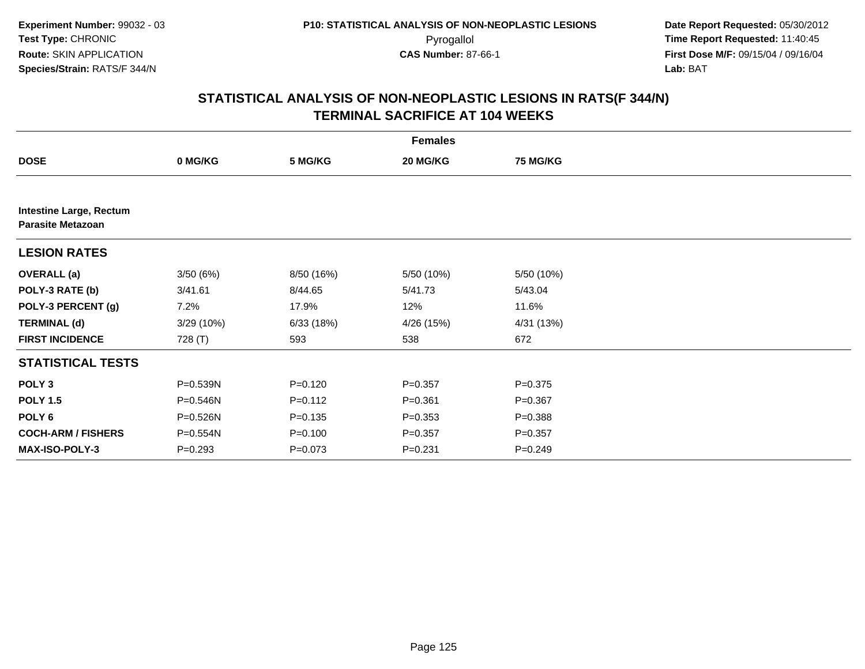|                                                            | <b>Females</b> |             |             |                 |  |  |  |  |
|------------------------------------------------------------|----------------|-------------|-------------|-----------------|--|--|--|--|
| <b>DOSE</b>                                                | 0 MG/KG        | 5 MG/KG     | 20 MG/KG    | <b>75 MG/KG</b> |  |  |  |  |
|                                                            |                |             |             |                 |  |  |  |  |
| <b>Intestine Large, Rectum</b><br><b>Parasite Metazoan</b> |                |             |             |                 |  |  |  |  |
| <b>LESION RATES</b>                                        |                |             |             |                 |  |  |  |  |
| <b>OVERALL</b> (a)                                         | 3/50(6%)       | 8/50 (16%)  | 5/50 (10%)  | 5/50 (10%)      |  |  |  |  |
| POLY-3 RATE (b)                                            | 3/41.61        | 8/44.65     | 5/41.73     | 5/43.04         |  |  |  |  |
| POLY-3 PERCENT (g)                                         | 7.2%           | 17.9%       | 12%         | 11.6%           |  |  |  |  |
| <b>TERMINAL (d)</b>                                        | 3/29 (10%)     | 6/33(18%)   | 4/26 (15%)  | 4/31 (13%)      |  |  |  |  |
| <b>FIRST INCIDENCE</b>                                     | 728 (T)        | 593         | 538         | 672             |  |  |  |  |
| <b>STATISTICAL TESTS</b>                                   |                |             |             |                 |  |  |  |  |
| POLY <sub>3</sub>                                          | P=0.539N       | $P = 0.120$ | $P = 0.357$ | $P = 0.375$     |  |  |  |  |
| <b>POLY 1.5</b>                                            | P=0.546N       | $P = 0.112$ | $P = 0.361$ | $P = 0.367$     |  |  |  |  |
| POLY <sub>6</sub>                                          | P=0.526N       | $P = 0.135$ | $P = 0.353$ | $P = 0.388$     |  |  |  |  |
| <b>COCH-ARM / FISHERS</b>                                  | P=0.554N       | $P = 0.100$ | $P = 0.357$ | $P = 0.357$     |  |  |  |  |
| <b>MAX-ISO-POLY-3</b>                                      | $P = 0.293$    | $P = 0.073$ | $P = 0.231$ | $P = 0.249$     |  |  |  |  |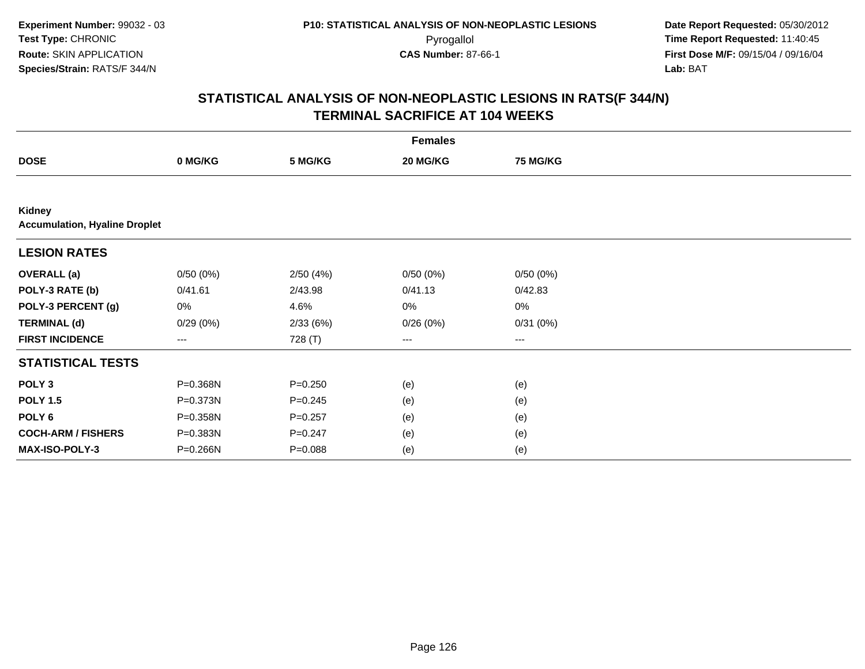| <b>Females</b>                                 |          |             |          |                 |  |  |  |
|------------------------------------------------|----------|-------------|----------|-----------------|--|--|--|
| <b>DOSE</b>                                    | 0 MG/KG  | 5 MG/KG     | 20 MG/KG | <b>75 MG/KG</b> |  |  |  |
|                                                |          |             |          |                 |  |  |  |
| Kidney<br><b>Accumulation, Hyaline Droplet</b> |          |             |          |                 |  |  |  |
| <b>LESION RATES</b>                            |          |             |          |                 |  |  |  |
| <b>OVERALL</b> (a)                             | 0/50(0%) | 2/50(4%)    | 0/50(0%) | 0/50(0%)        |  |  |  |
| POLY-3 RATE (b)                                | 0/41.61  | 2/43.98     | 0/41.13  | 0/42.83         |  |  |  |
| POLY-3 PERCENT (g)                             | 0%       | 4.6%        | 0%       | 0%              |  |  |  |
| <b>TERMINAL (d)</b>                            | 0/29(0%) | 2/33(6%)    | 0/26(0%) | 0/31(0%)        |  |  |  |
| <b>FIRST INCIDENCE</b>                         | $---$    | 728 (T)     | $--$     | ---             |  |  |  |
| <b>STATISTICAL TESTS</b>                       |          |             |          |                 |  |  |  |
| POLY <sub>3</sub>                              | P=0.368N | $P = 0.250$ | (e)      | (e)             |  |  |  |
| <b>POLY 1.5</b>                                | P=0.373N | $P = 0.245$ | (e)      | (e)             |  |  |  |
| POLY <sub>6</sub>                              | P=0.358N | $P=0.257$   | (e)      | (e)             |  |  |  |
| <b>COCH-ARM / FISHERS</b>                      | P=0.383N | $P = 0.247$ | (e)      | (e)             |  |  |  |
| MAX-ISO-POLY-3                                 | P=0.266N | $P = 0.088$ | (e)      | (e)             |  |  |  |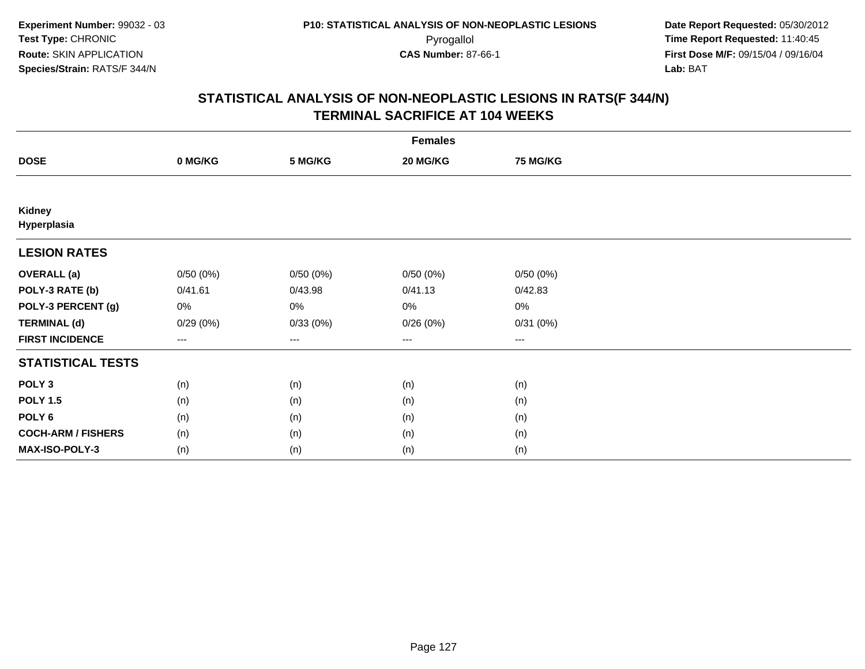| <b>Females</b>            |                   |          |                   |                 |  |  |  |
|---------------------------|-------------------|----------|-------------------|-----------------|--|--|--|
| <b>DOSE</b>               | 0 MG/KG           | 5 MG/KG  | 20 MG/KG          | <b>75 MG/KG</b> |  |  |  |
|                           |                   |          |                   |                 |  |  |  |
| Kidney<br>Hyperplasia     |                   |          |                   |                 |  |  |  |
| <b>LESION RATES</b>       |                   |          |                   |                 |  |  |  |
| <b>OVERALL</b> (a)        | 0/50(0%)          | 0/50(0%) | 0/50(0%)          | 0/50(0%)        |  |  |  |
| POLY-3 RATE (b)           | 0/41.61           | 0/43.98  | 0/41.13           | 0/42.83         |  |  |  |
| POLY-3 PERCENT (g)        | 0%                | 0%       | 0%                | $0\%$           |  |  |  |
| <b>TERMINAL (d)</b>       | 0/29(0%)          | 0/33(0%) | 0/26(0%)          | 0/31(0%)        |  |  |  |
| <b>FIRST INCIDENCE</b>    | $\qquad \qquad -$ | $---$    | $\qquad \qquad -$ | $\cdots$        |  |  |  |
| <b>STATISTICAL TESTS</b>  |                   |          |                   |                 |  |  |  |
| POLY <sub>3</sub>         | (n)               | (n)      | (n)               | (n)             |  |  |  |
| <b>POLY 1.5</b>           | (n)               | (n)      | (n)               | (n)             |  |  |  |
| POLY <sub>6</sub>         | (n)               | (n)      | (n)               | (n)             |  |  |  |
| <b>COCH-ARM / FISHERS</b> | (n)               | (n)      | (n)               | (n)             |  |  |  |
| MAX-ISO-POLY-3            | (n)               | (n)      | (n)               | (n)             |  |  |  |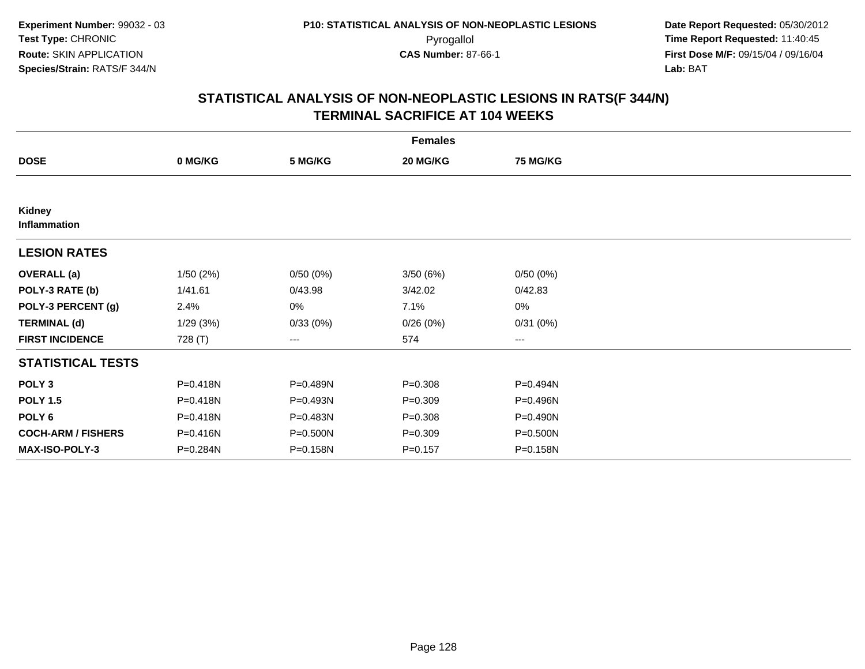|                           | <b>Females</b> |          |             |                 |  |  |  |  |
|---------------------------|----------------|----------|-------------|-----------------|--|--|--|--|
| <b>DOSE</b>               | 0 MG/KG        | 5 MG/KG  | 20 MG/KG    | <b>75 MG/KG</b> |  |  |  |  |
|                           |                |          |             |                 |  |  |  |  |
| Kidney<br>Inflammation    |                |          |             |                 |  |  |  |  |
| <b>LESION RATES</b>       |                |          |             |                 |  |  |  |  |
| <b>OVERALL (a)</b>        | 1/50(2%)       | 0/50(0%) | 3/50(6%)    | 0/50(0%)        |  |  |  |  |
| POLY-3 RATE (b)           | 1/41.61        | 0/43.98  | 3/42.02     | 0/42.83         |  |  |  |  |
| POLY-3 PERCENT (g)        | 2.4%           | 0%       | 7.1%        | $0\%$           |  |  |  |  |
| <b>TERMINAL (d)</b>       | 1/29(3%)       | 0/33(0%) | 0/26(0%)    | 0/31(0%)        |  |  |  |  |
| <b>FIRST INCIDENCE</b>    | 728 (T)        | ---      | 574         | ---             |  |  |  |  |
| <b>STATISTICAL TESTS</b>  |                |          |             |                 |  |  |  |  |
| POLY <sub>3</sub>         | P=0.418N       | P=0.489N | $P = 0.308$ | P=0.494N        |  |  |  |  |
| <b>POLY 1.5</b>           | P=0.418N       | P=0.493N | $P = 0.309$ | P=0.496N        |  |  |  |  |
| POLY <sub>6</sub>         | P=0.418N       | P=0.483N | $P = 0.308$ | P=0.490N        |  |  |  |  |
| <b>COCH-ARM / FISHERS</b> | P=0.416N       | P=0.500N | $P = 0.309$ | P=0.500N        |  |  |  |  |
| MAX-ISO-POLY-3            | P=0.284N       | P=0.158N | $P = 0.157$ | P=0.158N        |  |  |  |  |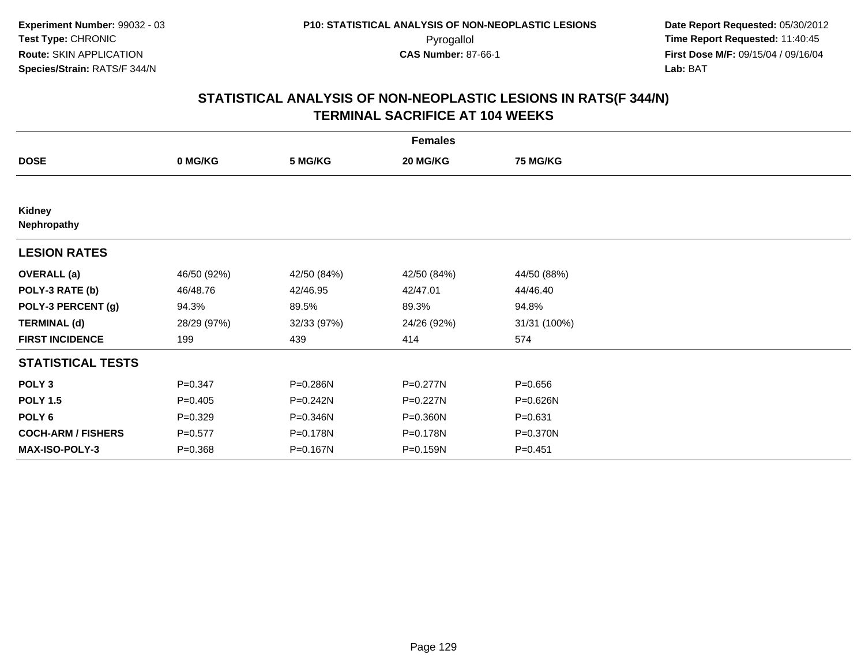| <b>Females</b>            |             |              |              |                 |  |  |  |
|---------------------------|-------------|--------------|--------------|-----------------|--|--|--|
| <b>DOSE</b>               | 0 MG/KG     | 5 MG/KG      | 20 MG/KG     | <b>75 MG/KG</b> |  |  |  |
|                           |             |              |              |                 |  |  |  |
| Kidney<br>Nephropathy     |             |              |              |                 |  |  |  |
| <b>LESION RATES</b>       |             |              |              |                 |  |  |  |
| <b>OVERALL</b> (a)        | 46/50 (92%) | 42/50 (84%)  | 42/50 (84%)  | 44/50 (88%)     |  |  |  |
| POLY-3 RATE (b)           | 46/48.76    | 42/46.95     | 42/47.01     | 44/46.40        |  |  |  |
| POLY-3 PERCENT (g)        | 94.3%       | 89.5%        | 89.3%        | 94.8%           |  |  |  |
| <b>TERMINAL (d)</b>       | 28/29 (97%) | 32/33 (97%)  | 24/26 (92%)  | 31/31 (100%)    |  |  |  |
| <b>FIRST INCIDENCE</b>    | 199         | 439          | 414          | 574             |  |  |  |
| <b>STATISTICAL TESTS</b>  |             |              |              |                 |  |  |  |
| POLY <sub>3</sub>         | $P = 0.347$ | P=0.286N     | P=0.277N     | $P = 0.656$     |  |  |  |
| <b>POLY 1.5</b>           | $P=0.405$   | $P = 0.242N$ | P=0.227N     | P=0.626N        |  |  |  |
| POLY 6                    | $P = 0.329$ | P=0.346N     | $P = 0.360N$ | $P = 0.631$     |  |  |  |
| <b>COCH-ARM / FISHERS</b> | $P = 0.577$ | P=0.178N     | P=0.178N     | P=0.370N        |  |  |  |
| <b>MAX-ISO-POLY-3</b>     | $P = 0.368$ | P=0.167N     | P=0.159N     | $P = 0.451$     |  |  |  |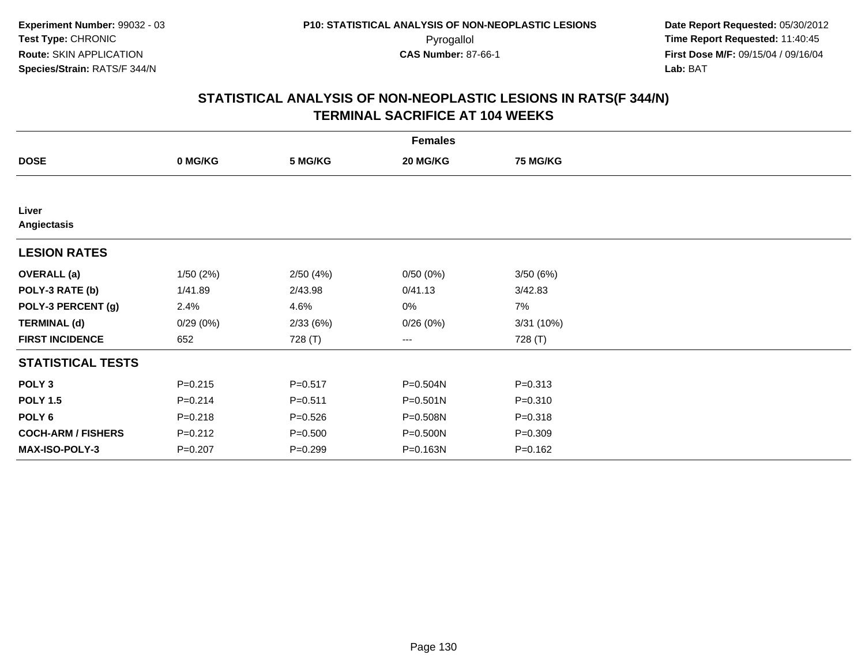|                           | <b>Females</b> |             |              |                 |  |  |  |  |
|---------------------------|----------------|-------------|--------------|-----------------|--|--|--|--|
| <b>DOSE</b>               | 0 MG/KG        | 5 MG/KG     | 20 MG/KG     | <b>75 MG/KG</b> |  |  |  |  |
|                           |                |             |              |                 |  |  |  |  |
| Liver<br>Angiectasis      |                |             |              |                 |  |  |  |  |
| <b>LESION RATES</b>       |                |             |              |                 |  |  |  |  |
| <b>OVERALL (a)</b>        | 1/50(2%)       | 2/50(4%)    | 0/50(0%)     | 3/50(6%)        |  |  |  |  |
| POLY-3 RATE (b)           | 1/41.89        | 2/43.98     | 0/41.13      | 3/42.83         |  |  |  |  |
| POLY-3 PERCENT (g)        | 2.4%           | 4.6%        | 0%           | 7%              |  |  |  |  |
| <b>TERMINAL (d)</b>       | 0/29(0%)       | 2/33(6%)    | 0/26(0%)     | 3/31(10%)       |  |  |  |  |
| <b>FIRST INCIDENCE</b>    | 652            | 728 (T)     | $\cdots$     | 728 (T)         |  |  |  |  |
| <b>STATISTICAL TESTS</b>  |                |             |              |                 |  |  |  |  |
| POLY <sub>3</sub>         | $P = 0.215$    | $P = 0.517$ | P=0.504N     | $P = 0.313$     |  |  |  |  |
| <b>POLY 1.5</b>           | $P = 0.214$    | $P = 0.511$ | $P = 0.501N$ | $P = 0.310$     |  |  |  |  |
| POLY <sub>6</sub>         | $P = 0.218$    | $P = 0.526$ | P=0.508N     | $P = 0.318$     |  |  |  |  |
| <b>COCH-ARM / FISHERS</b> | $P = 0.212$    | $P = 0.500$ | P=0.500N     | $P = 0.309$     |  |  |  |  |
| MAX-ISO-POLY-3            | $P = 0.207$    | $P=0.299$   | P=0.163N     | $P = 0.162$     |  |  |  |  |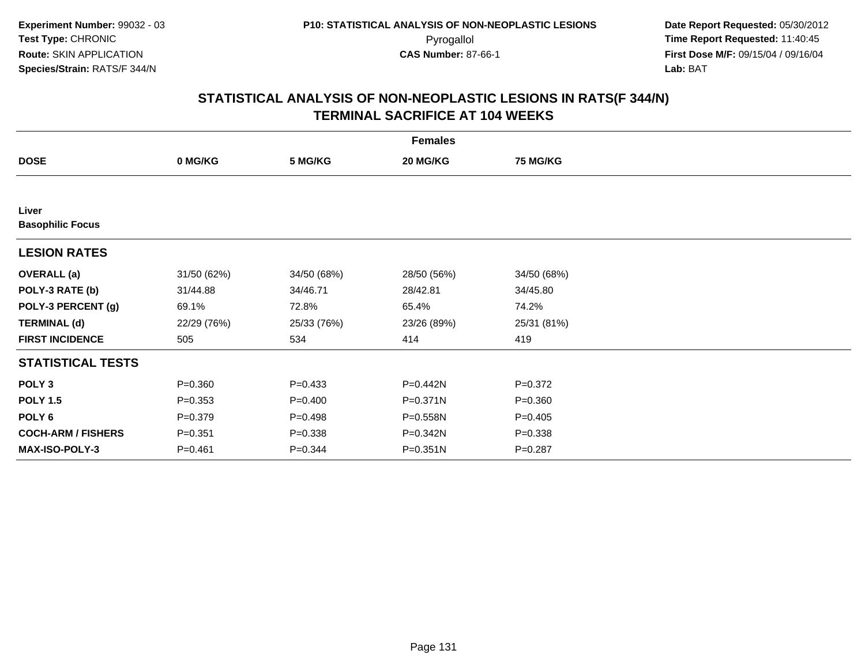| <b>Females</b>                   |             |             |             |                 |  |  |  |
|----------------------------------|-------------|-------------|-------------|-----------------|--|--|--|
| <b>DOSE</b>                      | 0 MG/KG     | 5 MG/KG     | 20 MG/KG    | <b>75 MG/KG</b> |  |  |  |
|                                  |             |             |             |                 |  |  |  |
| Liver<br><b>Basophilic Focus</b> |             |             |             |                 |  |  |  |
| <b>LESION RATES</b>              |             |             |             |                 |  |  |  |
| <b>OVERALL</b> (a)               | 31/50 (62%) | 34/50 (68%) | 28/50 (56%) | 34/50 (68%)     |  |  |  |
| POLY-3 RATE (b)                  | 31/44.88    | 34/46.71    | 28/42.81    | 34/45.80        |  |  |  |
| POLY-3 PERCENT (g)               | 69.1%       | 72.8%       | 65.4%       | 74.2%           |  |  |  |
| <b>TERMINAL (d)</b>              | 22/29 (76%) | 25/33 (76%) | 23/26 (89%) | 25/31 (81%)     |  |  |  |
| <b>FIRST INCIDENCE</b>           | 505         | 534         | 414         | 419             |  |  |  |
| <b>STATISTICAL TESTS</b>         |             |             |             |                 |  |  |  |
| POLY <sub>3</sub>                | $P = 0.360$ | $P = 0.433$ | P=0.442N    | $P=0.372$       |  |  |  |
| <b>POLY 1.5</b>                  | $P=0.353$   | $P=0.400$   | P=0.371N    | $P = 0.360$     |  |  |  |
| POLY 6                           | $P = 0.379$ | $P=0.498$   | P=0.558N    | $P=0.405$       |  |  |  |
| <b>COCH-ARM / FISHERS</b>        | $P = 0.351$ | $P = 0.338$ | P=0.342N    | $P = 0.338$     |  |  |  |
| MAX-ISO-POLY-3                   | $P = 0.461$ | $P = 0.344$ | P=0.351N    | $P = 0.287$     |  |  |  |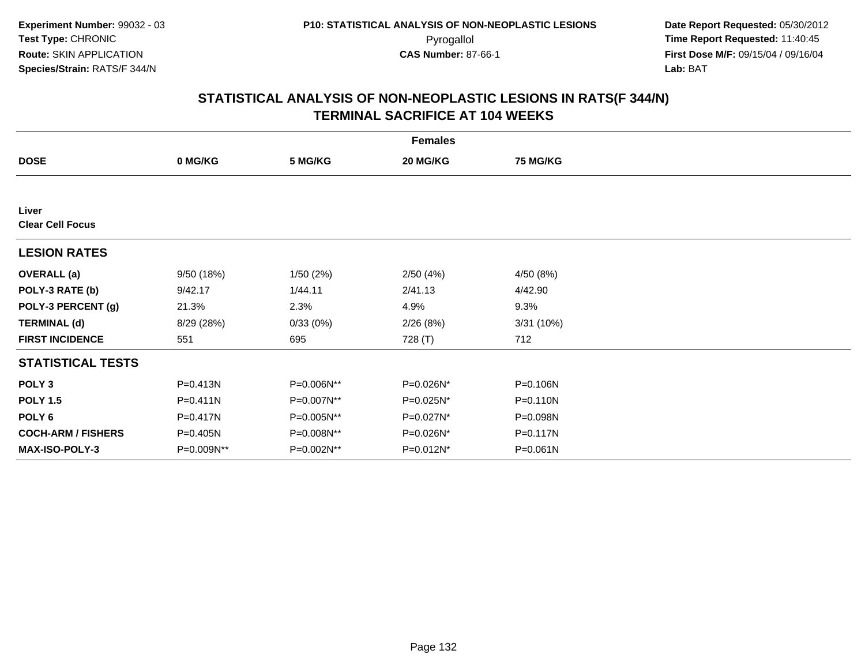|                                  | <b>Females</b> |            |           |                 |  |  |  |  |
|----------------------------------|----------------|------------|-----------|-----------------|--|--|--|--|
| <b>DOSE</b>                      | 0 MG/KG        | 5 MG/KG    | 20 MG/KG  | <b>75 MG/KG</b> |  |  |  |  |
|                                  |                |            |           |                 |  |  |  |  |
| Liver<br><b>Clear Cell Focus</b> |                |            |           |                 |  |  |  |  |
| <b>LESION RATES</b>              |                |            |           |                 |  |  |  |  |
| <b>OVERALL</b> (a)               | 9/50(18%)      | 1/50(2%)   | 2/50(4%)  | 4/50 (8%)       |  |  |  |  |
| POLY-3 RATE (b)                  | 9/42.17        | 1/44.11    | 2/41.13   | 4/42.90         |  |  |  |  |
| POLY-3 PERCENT (g)               | 21.3%          | 2.3%       | 4.9%      | 9.3%            |  |  |  |  |
| <b>TERMINAL (d)</b>              | 8/29 (28%)     | 0/33(0%)   | 2/26(8%)  | 3/31(10%)       |  |  |  |  |
| <b>FIRST INCIDENCE</b>           | 551            | 695        | 728 (T)   | 712             |  |  |  |  |
| <b>STATISTICAL TESTS</b>         |                |            |           |                 |  |  |  |  |
| POLY <sub>3</sub>                | P=0.413N       | P=0.006N** | P=0.026N* | P=0.106N        |  |  |  |  |
| <b>POLY 1.5</b>                  | $P = 0.411N$   | P=0.007N** | P=0.025N* | $P = 0.110N$    |  |  |  |  |
| POLY 6                           | P=0.417N       | P=0.005N** | P=0.027N* | P=0.098N        |  |  |  |  |
| <b>COCH-ARM / FISHERS</b>        | $P = 0.405N$   | P=0.008N** | P=0.026N* | P=0.117N        |  |  |  |  |
| <b>MAX-ISO-POLY-3</b>            | P=0.009N**     | P=0.002N** | P=0.012N* | $P = 0.061N$    |  |  |  |  |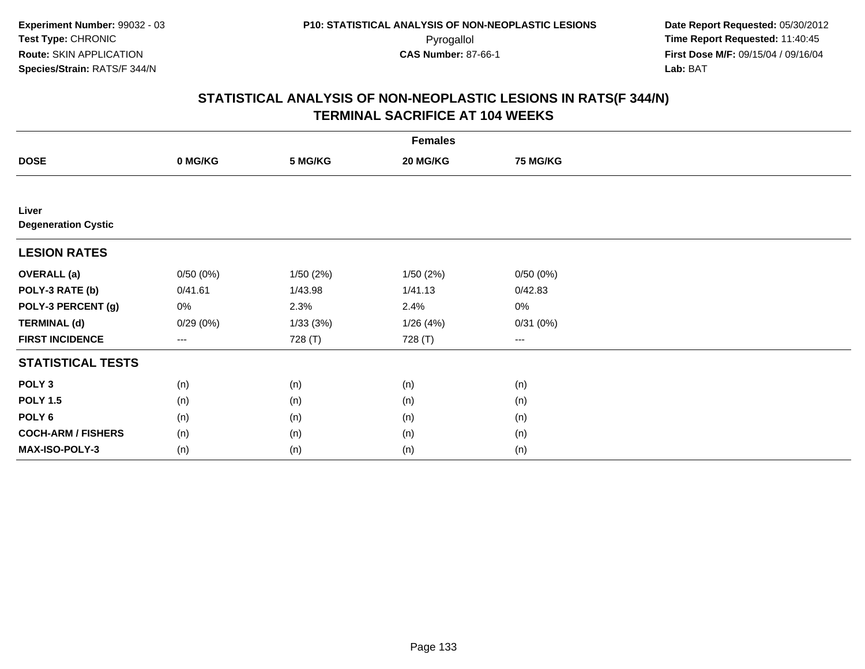| <b>Females</b>                      |                   |          |           |                 |  |  |  |
|-------------------------------------|-------------------|----------|-----------|-----------------|--|--|--|
| <b>DOSE</b>                         | 0 MG/KG           | 5 MG/KG  | 20 MG/KG  | <b>75 MG/KG</b> |  |  |  |
|                                     |                   |          |           |                 |  |  |  |
| Liver<br><b>Degeneration Cystic</b> |                   |          |           |                 |  |  |  |
| <b>LESION RATES</b>                 |                   |          |           |                 |  |  |  |
| <b>OVERALL (a)</b>                  | 0/50(0%)          | 1/50(2%) | 1/50 (2%) | 0/50(0%)        |  |  |  |
| POLY-3 RATE (b)                     | 0/41.61           | 1/43.98  | 1/41.13   | 0/42.83         |  |  |  |
| POLY-3 PERCENT (g)                  | 0%                | 2.3%     | 2.4%      | $0\%$           |  |  |  |
| <b>TERMINAL (d)</b>                 | 0/29(0%)          | 1/33(3%) | 1/26(4%)  | 0/31(0%)        |  |  |  |
| <b>FIRST INCIDENCE</b>              | $\qquad \qquad -$ | 728 (T)  | 728 (T)   | $---$           |  |  |  |
| <b>STATISTICAL TESTS</b>            |                   |          |           |                 |  |  |  |
| POLY <sub>3</sub>                   | (n)               | (n)      | (n)       | (n)             |  |  |  |
| <b>POLY 1.5</b>                     | (n)               | (n)      | (n)       | (n)             |  |  |  |
| POLY <sub>6</sub>                   | (n)               | (n)      | (n)       | (n)             |  |  |  |
| <b>COCH-ARM / FISHERS</b>           | (n)               | (n)      | (n)       | (n)             |  |  |  |
| MAX-ISO-POLY-3                      | (n)               | (n)      | (n)       | (n)             |  |  |  |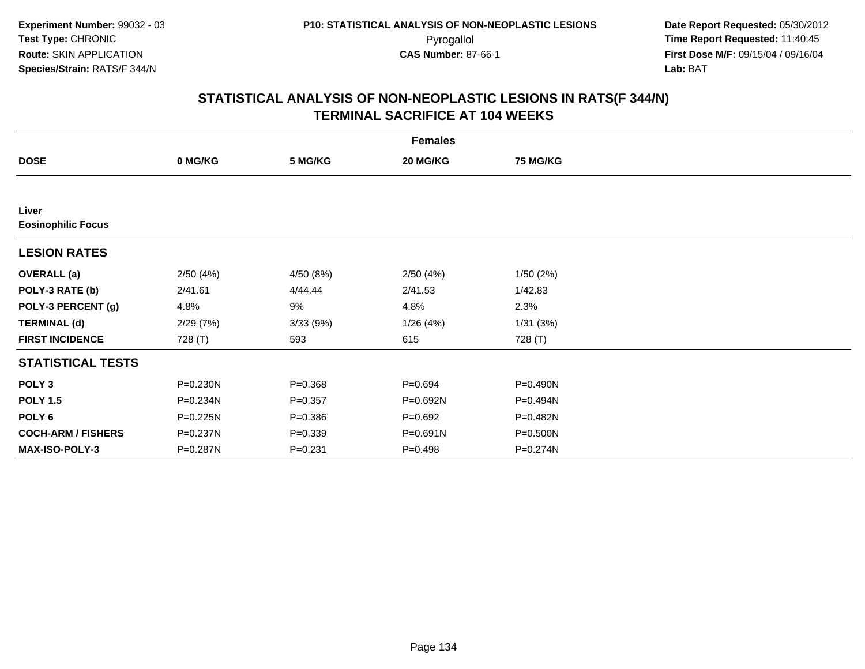| <b>Females</b>                     |          |             |             |                 |  |  |  |
|------------------------------------|----------|-------------|-------------|-----------------|--|--|--|
| <b>DOSE</b>                        | 0 MG/KG  | 5 MG/KG     | 20 MG/KG    | <b>75 MG/KG</b> |  |  |  |
|                                    |          |             |             |                 |  |  |  |
| Liver<br><b>Eosinophilic Focus</b> |          |             |             |                 |  |  |  |
| <b>LESION RATES</b>                |          |             |             |                 |  |  |  |
| <b>OVERALL</b> (a)                 | 2/50(4%) | 4/50 (8%)   | 2/50(4%)    | 1/50(2%)        |  |  |  |
| POLY-3 RATE (b)                    | 2/41.61  | 4/44.44     | 2/41.53     | 1/42.83         |  |  |  |
| POLY-3 PERCENT (g)                 | 4.8%     | 9%          | 4.8%        | 2.3%            |  |  |  |
| <b>TERMINAL (d)</b>                | 2/29(7%) | 3/33 (9%)   | 1/26(4%)    | 1/31(3%)        |  |  |  |
| <b>FIRST INCIDENCE</b>             | 728 (T)  | 593         | 615         | 728 (T)         |  |  |  |
| <b>STATISTICAL TESTS</b>           |          |             |             |                 |  |  |  |
| POLY <sub>3</sub>                  | P=0.230N | $P = 0.368$ | $P = 0.694$ | P=0.490N        |  |  |  |
| <b>POLY 1.5</b>                    | P=0.234N | $P = 0.357$ | P=0.692N    | P=0.494N        |  |  |  |
| POLY <sub>6</sub>                  | P=0.225N | $P = 0.386$ | $P = 0.692$ | P=0.482N        |  |  |  |
| <b>COCH-ARM / FISHERS</b>          | P=0.237N | $P = 0.339$ | P=0.691N    | P=0.500N        |  |  |  |
| MAX-ISO-POLY-3                     | P=0.287N | $P = 0.231$ | $P = 0.498$ | P=0.274N        |  |  |  |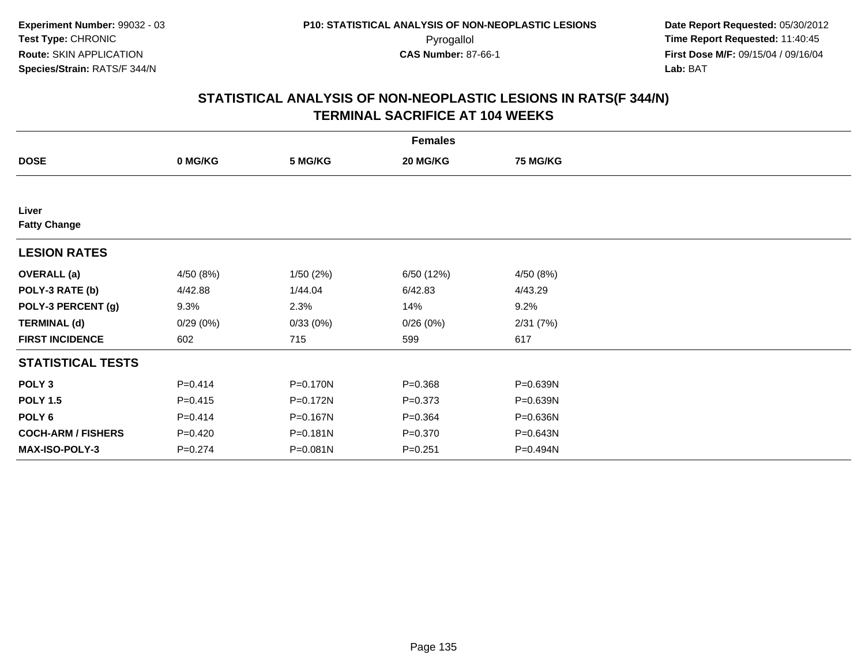| <b>Females</b>               |             |          |             |                 |  |  |  |
|------------------------------|-------------|----------|-------------|-----------------|--|--|--|
| <b>DOSE</b>                  | 0 MG/KG     | 5 MG/KG  | 20 MG/KG    | <b>75 MG/KG</b> |  |  |  |
|                              |             |          |             |                 |  |  |  |
| Liver<br><b>Fatty Change</b> |             |          |             |                 |  |  |  |
| <b>LESION RATES</b>          |             |          |             |                 |  |  |  |
| <b>OVERALL</b> (a)           | 4/50 (8%)   | 1/50(2%) | 6/50 (12%)  | 4/50 (8%)       |  |  |  |
| POLY-3 RATE (b)              | 4/42.88     | 1/44.04  | 6/42.83     | 4/43.29         |  |  |  |
| POLY-3 PERCENT (g)           | 9.3%        | 2.3%     | 14%         | 9.2%            |  |  |  |
| <b>TERMINAL (d)</b>          | 0/29(0%)    | 0/33(0%) | 0/26(0%)    | 2/31(7%)        |  |  |  |
| <b>FIRST INCIDENCE</b>       | 602         | 715      | 599         | 617             |  |  |  |
| <b>STATISTICAL TESTS</b>     |             |          |             |                 |  |  |  |
| POLY <sub>3</sub>            | $P = 0.414$ | P=0.170N | $P = 0.368$ | P=0.639N        |  |  |  |
| <b>POLY 1.5</b>              | $P = 0.415$ | P=0.172N | $P = 0.373$ | P=0.639N        |  |  |  |
| POLY <sub>6</sub>            | $P = 0.414$ | P=0.167N | $P = 0.364$ | P=0.636N        |  |  |  |
| <b>COCH-ARM / FISHERS</b>    | $P=0.420$   | P=0.181N | $P = 0.370$ | P=0.643N        |  |  |  |
| <b>MAX-ISO-POLY-3</b>        | $P = 0.274$ | P=0.081N | $P = 0.251$ | P=0.494N        |  |  |  |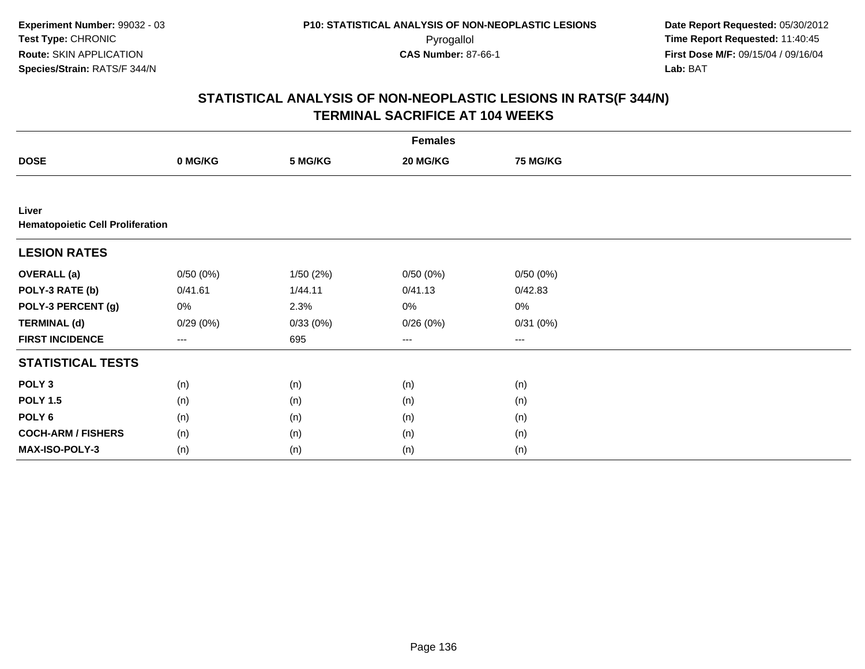| <b>Females</b>                                   |          |          |                        |                 |  |  |  |
|--------------------------------------------------|----------|----------|------------------------|-----------------|--|--|--|
| <b>DOSE</b>                                      | 0 MG/KG  | 5 MG/KG  | 20 MG/KG               | <b>75 MG/KG</b> |  |  |  |
|                                                  |          |          |                        |                 |  |  |  |
| Liver<br><b>Hematopoietic Cell Proliferation</b> |          |          |                        |                 |  |  |  |
| <b>LESION RATES</b>                              |          |          |                        |                 |  |  |  |
| <b>OVERALL</b> (a)                               | 0/50(0%) | 1/50(2%) | 0/50(0%)               | 0/50(0%)        |  |  |  |
| POLY-3 RATE (b)                                  | 0/41.61  | 1/44.11  | 0/41.13                | 0/42.83         |  |  |  |
| POLY-3 PERCENT (g)                               | 0%       | 2.3%     | 0%                     | $0\%$           |  |  |  |
| <b>TERMINAL (d)</b>                              | 0/29(0%) | 0/33(0%) | 0/26(0%)               | 0/31(0%)        |  |  |  |
| <b>FIRST INCIDENCE</b>                           | $---$    | 695      | $\qquad \qquad \cdots$ | $---$           |  |  |  |
| <b>STATISTICAL TESTS</b>                         |          |          |                        |                 |  |  |  |
| POLY <sub>3</sub>                                | (n)      | (n)      | (n)                    | (n)             |  |  |  |
| <b>POLY 1.5</b>                                  | (n)      | (n)      | (n)                    | (n)             |  |  |  |
| POLY <sub>6</sub>                                | (n)      | (n)      | (n)                    | (n)             |  |  |  |
| <b>COCH-ARM / FISHERS</b>                        | (n)      | (n)      | (n)                    | (n)             |  |  |  |
| MAX-ISO-POLY-3                                   | (n)      | (n)      | (n)                    | (n)             |  |  |  |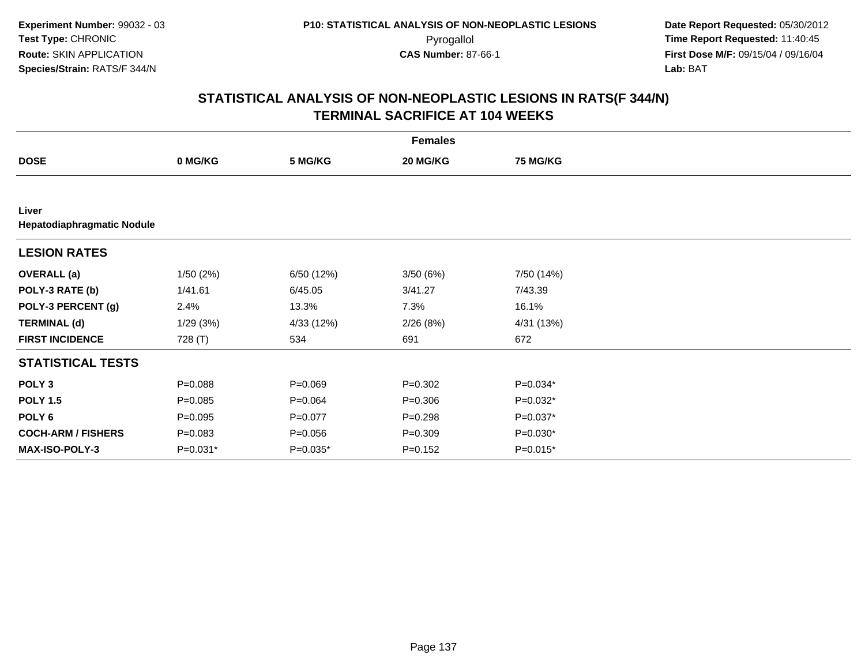|                                     | <b>Females</b> |             |             |                 |  |  |  |  |
|-------------------------------------|----------------|-------------|-------------|-----------------|--|--|--|--|
| <b>DOSE</b>                         | 0 MG/KG        | 5 MG/KG     | 20 MG/KG    | <b>75 MG/KG</b> |  |  |  |  |
|                                     |                |             |             |                 |  |  |  |  |
| Liver<br>Hepatodiaphragmatic Nodule |                |             |             |                 |  |  |  |  |
| <b>LESION RATES</b>                 |                |             |             |                 |  |  |  |  |
| <b>OVERALL</b> (a)                  | 1/50(2%)       | 6/50 (12%)  | 3/50(6%)    | 7/50 (14%)      |  |  |  |  |
| POLY-3 RATE (b)                     | 1/41.61        | 6/45.05     | 3/41.27     | 7/43.39         |  |  |  |  |
| POLY-3 PERCENT (g)                  | 2.4%           | 13.3%       | 7.3%        | 16.1%           |  |  |  |  |
| <b>TERMINAL (d)</b>                 | 1/29(3%)       | 4/33 (12%)  | 2/26(8%)    | 4/31 (13%)      |  |  |  |  |
| <b>FIRST INCIDENCE</b>              | 728 (T)        | 534         | 691         | 672             |  |  |  |  |
| <b>STATISTICAL TESTS</b>            |                |             |             |                 |  |  |  |  |
| POLY <sub>3</sub>                   | $P = 0.088$    | $P = 0.069$ | $P = 0.302$ | P=0.034*        |  |  |  |  |
| <b>POLY 1.5</b>                     | $P = 0.085$    | $P = 0.064$ | $P = 0.306$ | P=0.032*        |  |  |  |  |
| POLY 6                              | $P = 0.095$    | $P = 0.077$ | $P = 0.298$ | P=0.037*        |  |  |  |  |
| <b>COCH-ARM / FISHERS</b>           | $P = 0.083$    | $P = 0.056$ | $P = 0.309$ | $P=0.030*$      |  |  |  |  |
| <b>MAX-ISO-POLY-3</b>               | P=0.031*       | P=0.035*    | $P = 0.152$ | $P=0.015*$      |  |  |  |  |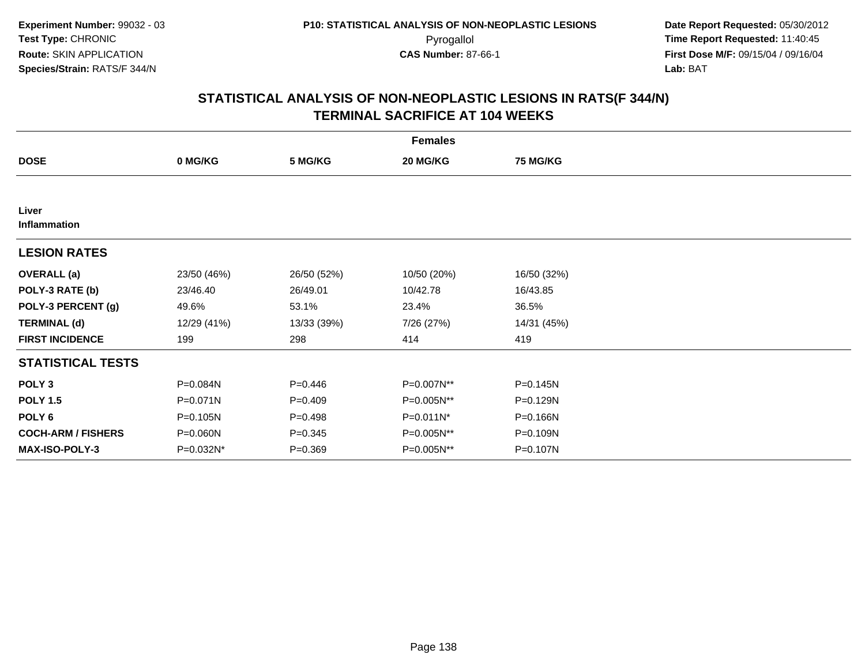| <b>Females</b>            |             |             |             |                 |  |  |  |
|---------------------------|-------------|-------------|-------------|-----------------|--|--|--|
| <b>DOSE</b>               | 0 MG/KG     | 5 MG/KG     | 20 MG/KG    | <b>75 MG/KG</b> |  |  |  |
|                           |             |             |             |                 |  |  |  |
| Liver<br>Inflammation     |             |             |             |                 |  |  |  |
| <b>LESION RATES</b>       |             |             |             |                 |  |  |  |
| <b>OVERALL</b> (a)        | 23/50 (46%) | 26/50 (52%) | 10/50 (20%) | 16/50 (32%)     |  |  |  |
| POLY-3 RATE (b)           | 23/46.40    | 26/49.01    | 10/42.78    | 16/43.85        |  |  |  |
| POLY-3 PERCENT (g)        | 49.6%       | 53.1%       | 23.4%       | 36.5%           |  |  |  |
| <b>TERMINAL (d)</b>       | 12/29 (41%) | 13/33 (39%) | 7/26 (27%)  | 14/31 (45%)     |  |  |  |
| <b>FIRST INCIDENCE</b>    | 199         | 298         | 414         | 419             |  |  |  |
| <b>STATISTICAL TESTS</b>  |             |             |             |                 |  |  |  |
| POLY <sub>3</sub>         | P=0.084N    | $P = 0.446$ | P=0.007N**  | P=0.145N        |  |  |  |
| <b>POLY 1.5</b>           | P=0.071N    | $P=0.409$   | P=0.005N**  | P=0.129N        |  |  |  |
| POLY 6                    | P=0.105N    | $P=0.498$   | P=0.011N*   | P=0.166N        |  |  |  |
| <b>COCH-ARM / FISHERS</b> | P=0.060N    | $P = 0.345$ | P=0.005N**  | P=0.109N        |  |  |  |
| <b>MAX-ISO-POLY-3</b>     | P=0.032N*   | $P = 0.369$ | P=0.005N**  | P=0.107N        |  |  |  |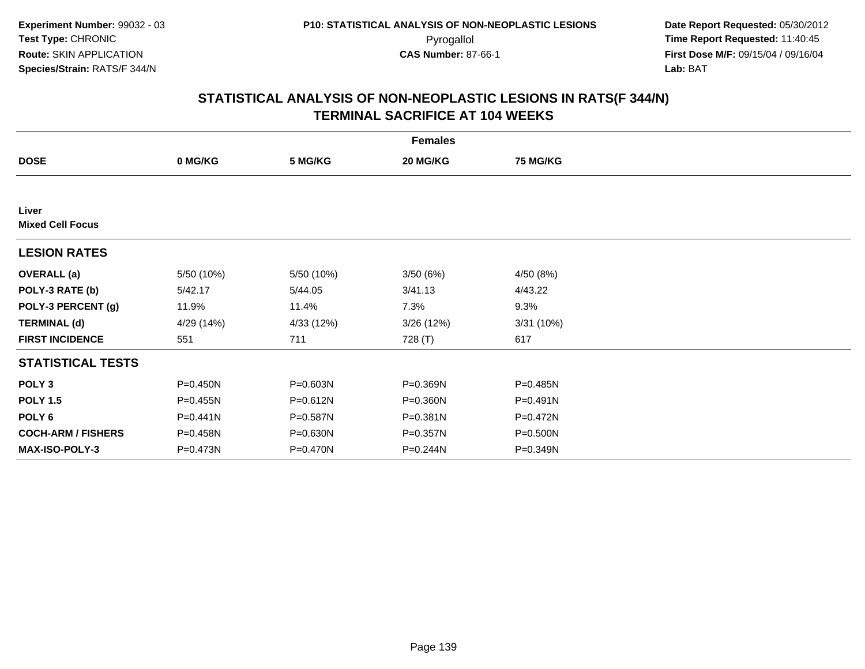| <b>Females</b>                   |              |              |              |                 |  |  |  |
|----------------------------------|--------------|--------------|--------------|-----------------|--|--|--|
| <b>DOSE</b>                      | 0 MG/KG      | 5 MG/KG      | 20 MG/KG     | <b>75 MG/KG</b> |  |  |  |
|                                  |              |              |              |                 |  |  |  |
| Liver<br><b>Mixed Cell Focus</b> |              |              |              |                 |  |  |  |
| <b>LESION RATES</b>              |              |              |              |                 |  |  |  |
| <b>OVERALL (a)</b>               | 5/50 (10%)   | 5/50 (10%)   | 3/50(6%)     | 4/50 (8%)       |  |  |  |
| POLY-3 RATE (b)                  | 5/42.17      | 5/44.05      | 3/41.13      | 4/43.22         |  |  |  |
| POLY-3 PERCENT (g)               | 11.9%        | 11.4%        | 7.3%         | 9.3%            |  |  |  |
| <b>TERMINAL (d)</b>              | 4/29 (14%)   | 4/33 (12%)   | 3/26(12%)    | 3/31(10%)       |  |  |  |
| <b>FIRST INCIDENCE</b>           | 551          | 711          | 728 (T)      | 617             |  |  |  |
| <b>STATISTICAL TESTS</b>         |              |              |              |                 |  |  |  |
| POLY <sub>3</sub>                | P=0.450N     | P=0.603N     | P=0.369N     | P=0.485N        |  |  |  |
| <b>POLY 1.5</b>                  | $P = 0.455N$ | $P = 0.612N$ | P=0.360N     | $P = 0.491N$    |  |  |  |
| POLY 6                           | $P = 0.441N$ | P=0.587N     | $P = 0.381N$ | P=0.472N        |  |  |  |
| <b>COCH-ARM / FISHERS</b>        | P=0.458N     | P=0.630N     | P=0.357N     | $P = 0.500N$    |  |  |  |
| MAX-ISO-POLY-3                   | P=0.473N     | P=0.470N     | P=0.244N     | P=0.349N        |  |  |  |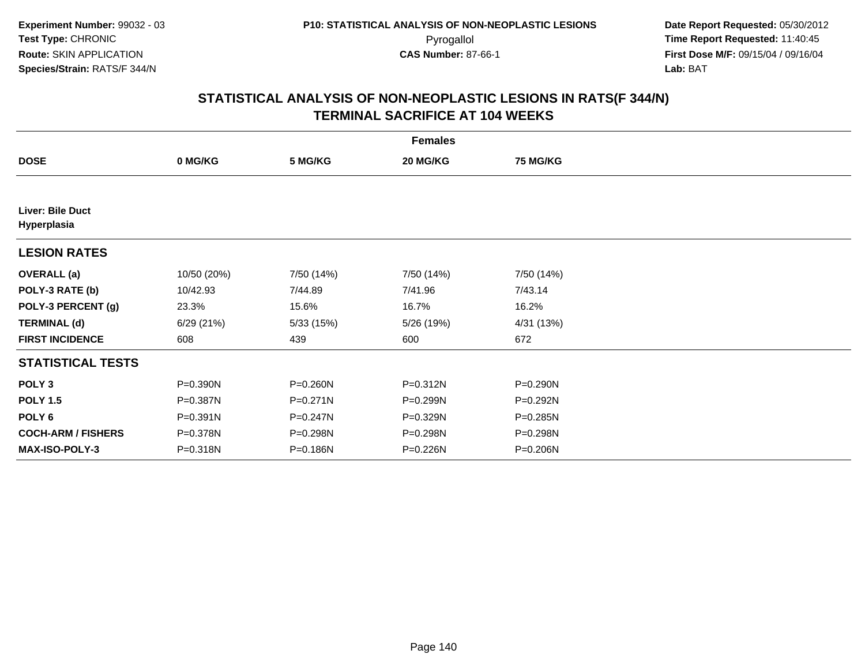| <b>Females</b>                  |              |              |            |                 |  |  |  |  |
|---------------------------------|--------------|--------------|------------|-----------------|--|--|--|--|
| <b>DOSE</b>                     | 0 MG/KG      | 5 MG/KG      | 20 MG/KG   | <b>75 MG/KG</b> |  |  |  |  |
|                                 |              |              |            |                 |  |  |  |  |
| Liver: Bile Duct<br>Hyperplasia |              |              |            |                 |  |  |  |  |
| <b>LESION RATES</b>             |              |              |            |                 |  |  |  |  |
| <b>OVERALL</b> (a)              | 10/50 (20%)  | 7/50 (14%)   | 7/50 (14%) | 7/50 (14%)      |  |  |  |  |
| POLY-3 RATE (b)                 | 10/42.93     | 7/44.89      | 7/41.96    | 7/43.14         |  |  |  |  |
| POLY-3 PERCENT (g)              | 23.3%        | 15.6%        | 16.7%      | 16.2%           |  |  |  |  |
| <b>TERMINAL (d)</b>             | 6/29(21%)    | 5/33 (15%)   | 5/26 (19%) | 4/31 (13%)      |  |  |  |  |
| <b>FIRST INCIDENCE</b>          | 608          | 439          | 600        | 672             |  |  |  |  |
| <b>STATISTICAL TESTS</b>        |              |              |            |                 |  |  |  |  |
| POLY <sub>3</sub>               | P=0.390N     | P=0.260N     | P=0.312N   | P=0.290N        |  |  |  |  |
| <b>POLY 1.5</b>                 | P=0.387N     | $P = 0.271N$ | P=0.299N   | P=0.292N        |  |  |  |  |
| POLY <sub>6</sub>               | $P = 0.391N$ | P=0.247N     | P=0.329N   | P=0.285N        |  |  |  |  |
| <b>COCH-ARM / FISHERS</b>       | P=0.378N     | P=0.298N     | P=0.298N   | P=0.298N        |  |  |  |  |
| <b>MAX-ISO-POLY-3</b>           | P=0.318N     | P=0.186N     | P=0.226N   | P=0.206N        |  |  |  |  |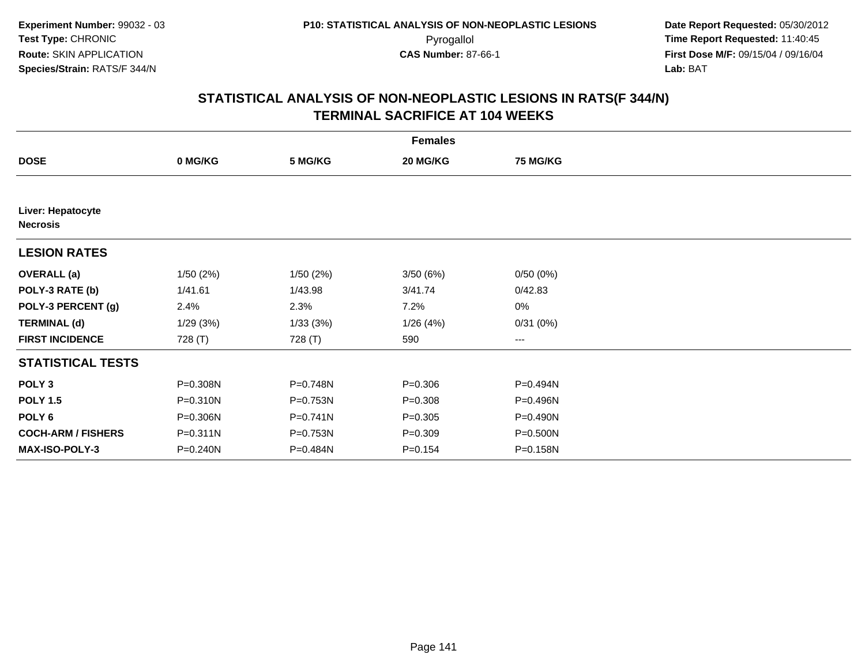| <b>Females</b>                       |          |              |             |                 |  |  |  |
|--------------------------------------|----------|--------------|-------------|-----------------|--|--|--|
| <b>DOSE</b>                          | 0 MG/KG  | 5 MG/KG      | 20 MG/KG    | <b>75 MG/KG</b> |  |  |  |
|                                      |          |              |             |                 |  |  |  |
| Liver: Hepatocyte<br><b>Necrosis</b> |          |              |             |                 |  |  |  |
| <b>LESION RATES</b>                  |          |              |             |                 |  |  |  |
| <b>OVERALL</b> (a)                   | 1/50(2%) | 1/50(2%)     | 3/50(6%)    | 0/50(0%)        |  |  |  |
| POLY-3 RATE (b)                      | 1/41.61  | 1/43.98      | 3/41.74     | 0/42.83         |  |  |  |
| POLY-3 PERCENT (g)                   | 2.4%     | 2.3%         | 7.2%        | 0%              |  |  |  |
| <b>TERMINAL (d)</b>                  | 1/29(3%) | 1/33(3%)     | 1/26(4%)    | 0/31(0%)        |  |  |  |
| <b>FIRST INCIDENCE</b>               | 728 (T)  | 728 (T)      | 590         | $--$            |  |  |  |
| <b>STATISTICAL TESTS</b>             |          |              |             |                 |  |  |  |
| POLY <sub>3</sub>                    | P=0.308N | P=0.748N     | $P = 0.306$ | P=0.494N        |  |  |  |
| <b>POLY 1.5</b>                      | P=0.310N | P=0.753N     | $P = 0.308$ | P=0.496N        |  |  |  |
| POLY 6                               | P=0.306N | $P = 0.741N$ | $P = 0.305$ | P=0.490N        |  |  |  |
| <b>COCH-ARM / FISHERS</b>            | P=0.311N | P=0.753N     | $P = 0.309$ | P=0.500N        |  |  |  |
| MAX-ISO-POLY-3                       | P=0.240N | P=0.484N     | $P = 0.154$ | P=0.158N        |  |  |  |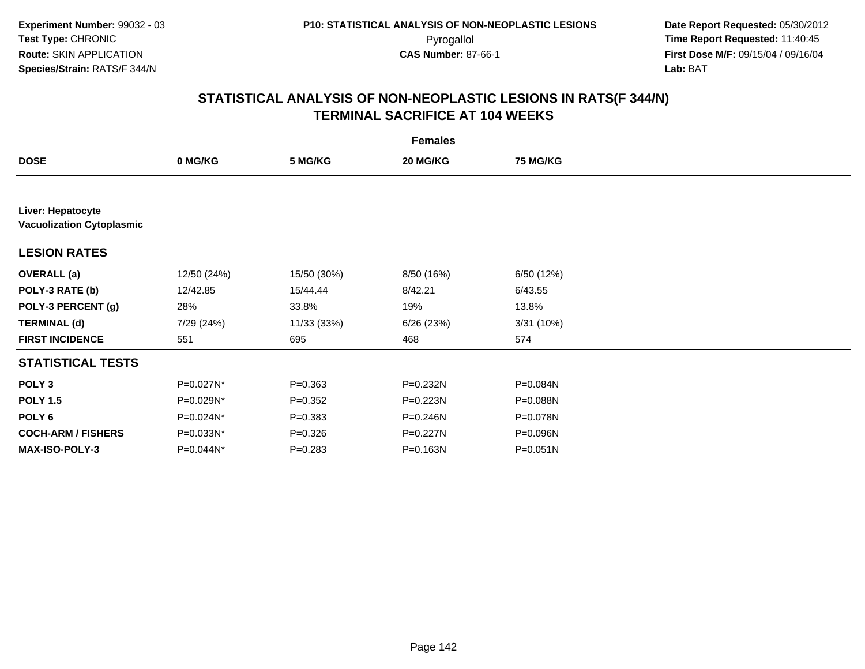|                                                       |             |             | <b>Females</b> |                 |  |
|-------------------------------------------------------|-------------|-------------|----------------|-----------------|--|
| <b>DOSE</b>                                           | 0 MG/KG     | 5 MG/KG     | 20 MG/KG       | <b>75 MG/KG</b> |  |
|                                                       |             |             |                |                 |  |
| Liver: Hepatocyte<br><b>Vacuolization Cytoplasmic</b> |             |             |                |                 |  |
| <b>LESION RATES</b>                                   |             |             |                |                 |  |
| <b>OVERALL (a)</b>                                    | 12/50 (24%) | 15/50 (30%) | 8/50 (16%)     | 6/50 (12%)      |  |
| POLY-3 RATE (b)                                       | 12/42.85    | 15/44.44    | 8/42.21        | 6/43.55         |  |
| POLY-3 PERCENT (g)                                    | 28%         | 33.8%       | 19%            | 13.8%           |  |
| <b>TERMINAL (d)</b>                                   | 7/29 (24%)  | 11/33 (33%) | 6/26(23%)      | 3/31 (10%)      |  |
| <b>FIRST INCIDENCE</b>                                | 551         | 695         | 468            | 574             |  |
| <b>STATISTICAL TESTS</b>                              |             |             |                |                 |  |
| POLY <sub>3</sub>                                     | P=0.027N*   | $P = 0.363$ | $P = 0.232N$   | P=0.084N        |  |
| <b>POLY 1.5</b>                                       | P=0.029N*   | $P = 0.352$ | $P = 0.223N$   | P=0.088N        |  |
| POLY <sub>6</sub>                                     | P=0.024N*   | $P = 0.383$ | $P = 0.246N$   | P=0.078N        |  |
| <b>COCH-ARM / FISHERS</b>                             | P=0.033N*   | $P = 0.326$ | P=0.227N       | P=0.096N        |  |
| <b>MAX-ISO-POLY-3</b>                                 | P=0.044N*   | $P = 0.283$ | P=0.163N       | $P = 0.051N$    |  |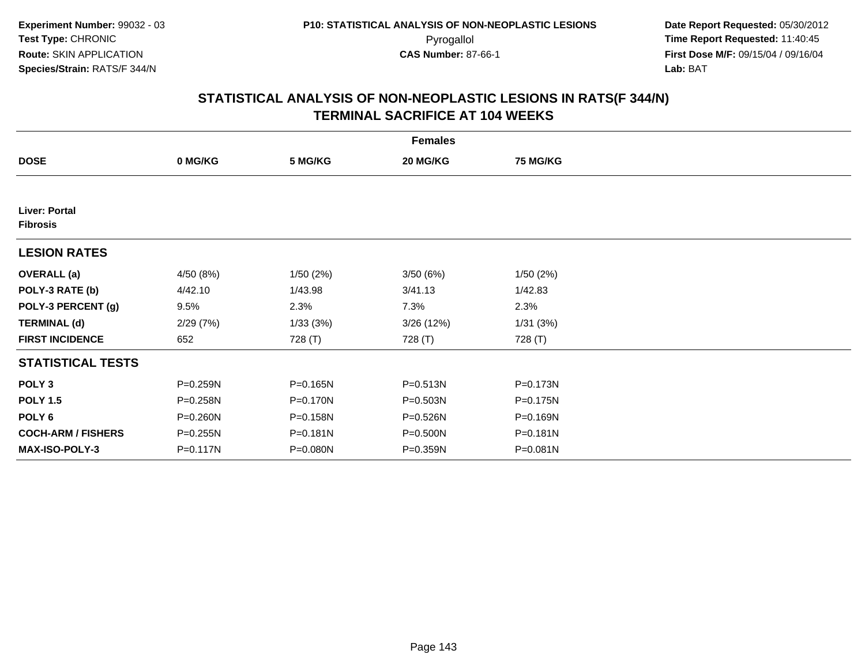| <b>Females</b>                   |              |          |              |                 |  |  |  |
|----------------------------------|--------------|----------|--------------|-----------------|--|--|--|
| <b>DOSE</b>                      | 0 MG/KG      | 5 MG/KG  | 20 MG/KG     | <b>75 MG/KG</b> |  |  |  |
|                                  |              |          |              |                 |  |  |  |
| Liver: Portal<br><b>Fibrosis</b> |              |          |              |                 |  |  |  |
| <b>LESION RATES</b>              |              |          |              |                 |  |  |  |
| <b>OVERALL (a)</b>               | 4/50 (8%)    | 1/50(2%) | 3/50(6%)     | 1/50(2%)        |  |  |  |
| POLY-3 RATE (b)                  | 4/42.10      | 1/43.98  | 3/41.13      | 1/42.83         |  |  |  |
| POLY-3 PERCENT (g)               | 9.5%         | 2.3%     | 7.3%         | 2.3%            |  |  |  |
| <b>TERMINAL (d)</b>              | 2/29(7%)     | 1/33(3%) | 3/26(12%)    | 1/31(3%)        |  |  |  |
| <b>FIRST INCIDENCE</b>           | 652          | 728 (T)  | 728 (T)      | 728 (T)         |  |  |  |
| <b>STATISTICAL TESTS</b>         |              |          |              |                 |  |  |  |
| POLY <sub>3</sub>                | P=0.259N     | P=0.165N | P=0.513N     | P=0.173N        |  |  |  |
| <b>POLY 1.5</b>                  | P=0.258N     | P=0.170N | P=0.503N     | $P = 0.175N$    |  |  |  |
| POLY 6                           | P=0.260N     | P=0.158N | P=0.526N     | P=0.169N        |  |  |  |
| <b>COCH-ARM / FISHERS</b>        | $P = 0.255N$ | P=0.181N | P=0.500N     | $P = 0.181N$    |  |  |  |
| MAX-ISO-POLY-3                   | P=0.117N     | P=0.080N | $P = 0.359N$ | P=0.081N        |  |  |  |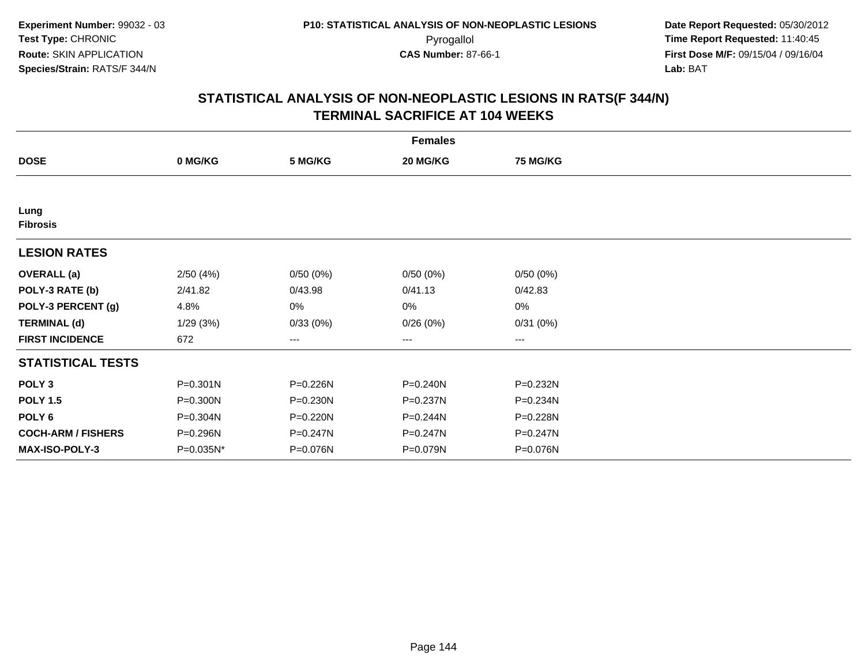| <b>Females</b>            |              |          |              |                 |  |  |  |
|---------------------------|--------------|----------|--------------|-----------------|--|--|--|
| <b>DOSE</b>               | 0 MG/KG      | 5 MG/KG  | 20 MG/KG     | <b>75 MG/KG</b> |  |  |  |
|                           |              |          |              |                 |  |  |  |
| Lung<br><b>Fibrosis</b>   |              |          |              |                 |  |  |  |
| <b>LESION RATES</b>       |              |          |              |                 |  |  |  |
| <b>OVERALL (a)</b>        | 2/50(4%)     | 0/50(0%) | 0/50(0%)     | 0/50(0%)        |  |  |  |
| POLY-3 RATE (b)           | 2/41.82      | 0/43.98  | 0/41.13      | 0/42.83         |  |  |  |
| POLY-3 PERCENT (g)        | 4.8%         | 0%       | 0%           | $0\%$           |  |  |  |
| <b>TERMINAL (d)</b>       | 1/29(3%)     | 0/33(0%) | 0/26(0%)     | 0/31(0%)        |  |  |  |
| <b>FIRST INCIDENCE</b>    | 672          | $\cdots$ | $\cdots$     | $\cdots$        |  |  |  |
| <b>STATISTICAL TESTS</b>  |              |          |              |                 |  |  |  |
| POLY <sub>3</sub>         | $P = 0.301N$ | P=0.226N | $P = 0.240N$ | P=0.232N        |  |  |  |
| <b>POLY 1.5</b>           | P=0.300N     | P=0.230N | P=0.237N     | P=0.234N        |  |  |  |
| POLY 6                    | P=0.304N     | P=0.220N | P=0.244N     | P=0.228N        |  |  |  |
| <b>COCH-ARM / FISHERS</b> | P=0.296N     | P=0.247N | P=0.247N     | $P = 0.247N$    |  |  |  |
| MAX-ISO-POLY-3            | P=0.035N*    | P=0.076N | P=0.079N     | P=0.076N        |  |  |  |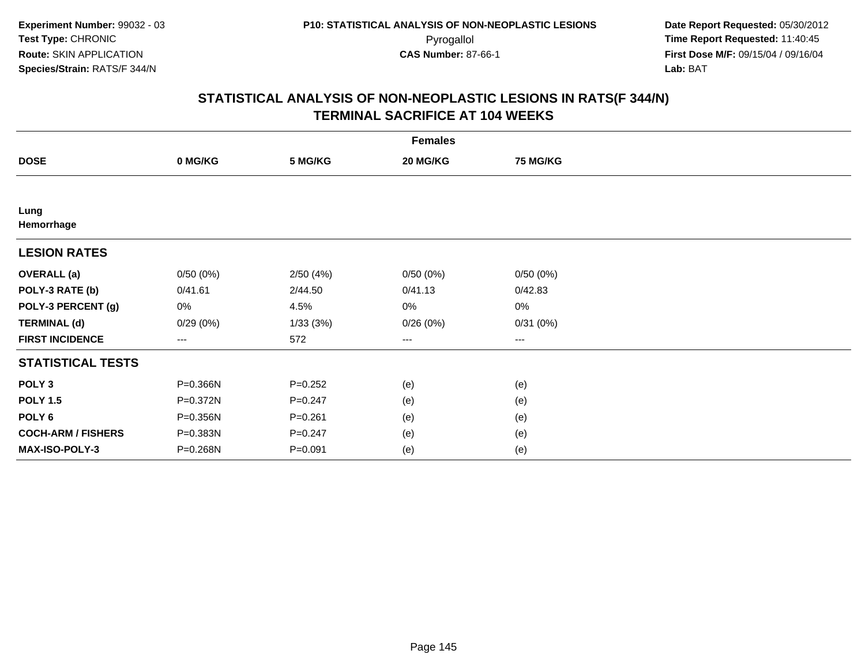| <b>Females</b>            |          |             |          |                 |  |  |  |
|---------------------------|----------|-------------|----------|-----------------|--|--|--|
| <b>DOSE</b>               | 0 MG/KG  | 5 MG/KG     | 20 MG/KG | <b>75 MG/KG</b> |  |  |  |
|                           |          |             |          |                 |  |  |  |
| Lung<br>Hemorrhage        |          |             |          |                 |  |  |  |
| <b>LESION RATES</b>       |          |             |          |                 |  |  |  |
| <b>OVERALL (a)</b>        | 0/50(0%) | 2/50(4%)    | 0/50(0%) | 0/50(0%)        |  |  |  |
| POLY-3 RATE (b)           | 0/41.61  | 2/44.50     | 0/41.13  | 0/42.83         |  |  |  |
| POLY-3 PERCENT (g)        | 0%       | 4.5%        | 0%       | $0\%$           |  |  |  |
| <b>TERMINAL (d)</b>       | 0/29(0%) | 1/33(3%)    | 0/26(0%) | 0/31(0%)        |  |  |  |
| <b>FIRST INCIDENCE</b>    | $\cdots$ | 572         | $\cdots$ | $\cdots$        |  |  |  |
| <b>STATISTICAL TESTS</b>  |          |             |          |                 |  |  |  |
| POLY <sub>3</sub>         | P=0.366N | $P = 0.252$ | (e)      | (e)             |  |  |  |
| <b>POLY 1.5</b>           | P=0.372N | $P = 0.247$ | (e)      | (e)             |  |  |  |
| POLY <sub>6</sub>         | P=0.356N | $P = 0.261$ | (e)      | (e)             |  |  |  |
| <b>COCH-ARM / FISHERS</b> | P=0.383N | $P = 0.247$ | (e)      | (e)             |  |  |  |
| MAX-ISO-POLY-3            | P=0.268N | $P = 0.091$ | (e)      | (e)             |  |  |  |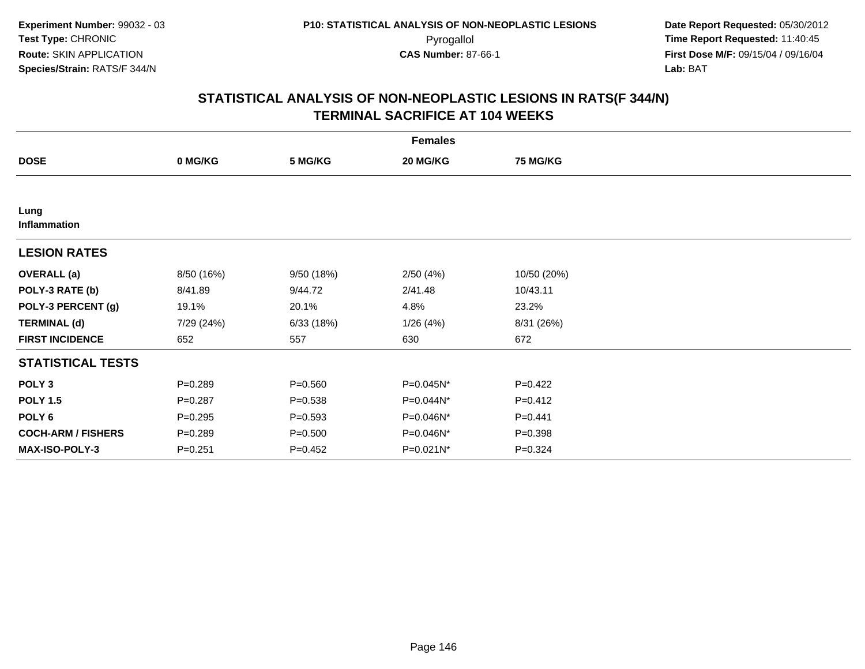| <b>Females</b>            |             |             |              |                 |  |  |  |
|---------------------------|-------------|-------------|--------------|-----------------|--|--|--|
| <b>DOSE</b>               | 0 MG/KG     | 5 MG/KG     | 20 MG/KG     | <b>75 MG/KG</b> |  |  |  |
|                           |             |             |              |                 |  |  |  |
| Lung<br>Inflammation      |             |             |              |                 |  |  |  |
| <b>LESION RATES</b>       |             |             |              |                 |  |  |  |
| <b>OVERALL</b> (a)        | 8/50 (16%)  | 9/50 (18%)  | 2/50(4%)     | 10/50 (20%)     |  |  |  |
| POLY-3 RATE (b)           | 8/41.89     | 9/44.72     | 2/41.48      | 10/43.11        |  |  |  |
| POLY-3 PERCENT (g)        | 19.1%       | 20.1%       | 4.8%         | 23.2%           |  |  |  |
| <b>TERMINAL (d)</b>       | 7/29 (24%)  | 6/33(18%)   | 1/26(4%)     | 8/31 (26%)      |  |  |  |
| <b>FIRST INCIDENCE</b>    | 652         | 557         | 630          | 672             |  |  |  |
| <b>STATISTICAL TESTS</b>  |             |             |              |                 |  |  |  |
| POLY <sub>3</sub>         | $P = 0.289$ | $P = 0.560$ | $P=0.045N^*$ | $P=0.422$       |  |  |  |
| <b>POLY 1.5</b>           | $P=0.287$   | $P = 0.538$ | $P=0.044N^*$ | $P=0.412$       |  |  |  |
| POLY <sub>6</sub>         | $P = 0.295$ | $P = 0.593$ | P=0.046N*    | $P=0.441$       |  |  |  |
| <b>COCH-ARM / FISHERS</b> | $P = 0.289$ | $P = 0.500$ | P=0.046N*    | $P = 0.398$     |  |  |  |
| MAX-ISO-POLY-3            | $P = 0.251$ | $P=0.452$   | P=0.021N*    | $P = 0.324$     |  |  |  |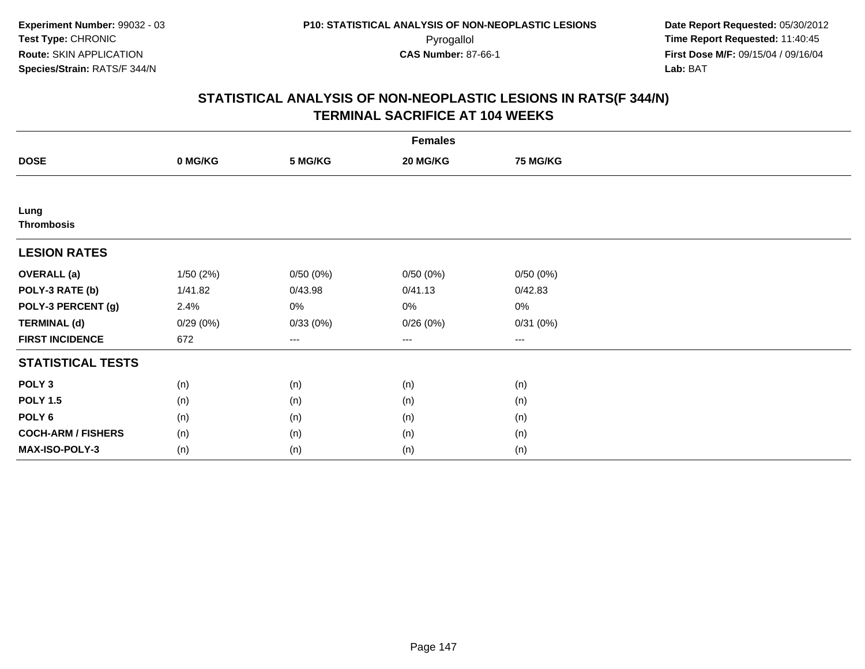| <b>Females</b>            |          |          |          |                 |  |  |  |
|---------------------------|----------|----------|----------|-----------------|--|--|--|
| <b>DOSE</b>               | 0 MG/KG  | 5 MG/KG  | 20 MG/KG | <b>75 MG/KG</b> |  |  |  |
|                           |          |          |          |                 |  |  |  |
| Lung<br><b>Thrombosis</b> |          |          |          |                 |  |  |  |
| <b>LESION RATES</b>       |          |          |          |                 |  |  |  |
| <b>OVERALL (a)</b>        | 1/50(2%) | 0/50(0%) | 0/50(0%) | 0/50(0%)        |  |  |  |
| POLY-3 RATE (b)           | 1/41.82  | 0/43.98  | 0/41.13  | 0/42.83         |  |  |  |
| POLY-3 PERCENT (g)        | 2.4%     | 0%       | 0%       | $0\%$           |  |  |  |
| <b>TERMINAL (d)</b>       | 0/29(0%) | 0/33(0%) | 0/26(0%) | 0/31(0%)        |  |  |  |
| <b>FIRST INCIDENCE</b>    | 672      | ---      | $\cdots$ | $\cdots$        |  |  |  |
| <b>STATISTICAL TESTS</b>  |          |          |          |                 |  |  |  |
| POLY <sub>3</sub>         | (n)      | (n)      | (n)      | (n)             |  |  |  |
| <b>POLY 1.5</b>           | (n)      | (n)      | (n)      | (n)             |  |  |  |
| POLY <sub>6</sub>         | (n)      | (n)      | (n)      | (n)             |  |  |  |
| <b>COCH-ARM / FISHERS</b> | (n)      | (n)      | (n)      | (n)             |  |  |  |
| <b>MAX-ISO-POLY-3</b>     | (n)      | (n)      | (n)      | (n)             |  |  |  |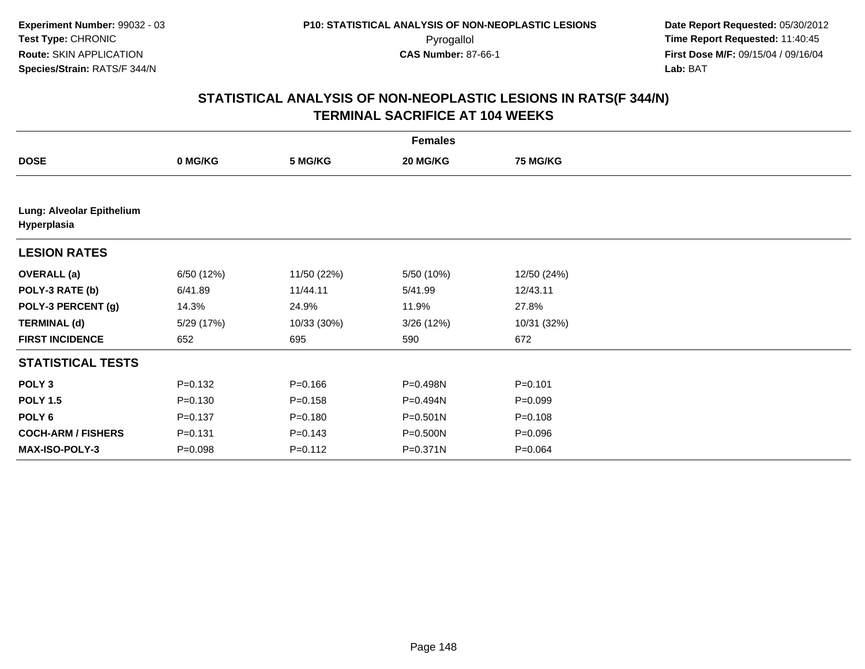| <b>Females</b>                           |             |             |              |                 |  |  |  |
|------------------------------------------|-------------|-------------|--------------|-----------------|--|--|--|
| <b>DOSE</b>                              | 0 MG/KG     | 5 MG/KG     | 20 MG/KG     | <b>75 MG/KG</b> |  |  |  |
|                                          |             |             |              |                 |  |  |  |
| Lung: Alveolar Epithelium<br>Hyperplasia |             |             |              |                 |  |  |  |
| <b>LESION RATES</b>                      |             |             |              |                 |  |  |  |
| <b>OVERALL</b> (a)                       | 6/50 (12%)  | 11/50 (22%) | 5/50 (10%)   | 12/50 (24%)     |  |  |  |
| POLY-3 RATE (b)                          | 6/41.89     | 11/44.11    | 5/41.99      | 12/43.11        |  |  |  |
| POLY-3 PERCENT (g)                       | 14.3%       | 24.9%       | 11.9%        | 27.8%           |  |  |  |
| <b>TERMINAL (d)</b>                      | 5/29 (17%)  | 10/33 (30%) | 3/26(12%)    | 10/31 (32%)     |  |  |  |
| <b>FIRST INCIDENCE</b>                   | 652         | 695         | 590          | 672             |  |  |  |
| <b>STATISTICAL TESTS</b>                 |             |             |              |                 |  |  |  |
| POLY <sub>3</sub>                        | $P = 0.132$ | $P = 0.166$ | P=0.498N     | $P = 0.101$     |  |  |  |
| <b>POLY 1.5</b>                          | $P = 0.130$ | $P = 0.158$ | P=0.494N     | $P = 0.099$     |  |  |  |
| POLY <sub>6</sub>                        | $P = 0.137$ | $P = 0.180$ | $P = 0.501N$ | $P = 0.108$     |  |  |  |
| <b>COCH-ARM / FISHERS</b>                | $P = 0.131$ | $P = 0.143$ | P=0.500N     | $P = 0.096$     |  |  |  |
| MAX-ISO-POLY-3                           | $P = 0.098$ | $P = 0.112$ | $P = 0.371N$ | $P = 0.064$     |  |  |  |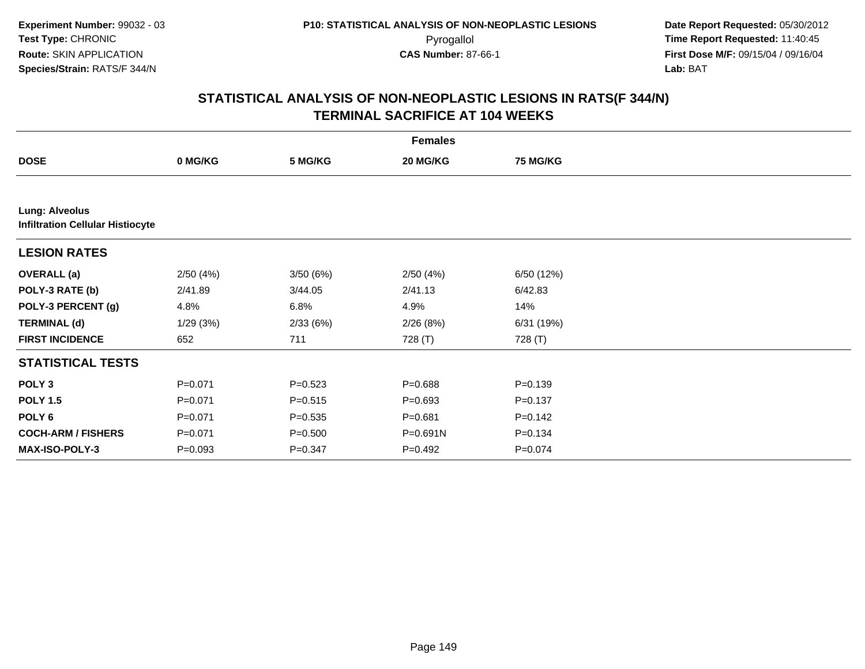|                                                                  | <b>Females</b> |             |              |                 |  |  |  |  |
|------------------------------------------------------------------|----------------|-------------|--------------|-----------------|--|--|--|--|
| <b>DOSE</b>                                                      | 0 MG/KG        | 5 MG/KG     | 20 MG/KG     | <b>75 MG/KG</b> |  |  |  |  |
|                                                                  |                |             |              |                 |  |  |  |  |
| <b>Lung: Alveolus</b><br><b>Infiltration Cellular Histiocyte</b> |                |             |              |                 |  |  |  |  |
| <b>LESION RATES</b>                                              |                |             |              |                 |  |  |  |  |
| <b>OVERALL</b> (a)                                               | 2/50(4%)       | 3/50(6%)    | 2/50(4%)     | 6/50 (12%)      |  |  |  |  |
| POLY-3 RATE (b)                                                  | 2/41.89        | 3/44.05     | 2/41.13      | 6/42.83         |  |  |  |  |
| POLY-3 PERCENT (g)                                               | 4.8%           | 6.8%        | 4.9%         | 14%             |  |  |  |  |
| <b>TERMINAL (d)</b>                                              | 1/29(3%)       | 2/33(6%)    | 2/26(8%)     | 6/31(19%)       |  |  |  |  |
| <b>FIRST INCIDENCE</b>                                           | 652            | 711         | 728 (T)      | 728 (T)         |  |  |  |  |
| <b>STATISTICAL TESTS</b>                                         |                |             |              |                 |  |  |  |  |
| POLY <sub>3</sub>                                                | $P = 0.071$    | $P = 0.523$ | $P = 0.688$  | $P = 0.139$     |  |  |  |  |
| <b>POLY 1.5</b>                                                  | $P = 0.071$    | $P = 0.515$ | $P = 0.693$  | $P = 0.137$     |  |  |  |  |
| POLY <sub>6</sub>                                                | $P = 0.071$    | $P = 0.535$ | $P = 0.681$  | $P = 0.142$     |  |  |  |  |
| <b>COCH-ARM / FISHERS</b>                                        | $P = 0.071$    | $P = 0.500$ | $P = 0.691N$ | $P = 0.134$     |  |  |  |  |
| <b>MAX-ISO-POLY-3</b>                                            | $P = 0.093$    | $P = 0.347$ | P=0.492      | $P = 0.074$     |  |  |  |  |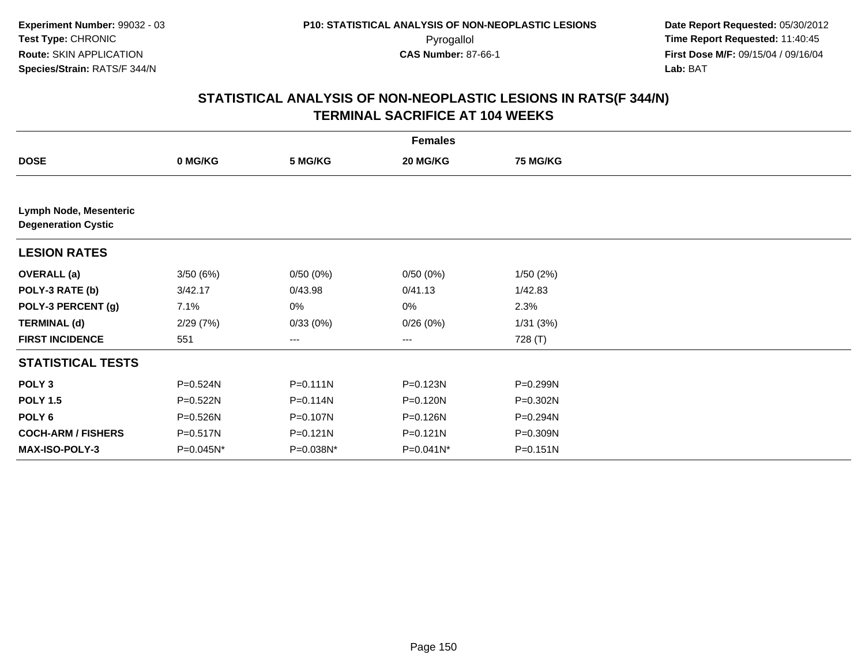|                                                      | <b>Females</b> |              |              |              |  |  |  |  |
|------------------------------------------------------|----------------|--------------|--------------|--------------|--|--|--|--|
| <b>DOSE</b>                                          | 0 MG/KG        | 5 MG/KG      | 20 MG/KG     | 75 MG/KG     |  |  |  |  |
|                                                      |                |              |              |              |  |  |  |  |
| Lymph Node, Mesenteric<br><b>Degeneration Cystic</b> |                |              |              |              |  |  |  |  |
| <b>LESION RATES</b>                                  |                |              |              |              |  |  |  |  |
| <b>OVERALL (a)</b>                                   | 3/50 (6%)      | 0/50(0%)     | 0/50(0%)     | 1/50(2%)     |  |  |  |  |
| POLY-3 RATE (b)                                      | 3/42.17        | 0/43.98      | 0/41.13      | 1/42.83      |  |  |  |  |
| POLY-3 PERCENT (g)                                   | 7.1%           | 0%           | $0\%$        | 2.3%         |  |  |  |  |
| <b>TERMINAL (d)</b>                                  | 2/29(7%)       | 0/33(0%)     | 0/26(0%)     | 1/31(3%)     |  |  |  |  |
| <b>FIRST INCIDENCE</b>                               | 551            | $---$        | ---          | 728 (T)      |  |  |  |  |
| <b>STATISTICAL TESTS</b>                             |                |              |              |              |  |  |  |  |
| POLY <sub>3</sub>                                    | P=0.524N       | $P = 0.111N$ | P=0.123N     | P=0.299N     |  |  |  |  |
| <b>POLY 1.5</b>                                      | $P = 0.522N$   | $P = 0.114N$ | P=0.120N     | P=0.302N     |  |  |  |  |
| POLY <sub>6</sub>                                    | P=0.526N       | P=0.107N     | P=0.126N     | P=0.294N     |  |  |  |  |
| <b>COCH-ARM / FISHERS</b>                            | P=0.517N       | $P = 0.121N$ | $P = 0.121N$ | P=0.309N     |  |  |  |  |
| <b>MAX-ISO-POLY-3</b>                                | P=0.045N*      | P=0.038N*    | P=0.041N*    | $P = 0.151N$ |  |  |  |  |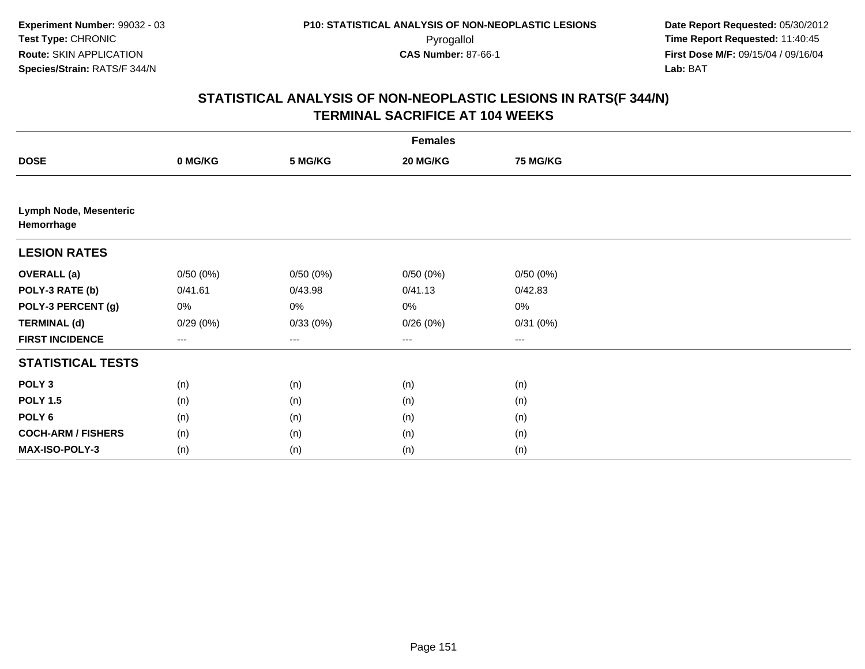| <b>Females</b>                       |          |                        |          |          |  |  |  |
|--------------------------------------|----------|------------------------|----------|----------|--|--|--|
| <b>DOSE</b>                          | 0 MG/KG  | 5 MG/KG                | 20 MG/KG | 75 MG/KG |  |  |  |
|                                      |          |                        |          |          |  |  |  |
| Lymph Node, Mesenteric<br>Hemorrhage |          |                        |          |          |  |  |  |
| <b>LESION RATES</b>                  |          |                        |          |          |  |  |  |
| <b>OVERALL (a)</b>                   | 0/50(0%) | 0/50(0%)               | 0/50(0%) | 0/50(0%) |  |  |  |
| POLY-3 RATE (b)                      | 0/41.61  | 0/43.98                | 0/41.13  | 0/42.83  |  |  |  |
| POLY-3 PERCENT (g)                   | 0%       | 0%                     | $0\%$    | 0%       |  |  |  |
| <b>TERMINAL (d)</b>                  | 0/29(0%) | 0/33(0%)               | 0/26(0%) | 0/31(0%) |  |  |  |
| <b>FIRST INCIDENCE</b>               | ---      | $\qquad \qquad \cdots$ | $--$     | ---      |  |  |  |
| <b>STATISTICAL TESTS</b>             |          |                        |          |          |  |  |  |
| POLY <sub>3</sub>                    | (n)      | (n)                    | (n)      | (n)      |  |  |  |
| <b>POLY 1.5</b>                      | (n)      | (n)                    | (n)      | (n)      |  |  |  |
| POLY <sub>6</sub>                    | (n)      | (n)                    | (n)      | (n)      |  |  |  |
| <b>COCH-ARM / FISHERS</b>            | (n)      | (n)                    | (n)      | (n)      |  |  |  |
| MAX-ISO-POLY-3                       | (n)      | (n)                    | (n)      | (n)      |  |  |  |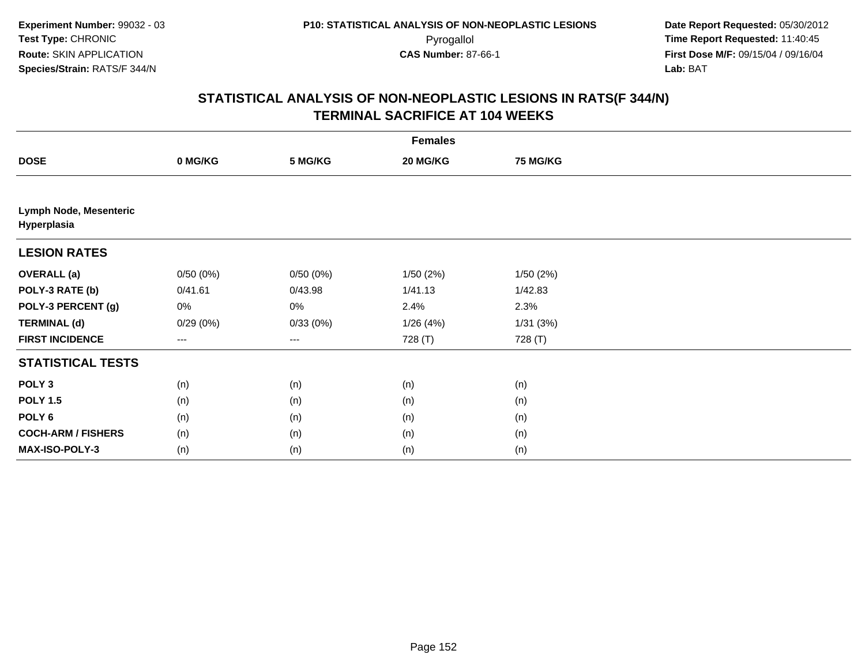| <b>Females</b>                        |          |                        |          |                 |  |  |  |
|---------------------------------------|----------|------------------------|----------|-----------------|--|--|--|
| <b>DOSE</b>                           | 0 MG/KG  | 5 MG/KG                | 20 MG/KG | <b>75 MG/KG</b> |  |  |  |
|                                       |          |                        |          |                 |  |  |  |
| Lymph Node, Mesenteric<br>Hyperplasia |          |                        |          |                 |  |  |  |
| <b>LESION RATES</b>                   |          |                        |          |                 |  |  |  |
| <b>OVERALL (a)</b>                    | 0/50(0%) | 0/50(0%)               | 1/50(2%) | 1/50(2%)        |  |  |  |
| POLY-3 RATE (b)                       | 0/41.61  | 0/43.98                | 1/41.13  | 1/42.83         |  |  |  |
| POLY-3 PERCENT (g)                    | 0%       | 0%                     | 2.4%     | 2.3%            |  |  |  |
| <b>TERMINAL (d)</b>                   | 0/29(0%) | 0/33(0%)               | 1/26(4%) | 1/31(3%)        |  |  |  |
| <b>FIRST INCIDENCE</b>                | ---      | $\qquad \qquad \cdots$ | 728 (T)  | 728 (T)         |  |  |  |
| <b>STATISTICAL TESTS</b>              |          |                        |          |                 |  |  |  |
| POLY <sub>3</sub>                     | (n)      | (n)                    | (n)      | (n)             |  |  |  |
| <b>POLY 1.5</b>                       | (n)      | (n)                    | (n)      | (n)             |  |  |  |
| POLY <sub>6</sub>                     | (n)      | (n)                    | (n)      | (n)             |  |  |  |
| <b>COCH-ARM / FISHERS</b>             | (n)      | (n)                    | (n)      | (n)             |  |  |  |
| MAX-ISO-POLY-3                        | (n)      | (n)                    | (n)      | (n)             |  |  |  |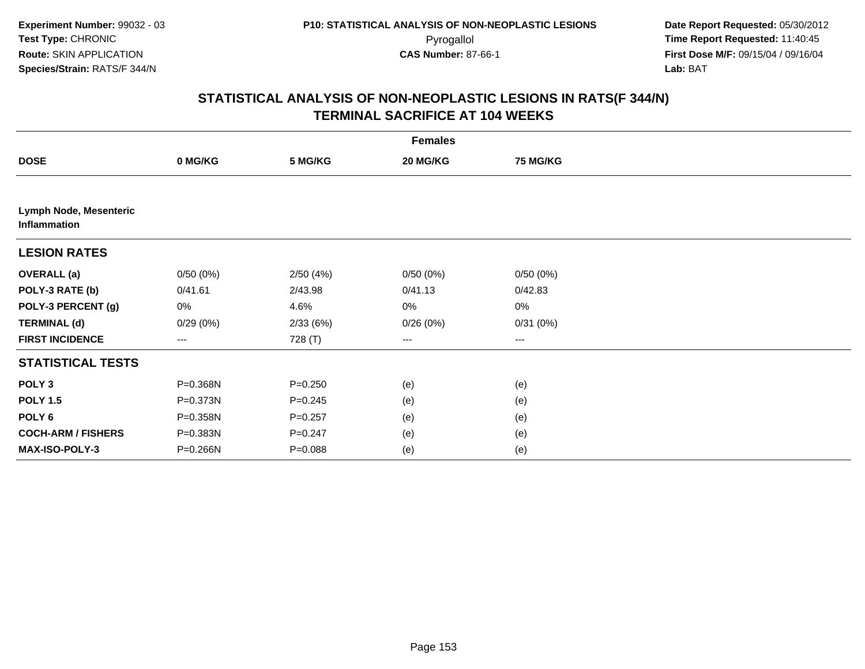|                                        | <b>Females</b> |             |          |          |  |  |  |  |
|----------------------------------------|----------------|-------------|----------|----------|--|--|--|--|
| <b>DOSE</b>                            | 0 MG/KG        | 5 MG/KG     | 20 MG/KG | 75 MG/KG |  |  |  |  |
|                                        |                |             |          |          |  |  |  |  |
| Lymph Node, Mesenteric<br>Inflammation |                |             |          |          |  |  |  |  |
| <b>LESION RATES</b>                    |                |             |          |          |  |  |  |  |
| <b>OVERALL</b> (a)                     | 0/50(0%)       | 2/50(4%)    | 0/50(0%) | 0/50(0%) |  |  |  |  |
| POLY-3 RATE (b)                        | 0/41.61        | 2/43.98     | 0/41.13  | 0/42.83  |  |  |  |  |
| POLY-3 PERCENT (g)                     | 0%             | 4.6%        | $0\%$    | 0%       |  |  |  |  |
| <b>TERMINAL (d)</b>                    | 0/29(0%)       | 2/33(6%)    | 0/26(0%) | 0/31(0%) |  |  |  |  |
| <b>FIRST INCIDENCE</b>                 | ---            | 728 (T)     | ---      | ---      |  |  |  |  |
| <b>STATISTICAL TESTS</b>               |                |             |          |          |  |  |  |  |
| POLY <sub>3</sub>                      | P=0.368N       | $P = 0.250$ | (e)      | (e)      |  |  |  |  |
| <b>POLY 1.5</b>                        | P=0.373N       | $P = 0.245$ | (e)      | (e)      |  |  |  |  |
| POLY <sub>6</sub>                      | P=0.358N       | $P = 0.257$ | (e)      | (e)      |  |  |  |  |
| <b>COCH-ARM / FISHERS</b>              | P=0.383N       | $P = 0.247$ | (e)      | (e)      |  |  |  |  |
| MAX-ISO-POLY-3                         | P=0.266N       | $P = 0.088$ | (e)      | (e)      |  |  |  |  |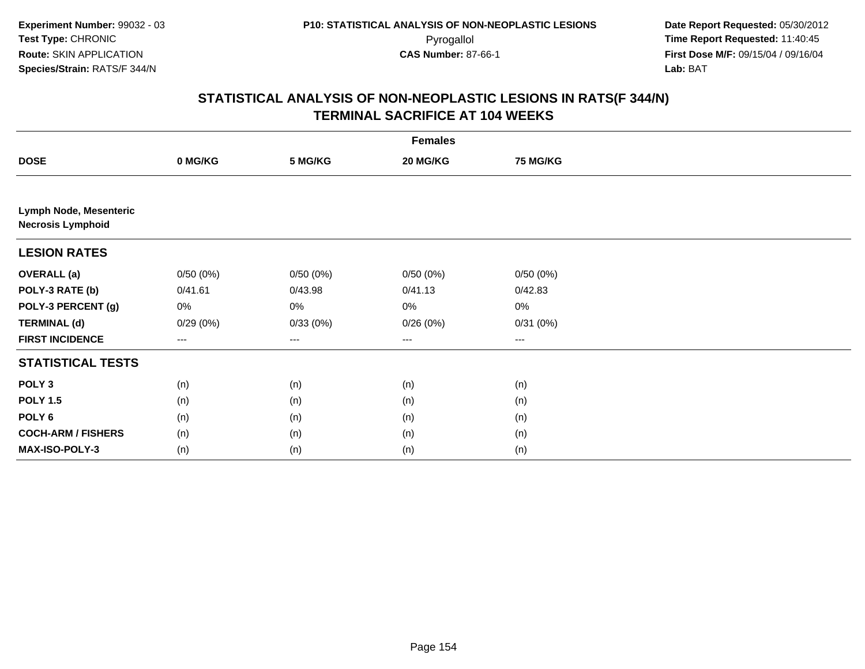| <b>Females</b>                                     |          |                        |          |                 |  |  |  |
|----------------------------------------------------|----------|------------------------|----------|-----------------|--|--|--|
| <b>DOSE</b>                                        | 0 MG/KG  | 5 MG/KG                | 20 MG/KG | <b>75 MG/KG</b> |  |  |  |
|                                                    |          |                        |          |                 |  |  |  |
| Lymph Node, Mesenteric<br><b>Necrosis Lymphoid</b> |          |                        |          |                 |  |  |  |
| <b>LESION RATES</b>                                |          |                        |          |                 |  |  |  |
| <b>OVERALL (a)</b>                                 | 0/50(0%) | 0/50(0%)               | 0/50(0%) | 0/50(0%)        |  |  |  |
| POLY-3 RATE (b)                                    | 0/41.61  | 0/43.98                | 0/41.13  | 0/42.83         |  |  |  |
| POLY-3 PERCENT (g)                                 | 0%       | 0%                     | $0\%$    | 0%              |  |  |  |
| <b>TERMINAL (d)</b>                                | 0/29(0%) | 0/33(0%)               | 0/26(0%) | 0/31(0%)        |  |  |  |
| <b>FIRST INCIDENCE</b>                             | ---      | $\qquad \qquad \cdots$ | $\cdots$ | ---             |  |  |  |
| <b>STATISTICAL TESTS</b>                           |          |                        |          |                 |  |  |  |
| POLY <sub>3</sub>                                  | (n)      | (n)                    | (n)      | (n)             |  |  |  |
| <b>POLY 1.5</b>                                    | (n)      | (n)                    | (n)      | (n)             |  |  |  |
| POLY <sub>6</sub>                                  | (n)      | (n)                    | (n)      | (n)             |  |  |  |
| <b>COCH-ARM / FISHERS</b>                          | (n)      | (n)                    | (n)      | (n)             |  |  |  |
| MAX-ISO-POLY-3                                     | (n)      | (n)                    | (n)      | (n)             |  |  |  |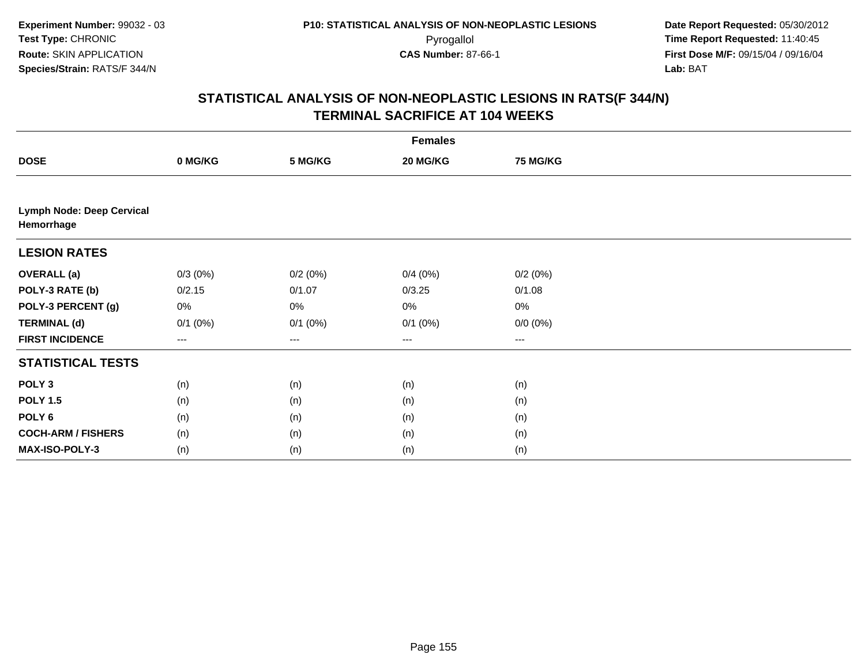|                                                | <b>Females</b> |              |              |                 |  |  |  |  |
|------------------------------------------------|----------------|--------------|--------------|-----------------|--|--|--|--|
| <b>DOSE</b>                                    | 0 MG/KG        | 5 MG/KG      | 20 MG/KG     | <b>75 MG/KG</b> |  |  |  |  |
|                                                |                |              |              |                 |  |  |  |  |
| <b>Lymph Node: Deep Cervical</b><br>Hemorrhage |                |              |              |                 |  |  |  |  |
| <b>LESION RATES</b>                            |                |              |              |                 |  |  |  |  |
| <b>OVERALL</b> (a)                             | $0/3(0\%)$     | 0/2(0%)      | 0/4(0%)      | 0/2(0%)         |  |  |  |  |
| POLY-3 RATE (b)                                | 0/2.15         | 0/1.07       | 0/3.25       | 0/1.08          |  |  |  |  |
| POLY-3 PERCENT (g)                             | 0%             | 0%           | $0\%$        | $0\%$           |  |  |  |  |
| <b>TERMINAL (d)</b>                            | $0/1$ (0%)     | $0/1$ $(0%)$ | $0/1$ $(0%)$ | $0/0 (0\%)$     |  |  |  |  |
| <b>FIRST INCIDENCE</b>                         | $--$           | $\cdots$     | $---$        | ---             |  |  |  |  |
| <b>STATISTICAL TESTS</b>                       |                |              |              |                 |  |  |  |  |
| POLY <sub>3</sub>                              | (n)            | (n)          | (n)          | (n)             |  |  |  |  |
| <b>POLY 1.5</b>                                | (n)            | (n)          | (n)          | (n)             |  |  |  |  |
| POLY <sub>6</sub>                              | (n)            | (n)          | (n)          | (n)             |  |  |  |  |
| <b>COCH-ARM / FISHERS</b>                      | (n)            | (n)          | (n)          | (n)             |  |  |  |  |
| <b>MAX-ISO-POLY-3</b>                          | (n)            | (n)          | (n)          | (n)             |  |  |  |  |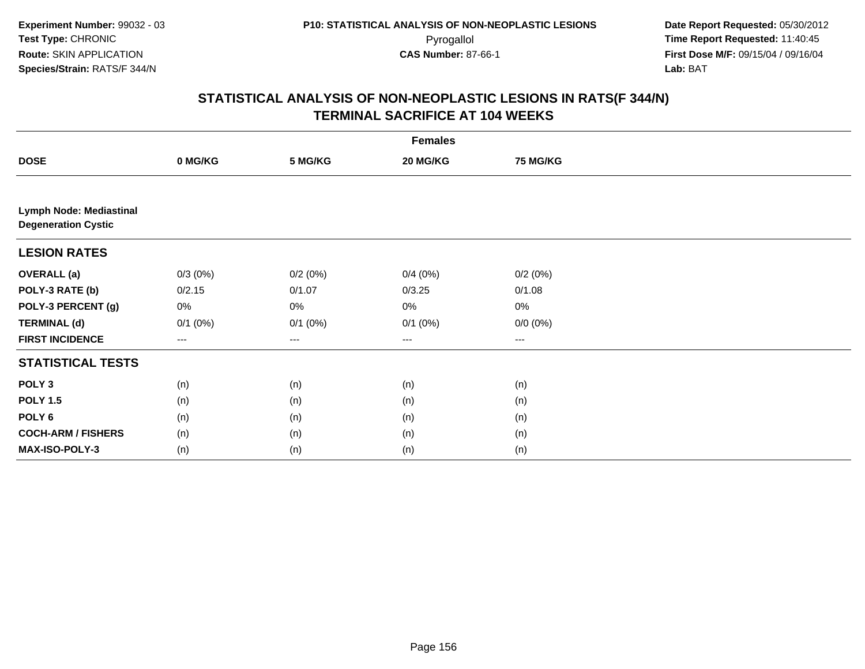| <b>Females</b>                                               |              |                        |              |                 |  |  |  |
|--------------------------------------------------------------|--------------|------------------------|--------------|-----------------|--|--|--|
| <b>DOSE</b>                                                  | 0 MG/KG      | 5 MG/KG                | 20 MG/KG     | <b>75 MG/KG</b> |  |  |  |
|                                                              |              |                        |              |                 |  |  |  |
| <b>Lymph Node: Mediastinal</b><br><b>Degeneration Cystic</b> |              |                        |              |                 |  |  |  |
| <b>LESION RATES</b>                                          |              |                        |              |                 |  |  |  |
| <b>OVERALL</b> (a)                                           | $0/3(0\%)$   | 0/2(0%)                | 0/4(0%)      | 0/2(0%)         |  |  |  |
| POLY-3 RATE (b)                                              | 0/2.15       | 0/1.07                 | 0/3.25       | 0/1.08          |  |  |  |
| POLY-3 PERCENT (g)                                           | 0%           | 0%                     | $0\%$        | 0%              |  |  |  |
| <b>TERMINAL (d)</b>                                          | $0/1$ $(0%)$ | $0/1$ $(0%)$           | $0/1$ $(0%)$ | $0/0 (0\%)$     |  |  |  |
| <b>FIRST INCIDENCE</b>                                       | ---          | $\qquad \qquad \cdots$ | $--$         | ---             |  |  |  |
| <b>STATISTICAL TESTS</b>                                     |              |                        |              |                 |  |  |  |
| POLY <sub>3</sub>                                            | (n)          | (n)                    | (n)          | (n)             |  |  |  |
| <b>POLY 1.5</b>                                              | (n)          | (n)                    | (n)          | (n)             |  |  |  |
| POLY <sub>6</sub>                                            | (n)          | (n)                    | (n)          | (n)             |  |  |  |
| <b>COCH-ARM / FISHERS</b>                                    | (n)          | (n)                    | (n)          | (n)             |  |  |  |
| MAX-ISO-POLY-3                                               | (n)          | (n)                    | (n)          | (n)             |  |  |  |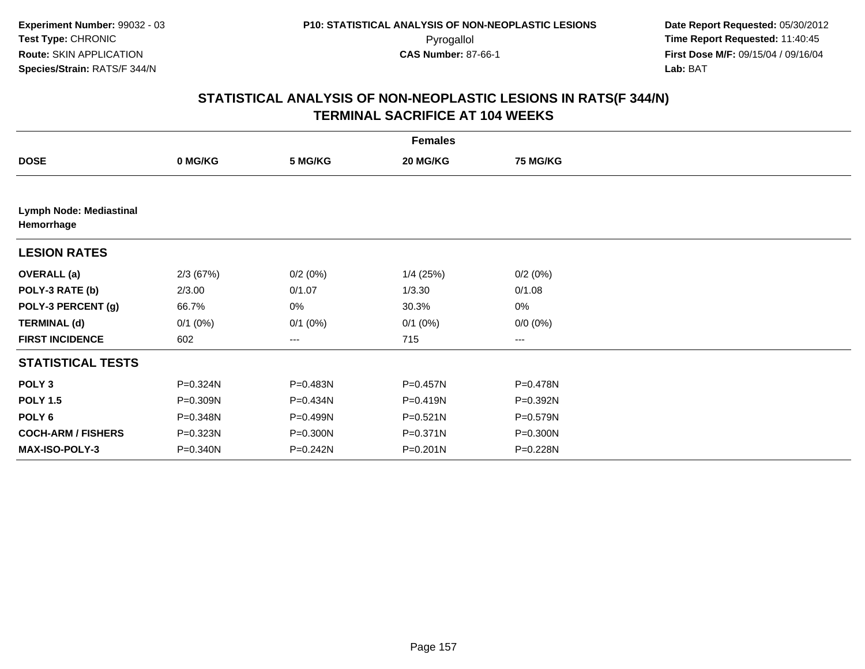| <b>Females</b>                        |            |                        |              |                 |  |  |  |
|---------------------------------------|------------|------------------------|--------------|-----------------|--|--|--|
| <b>DOSE</b>                           | 0 MG/KG    | 5 MG/KG                | 20 MG/KG     | <b>75 MG/KG</b> |  |  |  |
|                                       |            |                        |              |                 |  |  |  |
| Lymph Node: Mediastinal<br>Hemorrhage |            |                        |              |                 |  |  |  |
| <b>LESION RATES</b>                   |            |                        |              |                 |  |  |  |
| <b>OVERALL (a)</b>                    | 2/3 (67%)  | 0/2(0%)                | $1/4$ (25%)  | 0/2(0%)         |  |  |  |
| POLY-3 RATE (b)                       | 2/3.00     | 0/1.07                 | 1/3.30       | 0/1.08          |  |  |  |
| POLY-3 PERCENT (g)                    | 66.7%      | 0%                     | 30.3%        | $0\%$           |  |  |  |
| <b>TERMINAL (d)</b>                   | $0/1$ (0%) | $0/1$ (0%)             | $0/1$ $(0%)$ | $0/0 (0\%)$     |  |  |  |
| <b>FIRST INCIDENCE</b>                | 602        | $\qquad \qquad \cdots$ | 715          | ---             |  |  |  |
| <b>STATISTICAL TESTS</b>              |            |                        |              |                 |  |  |  |
| POLY <sub>3</sub>                     | P=0.324N   | P=0.483N               | P=0.457N     | P=0.478N        |  |  |  |
| <b>POLY 1.5</b>                       | P=0.309N   | P=0.434N               | P=0.419N     | P=0.392N        |  |  |  |
| POLY <sub>6</sub>                     | P=0.348N   | P=0.499N               | $P = 0.521N$ | P=0.579N        |  |  |  |
| <b>COCH-ARM / FISHERS</b>             | P=0.323N   | P=0.300N               | $P = 0.371N$ | P=0.300N        |  |  |  |
| MAX-ISO-POLY-3                        | P=0.340N   | P=0.242N               | $P = 0.201N$ | P=0.228N        |  |  |  |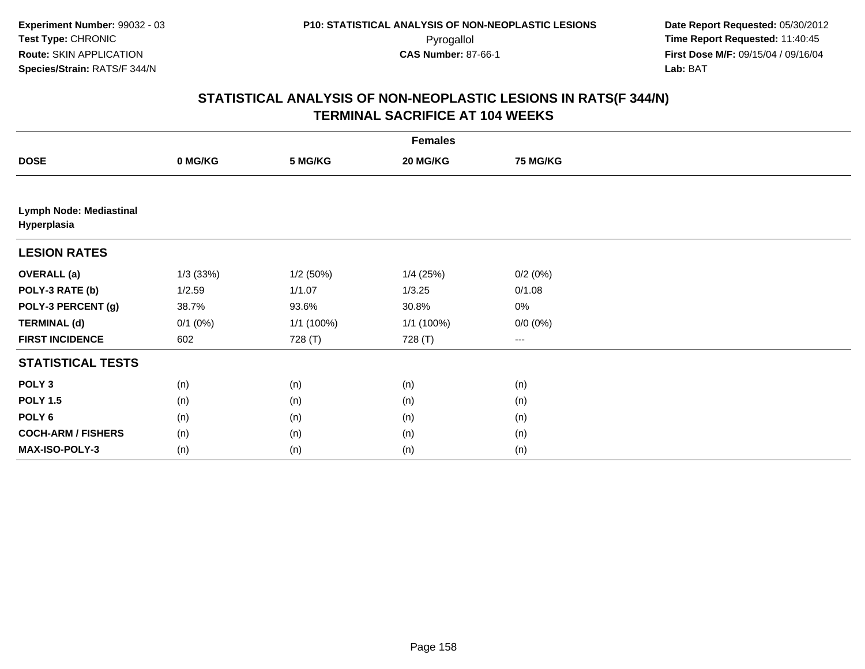|                                        | <b>Females</b> |            |              |                   |  |  |  |  |
|----------------------------------------|----------------|------------|--------------|-------------------|--|--|--|--|
| <b>DOSE</b>                            | 0 MG/KG        | 5 MG/KG    | 20 MG/KG     | <b>75 MG/KG</b>   |  |  |  |  |
|                                        |                |            |              |                   |  |  |  |  |
| Lymph Node: Mediastinal<br>Hyperplasia |                |            |              |                   |  |  |  |  |
| <b>LESION RATES</b>                    |                |            |              |                   |  |  |  |  |
| <b>OVERALL (a)</b>                     | 1/3(33%)       | 1/2(50%)   | 1/4(25%)     | 0/2(0%)           |  |  |  |  |
| POLY-3 RATE (b)                        | 1/2.59         | 1/1.07     | 1/3.25       | 0/1.08            |  |  |  |  |
| POLY-3 PERCENT (g)                     | 38.7%          | 93.6%      | 30.8%        | $0\%$             |  |  |  |  |
| <b>TERMINAL (d)</b>                    | $0/1$ $(0%)$   | 1/1 (100%) | $1/1$ (100%) | $0/0 (0\%)$       |  |  |  |  |
| <b>FIRST INCIDENCE</b>                 | 602            | 728 (T)    | 728 (T)      | $\qquad \qquad -$ |  |  |  |  |
| <b>STATISTICAL TESTS</b>               |                |            |              |                   |  |  |  |  |
| POLY <sub>3</sub>                      | (n)            | (n)        | (n)          | (n)               |  |  |  |  |
| <b>POLY 1.5</b>                        | (n)            | (n)        | (n)          | (n)               |  |  |  |  |
| POLY <sub>6</sub>                      | (n)            | (n)        | (n)          | (n)               |  |  |  |  |
| <b>COCH-ARM / FISHERS</b>              | (n)            | (n)        | (n)          | (n)               |  |  |  |  |
| MAX-ISO-POLY-3                         | (n)            | (n)        | (n)          | (n)               |  |  |  |  |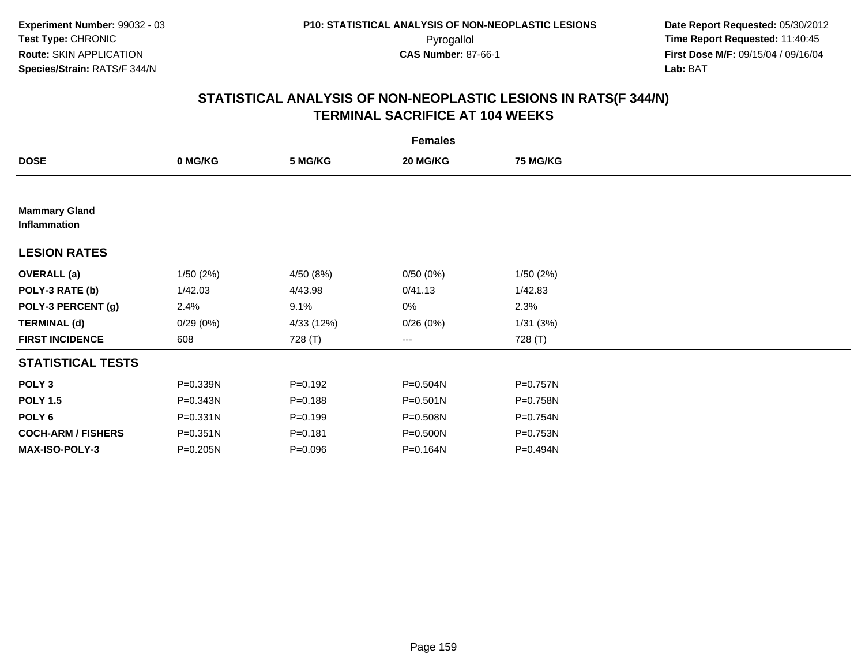| <b>Females</b>                       |              |             |              |                 |  |  |  |
|--------------------------------------|--------------|-------------|--------------|-----------------|--|--|--|
| <b>DOSE</b>                          | 0 MG/KG      | 5 MG/KG     | 20 MG/KG     | <b>75 MG/KG</b> |  |  |  |
|                                      |              |             |              |                 |  |  |  |
| <b>Mammary Gland</b><br>Inflammation |              |             |              |                 |  |  |  |
| <b>LESION RATES</b>                  |              |             |              |                 |  |  |  |
| <b>OVERALL</b> (a)                   | 1/50(2%)     | 4/50 (8%)   | 0/50(0%)     | 1/50(2%)        |  |  |  |
| POLY-3 RATE (b)                      | 1/42.03      | 4/43.98     | 0/41.13      | 1/42.83         |  |  |  |
| POLY-3 PERCENT (g)                   | 2.4%         | 9.1%        | 0%           | 2.3%            |  |  |  |
| <b>TERMINAL (d)</b>                  | 0/29(0%)     | 4/33 (12%)  | 0/26(0%)     | 1/31(3%)        |  |  |  |
| <b>FIRST INCIDENCE</b>               | 608          | 728 (T)     | ---          | 728 (T)         |  |  |  |
| <b>STATISTICAL TESTS</b>             |              |             |              |                 |  |  |  |
| POLY <sub>3</sub>                    | P=0.339N     | $P = 0.192$ | P=0.504N     | P=0.757N        |  |  |  |
| <b>POLY 1.5</b>                      | P=0.343N     | $P = 0.188$ | $P = 0.501N$ | P=0.758N        |  |  |  |
| POLY 6                               | $P = 0.331N$ | $P = 0.199$ | P=0.508N     | P=0.754N        |  |  |  |
| <b>COCH-ARM / FISHERS</b>            | P=0.351N     | $P = 0.181$ | P=0.500N     | P=0.753N        |  |  |  |
| MAX-ISO-POLY-3                       | P=0.205N     | $P = 0.096$ | P=0.164N     | P=0.494N        |  |  |  |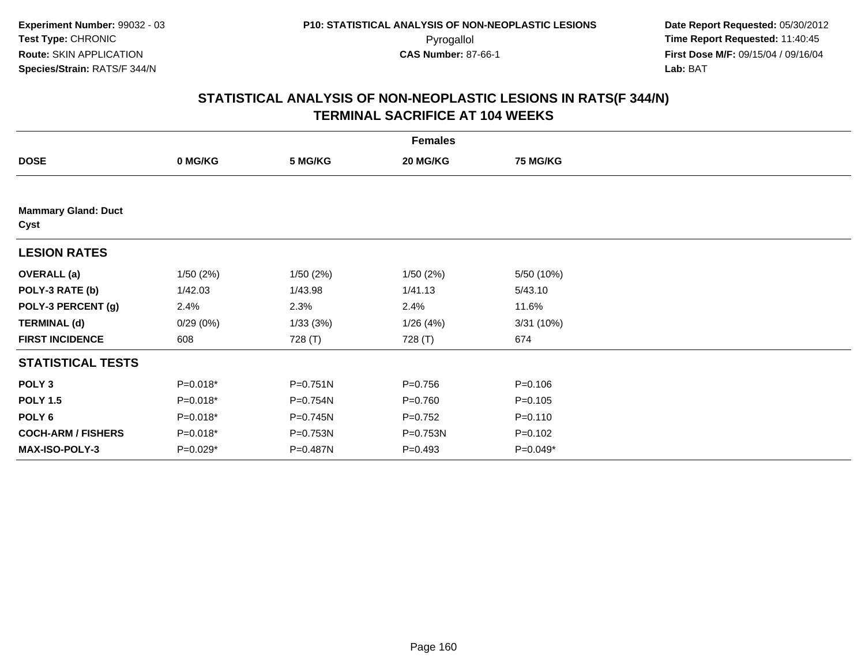|                                    | <b>Females</b> |              |             |                 |  |  |  |
|------------------------------------|----------------|--------------|-------------|-----------------|--|--|--|
| <b>DOSE</b>                        | 0 MG/KG        | 5 MG/KG      | 20 MG/KG    | <b>75 MG/KG</b> |  |  |  |
|                                    |                |              |             |                 |  |  |  |
| <b>Mammary Gland: Duct</b><br>Cyst |                |              |             |                 |  |  |  |
| <b>LESION RATES</b>                |                |              |             |                 |  |  |  |
| <b>OVERALL</b> (a)                 | 1/50(2%)       | 1/50(2%)     | 1/50(2%)    | 5/50 (10%)      |  |  |  |
| POLY-3 RATE (b)                    | 1/42.03        | 1/43.98      | 1/41.13     | 5/43.10         |  |  |  |
| POLY-3 PERCENT (g)                 | 2.4%           | 2.3%         | 2.4%        | 11.6%           |  |  |  |
| <b>TERMINAL (d)</b>                | 0/29(0%)       | 1/33(3%)     | 1/26(4%)    | 3/31(10%)       |  |  |  |
| <b>FIRST INCIDENCE</b>             | 608            | 728 (T)      | 728 (T)     | 674             |  |  |  |
| <b>STATISTICAL TESTS</b>           |                |              |             |                 |  |  |  |
| POLY <sub>3</sub>                  | $P=0.018*$     | $P = 0.751N$ | $P = 0.756$ | $P = 0.106$     |  |  |  |
| <b>POLY 1.5</b>                    | $P=0.018*$     | P=0.754N     | $P = 0.760$ | $P = 0.105$     |  |  |  |
| POLY <sub>6</sub>                  | $P=0.018*$     | P=0.745N     | $P=0.752$   | $P = 0.110$     |  |  |  |
| <b>COCH-ARM / FISHERS</b>          | $P=0.018*$     | P=0.753N     | P=0.753N    | $P = 0.102$     |  |  |  |
| <b>MAX-ISO-POLY-3</b>              | $P=0.029*$     | P=0.487N     | $P = 0.493$ | $P=0.049*$      |  |  |  |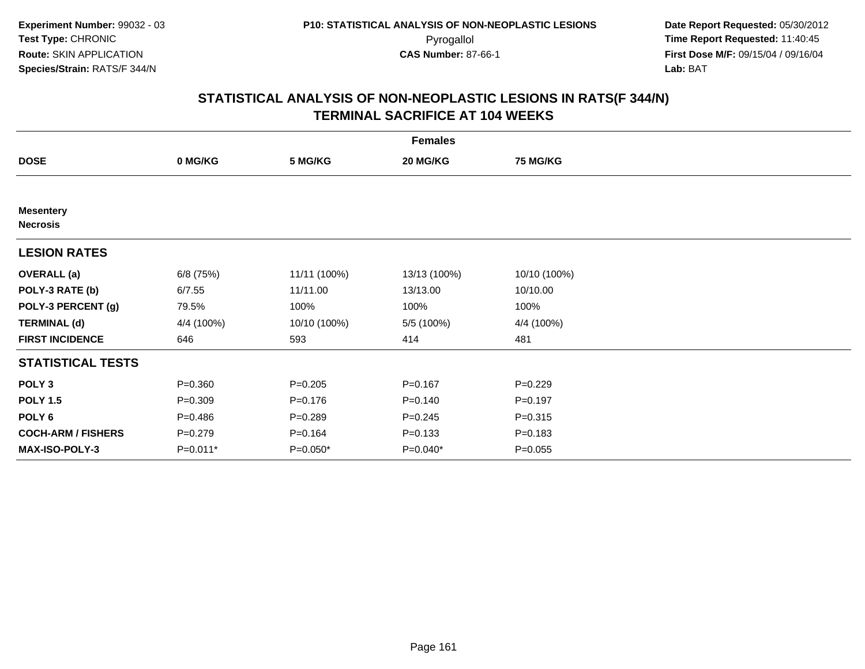| <b>Females</b>                      |             |              |              |                 |  |  |  |
|-------------------------------------|-------------|--------------|--------------|-----------------|--|--|--|
| <b>DOSE</b>                         | 0 MG/KG     | 5 MG/KG      | 20 MG/KG     | <b>75 MG/KG</b> |  |  |  |
|                                     |             |              |              |                 |  |  |  |
| <b>Mesentery</b><br><b>Necrosis</b> |             |              |              |                 |  |  |  |
| <b>LESION RATES</b>                 |             |              |              |                 |  |  |  |
| <b>OVERALL</b> (a)                  | 6/8 (75%)   | 11/11 (100%) | 13/13 (100%) | 10/10 (100%)    |  |  |  |
| POLY-3 RATE (b)                     | 6/7.55      | 11/11.00     | 13/13.00     | 10/10.00        |  |  |  |
| POLY-3 PERCENT (g)                  | 79.5%       | 100%         | 100%         | 100%            |  |  |  |
| <b>TERMINAL (d)</b>                 | 4/4 (100%)  | 10/10 (100%) | 5/5 (100%)   | 4/4 (100%)      |  |  |  |
| <b>FIRST INCIDENCE</b>              | 646         | 593          | 414          | 481             |  |  |  |
| <b>STATISTICAL TESTS</b>            |             |              |              |                 |  |  |  |
| POLY <sub>3</sub>                   | $P = 0.360$ | $P = 0.205$  | $P = 0.167$  | $P=0.229$       |  |  |  |
| <b>POLY 1.5</b>                     | $P = 0.309$ | $P = 0.176$  | $P = 0.140$  | $P = 0.197$     |  |  |  |
| POLY <sub>6</sub>                   | $P = 0.486$ | $P = 0.289$  | $P = 0.245$  | $P = 0.315$     |  |  |  |
| <b>COCH-ARM / FISHERS</b>           | $P = 0.279$ | $P = 0.164$  | $P = 0.133$  | $P = 0.183$     |  |  |  |
| <b>MAX-ISO-POLY-3</b>               | $P=0.011*$  | $P=0.050*$   | $P=0.040*$   | $P = 0.055$     |  |  |  |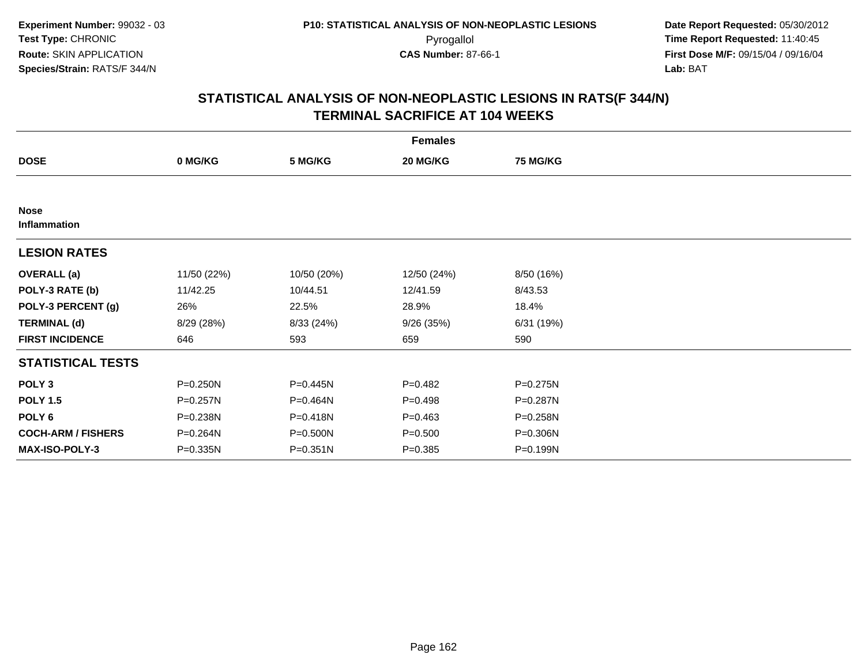|                             |             |              | <b>Females</b> |                 |  |
|-----------------------------|-------------|--------------|----------------|-----------------|--|
| <b>DOSE</b>                 | 0 MG/KG     | 5 MG/KG      | 20 MG/KG       | <b>75 MG/KG</b> |  |
|                             |             |              |                |                 |  |
| <b>Nose</b><br>Inflammation |             |              |                |                 |  |
| <b>LESION RATES</b>         |             |              |                |                 |  |
| <b>OVERALL</b> (a)          | 11/50 (22%) | 10/50 (20%)  | 12/50 (24%)    | 8/50 (16%)      |  |
| POLY-3 RATE (b)             | 11/42.25    | 10/44.51     | 12/41.59       | 8/43.53         |  |
| POLY-3 PERCENT (g)          | 26%         | 22.5%        | 28.9%          | 18.4%           |  |
| <b>TERMINAL (d)</b>         | 8/29 (28%)  | 8/33 (24%)   | 9/26(35%)      | 6/31(19%)       |  |
| <b>FIRST INCIDENCE</b>      | 646         | 593          | 659            | 590             |  |
| <b>STATISTICAL TESTS</b>    |             |              |                |                 |  |
| POLY <sub>3</sub>           | P=0.250N    | P=0.445N     | $P = 0.482$    | P=0.275N        |  |
| <b>POLY 1.5</b>             | P=0.257N    | P=0.464N     | $P = 0.498$    | P=0.287N        |  |
| POLY 6                      | P=0.238N    | P=0.418N     | $P = 0.463$    | P=0.258N        |  |
| <b>COCH-ARM / FISHERS</b>   | P=0.264N    | P=0.500N     | $P = 0.500$    | P=0.306N        |  |
| <b>MAX-ISO-POLY-3</b>       | P=0.335N    | $P = 0.351N$ | $P = 0.385$    | P=0.199N        |  |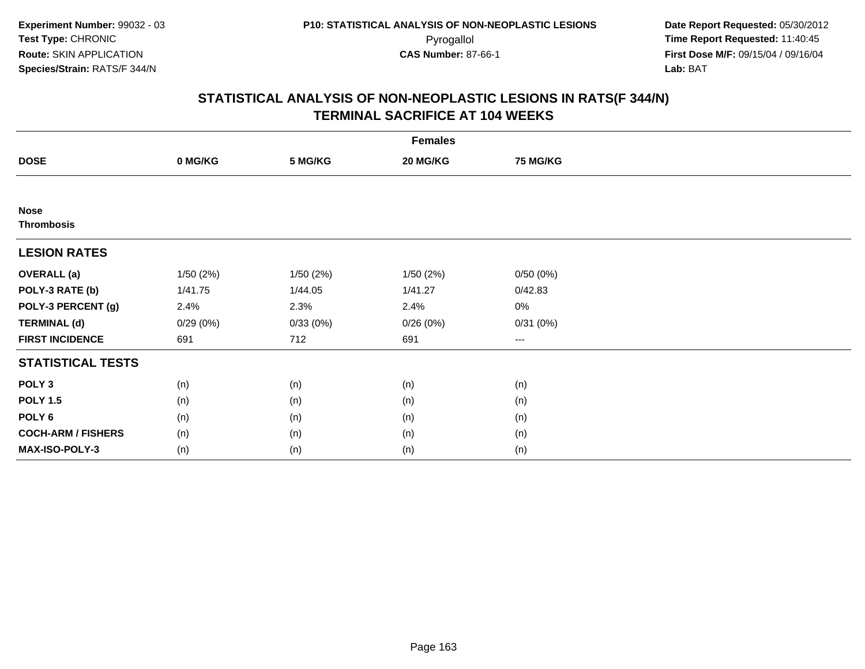| <b>Females</b>                   |          |          |           |                 |  |  |  |
|----------------------------------|----------|----------|-----------|-----------------|--|--|--|
| <b>DOSE</b>                      | 0 MG/KG  | 5 MG/KG  | 20 MG/KG  | <b>75 MG/KG</b> |  |  |  |
|                                  |          |          |           |                 |  |  |  |
| <b>Nose</b><br><b>Thrombosis</b> |          |          |           |                 |  |  |  |
| <b>LESION RATES</b>              |          |          |           |                 |  |  |  |
| <b>OVERALL</b> (a)               | 1/50(2%) | 1/50(2%) | 1/50 (2%) | 0/50(0%)        |  |  |  |
| POLY-3 RATE (b)                  | 1/41.75  | 1/44.05  | 1/41.27   | 0/42.83         |  |  |  |
| POLY-3 PERCENT (g)               | 2.4%     | 2.3%     | 2.4%      | $0\%$           |  |  |  |
| <b>TERMINAL (d)</b>              | 0/29(0%) | 0/33(0%) | 0/26(0%)  | 0/31(0%)        |  |  |  |
| <b>FIRST INCIDENCE</b>           | 691      | 712      | 691       | $\cdots$        |  |  |  |
| <b>STATISTICAL TESTS</b>         |          |          |           |                 |  |  |  |
| POLY <sub>3</sub>                | (n)      | (n)      | (n)       | (n)             |  |  |  |
| <b>POLY 1.5</b>                  | (n)      | (n)      | (n)       | (n)             |  |  |  |
| POLY <sub>6</sub>                | (n)      | (n)      | (n)       | (n)             |  |  |  |
| <b>COCH-ARM / FISHERS</b>        | (n)      | (n)      | (n)       | (n)             |  |  |  |
| <b>MAX-ISO-POLY-3</b>            | (n)      | (n)      | (n)       | (n)             |  |  |  |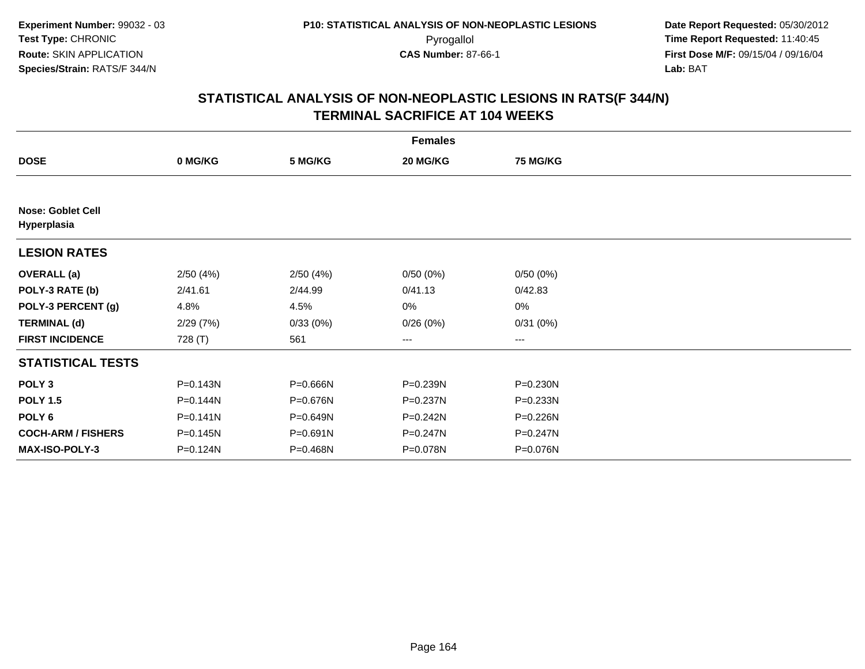|                                         | <b>Females</b> |          |                        |                 |  |  |  |  |
|-----------------------------------------|----------------|----------|------------------------|-----------------|--|--|--|--|
| <b>DOSE</b>                             | 0 MG/KG        | 5 MG/KG  | 20 MG/KG               | <b>75 MG/KG</b> |  |  |  |  |
|                                         |                |          |                        |                 |  |  |  |  |
| <b>Nose: Goblet Cell</b><br>Hyperplasia |                |          |                        |                 |  |  |  |  |
| <b>LESION RATES</b>                     |                |          |                        |                 |  |  |  |  |
| <b>OVERALL</b> (a)                      | 2/50(4%)       | 2/50(4%) | 0/50(0%)               | 0/50(0%)        |  |  |  |  |
| POLY-3 RATE (b)                         | 2/41.61        | 2/44.99  | 0/41.13                | 0/42.83         |  |  |  |  |
| POLY-3 PERCENT (g)                      | 4.8%           | 4.5%     | 0%                     | $0\%$           |  |  |  |  |
| <b>TERMINAL (d)</b>                     | 2/29(7%)       | 0/33(0%) | 0/26(0%)               | 0/31(0%)        |  |  |  |  |
| <b>FIRST INCIDENCE</b>                  | 728 (T)        | 561      | $\qquad \qquad \cdots$ | ---             |  |  |  |  |
| <b>STATISTICAL TESTS</b>                |                |          |                        |                 |  |  |  |  |
| POLY <sub>3</sub>                       | P=0.143N       | P=0.666N | P=0.239N               | P=0.230N        |  |  |  |  |
| <b>POLY 1.5</b>                         | P=0.144N       | P=0.676N | P=0.237N               | P=0.233N        |  |  |  |  |
| POLY <sub>6</sub>                       | $P = 0.141N$   | P=0.649N | $P = 0.242N$           | P=0.226N        |  |  |  |  |
| <b>COCH-ARM / FISHERS</b>               | P=0.145N       | P=0.691N | P=0.247N               | P=0.247N        |  |  |  |  |
| <b>MAX-ISO-POLY-3</b>                   | P=0.124N       | P=0.468N | P=0.078N               | P=0.076N        |  |  |  |  |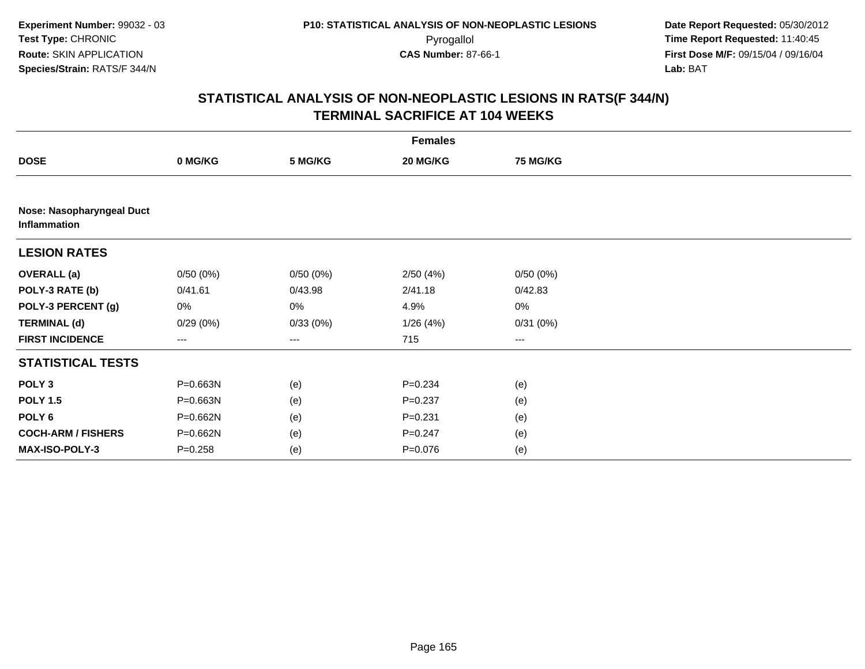|                                           | <b>Females</b> |          |             |          |  |  |  |
|-------------------------------------------|----------------|----------|-------------|----------|--|--|--|
| <b>DOSE</b>                               | 0 MG/KG        | 5 MG/KG  | 20 MG/KG    | 75 MG/KG |  |  |  |
|                                           |                |          |             |          |  |  |  |
| Nose: Nasopharyngeal Duct<br>Inflammation |                |          |             |          |  |  |  |
| <b>LESION RATES</b>                       |                |          |             |          |  |  |  |
| <b>OVERALL</b> (a)                        | 0/50(0%)       | 0/50(0%) | 2/50(4%)    | 0/50(0%) |  |  |  |
| POLY-3 RATE (b)                           | 0/41.61        | 0/43.98  | 2/41.18     | 0/42.83  |  |  |  |
| POLY-3 PERCENT (g)                        | 0%             | 0%       | 4.9%        | $0\%$    |  |  |  |
| <b>TERMINAL (d)</b>                       | 0/29(0%)       | 0/33(0%) | 1/26(4%)    | 0/31(0%) |  |  |  |
| <b>FIRST INCIDENCE</b>                    | $--$           | $\cdots$ | 715         | $\cdots$ |  |  |  |
| <b>STATISTICAL TESTS</b>                  |                |          |             |          |  |  |  |
| POLY <sub>3</sub>                         | P=0.663N       | (e)      | $P = 0.234$ | (e)      |  |  |  |
| <b>POLY 1.5</b>                           | P=0.663N       | (e)      | $P = 0.237$ | (e)      |  |  |  |
| POLY 6                                    | P=0.662N       | (e)      | $P = 0.231$ | (e)      |  |  |  |
| <b>COCH-ARM / FISHERS</b>                 | P=0.662N       | (e)      | $P = 0.247$ | (e)      |  |  |  |
| MAX-ISO-POLY-3                            | $P = 0.258$    | (e)      | $P = 0.076$ | (e)      |  |  |  |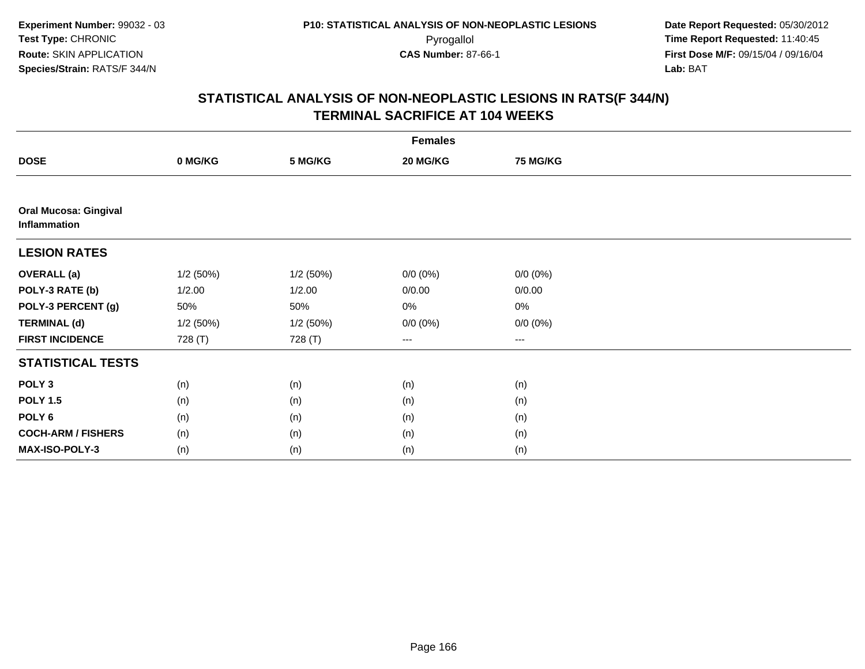| <b>Females</b>                               |          |          |             |             |  |  |  |
|----------------------------------------------|----------|----------|-------------|-------------|--|--|--|
| <b>DOSE</b>                                  | 0 MG/KG  | 5 MG/KG  | 20 MG/KG    | 75 MG/KG    |  |  |  |
|                                              |          |          |             |             |  |  |  |
| <b>Oral Mucosa: Gingival</b><br>Inflammation |          |          |             |             |  |  |  |
| <b>LESION RATES</b>                          |          |          |             |             |  |  |  |
| <b>OVERALL</b> (a)                           | 1/2(50%) | 1/2(50%) | $0/0 (0\%)$ | $0/0 (0\%)$ |  |  |  |
| POLY-3 RATE (b)                              | 1/2.00   | 1/2.00   | 0/0.00      | 0/0.00      |  |  |  |
| POLY-3 PERCENT (g)                           | 50%      | 50%      | 0%          | $0\%$       |  |  |  |
| <b>TERMINAL (d)</b>                          | 1/2(50%) | 1/2(50%) | $0/0 (0\%)$ | $0/0 (0\%)$ |  |  |  |
| <b>FIRST INCIDENCE</b>                       | 728 (T)  | 728 (T)  | $--$        | ---         |  |  |  |
| <b>STATISTICAL TESTS</b>                     |          |          |             |             |  |  |  |
| POLY <sub>3</sub>                            | (n)      | (n)      | (n)         | (n)         |  |  |  |
| <b>POLY 1.5</b>                              | (n)      | (n)      | (n)         | (n)         |  |  |  |
| POLY <sub>6</sub>                            | (n)      | (n)      | (n)         | (n)         |  |  |  |
| <b>COCH-ARM / FISHERS</b>                    | (n)      | (n)      | (n)         | (n)         |  |  |  |
| MAX-ISO-POLY-3                               | (n)      | (n)      | (n)         | (n)         |  |  |  |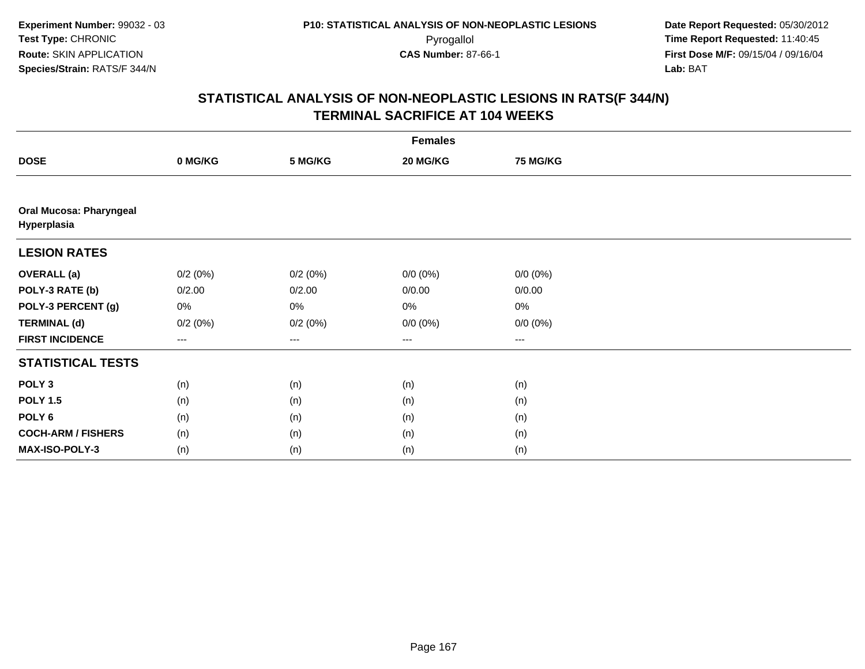| <b>Females</b>                                |         |                        |             |                 |  |  |  |
|-----------------------------------------------|---------|------------------------|-------------|-----------------|--|--|--|
| <b>DOSE</b>                                   | 0 MG/KG | 5 MG/KG                | 20 MG/KG    | <b>75 MG/KG</b> |  |  |  |
|                                               |         |                        |             |                 |  |  |  |
| <b>Oral Mucosa: Pharyngeal</b><br>Hyperplasia |         |                        |             |                 |  |  |  |
| <b>LESION RATES</b>                           |         |                        |             |                 |  |  |  |
| <b>OVERALL (a)</b>                            | 0/2(0%) | 0/2(0%)                | $0/0 (0\%)$ | $0/0 (0\%)$     |  |  |  |
| POLY-3 RATE (b)                               | 0/2.00  | 0/2.00                 | 0/0.00      | 0/0.00          |  |  |  |
| POLY-3 PERCENT (g)                            | 0%      | 0%                     | $0\%$       | 0%              |  |  |  |
| <b>TERMINAL (d)</b>                           | 0/2(0%) | 0/2(0%)                | $0/0 (0\%)$ | $0/0 (0\%)$     |  |  |  |
| <b>FIRST INCIDENCE</b>                        | ---     | $\qquad \qquad \cdots$ | $\cdots$    | ---             |  |  |  |
| <b>STATISTICAL TESTS</b>                      |         |                        |             |                 |  |  |  |
| POLY <sub>3</sub>                             | (n)     | (n)                    | (n)         | (n)             |  |  |  |
| <b>POLY 1.5</b>                               | (n)     | (n)                    | (n)         | (n)             |  |  |  |
| POLY <sub>6</sub>                             | (n)     | (n)                    | (n)         | (n)             |  |  |  |
| <b>COCH-ARM / FISHERS</b>                     | (n)     | (n)                    | (n)         | (n)             |  |  |  |
| MAX-ISO-POLY-3                                | (n)     | (n)                    | (n)         | (n)             |  |  |  |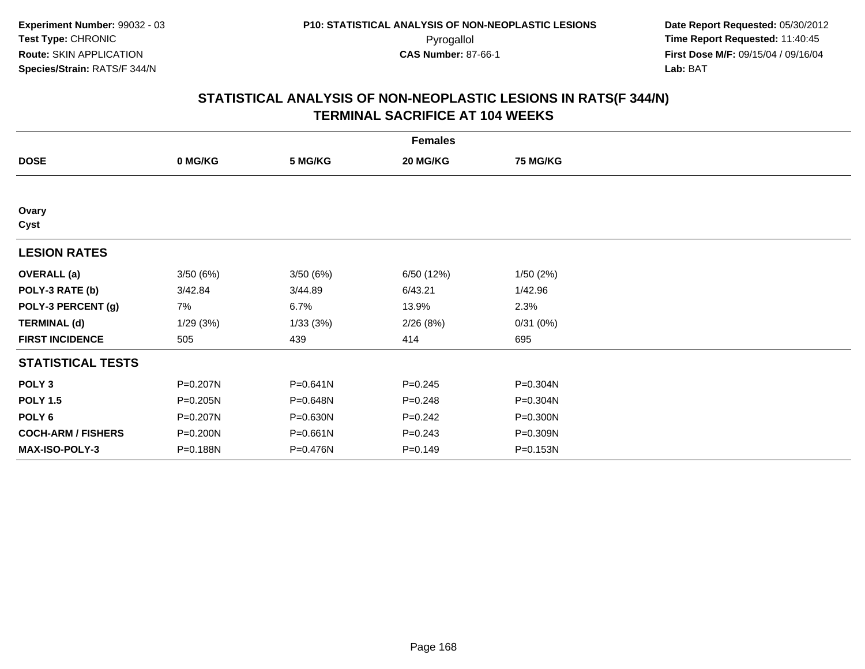| <b>Females</b>            |          |          |             |                 |  |  |  |
|---------------------------|----------|----------|-------------|-----------------|--|--|--|
| <b>DOSE</b>               | 0 MG/KG  | 5 MG/KG  | 20 MG/KG    | <b>75 MG/KG</b> |  |  |  |
|                           |          |          |             |                 |  |  |  |
| Ovary<br>Cyst             |          |          |             |                 |  |  |  |
| <b>LESION RATES</b>       |          |          |             |                 |  |  |  |
| <b>OVERALL</b> (a)        | 3/50(6%) | 3/50(6%) | 6/50 (12%)  | 1/50(2%)        |  |  |  |
| POLY-3 RATE (b)           | 3/42.84  | 3/44.89  | 6/43.21     | 1/42.96         |  |  |  |
| POLY-3 PERCENT (g)        | 7%       | 6.7%     | 13.9%       | 2.3%            |  |  |  |
| <b>TERMINAL (d)</b>       | 1/29(3%) | 1/33(3%) | 2/26(8%)    | 0/31(0%)        |  |  |  |
| <b>FIRST INCIDENCE</b>    | 505      | 439      | 414         | 695             |  |  |  |
| <b>STATISTICAL TESTS</b>  |          |          |             |                 |  |  |  |
| POLY <sub>3</sub>         | P=0.207N | P=0.641N | $P = 0.245$ | P=0.304N        |  |  |  |
| <b>POLY 1.5</b>           | P=0.205N | P=0.648N | $P = 0.248$ | P=0.304N        |  |  |  |
| POLY <sub>6</sub>         | P=0.207N | P=0.630N | $P = 0.242$ | P=0.300N        |  |  |  |
| <b>COCH-ARM / FISHERS</b> | P=0.200N | P=0.661N | $P = 0.243$ | P=0.309N        |  |  |  |
| <b>MAX-ISO-POLY-3</b>     | P=0.188N | P=0.476N | $P = 0.149$ | P=0.153N        |  |  |  |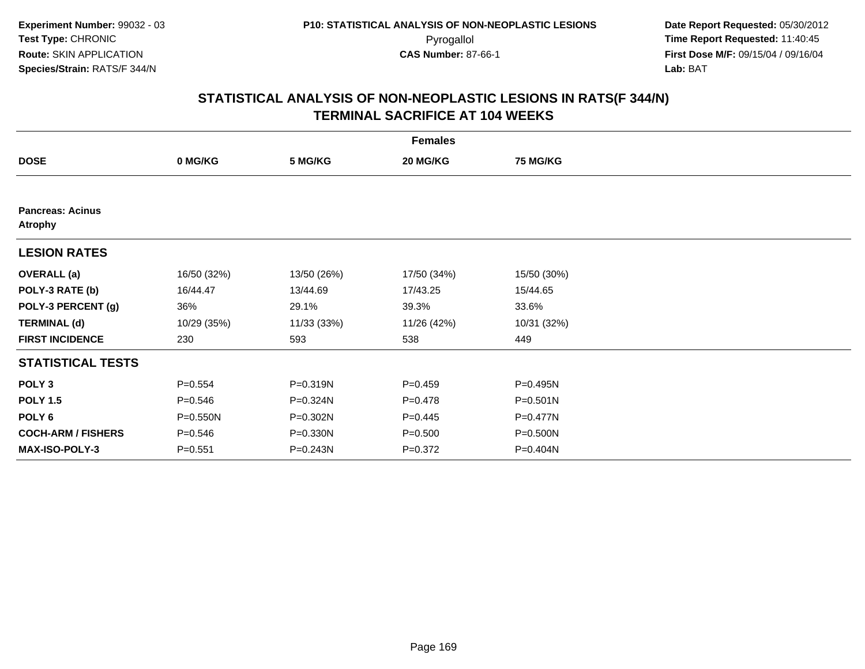|                                           |             |             | <b>Females</b> |                 |  |
|-------------------------------------------|-------------|-------------|----------------|-----------------|--|
| <b>DOSE</b>                               | 0 MG/KG     | 5 MG/KG     | 20 MG/KG       | <b>75 MG/KG</b> |  |
|                                           |             |             |                |                 |  |
| <b>Pancreas: Acinus</b><br><b>Atrophy</b> |             |             |                |                 |  |
| <b>LESION RATES</b>                       |             |             |                |                 |  |
| <b>OVERALL</b> (a)                        | 16/50 (32%) | 13/50 (26%) | 17/50 (34%)    | 15/50 (30%)     |  |
| POLY-3 RATE (b)                           | 16/44.47    | 13/44.69    | 17/43.25       | 15/44.65        |  |
| POLY-3 PERCENT (g)                        | 36%         | 29.1%       | 39.3%          | 33.6%           |  |
| <b>TERMINAL (d)</b>                       | 10/29 (35%) | 11/33 (33%) | 11/26 (42%)    | 10/31 (32%)     |  |
| <b>FIRST INCIDENCE</b>                    | 230         | 593         | 538            | 449             |  |
| <b>STATISTICAL TESTS</b>                  |             |             |                |                 |  |
| POLY <sub>3</sub>                         | $P = 0.554$ | P=0.319N    | $P = 0.459$    | P=0.495N        |  |
| <b>POLY 1.5</b>                           | $P = 0.546$ | P=0.324N    | $P=0.478$      | P=0.501N        |  |
| POLY 6                                    | P=0.550N    | P=0.302N    | $P = 0.445$    | P=0.477N        |  |
| <b>COCH-ARM / FISHERS</b>                 | $P = 0.546$ | P=0.330N    | $P = 0.500$    | P=0.500N        |  |
| <b>MAX-ISO-POLY-3</b>                     | $P = 0.551$ | P=0.243N    | $P = 0.372$    | P=0.404N        |  |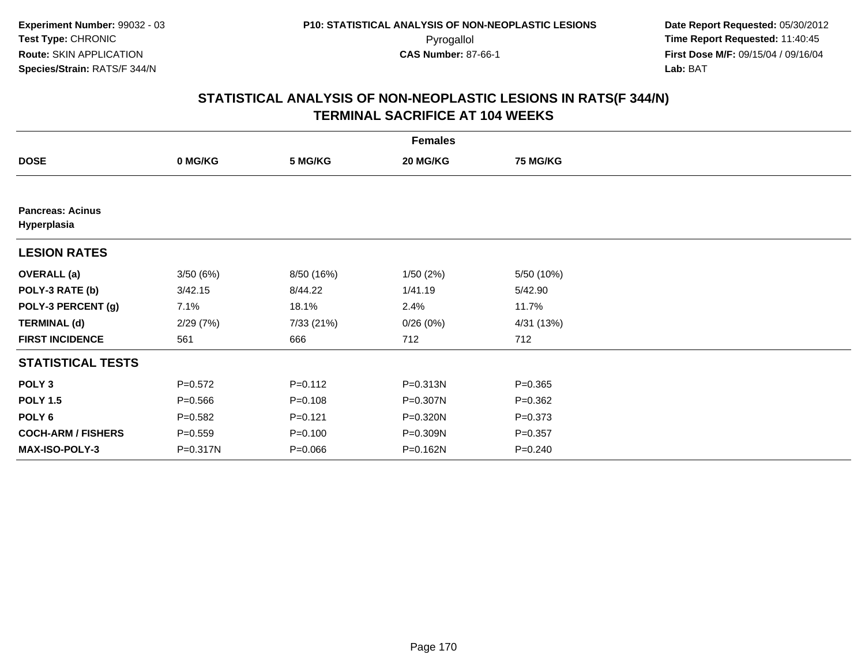|                                        |             |             | <b>Females</b> |                 |  |
|----------------------------------------|-------------|-------------|----------------|-----------------|--|
| <b>DOSE</b>                            | 0 MG/KG     | 5 MG/KG     | 20 MG/KG       | <b>75 MG/KG</b> |  |
|                                        |             |             |                |                 |  |
| <b>Pancreas: Acinus</b><br>Hyperplasia |             |             |                |                 |  |
| <b>LESION RATES</b>                    |             |             |                |                 |  |
| <b>OVERALL (a)</b>                     | 3/50(6%)    | 8/50 (16%)  | 1/50(2%)       | 5/50 (10%)      |  |
| POLY-3 RATE (b)                        | 3/42.15     | 8/44.22     | 1/41.19        | 5/42.90         |  |
| POLY-3 PERCENT (g)                     | 7.1%        | 18.1%       | 2.4%           | 11.7%           |  |
| <b>TERMINAL (d)</b>                    | 2/29(7%)    | 7/33 (21%)  | 0/26(0%)       | 4/31 (13%)      |  |
| <b>FIRST INCIDENCE</b>                 | 561         | 666         | 712            | 712             |  |
| <b>STATISTICAL TESTS</b>               |             |             |                |                 |  |
| POLY <sub>3</sub>                      | $P=0.572$   | $P = 0.112$ | P=0.313N       | $P = 0.365$     |  |
| <b>POLY 1.5</b>                        | $P = 0.566$ | $P = 0.108$ | P=0.307N       | $P = 0.362$     |  |
| POLY 6                                 | $P = 0.582$ | $P = 0.121$ | P=0.320N       | $P = 0.373$     |  |
| <b>COCH-ARM / FISHERS</b>              | $P = 0.559$ | $P = 0.100$ | P=0.309N       | $P = 0.357$     |  |
| MAX-ISO-POLY-3                         | P=0.317N    | $P = 0.066$ | P=0.162N       | $P = 0.240$     |  |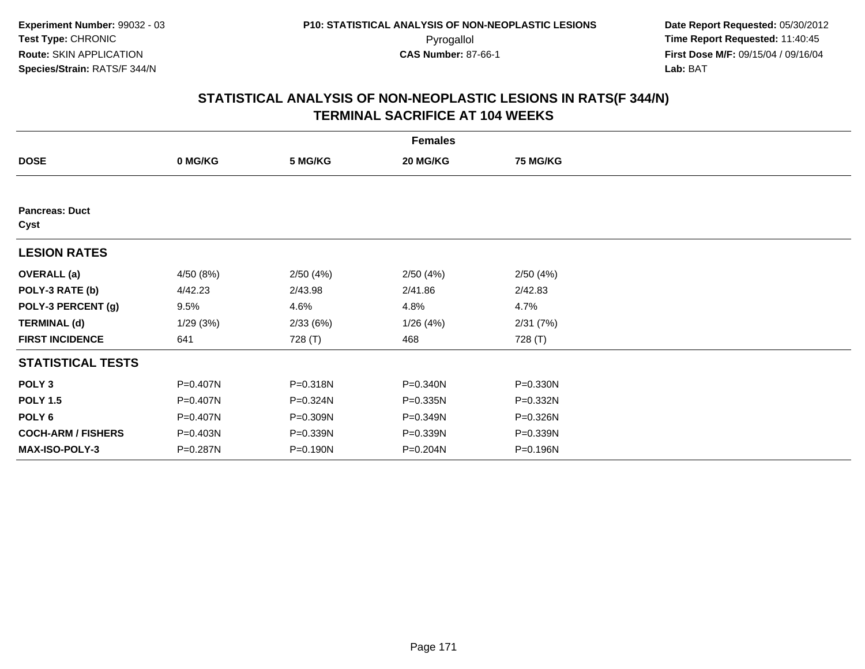|                               |           |          | <b>Females</b> |                 |  |
|-------------------------------|-----------|----------|----------------|-----------------|--|
| <b>DOSE</b>                   | 0 MG/KG   | 5 MG/KG  | 20 MG/KG       | <b>75 MG/KG</b> |  |
|                               |           |          |                |                 |  |
| <b>Pancreas: Duct</b><br>Cyst |           |          |                |                 |  |
| <b>LESION RATES</b>           |           |          |                |                 |  |
| <b>OVERALL (a)</b>            | 4/50 (8%) | 2/50(4%) | 2/50(4%)       | 2/50(4%)        |  |
| POLY-3 RATE (b)               | 4/42.23   | 2/43.98  | 2/41.86        | 2/42.83         |  |
| POLY-3 PERCENT (g)            | 9.5%      | 4.6%     | 4.8%           | 4.7%            |  |
| <b>TERMINAL (d)</b>           | 1/29(3%)  | 2/33(6%) | 1/26(4%)       | 2/31(7%)        |  |
| <b>FIRST INCIDENCE</b>        | 641       | 728 (T)  | 468            | 728 (T)         |  |
| <b>STATISTICAL TESTS</b>      |           |          |                |                 |  |
| POLY <sub>3</sub>             | P=0.407N  | P=0.318N | P=0.340N       | P=0.330N        |  |
| <b>POLY 1.5</b>               | P=0.407N  | P=0.324N | P=0.335N       | P=0.332N        |  |
| POLY 6                        | P=0.407N  | P=0.309N | P=0.349N       | P=0.326N        |  |
| <b>COCH-ARM / FISHERS</b>     | P=0.403N  | P=0.339N | P=0.339N       | P=0.339N        |  |
| <b>MAX-ISO-POLY-3</b>         | P=0.287N  | P=0.190N | P=0.204N       | P=0.196N        |  |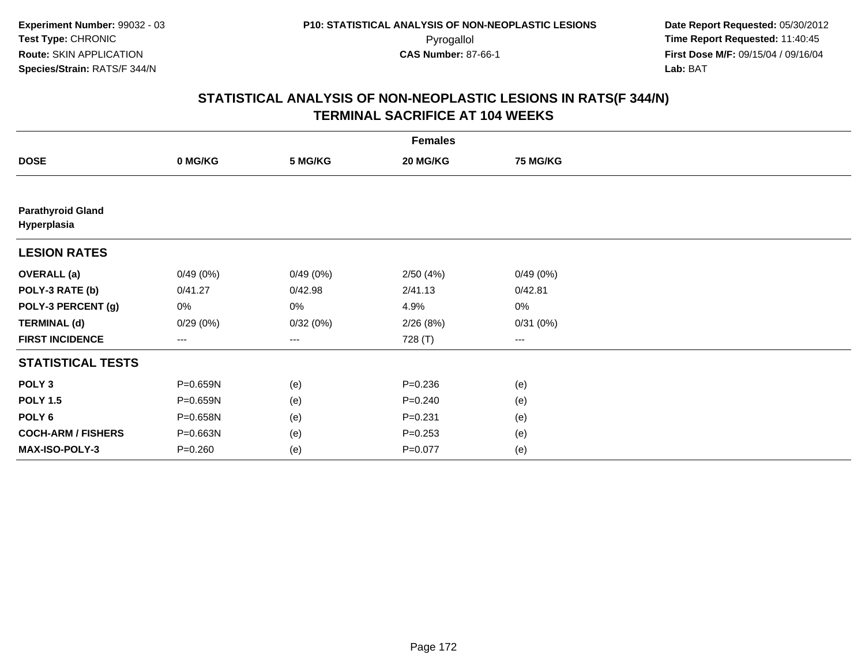|                                         |                        |          | <b>Females</b> |                 |  |
|-----------------------------------------|------------------------|----------|----------------|-----------------|--|
| <b>DOSE</b>                             | 0 MG/KG                | 5 MG/KG  | 20 MG/KG       | <b>75 MG/KG</b> |  |
|                                         |                        |          |                |                 |  |
| <b>Parathyroid Gland</b><br>Hyperplasia |                        |          |                |                 |  |
| <b>LESION RATES</b>                     |                        |          |                |                 |  |
| <b>OVERALL (a)</b>                      | 0/49(0%)               | 0/49(0%) | 2/50(4%)       | 0/49(0%)        |  |
| POLY-3 RATE (b)                         | 0/41.27                | 0/42.98  | 2/41.13        | 0/42.81         |  |
| POLY-3 PERCENT (g)                      | 0%                     | 0%       | 4.9%           | $0\%$           |  |
| <b>TERMINAL (d)</b>                     | 0/29(0%)               | 0/32(0%) | 2/26(8%)       | 0/31(0%)        |  |
| <b>FIRST INCIDENCE</b>                  | $\qquad \qquad \cdots$ | ---      | 728 (T)        | ---             |  |
| <b>STATISTICAL TESTS</b>                |                        |          |                |                 |  |
| POLY <sub>3</sub>                       | P=0.659N               | (e)      | $P = 0.236$    | (e)             |  |
| <b>POLY 1.5</b>                         | P=0.659N               | (e)      | $P = 0.240$    | (e)             |  |
| POLY 6                                  | P=0.658N               | (e)      | $P = 0.231$    | (e)             |  |
| <b>COCH-ARM / FISHERS</b>               | P=0.663N               | (e)      | $P = 0.253$    | (e)             |  |
| MAX-ISO-POLY-3                          | $P = 0.260$            | (e)      | $P=0.077$      | (e)             |  |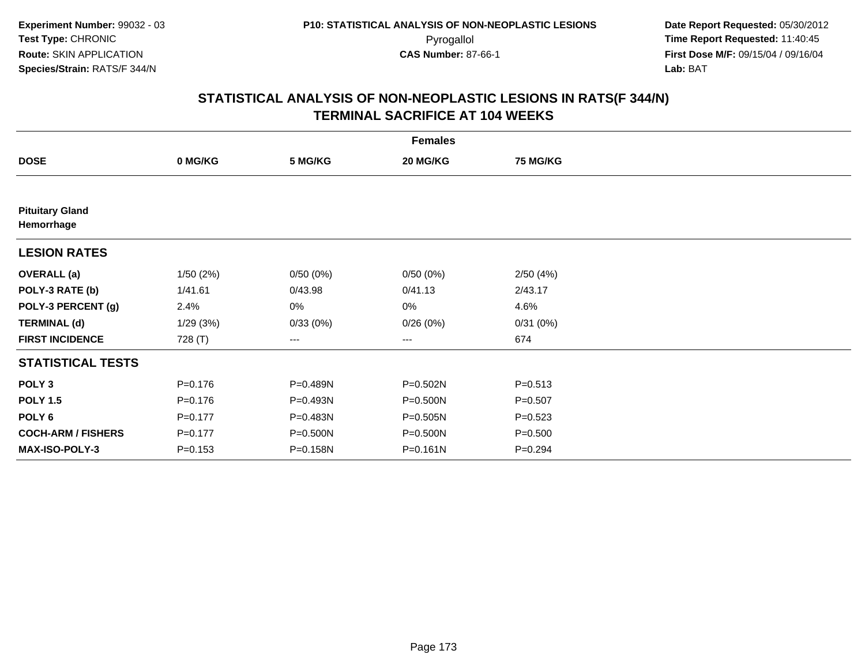|                                      |             |          | <b>Females</b> |                 |  |
|--------------------------------------|-------------|----------|----------------|-----------------|--|
| <b>DOSE</b>                          | 0 MG/KG     | 5 MG/KG  | 20 MG/KG       | <b>75 MG/KG</b> |  |
|                                      |             |          |                |                 |  |
| <b>Pituitary Gland</b><br>Hemorrhage |             |          |                |                 |  |
| <b>LESION RATES</b>                  |             |          |                |                 |  |
| <b>OVERALL (a)</b>                   | 1/50(2%)    | 0/50(0%) | 0/50(0%)       | 2/50(4%)        |  |
| POLY-3 RATE (b)                      | 1/41.61     | 0/43.98  | 0/41.13        | 2/43.17         |  |
| POLY-3 PERCENT (g)                   | 2.4%        | 0%       | 0%             | 4.6%            |  |
| <b>TERMINAL (d)</b>                  | 1/29(3%)    | 0/33(0%) | 0/26(0%)       | 0/31(0%)        |  |
| <b>FIRST INCIDENCE</b>               | 728 (T)     | ---      | ---            | 674             |  |
| <b>STATISTICAL TESTS</b>             |             |          |                |                 |  |
| POLY <sub>3</sub>                    | $P = 0.176$ | P=0.489N | $P = 0.502N$   | $P = 0.513$     |  |
| <b>POLY 1.5</b>                      | $P = 0.176$ | P=0.493N | P=0.500N       | $P = 0.507$     |  |
| POLY <sub>6</sub>                    | $P = 0.177$ | P=0.483N | $P = 0.505N$   | $P = 0.523$     |  |
| <b>COCH-ARM / FISHERS</b>            | $P=0.177$   | P=0.500N | P=0.500N       | $P = 0.500$     |  |
| MAX-ISO-POLY-3                       | $P = 0.153$ | P=0.158N | $P = 0.161N$   | $P = 0.294$     |  |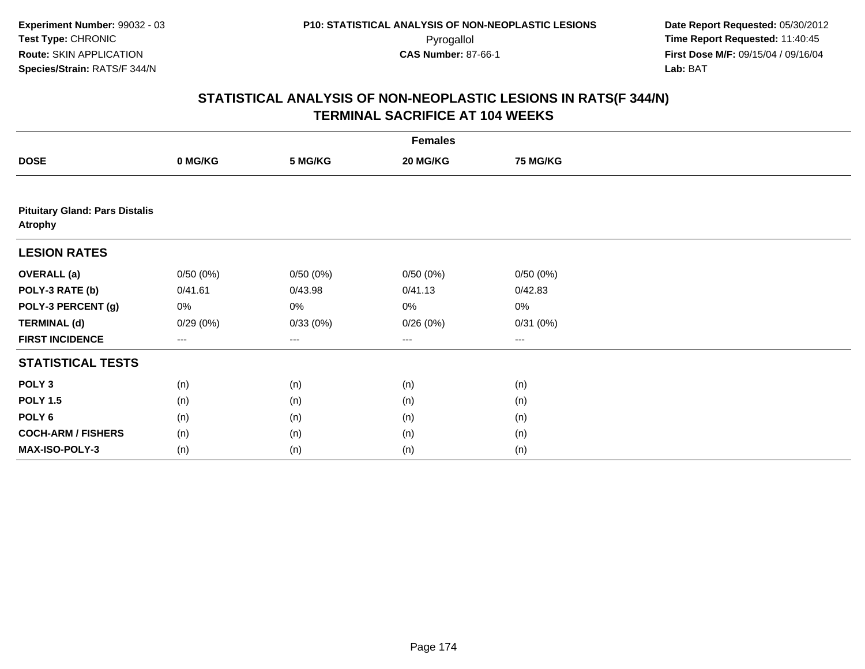|                                                         | <b>Females</b> |          |          |                 |  |  |  |
|---------------------------------------------------------|----------------|----------|----------|-----------------|--|--|--|
| <b>DOSE</b>                                             | 0 MG/KG        | 5 MG/KG  | 20 MG/KG | <b>75 MG/KG</b> |  |  |  |
|                                                         |                |          |          |                 |  |  |  |
| <b>Pituitary Gland: Pars Distalis</b><br><b>Atrophy</b> |                |          |          |                 |  |  |  |
| <b>LESION RATES</b>                                     |                |          |          |                 |  |  |  |
| <b>OVERALL</b> (a)                                      | 0/50(0%)       | 0/50(0%) | 0/50(0%) | 0/50(0%)        |  |  |  |
| POLY-3 RATE (b)                                         | 0/41.61        | 0/43.98  | 0/41.13  | 0/42.83         |  |  |  |
| POLY-3 PERCENT (g)                                      | 0%             | 0%       | 0%       | $0\%$           |  |  |  |
| <b>TERMINAL (d)</b>                                     | 0/29(0%)       | 0/33(0%) | 0/26(0%) | 0/31(0%)        |  |  |  |
| <b>FIRST INCIDENCE</b>                                  | ---            | $--$     | $--$     | ---             |  |  |  |
| <b>STATISTICAL TESTS</b>                                |                |          |          |                 |  |  |  |
| POLY <sub>3</sub>                                       | (n)            | (n)      | (n)      | (n)             |  |  |  |
| <b>POLY 1.5</b>                                         | (n)            | (n)      | (n)      | (n)             |  |  |  |
| POLY <sub>6</sub>                                       | (n)            | (n)      | (n)      | (n)             |  |  |  |
| <b>COCH-ARM / FISHERS</b>                               | (n)            | (n)      | (n)      | (n)             |  |  |  |
| MAX-ISO-POLY-3                                          | (n)            | (n)      | (n)      | (n)             |  |  |  |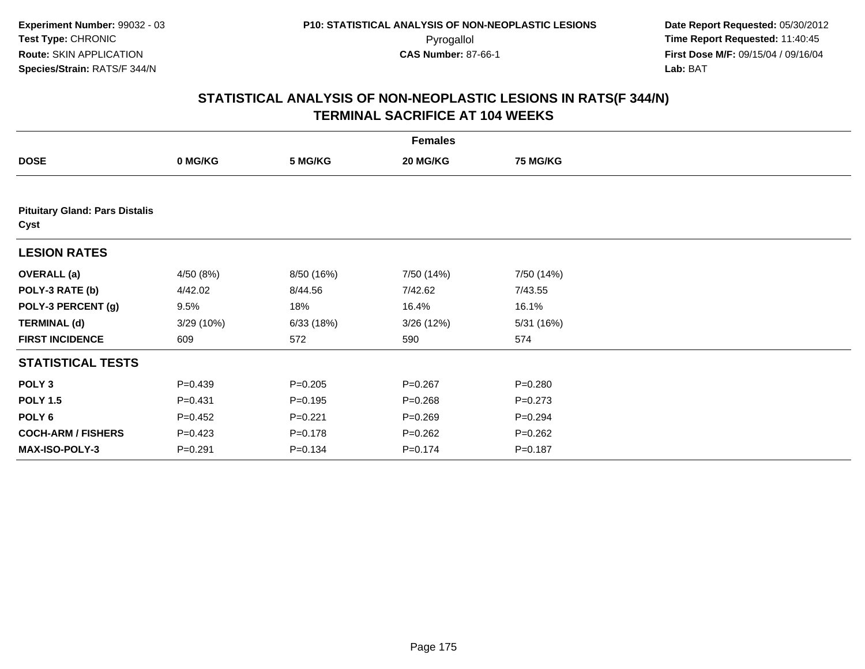|                                               |             |             | <b>Females</b> |                 |  |  |  |  |  |
|-----------------------------------------------|-------------|-------------|----------------|-----------------|--|--|--|--|--|
| <b>DOSE</b>                                   | 0 MG/KG     | 5 MG/KG     | 20 MG/KG       | <b>75 MG/KG</b> |  |  |  |  |  |
|                                               |             |             |                |                 |  |  |  |  |  |
| <b>Pituitary Gland: Pars Distalis</b><br>Cyst |             |             |                |                 |  |  |  |  |  |
| <b>LESION RATES</b>                           |             |             |                |                 |  |  |  |  |  |
| <b>OVERALL (a)</b>                            | 4/50 (8%)   | 8/50 (16%)  | 7/50 (14%)     | 7/50 (14%)      |  |  |  |  |  |
| POLY-3 RATE (b)                               | 4/42.02     | 8/44.56     | 7/42.62        | 7/43.55         |  |  |  |  |  |
| POLY-3 PERCENT (g)                            | 9.5%        | 18%         | 16.4%          | 16.1%           |  |  |  |  |  |
| <b>TERMINAL (d)</b>                           | 3/29 (10%)  | 6/33(18%)   | 3/26(12%)      | 5/31 (16%)      |  |  |  |  |  |
| <b>FIRST INCIDENCE</b>                        | 609         | 572         | 590            | 574             |  |  |  |  |  |
| <b>STATISTICAL TESTS</b>                      |             |             |                |                 |  |  |  |  |  |
| POLY <sub>3</sub>                             | $P=0.439$   | $P = 0.205$ | $P = 0.267$    | $P = 0.280$     |  |  |  |  |  |
| <b>POLY 1.5</b>                               | $P = 0.431$ | $P = 0.195$ | $P = 0.268$    | $P = 0.273$     |  |  |  |  |  |
| POLY <sub>6</sub>                             | $P=0.452$   | $P = 0.221$ | $P = 0.269$    | $P = 0.294$     |  |  |  |  |  |
| <b>COCH-ARM / FISHERS</b>                     | $P=0.423$   | $P = 0.178$ | $P = 0.262$    | $P=0.262$       |  |  |  |  |  |
| <b>MAX-ISO-POLY-3</b>                         | $P = 0.291$ | $P = 0.134$ | $P = 0.174$    | $P = 0.187$     |  |  |  |  |  |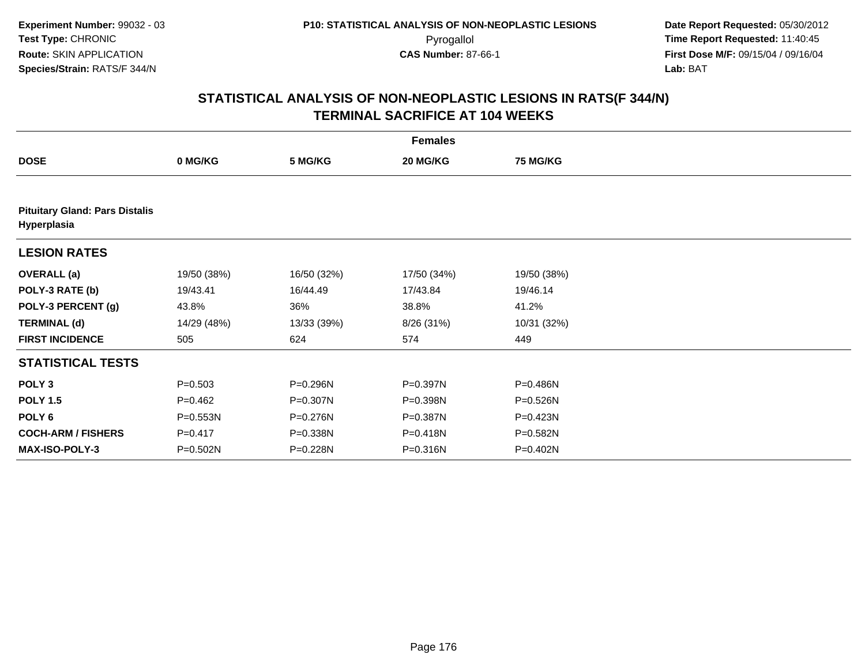|                                                      |              |             | <b>Females</b> |                 |  |  |  |  |  |
|------------------------------------------------------|--------------|-------------|----------------|-----------------|--|--|--|--|--|
| <b>DOSE</b>                                          | 0 MG/KG      | 5 MG/KG     | 20 MG/KG       | <b>75 MG/KG</b> |  |  |  |  |  |
|                                                      |              |             |                |                 |  |  |  |  |  |
| <b>Pituitary Gland: Pars Distalis</b><br>Hyperplasia |              |             |                |                 |  |  |  |  |  |
| <b>LESION RATES</b>                                  |              |             |                |                 |  |  |  |  |  |
| <b>OVERALL (a)</b>                                   | 19/50 (38%)  | 16/50 (32%) | 17/50 (34%)    | 19/50 (38%)     |  |  |  |  |  |
| POLY-3 RATE (b)                                      | 19/43.41     | 16/44.49    | 17/43.84       | 19/46.14        |  |  |  |  |  |
| POLY-3 PERCENT (g)                                   | 43.8%        | 36%         | 38.8%          | 41.2%           |  |  |  |  |  |
| <b>TERMINAL (d)</b>                                  | 14/29 (48%)  | 13/33 (39%) | 8/26 (31%)     | 10/31 (32%)     |  |  |  |  |  |
| <b>FIRST INCIDENCE</b>                               | 505          | 624         | 574            | 449             |  |  |  |  |  |
| <b>STATISTICAL TESTS</b>                             |              |             |                |                 |  |  |  |  |  |
| POLY <sub>3</sub>                                    | $P = 0.503$  | P=0.296N    | P=0.397N       | P=0.486N        |  |  |  |  |  |
| <b>POLY 1.5</b>                                      | $P=0.462$    | P=0.307N    | P=0.398N       | P=0.526N        |  |  |  |  |  |
| POLY <sub>6</sub>                                    | $P = 0.553N$ | P=0.276N    | P=0.387N       | P=0.423N        |  |  |  |  |  |
| <b>COCH-ARM / FISHERS</b>                            | $P = 0.417$  | P=0.338N    | P=0.418N       | P=0.582N        |  |  |  |  |  |
| <b>MAX-ISO-POLY-3</b>                                | P=0.502N     | P=0.228N    | P=0.316N       | P=0.402N        |  |  |  |  |  |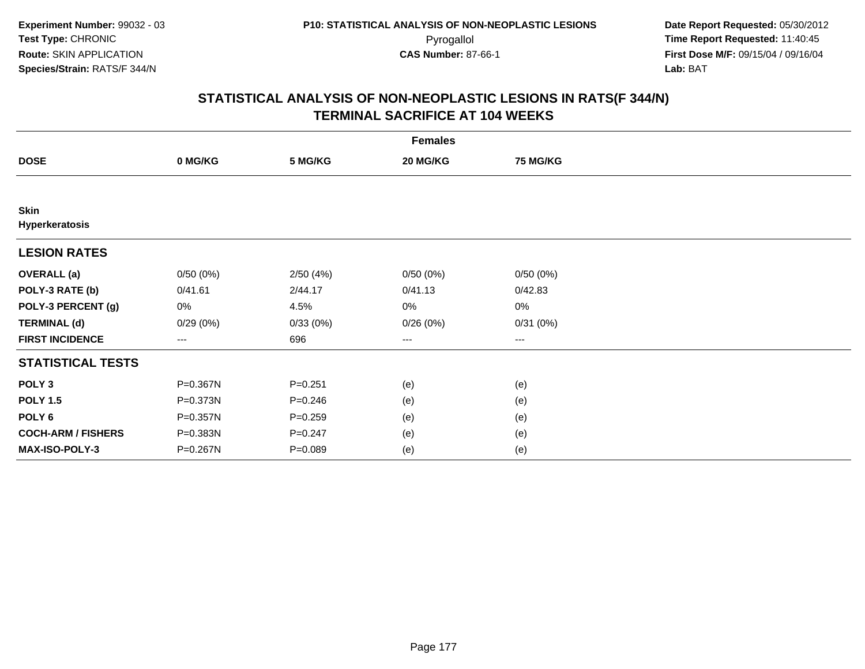|                               |          |             | <b>Females</b> |                 |  |
|-------------------------------|----------|-------------|----------------|-----------------|--|
| <b>DOSE</b>                   | 0 MG/KG  | 5 MG/KG     | 20 MG/KG       | <b>75 MG/KG</b> |  |
|                               |          |             |                |                 |  |
| <b>Skin</b><br>Hyperkeratosis |          |             |                |                 |  |
| <b>LESION RATES</b>           |          |             |                |                 |  |
| <b>OVERALL (a)</b>            | 0/50(0%) | 2/50(4%)    | 0/50(0%)       | 0/50(0%)        |  |
| POLY-3 RATE (b)               | 0/41.61  | 2/44.17     | 0/41.13        | 0/42.83         |  |
| POLY-3 PERCENT (g)            | 0%       | 4.5%        | 0%             | $0\%$           |  |
| <b>TERMINAL (d)</b>           | 0/29(0%) | 0/33(0%)    | 0/26(0%)       | 0/31(0%)        |  |
| <b>FIRST INCIDENCE</b>        | ---      | 696         | $\cdots$       | $\cdots$        |  |
| <b>STATISTICAL TESTS</b>      |          |             |                |                 |  |
| POLY <sub>3</sub>             | P=0.367N | $P = 0.251$ | (e)            | (e)             |  |
| <b>POLY 1.5</b>               | P=0.373N | $P = 0.246$ | (e)            | (e)             |  |
| POLY <sub>6</sub>             | P=0.357N | $P = 0.259$ | (e)            | (e)             |  |
| <b>COCH-ARM / FISHERS</b>     | P=0.383N | $P = 0.247$ | (e)            | (e)             |  |
| MAX-ISO-POLY-3                | P=0.267N | $P = 0.089$ | (e)            | (e)             |  |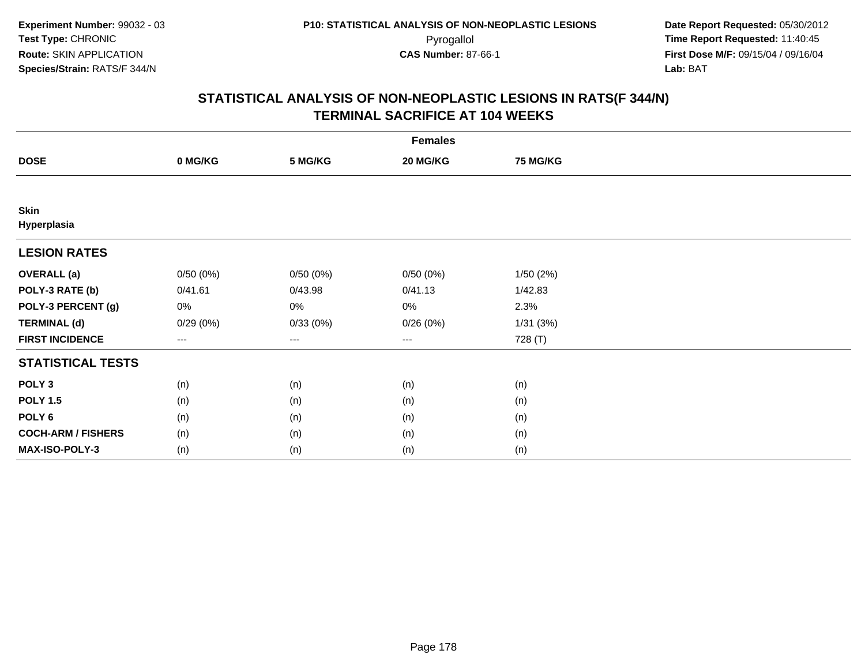| <b>Females</b>             |                   |          |          |          |  |  |
|----------------------------|-------------------|----------|----------|----------|--|--|
| <b>DOSE</b>                | 0 MG/KG           | 5 MG/KG  | 20 MG/KG | 75 MG/KG |  |  |
|                            |                   |          |          |          |  |  |
| <b>Skin</b><br>Hyperplasia |                   |          |          |          |  |  |
| <b>LESION RATES</b>        |                   |          |          |          |  |  |
| <b>OVERALL</b> (a)         | 0/50(0%)          | 0/50(0%) | 0/50(0%) | 1/50(2%) |  |  |
| POLY-3 RATE (b)            | 0/41.61           | 0/43.98  | 0/41.13  | 1/42.83  |  |  |
| POLY-3 PERCENT (g)         | 0%                | 0%       | 0%       | 2.3%     |  |  |
| <b>TERMINAL (d)</b>        | 0/29(0%)          | 0/33(0%) | 0/26(0%) | 1/31(3%) |  |  |
| <b>FIRST INCIDENCE</b>     | $\qquad \qquad -$ | $---$    | $\cdots$ | 728 (T)  |  |  |
| <b>STATISTICAL TESTS</b>   |                   |          |          |          |  |  |
| POLY <sub>3</sub>          | (n)               | (n)      | (n)      | (n)      |  |  |
| <b>POLY 1.5</b>            | (n)               | (n)      | (n)      | (n)      |  |  |
| POLY <sub>6</sub>          | (n)               | (n)      | (n)      | (n)      |  |  |
| <b>COCH-ARM / FISHERS</b>  | (n)               | (n)      | (n)      | (n)      |  |  |
| <b>MAX-ISO-POLY-3</b>      | (n)               | (n)      | (n)      | (n)      |  |  |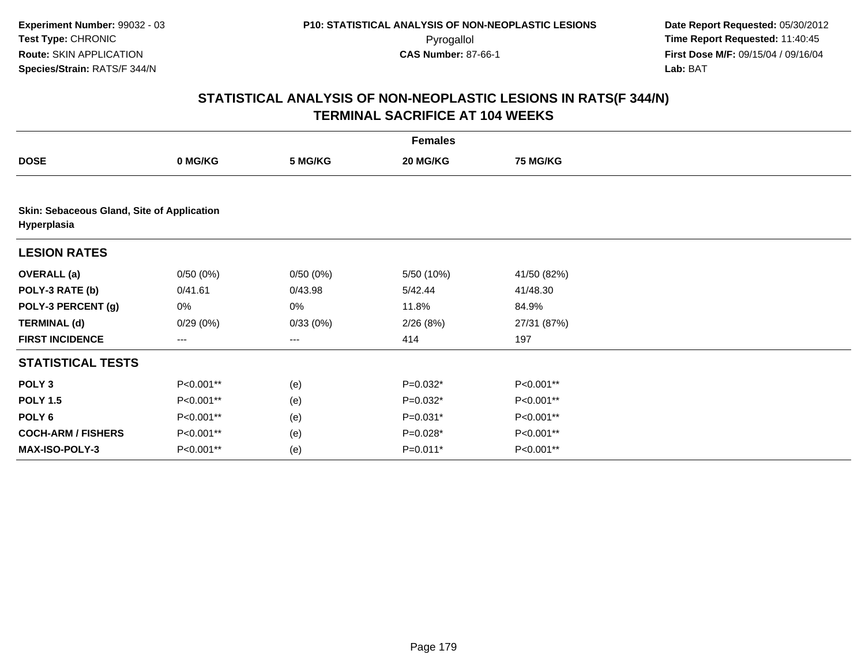|                                                           |           |          | <b>Females</b> |                 |  |
|-----------------------------------------------------------|-----------|----------|----------------|-----------------|--|
| <b>DOSE</b>                                               | 0 MG/KG   | 5 MG/KG  | 20 MG/KG       | <b>75 MG/KG</b> |  |
|                                                           |           |          |                |                 |  |
| Skin: Sebaceous Gland, Site of Application<br>Hyperplasia |           |          |                |                 |  |
| <b>LESION RATES</b>                                       |           |          |                |                 |  |
| <b>OVERALL</b> (a)                                        | 0/50(0%)  | 0/50(0%) | 5/50 (10%)     | 41/50 (82%)     |  |
| POLY-3 RATE (b)                                           | 0/41.61   | 0/43.98  | 5/42.44        | 41/48.30        |  |
| POLY-3 PERCENT (g)                                        | 0%        | 0%       | 11.8%          | 84.9%           |  |
| <b>TERMINAL (d)</b>                                       | 0/29(0%)  | 0/33(0%) | 2/26(8%)       | 27/31 (87%)     |  |
| <b>FIRST INCIDENCE</b>                                    | ---       | $---$    | 414            | 197             |  |
| <b>STATISTICAL TESTS</b>                                  |           |          |                |                 |  |
| POLY <sub>3</sub>                                         | P<0.001** | (e)      | P=0.032*       | P<0.001**       |  |
| <b>POLY 1.5</b>                                           | P<0.001** | (e)      | P=0.032*       | P<0.001**       |  |
| POLY <sub>6</sub>                                         | P<0.001** | (e)      | P=0.031*       | P<0.001**       |  |
| <b>COCH-ARM / FISHERS</b>                                 | P<0.001** | (e)      | P=0.028*       | P<0.001**       |  |
| MAX-ISO-POLY-3                                            | P<0.001** | (e)      | P=0.011*       | P<0.001**       |  |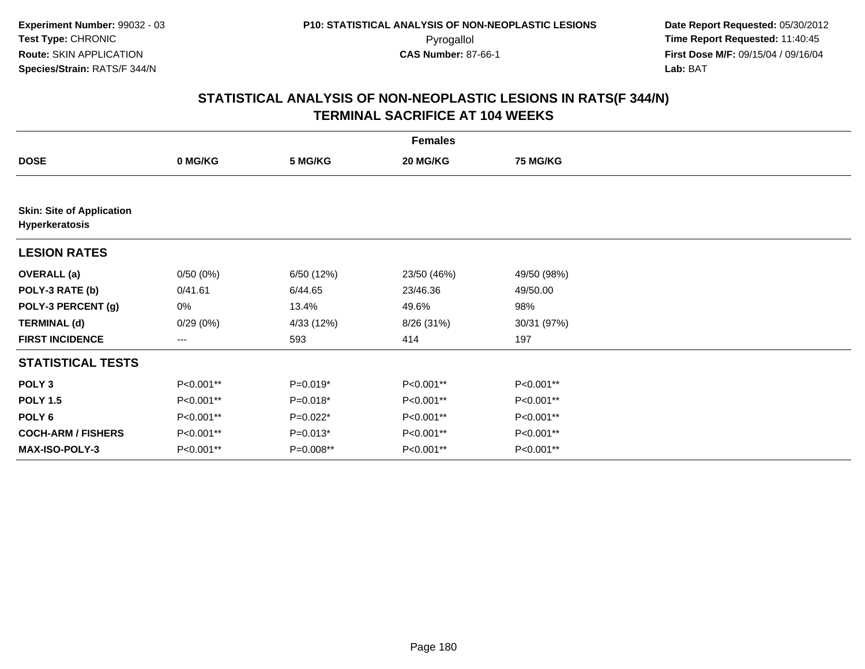|                                                    |           |             | <b>Females</b> |                 |  |
|----------------------------------------------------|-----------|-------------|----------------|-----------------|--|
| <b>DOSE</b>                                        | 0 MG/KG   | 5 MG/KG     | 20 MG/KG       | <b>75 MG/KG</b> |  |
|                                                    |           |             |                |                 |  |
| <b>Skin: Site of Application</b><br>Hyperkeratosis |           |             |                |                 |  |
| <b>LESION RATES</b>                                |           |             |                |                 |  |
| <b>OVERALL (a)</b>                                 | 0/50(0%)  | 6/50 (12%)  | 23/50 (46%)    | 49/50 (98%)     |  |
| POLY-3 RATE (b)                                    | 0/41.61   | 6/44.65     | 23/46.36       | 49/50.00        |  |
| POLY-3 PERCENT (g)                                 | 0%        | 13.4%       | 49.6%          | 98%             |  |
| <b>TERMINAL (d)</b>                                | 0/29(0%)  | 4/33 (12%)  | 8/26 (31%)     | 30/31 (97%)     |  |
| <b>FIRST INCIDENCE</b>                             | $--$      | 593         | 414            | 197             |  |
| <b>STATISTICAL TESTS</b>                           |           |             |                |                 |  |
| POLY <sub>3</sub>                                  | P<0.001** | $P=0.019*$  | P<0.001**      | P<0.001**       |  |
| <b>POLY 1.5</b>                                    | P<0.001** | $P=0.018*$  | P<0.001**      | P<0.001**       |  |
| POLY <sub>6</sub>                                  | P<0.001** | $P=0.022*$  | P<0.001**      | P<0.001**       |  |
| <b>COCH-ARM / FISHERS</b>                          | P<0.001** | $P=0.013*$  | P<0.001**      | P<0.001**       |  |
| <b>MAX-ISO-POLY-3</b>                              | P<0.001** | $P=0.008**$ | P<0.001**      | P<0.001**       |  |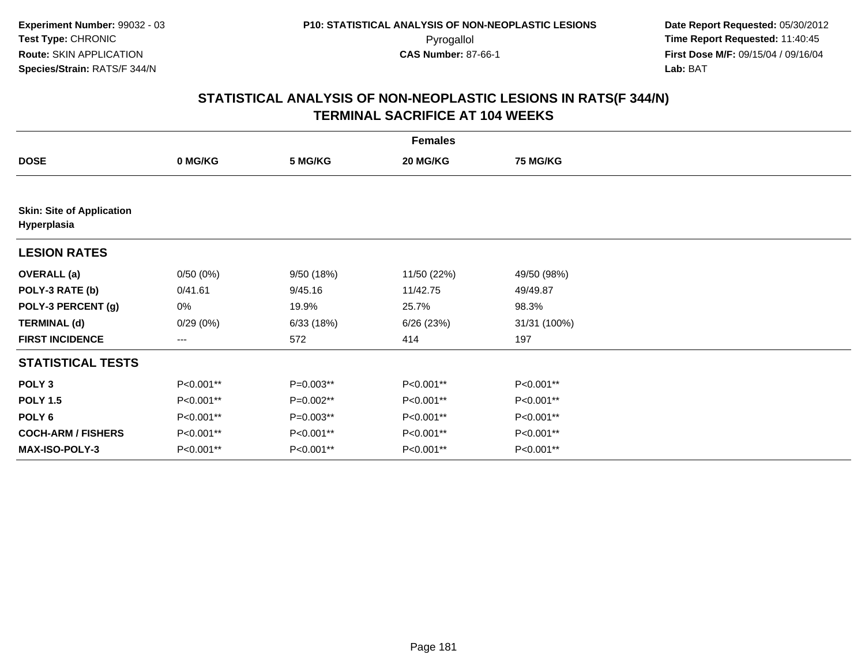| <b>Females</b>                                  |           |             |             |                 |  |  |
|-------------------------------------------------|-----------|-------------|-------------|-----------------|--|--|
| <b>DOSE</b>                                     | 0 MG/KG   | 5 MG/KG     | 20 MG/KG    | <b>75 MG/KG</b> |  |  |
|                                                 |           |             |             |                 |  |  |
| <b>Skin: Site of Application</b><br>Hyperplasia |           |             |             |                 |  |  |
| <b>LESION RATES</b>                             |           |             |             |                 |  |  |
| <b>OVERALL (a)</b>                              | 0/50(0%)  | 9/50(18%)   | 11/50 (22%) | 49/50 (98%)     |  |  |
| POLY-3 RATE (b)                                 | 0/41.61   | 9/45.16     | 11/42.75    | 49/49.87        |  |  |
| POLY-3 PERCENT (g)                              | 0%        | 19.9%       | 25.7%       | 98.3%           |  |  |
| <b>TERMINAL (d)</b>                             | 0/29(0%)  | 6/33(18%)   | 6/26(23%)   | 31/31 (100%)    |  |  |
| <b>FIRST INCIDENCE</b>                          | ---       | 572         | 414         | 197             |  |  |
| <b>STATISTICAL TESTS</b>                        |           |             |             |                 |  |  |
| POLY <sub>3</sub>                               | P<0.001** | P=0.003**   | P<0.001**   | P<0.001**       |  |  |
| <b>POLY 1.5</b>                                 | P<0.001** | P=0.002**   | P<0.001**   | P<0.001**       |  |  |
| POLY <sub>6</sub>                               | P<0.001** | $P=0.003**$ | P<0.001**   | P<0.001**       |  |  |
| <b>COCH-ARM / FISHERS</b>                       | P<0.001** | P<0.001**   | P<0.001**   | P<0.001**       |  |  |
| <b>MAX-ISO-POLY-3</b>                           | P<0.001** | P<0.001**   | P<0.001**   | P<0.001**       |  |  |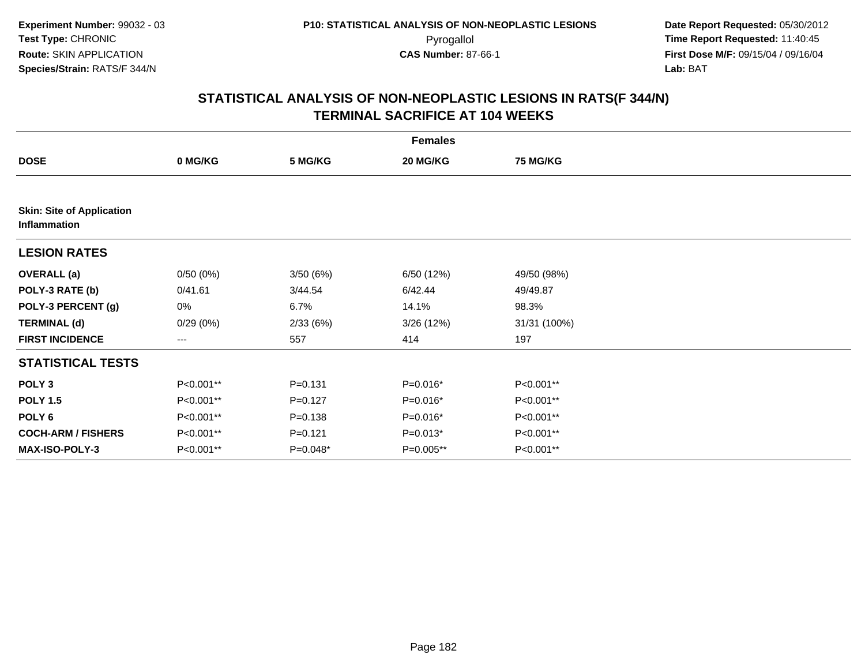|                                                  |           |             | <b>Females</b> |                 |  |
|--------------------------------------------------|-----------|-------------|----------------|-----------------|--|
| <b>DOSE</b>                                      | 0 MG/KG   | 5 MG/KG     | 20 MG/KG       | <b>75 MG/KG</b> |  |
|                                                  |           |             |                |                 |  |
| <b>Skin: Site of Application</b><br>Inflammation |           |             |                |                 |  |
| <b>LESION RATES</b>                              |           |             |                |                 |  |
| <b>OVERALL (a)</b>                               | 0/50(0%)  | 3/50(6%)    | 6/50 (12%)     | 49/50 (98%)     |  |
| POLY-3 RATE (b)                                  | 0/41.61   | 3/44.54     | 6/42.44        | 49/49.87        |  |
| POLY-3 PERCENT (g)                               | 0%        | 6.7%        | 14.1%          | 98.3%           |  |
| <b>TERMINAL (d)</b>                              | 0/29(0%)  | 2/33(6%)    | 3/26(12%)      | 31/31 (100%)    |  |
| <b>FIRST INCIDENCE</b>                           | ---       | 557         | 414            | 197             |  |
| <b>STATISTICAL TESTS</b>                         |           |             |                |                 |  |
| POLY <sub>3</sub>                                | P<0.001** | $P = 0.131$ | $P=0.016*$     | P<0.001**       |  |
| <b>POLY 1.5</b>                                  | P<0.001** | $P = 0.127$ | P=0.016*       | P<0.001**       |  |
| POLY <sub>6</sub>                                | P<0.001** | $P = 0.138$ | $P=0.016*$     | P<0.001**       |  |
| <b>COCH-ARM / FISHERS</b>                        | P<0.001** | $P = 0.121$ | $P=0.013*$     | P<0.001**       |  |
| MAX-ISO-POLY-3                                   | P<0.001** | $P=0.048*$  | P=0.005**      | P<0.001**       |  |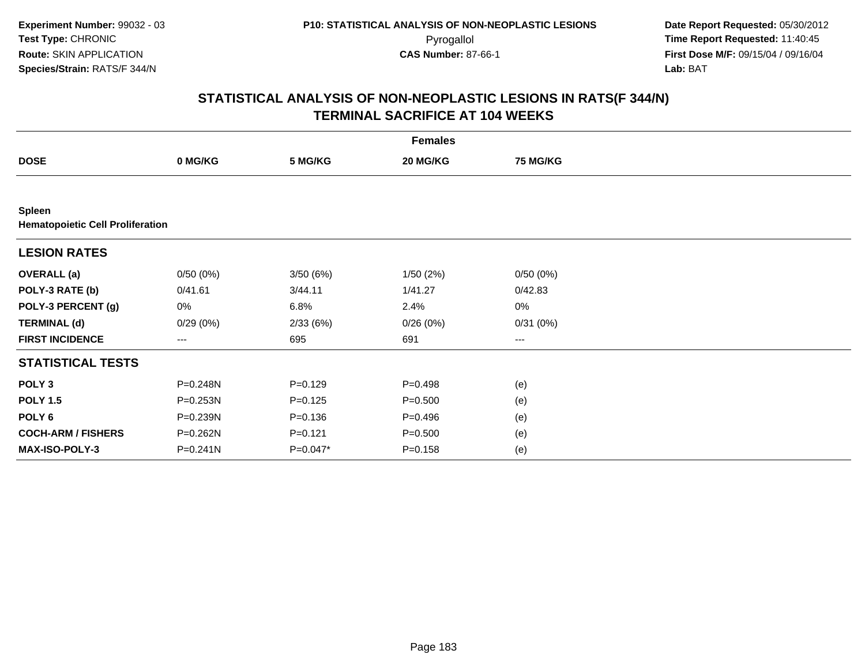|                                                          |          |             | <b>Females</b> |                 |  |
|----------------------------------------------------------|----------|-------------|----------------|-----------------|--|
| <b>DOSE</b>                                              | 0 MG/KG  | 5 MG/KG     | 20 MG/KG       | <b>75 MG/KG</b> |  |
|                                                          |          |             |                |                 |  |
| <b>Spleen</b><br><b>Hematopoietic Cell Proliferation</b> |          |             |                |                 |  |
| <b>LESION RATES</b>                                      |          |             |                |                 |  |
| <b>OVERALL</b> (a)                                       | 0/50(0%) | 3/50 (6%)   | 1/50(2%)       | 0/50(0%)        |  |
| POLY-3 RATE (b)                                          | 0/41.61  | 3/44.11     | 1/41.27        | 0/42.83         |  |
| POLY-3 PERCENT (g)                                       | 0%       | 6.8%        | 2.4%           | $0\%$           |  |
| <b>TERMINAL (d)</b>                                      | 0/29(0%) | 2/33(6%)    | 0/26(0%)       | 0/31(0%)        |  |
| <b>FIRST INCIDENCE</b>                                   | ---      | 695         | 691            | $\cdots$        |  |
| <b>STATISTICAL TESTS</b>                                 |          |             |                |                 |  |
| POLY <sub>3</sub>                                        | P=0.248N | $P = 0.129$ | $P = 0.498$    | (e)             |  |
| <b>POLY 1.5</b>                                          | P=0.253N | $P=0.125$   | $P = 0.500$    | (e)             |  |
| POLY <sub>6</sub>                                        | P=0.239N | $P = 0.136$ | $P = 0.496$    | (e)             |  |
| <b>COCH-ARM / FISHERS</b>                                | P=0.262N | $P = 0.121$ | $P = 0.500$    | (e)             |  |
| MAX-ISO-POLY-3                                           | P=0.241N | $P=0.047*$  | $P = 0.158$    | (e)             |  |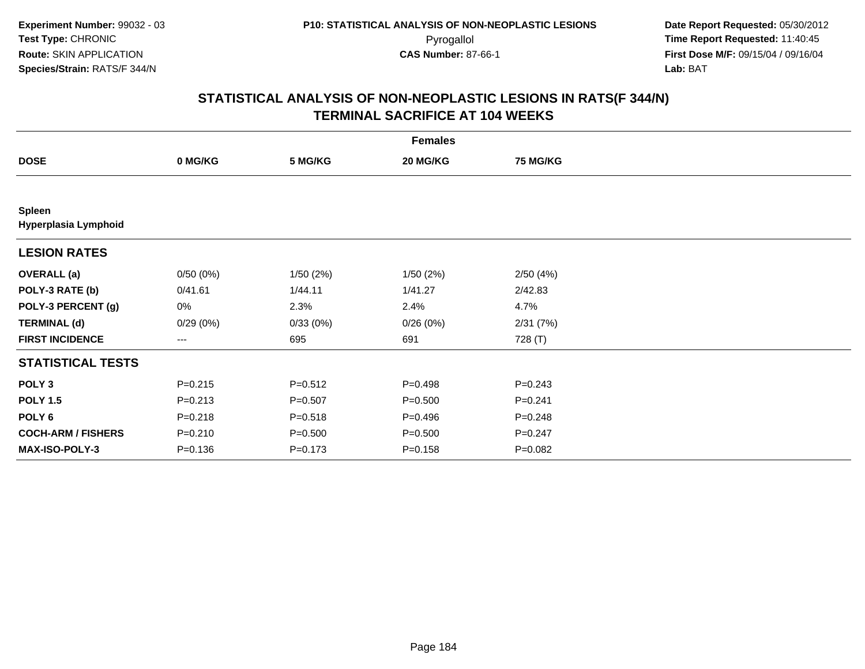|                                       |             |             | <b>Females</b> |                 |  |
|---------------------------------------|-------------|-------------|----------------|-----------------|--|
| <b>DOSE</b>                           | 0 MG/KG     | 5 MG/KG     | 20 MG/KG       | <b>75 MG/KG</b> |  |
|                                       |             |             |                |                 |  |
| <b>Spleen</b><br>Hyperplasia Lymphoid |             |             |                |                 |  |
| <b>LESION RATES</b>                   |             |             |                |                 |  |
| <b>OVERALL</b> (a)                    | 0/50(0%)    | 1/50(2%)    | 1/50(2%)       | 2/50(4%)        |  |
| POLY-3 RATE (b)                       | 0/41.61     | 1/44.11     | 1/41.27        | 2/42.83         |  |
| POLY-3 PERCENT (g)                    | 0%          | 2.3%        | 2.4%           | 4.7%            |  |
| <b>TERMINAL (d)</b>                   | 0/29(0%)    | 0/33(0%)    | 0/26(0%)       | 2/31(7%)        |  |
| <b>FIRST INCIDENCE</b>                | ---         | 695         | 691            | 728 (T)         |  |
| <b>STATISTICAL TESTS</b>              |             |             |                |                 |  |
| POLY <sub>3</sub>                     | $P = 0.215$ | $P = 0.512$ | $P = 0.498$    | $P = 0.243$     |  |
| <b>POLY 1.5</b>                       | $P = 0.213$ | $P = 0.507$ | $P = 0.500$    | $P = 0.241$     |  |
| POLY <sub>6</sub>                     | $P = 0.218$ | $P = 0.518$ | $P = 0.496$    | $P = 0.248$     |  |
| <b>COCH-ARM / FISHERS</b>             | $P = 0.210$ | $P = 0.500$ | $P = 0.500$    | $P = 0.247$     |  |
| <b>MAX-ISO-POLY-3</b>                 | $P = 0.136$ | $P = 0.173$ | $P = 0.158$    | P=0.082         |  |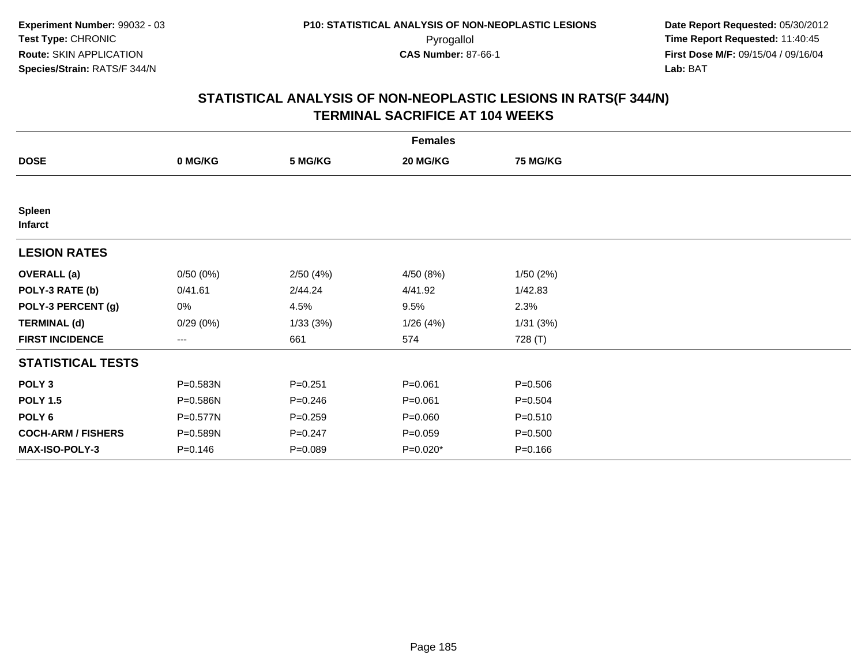|                                 |             |             | <b>Females</b> |                 |  |
|---------------------------------|-------------|-------------|----------------|-----------------|--|
| <b>DOSE</b>                     | 0 MG/KG     | 5 MG/KG     | 20 MG/KG       | <b>75 MG/KG</b> |  |
|                                 |             |             |                |                 |  |
| <b>Spleen</b><br><b>Infarct</b> |             |             |                |                 |  |
| <b>LESION RATES</b>             |             |             |                |                 |  |
| <b>OVERALL</b> (a)              | 0/50(0%)    | 2/50(4%)    | 4/50 (8%)      | 1/50(2%)        |  |
| POLY-3 RATE (b)                 | 0/41.61     | 2/44.24     | 4/41.92        | 1/42.83         |  |
| POLY-3 PERCENT (g)              | 0%          | 4.5%        | 9.5%           | 2.3%            |  |
| <b>TERMINAL (d)</b>             | 0/29(0%)    | 1/33(3%)    | 1/26(4%)       | 1/31(3%)        |  |
| <b>FIRST INCIDENCE</b>          | ---         | 661         | 574            | 728 (T)         |  |
| <b>STATISTICAL TESTS</b>        |             |             |                |                 |  |
| POLY <sub>3</sub>               | P=0.583N    | $P = 0.251$ | $P = 0.061$    | $P = 0.506$     |  |
| <b>POLY 1.5</b>                 | P=0.586N    | $P = 0.246$ | $P = 0.061$    | $P = 0.504$     |  |
| POLY <sub>6</sub>               | P=0.577N    | $P = 0.259$ | $P = 0.060$    | $P = 0.510$     |  |
| <b>COCH-ARM / FISHERS</b>       | P=0.589N    | $P = 0.247$ | $P = 0.059$    | $P = 0.500$     |  |
| MAX-ISO-POLY-3                  | $P = 0.146$ | $P = 0.089$ | P=0.020*       | $P = 0.166$     |  |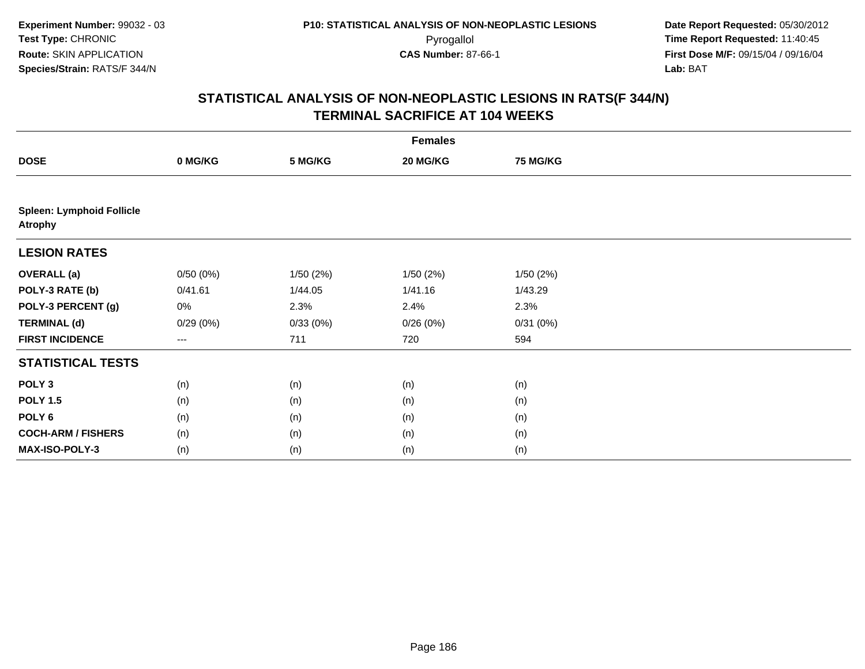|                                                    | <b>Females</b> |          |          |          |  |  |  |
|----------------------------------------------------|----------------|----------|----------|----------|--|--|--|
| <b>DOSE</b>                                        | 0 MG/KG        | 5 MG/KG  | 20 MG/KG | 75 MG/KG |  |  |  |
|                                                    |                |          |          |          |  |  |  |
| <b>Spleen: Lymphoid Follicle</b><br><b>Atrophy</b> |                |          |          |          |  |  |  |
| <b>LESION RATES</b>                                |                |          |          |          |  |  |  |
| <b>OVERALL (a)</b>                                 | 0/50(0%)       | 1/50(2%) | 1/50(2%) | 1/50(2%) |  |  |  |
| POLY-3 RATE (b)                                    | 0/41.61        | 1/44.05  | 1/41.16  | 1/43.29  |  |  |  |
| POLY-3 PERCENT (g)                                 | 0%             | 2.3%     | 2.4%     | 2.3%     |  |  |  |
| <b>TERMINAL (d)</b>                                | 0/29(0%)       | 0/33(0%) | 0/26(0%) | 0/31(0%) |  |  |  |
| <b>FIRST INCIDENCE</b>                             | ---            | 711      | 720      | 594      |  |  |  |
| <b>STATISTICAL TESTS</b>                           |                |          |          |          |  |  |  |
| POLY <sub>3</sub>                                  | (n)            | (n)      | (n)      | (n)      |  |  |  |
| <b>POLY 1.5</b>                                    | (n)            | (n)      | (n)      | (n)      |  |  |  |
| POLY <sub>6</sub>                                  | (n)            | (n)      | (n)      | (n)      |  |  |  |
| <b>COCH-ARM / FISHERS</b>                          | (n)            | (n)      | (n)      | (n)      |  |  |  |
| MAX-ISO-POLY-3                                     | (n)            | (n)      | (n)      | (n)      |  |  |  |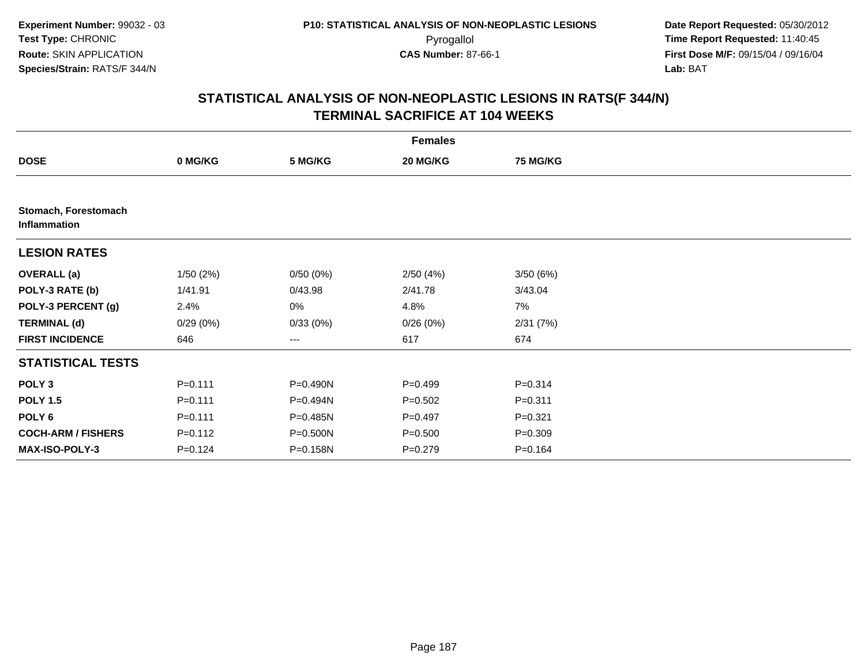|                                      |             |          | <b>Females</b> |                 |  |
|--------------------------------------|-------------|----------|----------------|-----------------|--|
| <b>DOSE</b>                          | 0 MG/KG     | 5 MG/KG  | 20 MG/KG       | <b>75 MG/KG</b> |  |
|                                      |             |          |                |                 |  |
| Stomach, Forestomach<br>Inflammation |             |          |                |                 |  |
| <b>LESION RATES</b>                  |             |          |                |                 |  |
| <b>OVERALL</b> (a)                   | 1/50(2%)    | 0/50(0%) | 2/50(4%)       | 3/50(6%)        |  |
| POLY-3 RATE (b)                      | 1/41.91     | 0/43.98  | 2/41.78        | 3/43.04         |  |
| POLY-3 PERCENT (g)                   | 2.4%        | 0%       | 4.8%           | 7%              |  |
| <b>TERMINAL (d)</b>                  | 0/29(0%)    | 0/33(0%) | 0/26(0%)       | 2/31(7%)        |  |
| <b>FIRST INCIDENCE</b>               | 646         | $--$     | 617            | 674             |  |
| <b>STATISTICAL TESTS</b>             |             |          |                |                 |  |
| POLY <sub>3</sub>                    | $P = 0.111$ | P=0.490N | $P=0.499$      | $P = 0.314$     |  |
| <b>POLY 1.5</b>                      | $P = 0.111$ | P=0.494N | $P = 0.502$    | $P = 0.311$     |  |
| POLY <sub>6</sub>                    | $P = 0.111$ | P=0.485N | $P=0.497$      | $P = 0.321$     |  |
| <b>COCH-ARM / FISHERS</b>            | $P = 0.112$ | P=0.500N | $P = 0.500$    | $P = 0.309$     |  |
| <b>MAX-ISO-POLY-3</b>                | $P = 0.124$ | P=0.158N | $P=0.279$      | $P = 0.164$     |  |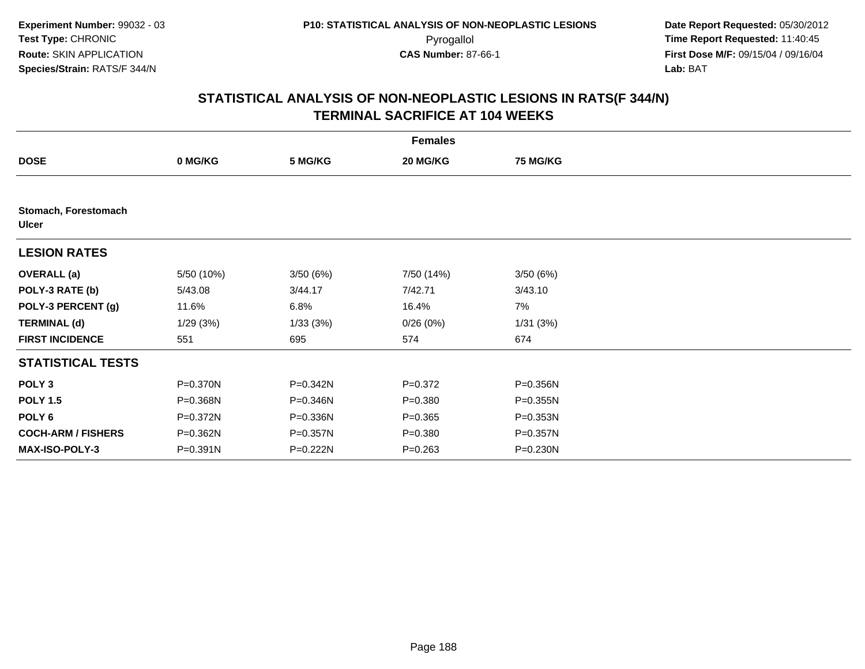|                                      |            |          | <b>Females</b> |                 |  |
|--------------------------------------|------------|----------|----------------|-----------------|--|
| <b>DOSE</b>                          | 0 MG/KG    | 5 MG/KG  | 20 MG/KG       | <b>75 MG/KG</b> |  |
|                                      |            |          |                |                 |  |
| Stomach, Forestomach<br><b>Ulcer</b> |            |          |                |                 |  |
| <b>LESION RATES</b>                  |            |          |                |                 |  |
| <b>OVERALL</b> (a)                   | 5/50 (10%) | 3/50(6%) | 7/50 (14%)     | 3/50(6%)        |  |
| POLY-3 RATE (b)                      | 5/43.08    | 3/44.17  | 7/42.71        | 3/43.10         |  |
| POLY-3 PERCENT (g)                   | 11.6%      | 6.8%     | 16.4%          | 7%              |  |
| <b>TERMINAL (d)</b>                  | 1/29(3%)   | 1/33(3%) | 0/26(0%)       | 1/31(3%)        |  |
| <b>FIRST INCIDENCE</b>               | 551        | 695      | 574            | 674             |  |
| <b>STATISTICAL TESTS</b>             |            |          |                |                 |  |
| POLY <sub>3</sub>                    | P=0.370N   | P=0.342N | $P = 0.372$    | P=0.356N        |  |
| <b>POLY 1.5</b>                      | P=0.368N   | P=0.346N | $P = 0.380$    | P=0.355N        |  |
| POLY <sub>6</sub>                    | P=0.372N   | P=0.336N | $P = 0.365$    | P=0.353N        |  |
| <b>COCH-ARM / FISHERS</b>            | P=0.362N   | P=0.357N | $P = 0.380$    | P=0.357N        |  |
| <b>MAX-ISO-POLY-3</b>                | P=0.391N   | P=0.222N | $P = 0.263$    | P=0.230N        |  |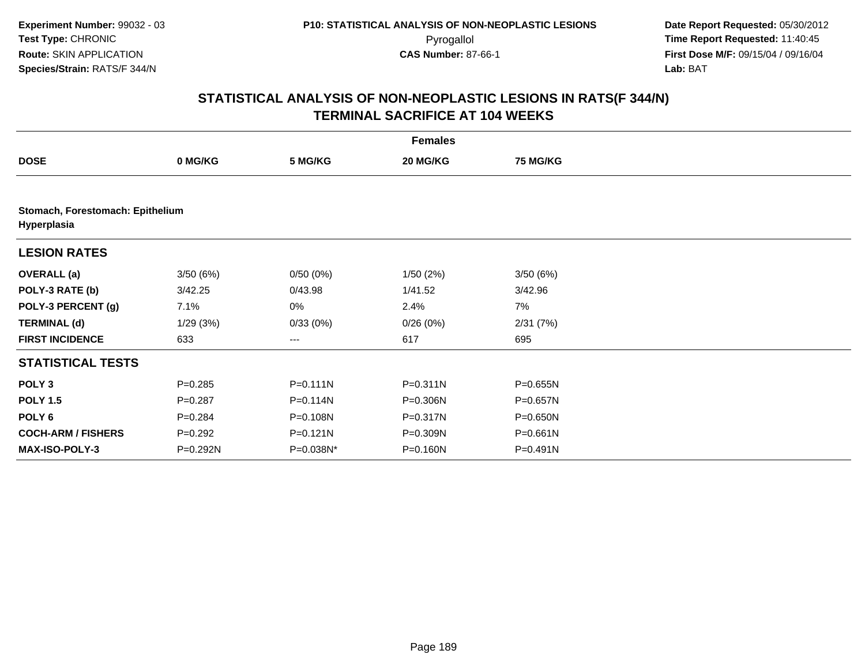|                           |                                  |                   | <b>Females</b> |                 |  |  |  |  |  |
|---------------------------|----------------------------------|-------------------|----------------|-----------------|--|--|--|--|--|
| <b>DOSE</b>               | 0 MG/KG                          | 5 MG/KG           | 20 MG/KG       | <b>75 MG/KG</b> |  |  |  |  |  |
|                           |                                  |                   |                |                 |  |  |  |  |  |
| Hyperplasia               | Stomach, Forestomach: Epithelium |                   |                |                 |  |  |  |  |  |
| <b>LESION RATES</b>       |                                  |                   |                |                 |  |  |  |  |  |
| <b>OVERALL (a)</b>        | 3/50(6%)                         | 0/50(0%)          | 1/50(2%)       | 3/50(6%)        |  |  |  |  |  |
| POLY-3 RATE (b)           | 3/42.25                          | 0/43.98           | 1/41.52        | 3/42.96         |  |  |  |  |  |
| POLY-3 PERCENT (g)        | 7.1%                             | 0%                | 2.4%           | 7%              |  |  |  |  |  |
| <b>TERMINAL (d)</b>       | 1/29(3%)                         | 0/33(0%)          | 0/26(0%)       | 2/31(7%)        |  |  |  |  |  |
| <b>FIRST INCIDENCE</b>    | 633                              | $\qquad \qquad -$ | 617            | 695             |  |  |  |  |  |
| <b>STATISTICAL TESTS</b>  |                                  |                   |                |                 |  |  |  |  |  |
| POLY <sub>3</sub>         | $P = 0.285$                      | $P = 0.111N$      | $P = 0.311N$   | $P = 0.655N$    |  |  |  |  |  |
| <b>POLY 1.5</b>           | $P = 0.287$                      | $P = 0.114N$      | P=0.306N       | P=0.657N        |  |  |  |  |  |
| POLY <sub>6</sub>         | $P = 0.284$                      | P=0.108N          | P=0.317N       | $P = 0.650N$    |  |  |  |  |  |
| <b>COCH-ARM / FISHERS</b> | $P=0.292$                        | $P = 0.121N$      | P=0.309N       | $P = 0.661N$    |  |  |  |  |  |
| <b>MAX-ISO-POLY-3</b>     | P=0.292N                         | P=0.038N*         | P=0.160N       | $P = 0.491N$    |  |  |  |  |  |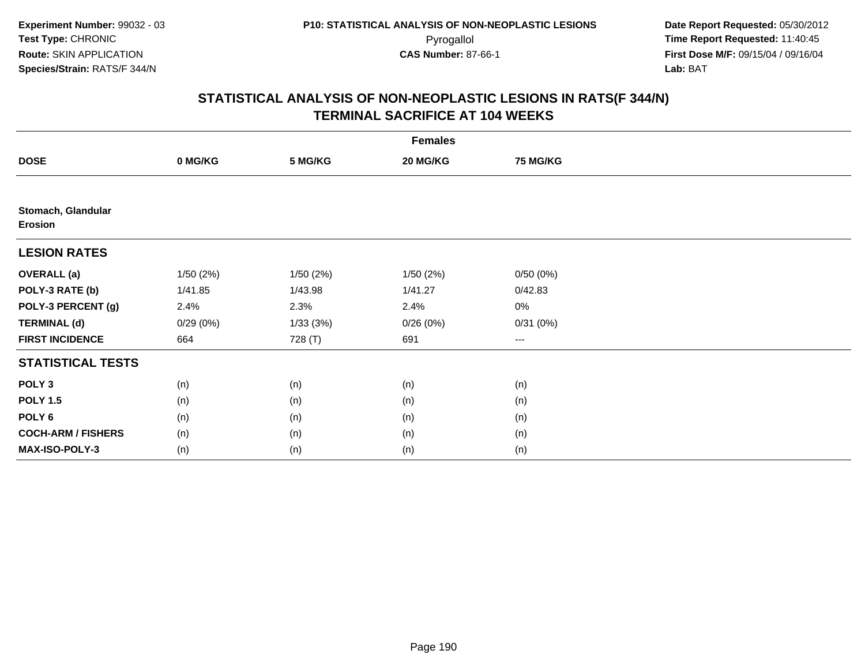|                                      |          |          | <b>Females</b> |                 |  |
|--------------------------------------|----------|----------|----------------|-----------------|--|
| <b>DOSE</b>                          | 0 MG/KG  | 5 MG/KG  | 20 MG/KG       | <b>75 MG/KG</b> |  |
|                                      |          |          |                |                 |  |
| Stomach, Glandular<br><b>Erosion</b> |          |          |                |                 |  |
| <b>LESION RATES</b>                  |          |          |                |                 |  |
| <b>OVERALL (a)</b>                   | 1/50(2%) | 1/50(2%) | 1/50(2%)       | 0/50(0%)        |  |
| POLY-3 RATE (b)                      | 1/41.85  | 1/43.98  | 1/41.27        | 0/42.83         |  |
| POLY-3 PERCENT (g)                   | 2.4%     | 2.3%     | 2.4%           | $0\%$           |  |
| <b>TERMINAL (d)</b>                  | 0/29(0%) | 1/33(3%) | 0/26(0%)       | 0/31(0%)        |  |
| <b>FIRST INCIDENCE</b>               | 664      | 728 (T)  | 691            | ---             |  |
| <b>STATISTICAL TESTS</b>             |          |          |                |                 |  |
| POLY <sub>3</sub>                    | (n)      | (n)      | (n)            | (n)             |  |
| <b>POLY 1.5</b>                      | (n)      | (n)      | (n)            | (n)             |  |
| POLY <sub>6</sub>                    | (n)      | (n)      | (n)            | (n)             |  |
| <b>COCH-ARM / FISHERS</b>            | (n)      | (n)      | (n)            | (n)             |  |
| MAX-ISO-POLY-3                       | (n)      | (n)      | (n)            | (n)             |  |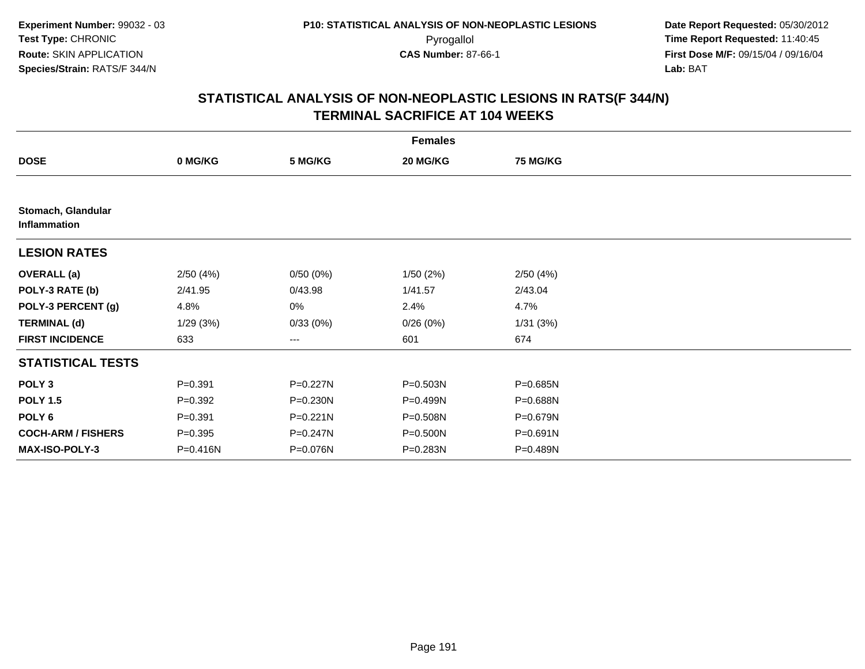|                                    |             |                   | <b>Females</b> |                 |  |
|------------------------------------|-------------|-------------------|----------------|-----------------|--|
| <b>DOSE</b>                        | 0 MG/KG     | 5 MG/KG           | 20 MG/KG       | <b>75 MG/KG</b> |  |
|                                    |             |                   |                |                 |  |
| Stomach, Glandular<br>Inflammation |             |                   |                |                 |  |
| <b>LESION RATES</b>                |             |                   |                |                 |  |
| <b>OVERALL</b> (a)                 | 2/50(4%)    | 0/50(0%)          | 1/50(2%)       | 2/50(4%)        |  |
| POLY-3 RATE (b)                    | 2/41.95     | 0/43.98           | 1/41.57        | 2/43.04         |  |
| POLY-3 PERCENT (g)                 | 4.8%        | 0%                | 2.4%           | 4.7%            |  |
| <b>TERMINAL (d)</b>                | 1/29(3%)    | 0/33(0%)          | 0/26(0%)       | 1/31(3%)        |  |
| <b>FIRST INCIDENCE</b>             | 633         | $\qquad \qquad -$ | 601            | 674             |  |
| <b>STATISTICAL TESTS</b>           |             |                   |                |                 |  |
| POLY <sub>3</sub>                  | $P = 0.391$ | P=0.227N          | P=0.503N       | P=0.685N        |  |
| <b>POLY 1.5</b>                    | $P = 0.392$ | $P = 0.230N$      | P=0.499N       | P=0.688N        |  |
| POLY <sub>6</sub>                  | $P = 0.391$ | $P = 0.221N$      | P=0.508N       | P=0.679N        |  |
| <b>COCH-ARM / FISHERS</b>          | $P = 0.395$ | P=0.247N          | P=0.500N       | P=0.691N        |  |
| <b>MAX-ISO-POLY-3</b>              | P=0.416N    | P=0.076N          | P=0.283N       | P=0.489N        |  |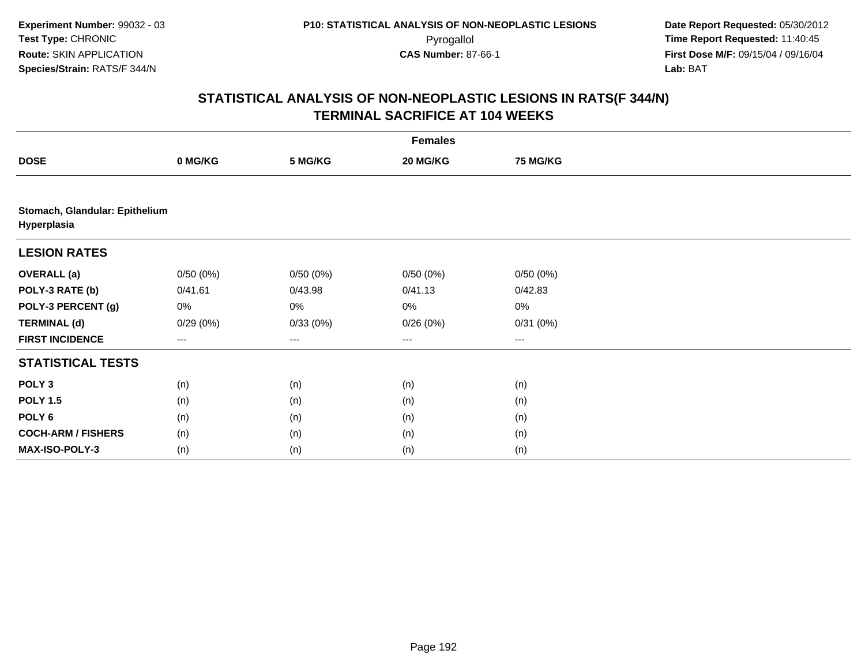|                                               | <b>Females</b> |                        |          |          |  |  |  |
|-----------------------------------------------|----------------|------------------------|----------|----------|--|--|--|
| <b>DOSE</b>                                   | 0 MG/KG        | 5 MG/KG                | 20 MG/KG | 75 MG/KG |  |  |  |
|                                               |                |                        |          |          |  |  |  |
| Stomach, Glandular: Epithelium<br>Hyperplasia |                |                        |          |          |  |  |  |
| <b>LESION RATES</b>                           |                |                        |          |          |  |  |  |
| <b>OVERALL (a)</b>                            | 0/50(0%)       | 0/50(0%)               | 0/50(0%) | 0/50(0%) |  |  |  |
| POLY-3 RATE (b)                               | 0/41.61        | 0/43.98                | 0/41.13  | 0/42.83  |  |  |  |
| POLY-3 PERCENT (g)                            | 0%             | 0%                     | $0\%$    | 0%       |  |  |  |
| <b>TERMINAL (d)</b>                           | 0/29(0%)       | 0/33(0%)               | 0/26(0%) | 0/31(0%) |  |  |  |
| <b>FIRST INCIDENCE</b>                        | ---            | $\qquad \qquad \cdots$ | $--$     | ---      |  |  |  |
| <b>STATISTICAL TESTS</b>                      |                |                        |          |          |  |  |  |
| POLY <sub>3</sub>                             | (n)            | (n)                    | (n)      | (n)      |  |  |  |
| <b>POLY 1.5</b>                               | (n)            | (n)                    | (n)      | (n)      |  |  |  |
| POLY <sub>6</sub>                             | (n)            | (n)                    | (n)      | (n)      |  |  |  |
| <b>COCH-ARM / FISHERS</b>                     | (n)            | (n)                    | (n)      | (n)      |  |  |  |
| MAX-ISO-POLY-3                                | (n)            | (n)                    | (n)      | (n)      |  |  |  |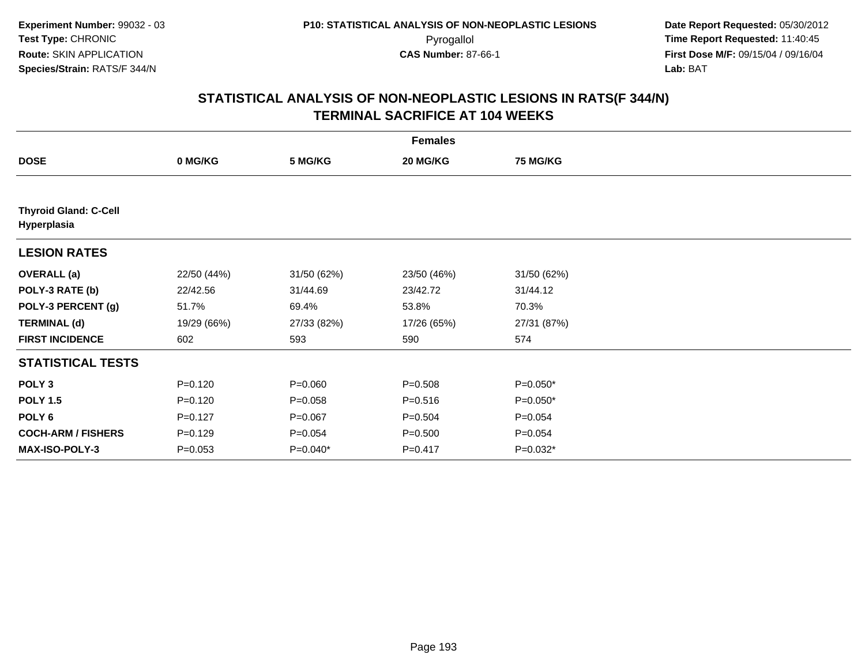| <b>Females</b>                              |             |             |             |                 |  |
|---------------------------------------------|-------------|-------------|-------------|-----------------|--|
| <b>DOSE</b>                                 | 0 MG/KG     | 5 MG/KG     | 20 MG/KG    | <b>75 MG/KG</b> |  |
|                                             |             |             |             |                 |  |
| <b>Thyroid Gland: C-Cell</b><br>Hyperplasia |             |             |             |                 |  |
| <b>LESION RATES</b>                         |             |             |             |                 |  |
| <b>OVERALL</b> (a)                          | 22/50 (44%) | 31/50 (62%) | 23/50 (46%) | 31/50 (62%)     |  |
| POLY-3 RATE (b)                             | 22/42.56    | 31/44.69    | 23/42.72    | 31/44.12        |  |
| POLY-3 PERCENT (g)                          | 51.7%       | 69.4%       | 53.8%       | 70.3%           |  |
| <b>TERMINAL (d)</b>                         | 19/29 (66%) | 27/33 (82%) | 17/26 (65%) | 27/31 (87%)     |  |
| <b>FIRST INCIDENCE</b>                      | 602         | 593         | 590         | 574             |  |
| <b>STATISTICAL TESTS</b>                    |             |             |             |                 |  |
| POLY <sub>3</sub>                           | $P = 0.120$ | $P = 0.060$ | $P = 0.508$ | P=0.050*        |  |
| <b>POLY 1.5</b>                             | $P=0.120$   | $P = 0.058$ | $P = 0.516$ | $P=0.050*$      |  |
| POLY <sub>6</sub>                           | $P=0.127$   | $P = 0.067$ | $P = 0.504$ | $P = 0.054$     |  |
| <b>COCH-ARM / FISHERS</b>                   | $P=0.129$   | $P = 0.054$ | $P = 0.500$ | $P = 0.054$     |  |
| MAX-ISO-POLY-3                              | $P = 0.053$ | $P=0.040*$  | $P=0.417$   | $P=0.032*$      |  |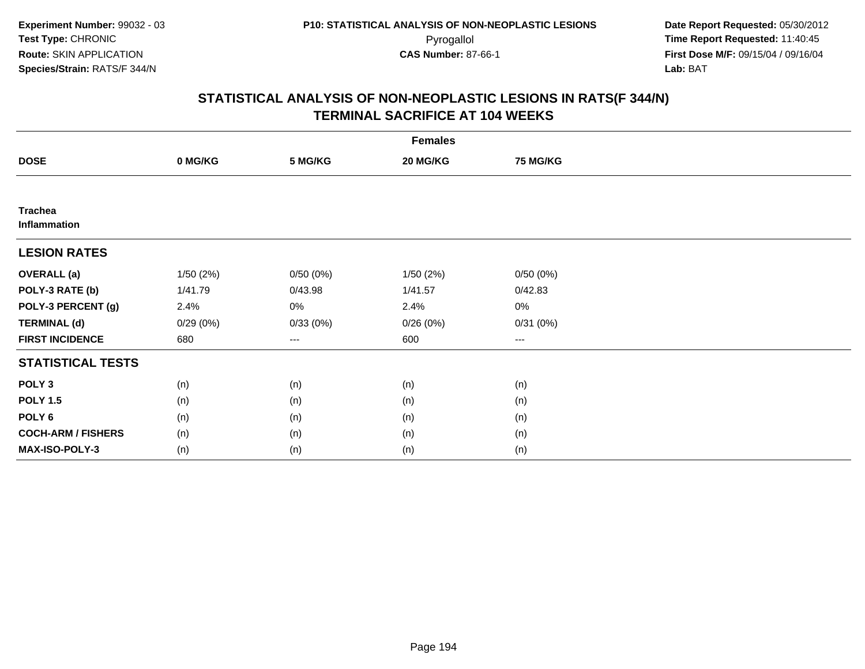| <b>Females</b>                 |          |          |          |                 |  |
|--------------------------------|----------|----------|----------|-----------------|--|
| <b>DOSE</b>                    | 0 MG/KG  | 5 MG/KG  | 20 MG/KG | <b>75 MG/KG</b> |  |
|                                |          |          |          |                 |  |
| <b>Trachea</b><br>Inflammation |          |          |          |                 |  |
| <b>LESION RATES</b>            |          |          |          |                 |  |
| <b>OVERALL (a)</b>             | 1/50(2%) | 0/50(0%) | 1/50(2%) | 0/50(0%)        |  |
| POLY-3 RATE (b)                | 1/41.79  | 0/43.98  | 1/41.57  | 0/42.83         |  |
| POLY-3 PERCENT (g)             | 2.4%     | 0%       | 2.4%     | 0%              |  |
| <b>TERMINAL (d)</b>            | 0/29(0%) | 0/33(0%) | 0/26(0%) | 0/31(0%)        |  |
| <b>FIRST INCIDENCE</b>         | 680      | ---      | 600      | ---             |  |
| <b>STATISTICAL TESTS</b>       |          |          |          |                 |  |
| POLY <sub>3</sub>              | (n)      | (n)      | (n)      | (n)             |  |
| <b>POLY 1.5</b>                | (n)      | (n)      | (n)      | (n)             |  |
| POLY <sub>6</sub>              | (n)      | (n)      | (n)      | (n)             |  |
| <b>COCH-ARM / FISHERS</b>      | (n)      | (n)      | (n)      | (n)             |  |
| <b>MAX-ISO-POLY-3</b>          | (n)      | (n)      | (n)      | (n)             |  |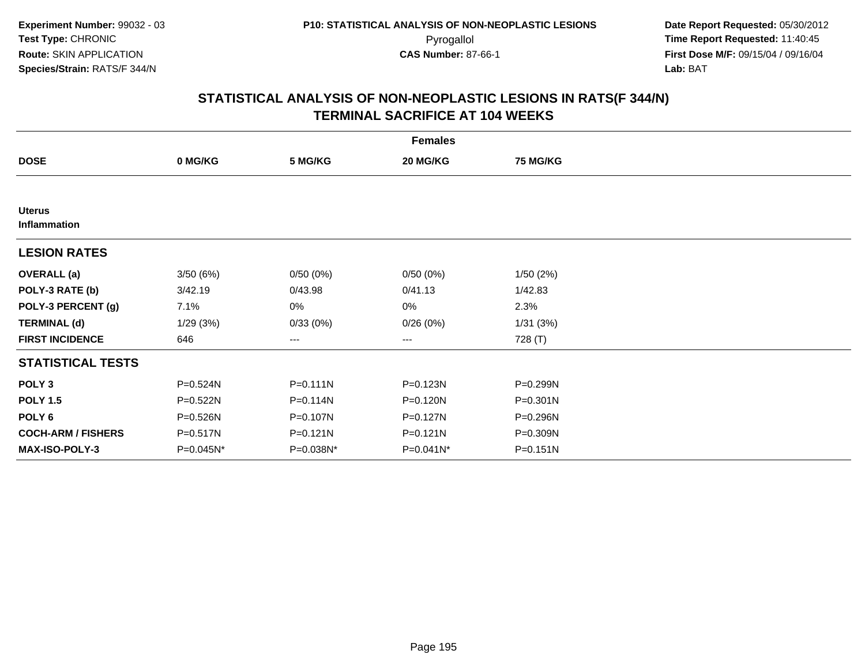|                               |              |              | <b>Females</b> |                 |  |
|-------------------------------|--------------|--------------|----------------|-----------------|--|
| <b>DOSE</b>                   | 0 MG/KG      | 5 MG/KG      | 20 MG/KG       | <b>75 MG/KG</b> |  |
|                               |              |              |                |                 |  |
| <b>Uterus</b><br>Inflammation |              |              |                |                 |  |
| <b>LESION RATES</b>           |              |              |                |                 |  |
| <b>OVERALL</b> (a)            | 3/50(6%)     | 0/50(0%)     | 0/50(0%)       | 1/50(2%)        |  |
| POLY-3 RATE (b)               | 3/42.19      | 0/43.98      | 0/41.13        | 1/42.83         |  |
| POLY-3 PERCENT (g)            | 7.1%         | 0%           | 0%             | 2.3%            |  |
| <b>TERMINAL (d)</b>           | 1/29(3%)     | 0/33(0%)     | 0/26(0%)       | 1/31(3%)        |  |
| <b>FIRST INCIDENCE</b>        | 646          | $\cdots$     | $\cdots$       | 728 (T)         |  |
| <b>STATISTICAL TESTS</b>      |              |              |                |                 |  |
| POLY <sub>3</sub>             | P=0.524N     | $P = 0.111N$ | P=0.123N       | P=0.299N        |  |
| <b>POLY 1.5</b>               | $P = 0.522N$ | P=0.114N     | P=0.120N       | P=0.301N        |  |
| POLY 6                        | P=0.526N     | P=0.107N     | P=0.127N       | P=0.296N        |  |
| <b>COCH-ARM / FISHERS</b>     | P=0.517N     | P=0.121N     | $P = 0.121N$   | P=0.309N        |  |
| MAX-ISO-POLY-3                | P=0.045N*    | P=0.038N*    | $P = 0.041N^*$ | $P = 0.151N$    |  |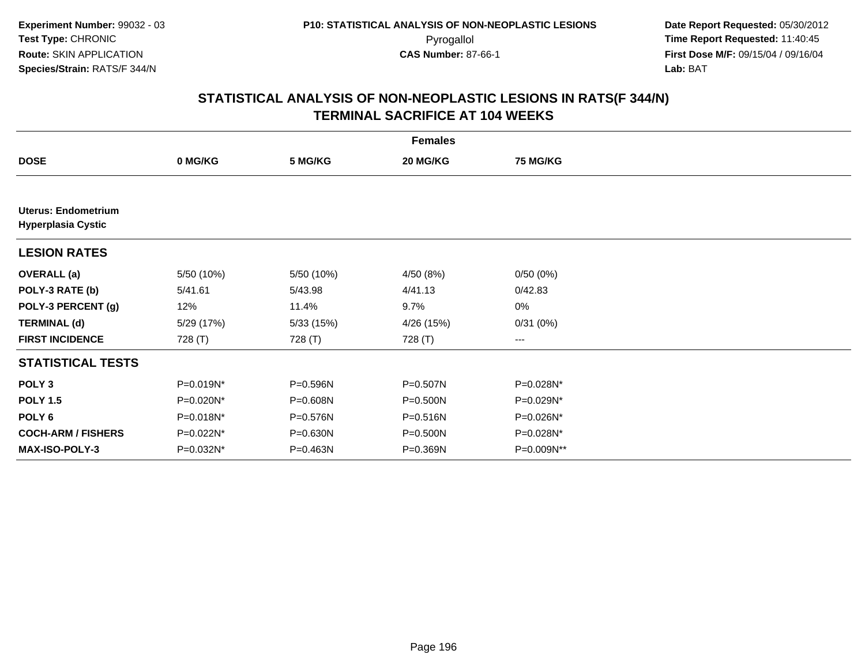| <b>Females</b>                                   |            |            |            |                 |  |
|--------------------------------------------------|------------|------------|------------|-----------------|--|
| <b>DOSE</b>                                      | 0 MG/KG    | 5 MG/KG    | 20 MG/KG   | <b>75 MG/KG</b> |  |
|                                                  |            |            |            |                 |  |
| Uterus: Endometrium<br><b>Hyperplasia Cystic</b> |            |            |            |                 |  |
| <b>LESION RATES</b>                              |            |            |            |                 |  |
| <b>OVERALL (a)</b>                               | 5/50 (10%) | 5/50 (10%) | 4/50 (8%)  | 0/50(0%)        |  |
| POLY-3 RATE (b)                                  | 5/41.61    | 5/43.98    | 4/41.13    | 0/42.83         |  |
| POLY-3 PERCENT (g)                               | 12%        | 11.4%      | 9.7%       | 0%              |  |
| <b>TERMINAL (d)</b>                              | 5/29 (17%) | 5/33(15%)  | 4/26 (15%) | 0/31(0%)        |  |
| <b>FIRST INCIDENCE</b>                           | 728 (T)    | 728 (T)    | 728 (T)    | ---             |  |
| <b>STATISTICAL TESTS</b>                         |            |            |            |                 |  |
| POLY <sub>3</sub>                                | P=0.019N*  | P=0.596N   | P=0.507N   | P=0.028N*       |  |
| <b>POLY 1.5</b>                                  | P=0.020N*  | P=0.608N   | P=0.500N   | P=0.029N*       |  |
| POLY <sub>6</sub>                                | P=0.018N*  | P=0.576N   | P=0.516N   | P=0.026N*       |  |
| <b>COCH-ARM / FISHERS</b>                        | P=0.022N*  | P=0.630N   | P=0.500N   | P=0.028N*       |  |
| <b>MAX-ISO-POLY-3</b>                            | P=0.032N*  | P=0.463N   | P=0.369N   | P=0.009N**      |  |